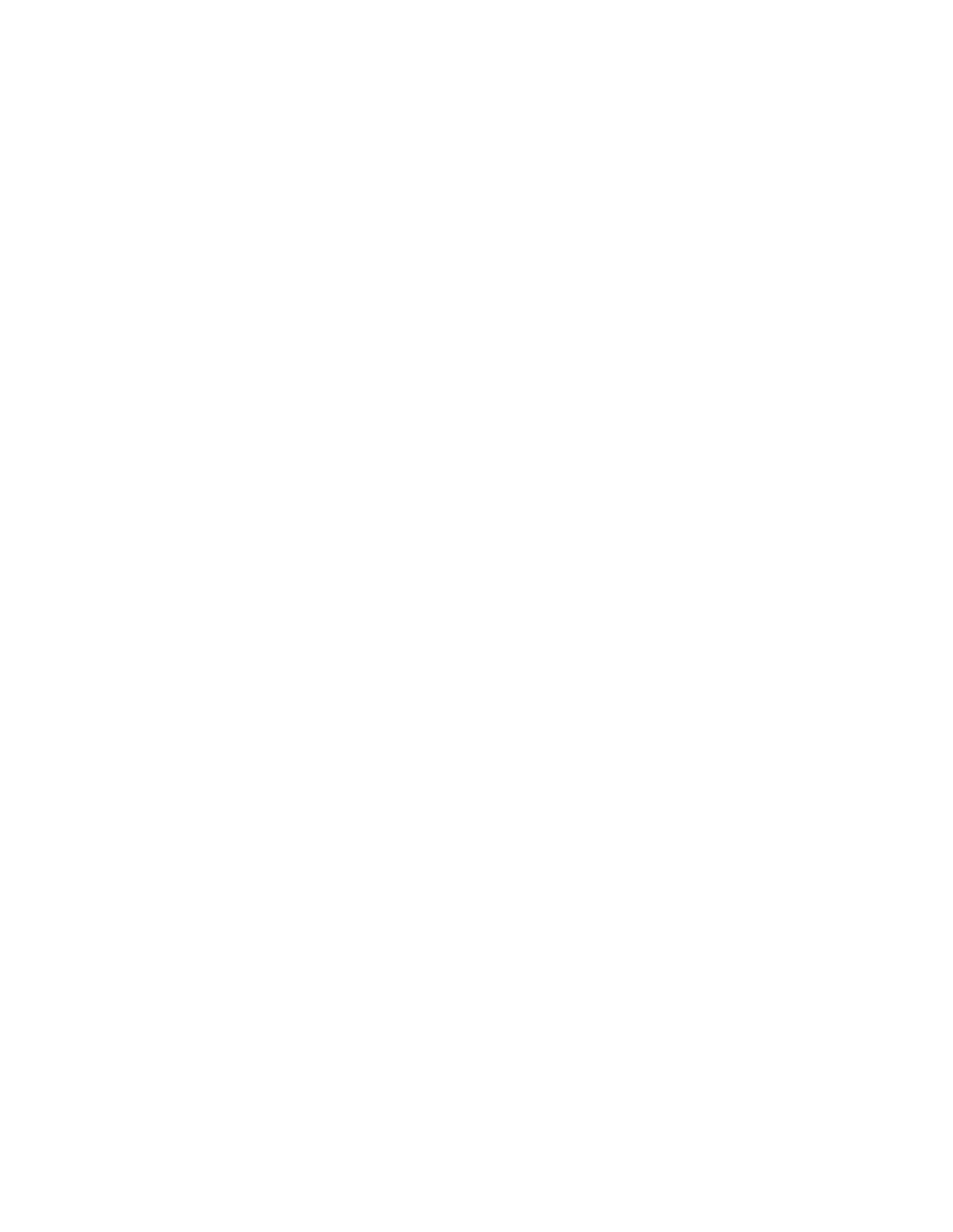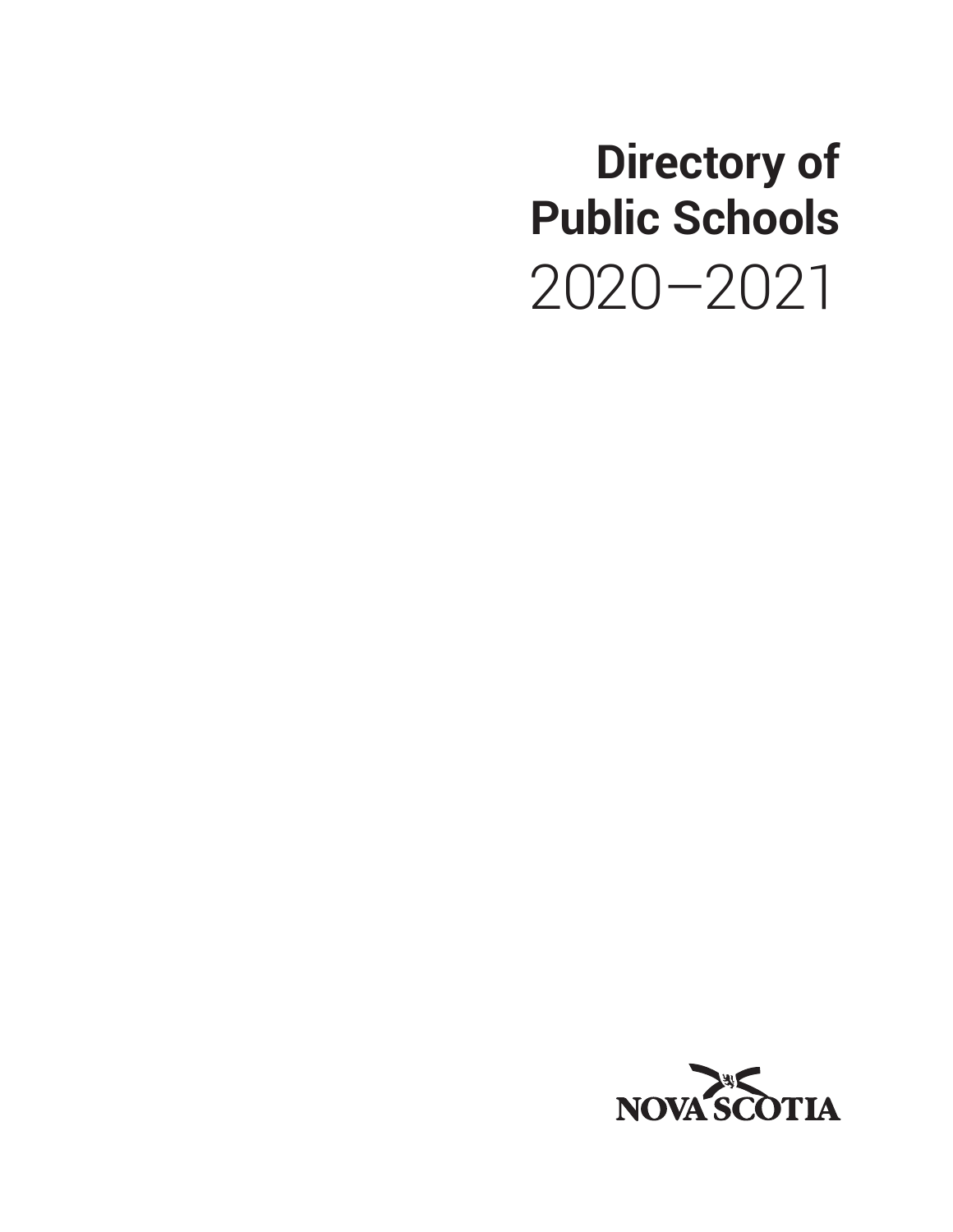**Directory of Public Schools** 2020–2021

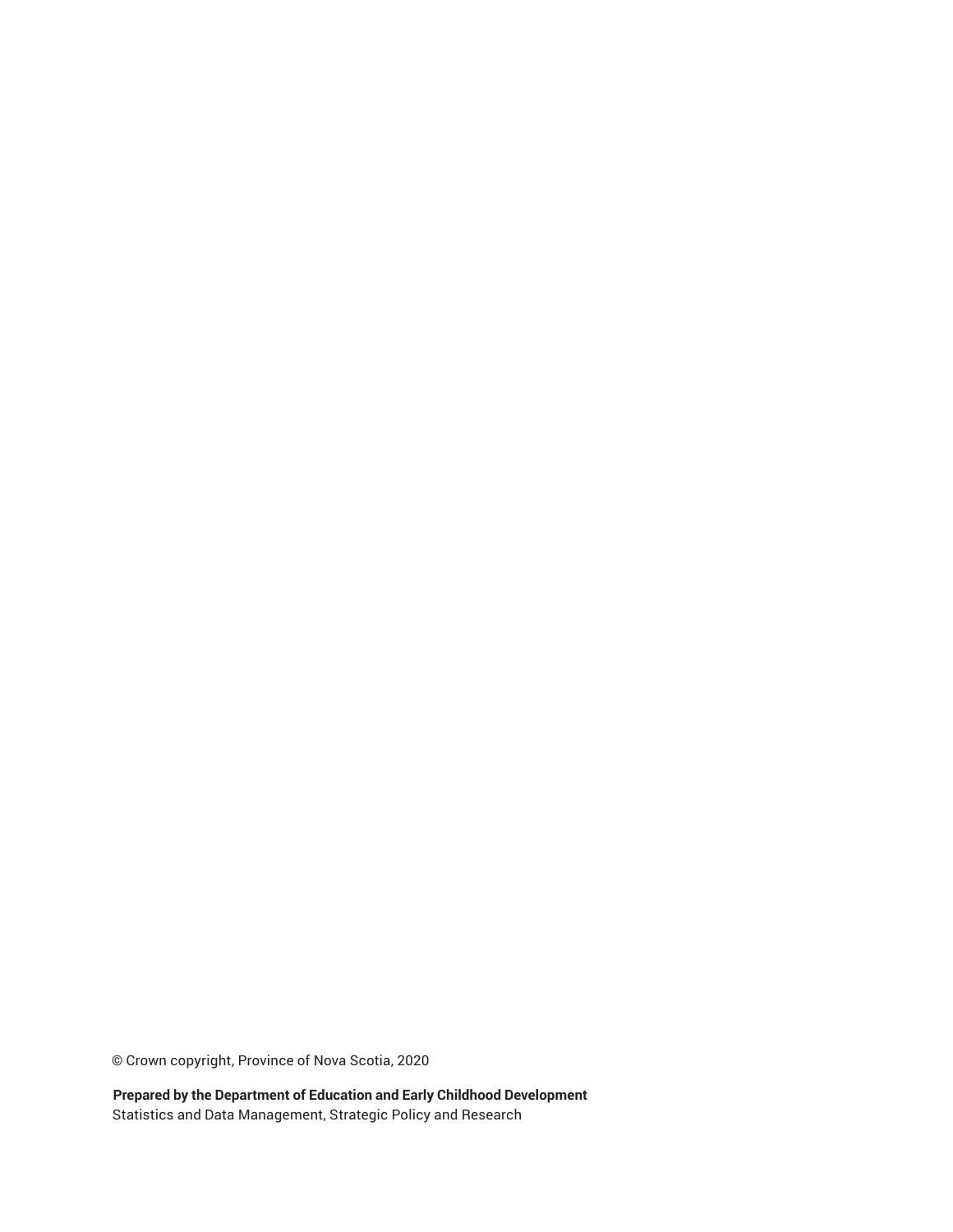© Crown copyright, Province of Nova Scotia, 2020

**Prepared by the Department of Education and Early Childhood Development**  Statistics and Data Management, Strategic Policy and Research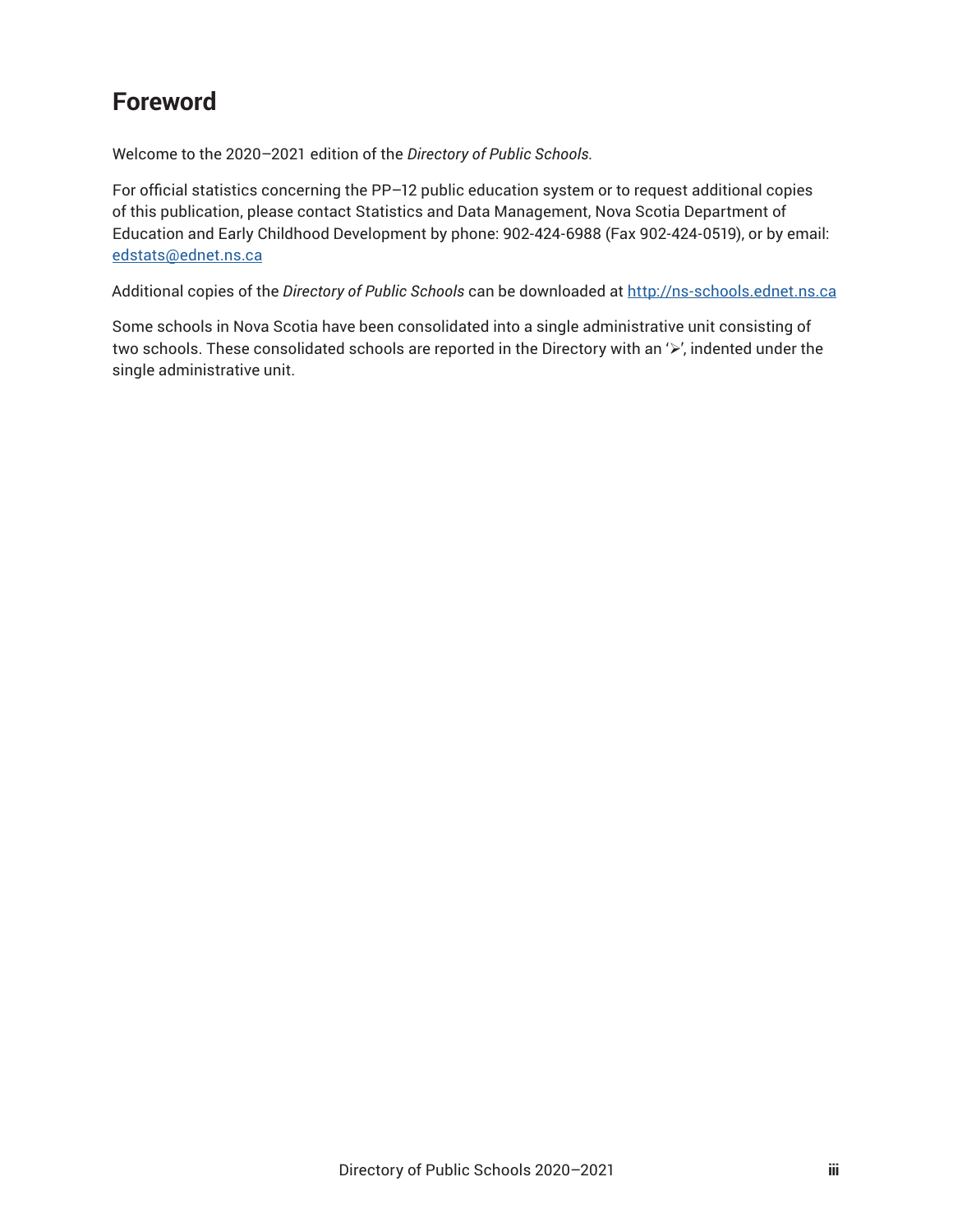# **Foreword**

Welcome to the 2020–2021 edition of the *Directory of Public Schools.*

For official statistics concerning the PP–12 public education system or to request additional copies of this publication, please contact Statistics and Data Management, Nova Scotia Department of Education and Early Childhood Development by phone: 902-424-6988 (Fax 902-424-0519), or by email: [edstats@ednet.ns.ca](mailto:edstats%40ednet.ns.ca?subject=)

Additional copies of the *Directory of Public Schools* can be downloaded at<http://ns-schools.ednet.ns.ca>

Some schools in Nova Scotia have been consolidated into a single administrative unit consisting of two schools. These consolidated schools are reported in the Directory with an  $\mathcal{F}'$ , indented under the single administrative unit.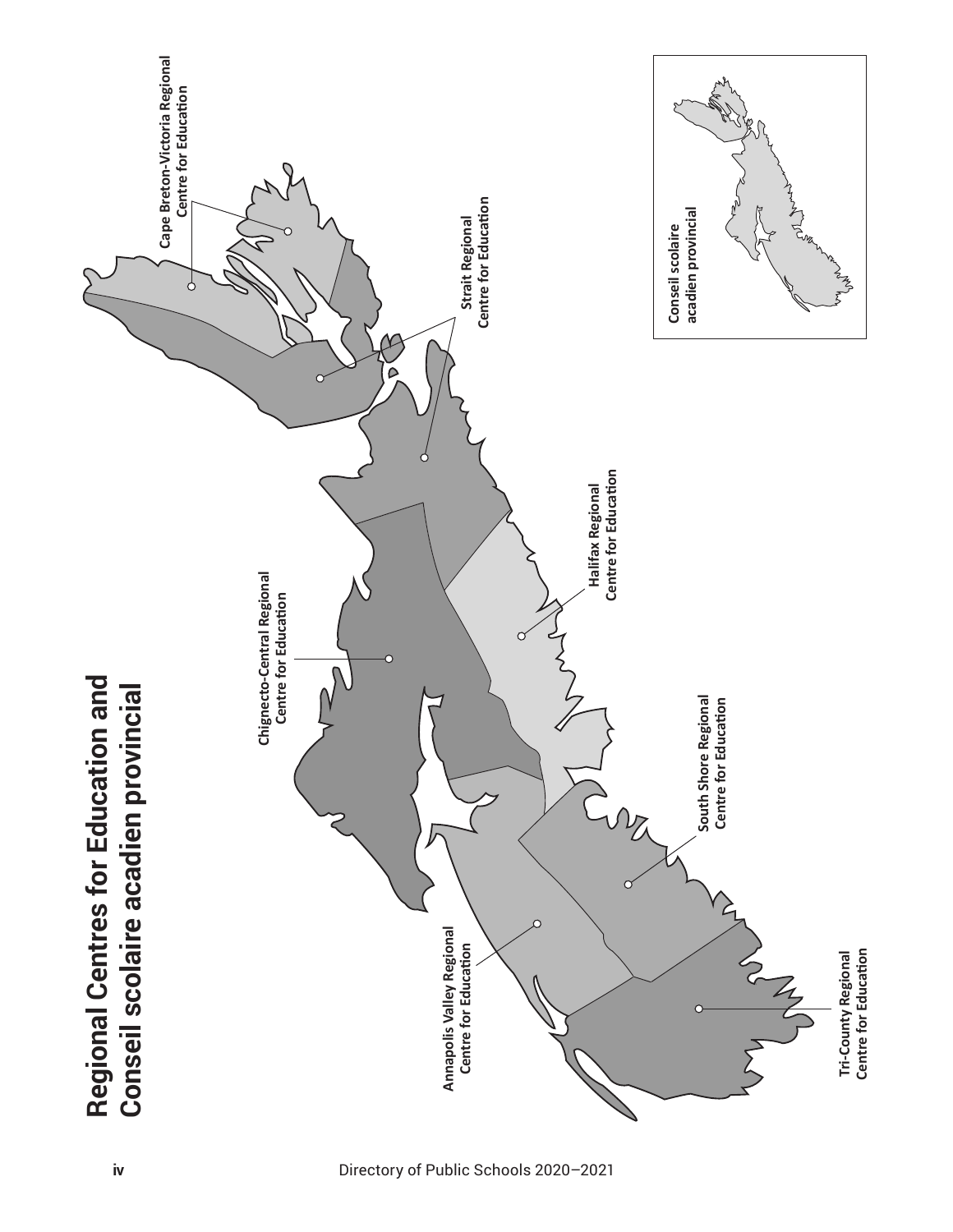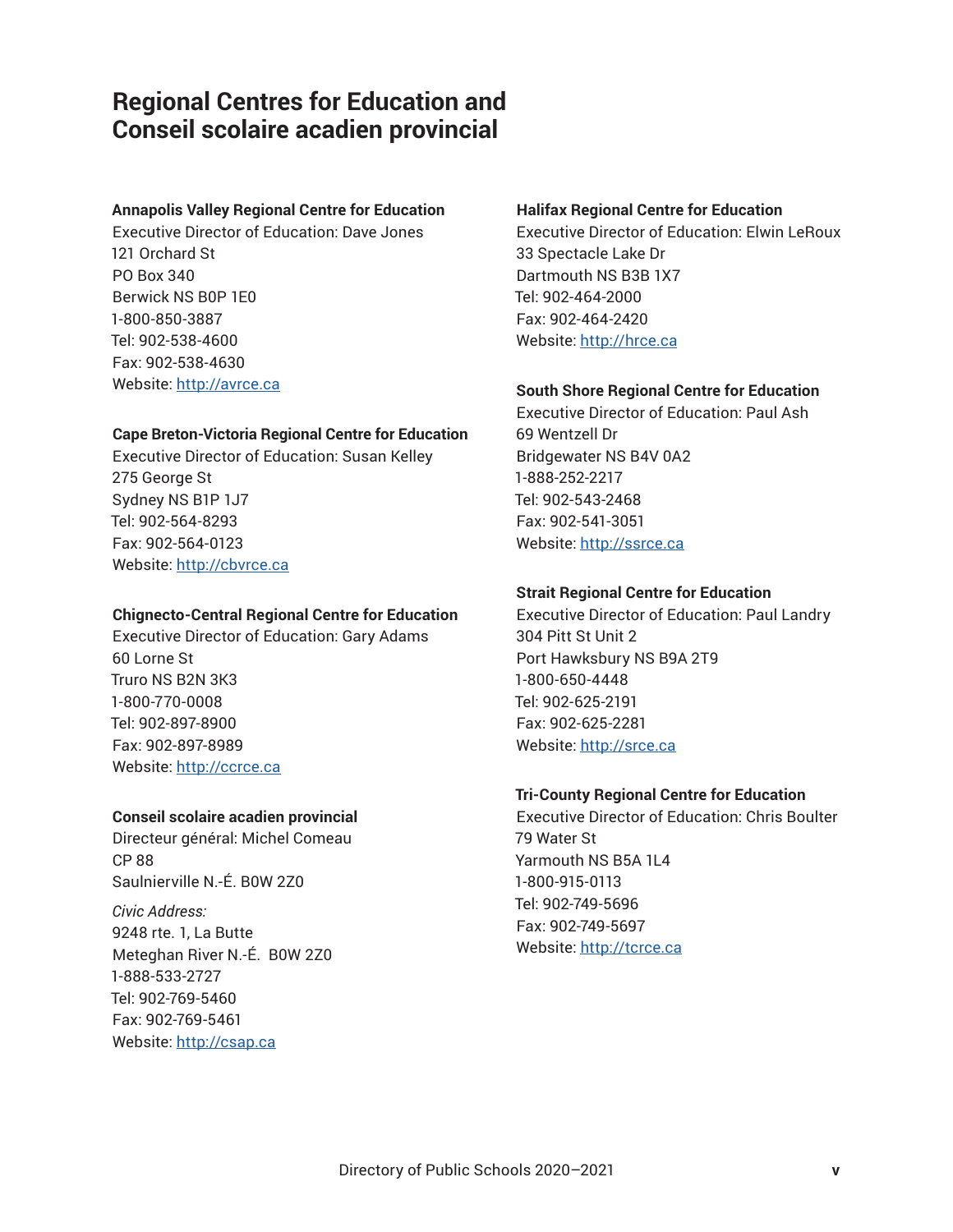# **Regional Centres for Education and Conseil scolaire acadien provincial**

#### **Annapolis Valley Regional Centre for Education**

Executive Director of Education: Dave Jones 121 Orchard St PO Box 340 Berwick NS B0P 1E0 1-800-850-3887 Tel: 902-538-4600 Fax: 902-538-4630 Website: [http://avrce.ca](http://avrce.ca/)

#### **Cape Breton-Victoria Regional Centre for Education**

Executive Director of Education: Susan Kelley 275 George St Sydney NS B1P 1J7 Tel: 902-564-8293 Fax: 902-564-0123 Website: [http://cbvrce.ca](http://cbvrce.ca/)

#### **Chignecto-Central Regional Centre for Education**

Executive Director of Education: Gary Adams 60 Lorne St Truro NS B2N 3K3 1-800-770-0008 Tel: 902-897-8900 Fax: 902-897-8989 Website: [http://ccrce.ca](http://ccrce.ca/)

#### **Conseil scolaire acadien provincial**

Directeur général: Michel Comeau CP 88 Saulnierville N.-É. B0W 2Z0

*Civic Address:* 9248 rte. 1, La Butte Meteghan River N.-É. B0W 2Z0 1-888-533-2727 Tel: 902-769-5460 Fax: 902-769-5461 Website:<http://csap.ca>

#### **Halifax Regional Centre for Education**

Executive Director of Education: Elwin LeRoux 33 Spectacle Lake Dr Dartmouth NS B3B 1X7 Tel: 902-464-2000 Fax: 902-464-2420 Website:<http://hrce.ca>

#### **South Shore Regional Centre for Education**

Executive Director of Education: Paul Ash 69 Wentzell Dr Bridgewater NS B4V 0A2 1-888-252-2217 Tel: 902-543-2468 Fax: 902-541-3051 Website:<http://ssrce.ca>

#### **Strait Regional Centre for Education**

Executive Director of Education: Paul Landry 304 Pitt St Unit 2 Port Hawksbury NS B9A 2T9 1-800-650-4448 Tel: 902-625-2191 Fax: 902-625-2281 Website:<http://srce.ca>

#### **Tri-County Regional Centre for Education**

Executive Director of Education: Chris Boulter 79 Water St Yarmouth NS B5A 1L4 1-800-915-0113 Tel: 902-749-5696 Fax: 902-749-5697 Website:<http://tcrce.ca>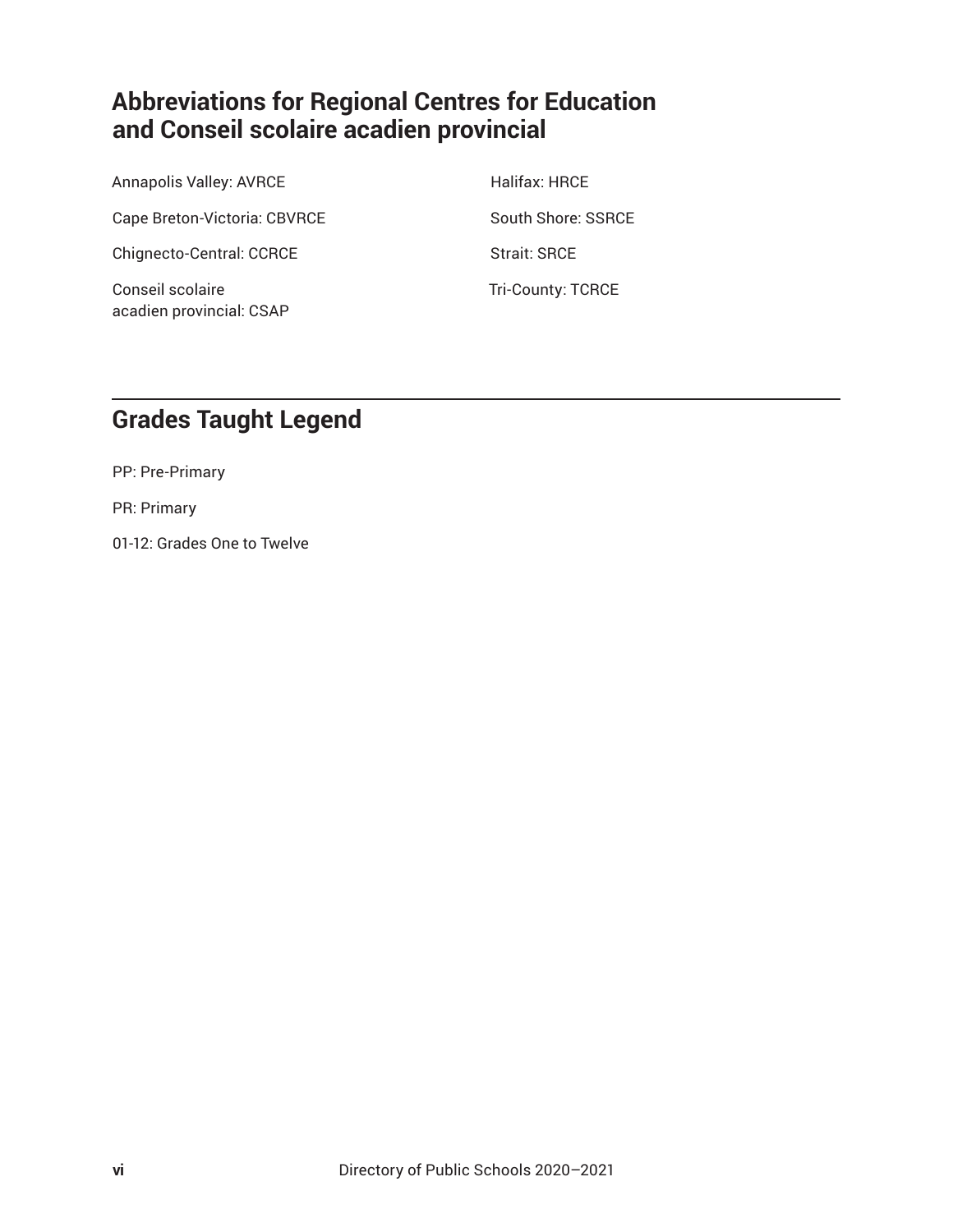# **Abbreviations for Regional Centres for Education and Conseil scolaire acadien provincial**

Annapolis Valley: AVRCE

Cape Breton-Victoria: CBVRCE

Chignecto-Central: CCRCE

Conseil scolaire acadien provincial: CSAP

Halifax: HRCE South Shore: SSRCE Strait: SRCE Tri-County: TCRCE

# **Grades Taught Legend**

PP: Pre-Primary

PR: Primary

01-12: Grades One to Twelve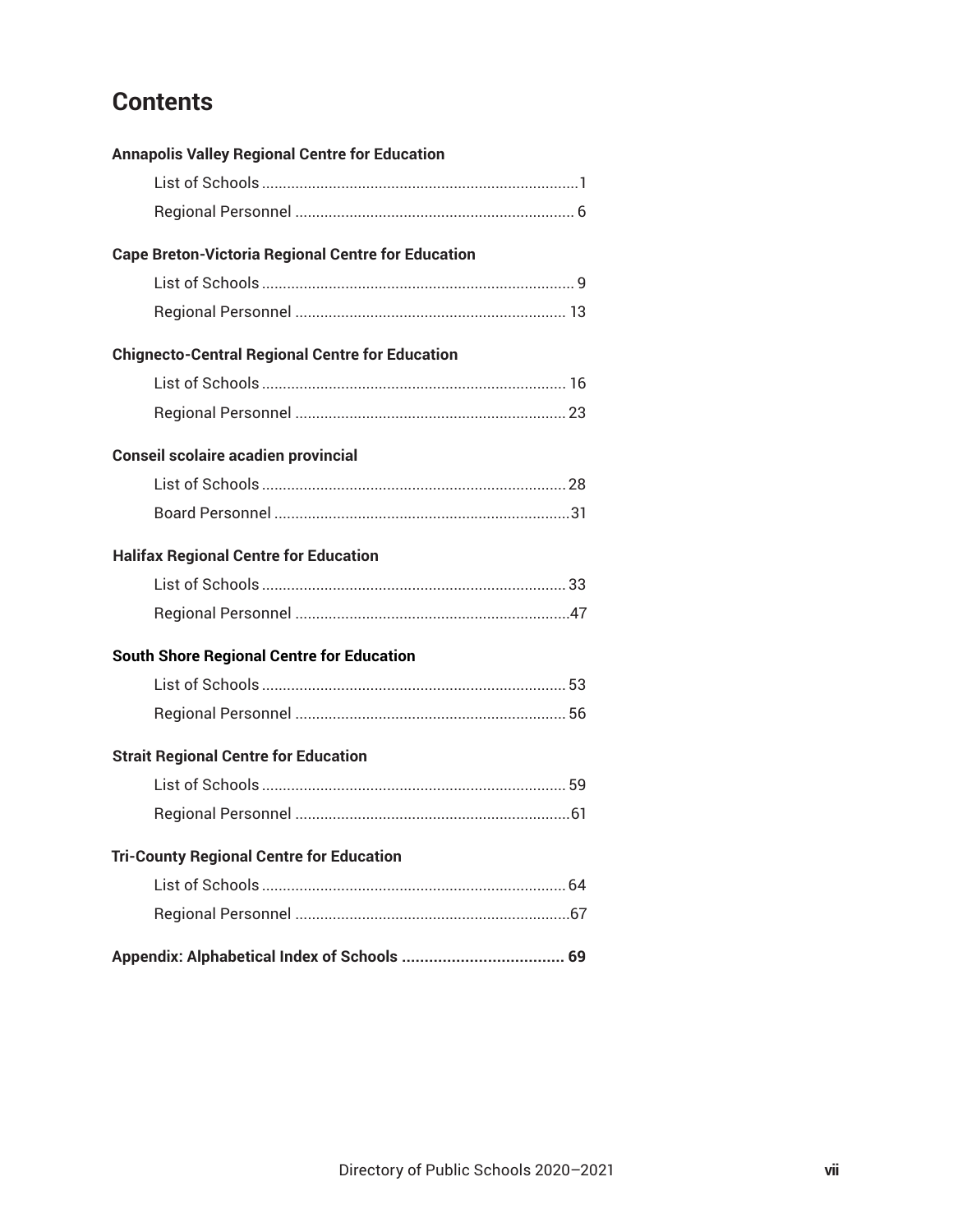# **Contents**

| <b>Annapolis Valley Regional Centre for Education</b>     |
|-----------------------------------------------------------|
|                                                           |
|                                                           |
| <b>Cape Breton-Victoria Regional Centre for Education</b> |
|                                                           |
|                                                           |
| <b>Chignecto-Central Regional Centre for Education</b>    |
|                                                           |
|                                                           |
| Conseil scolaire acadien provincial                       |
|                                                           |
|                                                           |
| <b>Halifax Regional Centre for Education</b>              |
|                                                           |
|                                                           |
| <b>South Shore Regional Centre for Education</b>          |
|                                                           |
|                                                           |
| <b>Strait Regional Centre for Education</b>               |
|                                                           |
|                                                           |
| <b>Tri-County Regional Centre for Education</b>           |
|                                                           |
|                                                           |
|                                                           |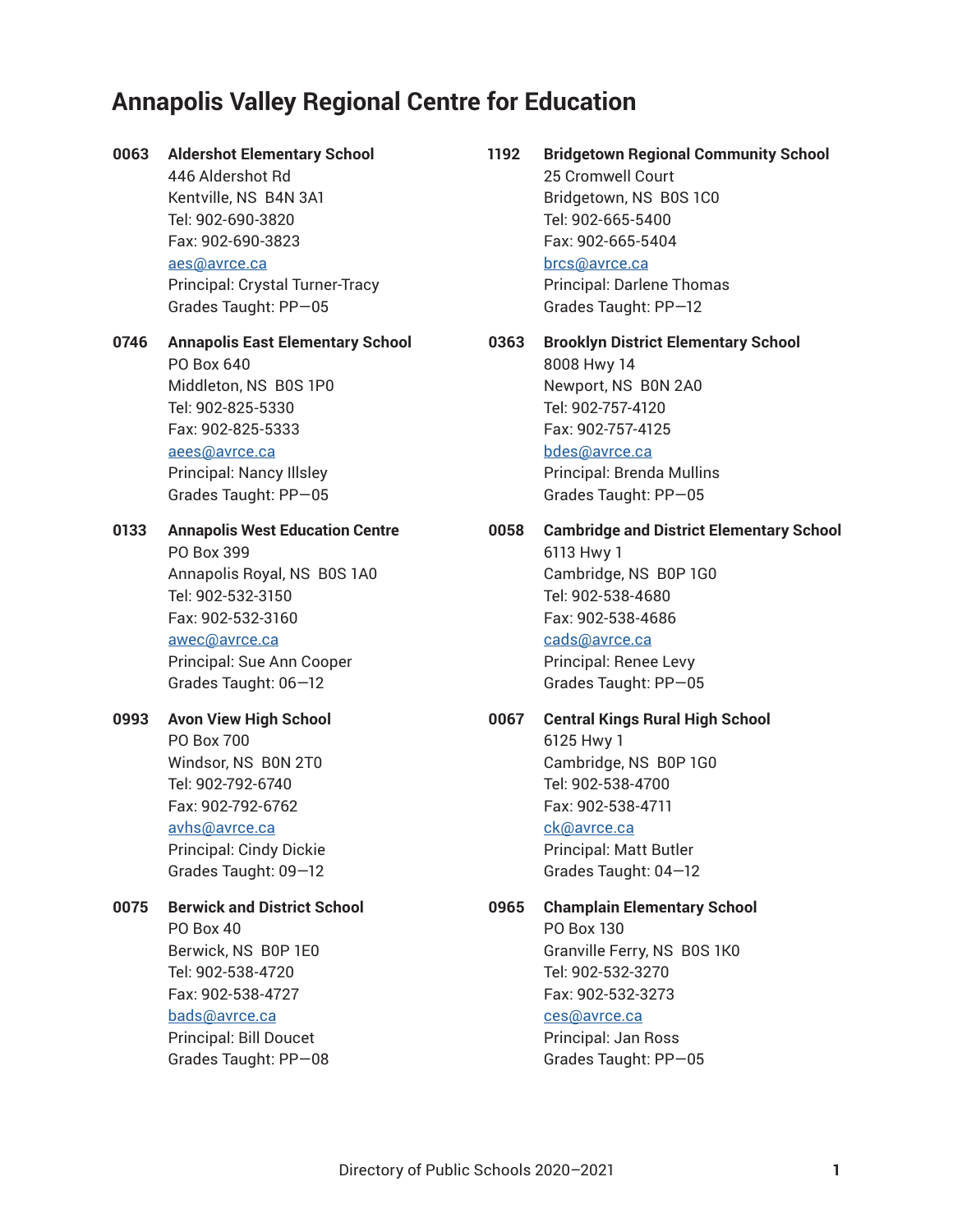#### <span id="page-10-0"></span>**0063 Aldershot Elementary School**

446 Aldershot Rd Kentville, NS B4N 3A1 Tel: 902-690-3820 Fax: 902-690-3823 aes@avrce.ca Principal: Crystal Turner-Tracy Grades Taught: PP—05

#### **0746 Annapolis East Elementary School**

PO Box 640 Middleton, NS B0S 1P0 Tel: 902-825-5330 Fax: 902-825-5333

### aees@avrce.ca

Principal: Nancy Illsley Grades Taught: PP—05

#### **0133 Annapolis West Education Centre**

PO Box 399 Annapolis Royal, NS B0S 1A0 Tel: 902-532-3150 Fax: 902-532-3160

# awec@avrce.ca

Principal: Sue Ann Cooper Grades Taught: 06—12

#### **0993 Avon View High School**

PO Box 700 Windsor, NS B0N 2T0 Tel: 902-792-6740 Fax: 902-792-6762 avhs@avrce.ca Principal: Cindy Dickie Grades Taught: 09—12

#### **0075 Berwick and District School**

PO Box 40 Berwick, NS B0P 1E0 Tel: 902-538-4720 Fax: 902-538-4727 bads@avrce.ca Principal: Bill Doucet Grades Taught: PP—08

### **1192 Bridgetown Regional Community School** 25 Cromwell Court Bridgetown, NS B0S 1C0 Tel: 902-665-5400 Fax: 902-665-5404 brcs@avrce.ca Principal: Darlene Thomas Grades Taught: PP—12

### **0363 Brooklyn District Elementary School** 8008 Hwy 14 Newport, NS B0N 2A0

Tel: 902-757-4120 Fax: 902-757-4125

#### bdes@avrce.ca

Principal: Brenda Mullins Grades Taught: PP—05

#### **0058 Cambridge and District Elementary School** 6113 Hwy 1

Cambridge, NS B0P 1G0 Tel: 902-538-4680 Fax: 902-538-4686

#### cads@avrce.ca Principal: Renee Levy Grades Taught: PP—05

# **0067 Central Kings Rural High School**

6125 Hwy 1 Cambridge, NS B0P 1G0 Tel: 902-538-4700 Fax: 902-538-4711 ck@avrce.ca Principal: Matt Butler Grades Taught: 04—12

#### **0965 Champlain Elementary School**

PO Box 130 Granville Ferry, NS B0S 1K0 Tel: 902-532-3270 Fax: 902-532-3273

#### ces@avrce.ca

Principal: Jan Ross Grades Taught: PP—05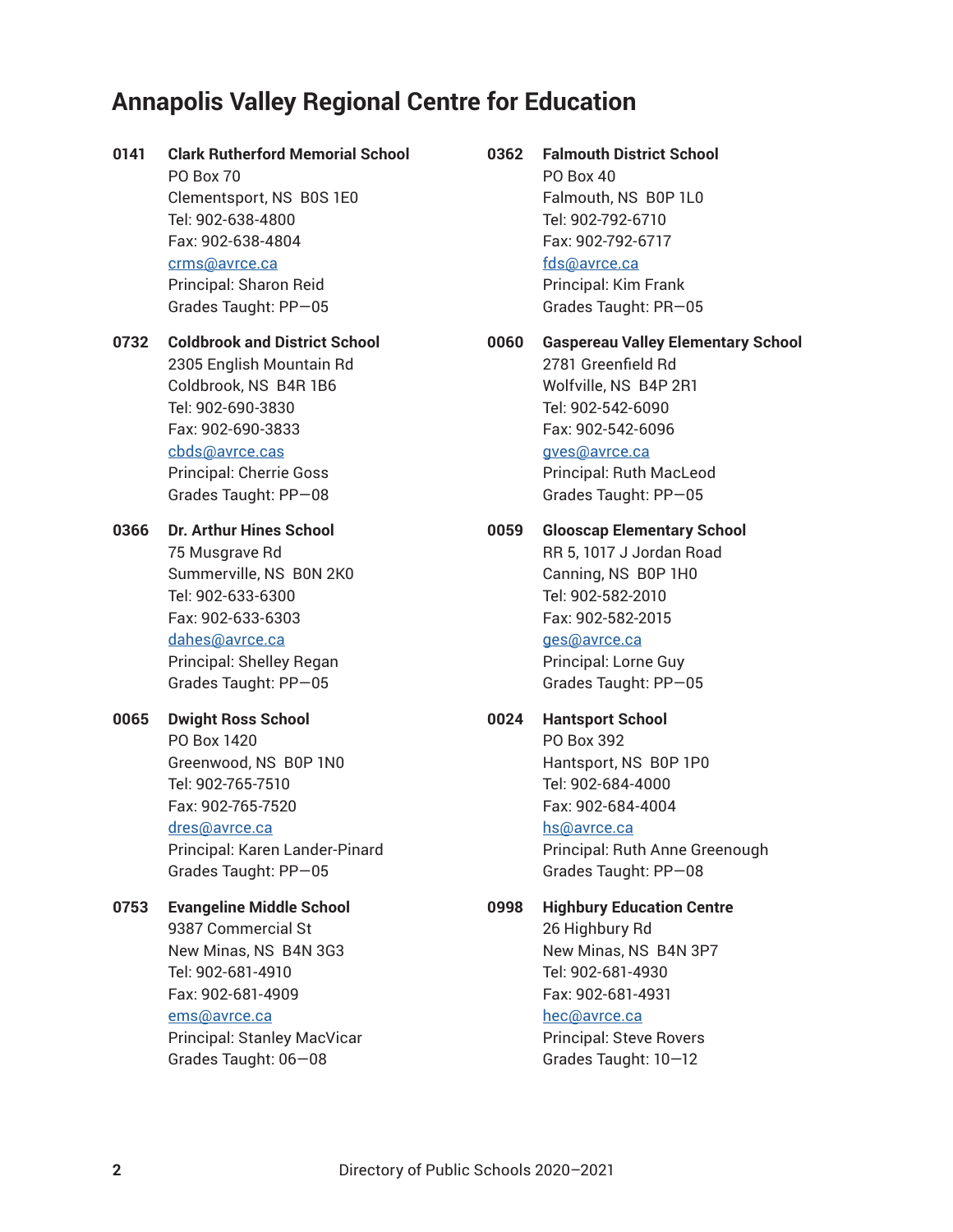#### **0141 Clark Rutherford Memorial School**

PO Box 70 Clementsport, NS B0S 1E0 Tel: 902-638-4800 Fax: 902-638-4804 crms@avrce.ca Principal: Sharon Reid Grades Taught: PP—05

#### **0732 Coldbrook and District School**

2305 English Mountain Rd Coldbrook, NS B4R 1B6 Tel: 902-690-3830 Fax: 902-690-3833

# cbds@avrce.cas

Principal: Cherrie Goss Grades Taught: PP—08

### **0366 Dr. Arthur Hines School**

75 Musgrave Rd Summerville, NS B0N 2K0 Tel: 902-633-6300 Fax: 902-633-6303

# dahes@avrce.ca

Principal: Shelley Regan Grades Taught: PP—05

#### **0065 Dwight Ross School**

PO Box 1420 Greenwood, NS B0P 1N0 Tel: 902-765-7510 Fax: 902-765-7520 dres@avrce.ca Principal: Karen Lander-Pinard Grades Taught: PP—05

#### **0753 Evangeline Middle School**

9387 Commercial St New Minas, NS B4N 3G3 Tel: 902-681-4910 Fax: 902-681-4909 ems@avrce.ca Principal: Stanley MacVicar Grades Taught: 06—08

# **0362 Falmouth District School**

PO Box 40 Falmouth, NS B0P 1L0 Tel: 902-792-6710 Fax: 902-792-6717 fds@avrce.ca Principal: Kim Frank Grades Taught: PR—05

#### **0060 Gaspereau Valley Elementary School**

2781 Greenfield Rd Wolfville, NS B4P 2R1 Tel: 902-542-6090 Fax: 902-542-6096

#### gves@avrce.ca

Principal: Ruth MacLeod Grades Taught: PP—05

### **0059 Glooscap Elementary School**

RR 5, 1017 J Jordan Road Canning, NS B0P 1H0 Tel: 902-582-2010 Fax: 902-582-2015

# ges@avrce.ca

Principal: Lorne Guy Grades Taught: PP—05

#### **0024 Hantsport School**

PO Box 392 Hantsport, NS B0P 1P0 Tel: 902-684-4000 Fax: 902-684-4004 hs@avrce.ca Principal: Ruth Anne Greenough Grades Taught: PP—08

#### **0998 Highbury Education Centre**

26 Highbury Rd New Minas, NS B4N 3P7 Tel: 902-681-4930 Fax: 902-681-4931

#### hec@avrce.ca

Principal: Steve Rovers Grades Taught: 10—12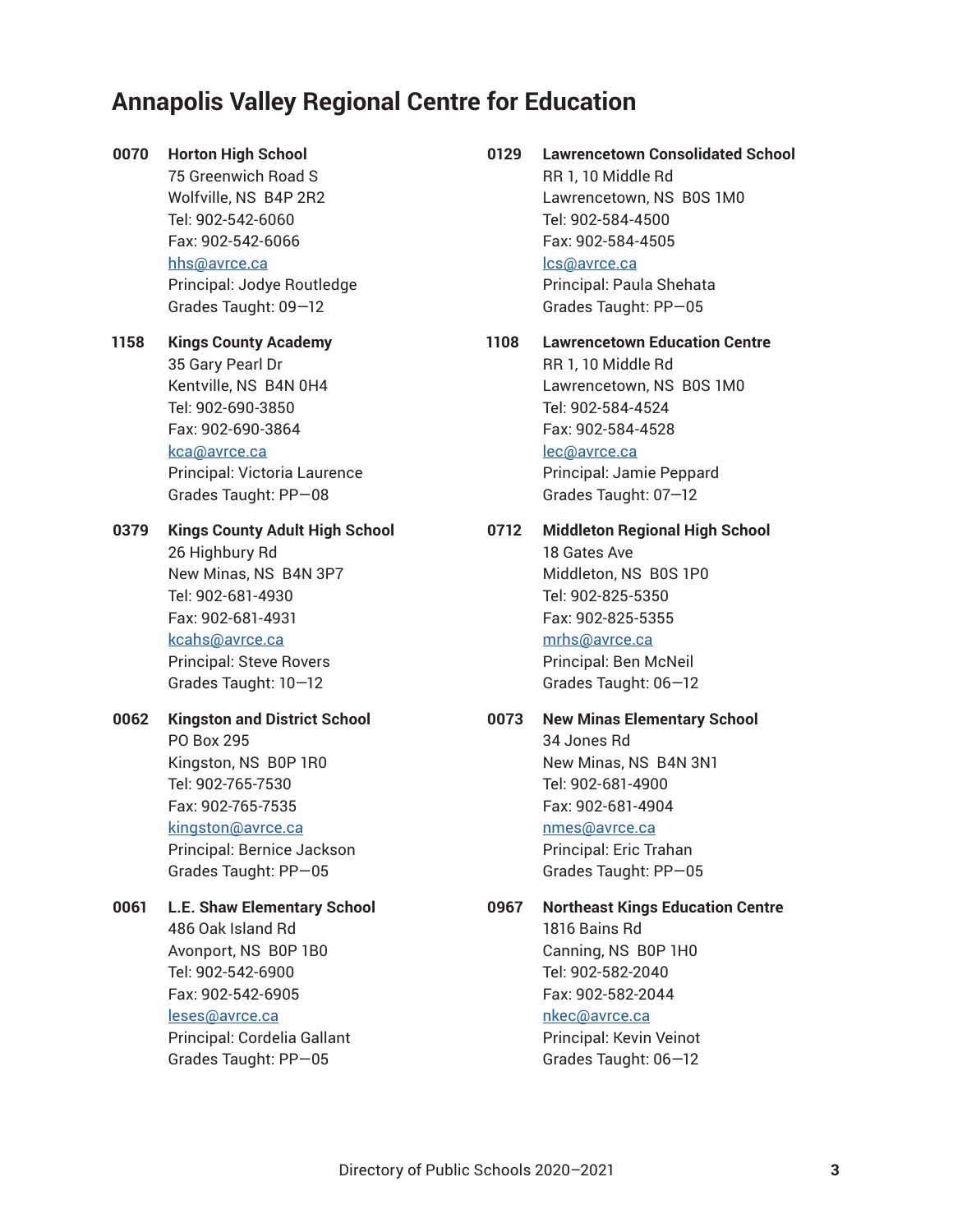# **0070 Horton High School** 75 Greenwich Road S Wolfville, NS B4P 2R2 Tel: 902-542-6060 Fax: 902-542-6066 hhs@avrce.ca Principal: Jodye Routledge Grades Taught: 09—12 **1158 Kings County Academy** 35 Gary Pearl Dr Kentville, NS B4N 0H4 Tel: 902-690-3850 Fax: 902-690-3864 kca@avrce.ca Principal: Victoria Laurence Grades Taught: PP—08 **0379 Kings County Adult High School** 26 Highbury Rd New Minas, NS B4N 3P7 Tel: 902-681-4930 Fax: 902-681-4931 kcahs@avrce.ca Principal: Steve Rovers Grades Taught: 10—12 **0062 Kingston and District School** PO Box 295 Kingston, NS B0P 1R0 Tel: 902-765-7530 Fax: 902-765-7535 kingston@avrce.ca Principal: Bernice Jackson Grades Taught: PP—05 **0061 L.E. Shaw Elementary School** 486 Oak Island Rd Avonport, NS B0P 1B0 Tel: 902-542-6900 Fax: 902-542-6905 leses@avrce.ca

Principal: Cordelia Gallant Grades Taught: PP—05

# **0129 Lawrencetown Consolidated School** RR 1, 10 Middle Rd Lawrencetown, NS B0S 1M0 Tel: 902-584-4500 Fax: 902-584-4505 lcs@avrce.ca Principal: Paula Shehata Grades Taught: PP—05

**1108 Lawrencetown Education Centre** RR 1, 10 Middle Rd Lawrencetown, NS B0S 1M0 Tel: 902-584-4524 Fax: 902-584-4528

#### lec@avrce.ca

Principal: Jamie Peppard Grades Taught: 07—12

#### **0712 Middleton Regional High School** 18 Gates Ave Middleton, NS B0S 1P0 Tel: 902-825-5350 Fax: 902-825-5355

### mrhs@avrce.ca Principal: Ben McNeil Grades Taught: 06—12

# **0073 New Minas Elementary School** 34 Jones Rd New Minas, NS B4N 3N1 Tel: 902-681-4900 Fax: 902-681-4904 nmes@avrce.ca Principal: Eric Trahan Grades Taught: PP—05

# **0967 Northeast Kings Education Centre** 1816 Bains Rd Canning, NS B0P 1H0 Tel: 902-582-2040 Fax: 902-582-2044 nkec@avrce.ca

Principal: Kevin Veinot Grades Taught: 06—12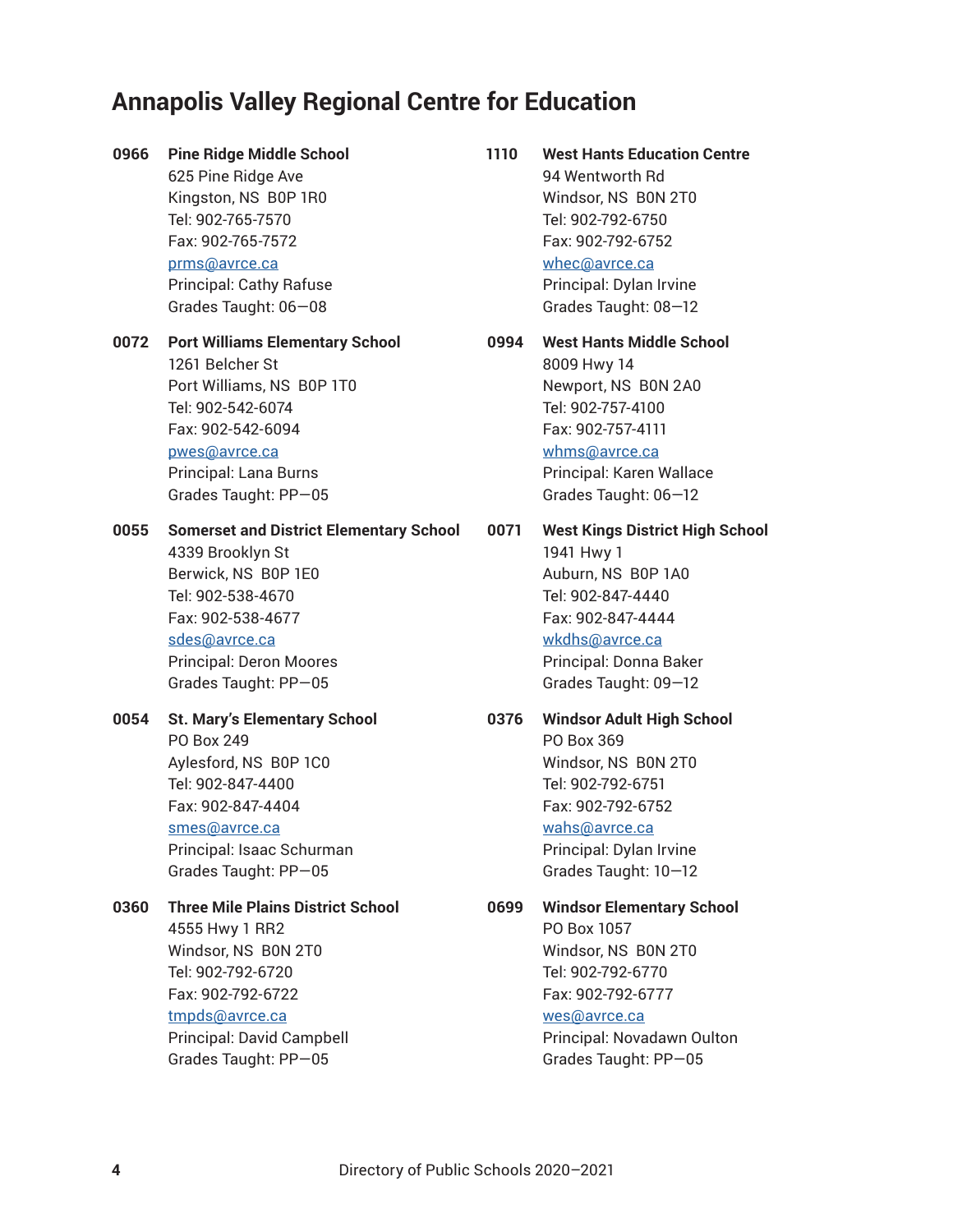#### **0966 Pine Ridge Middle School**

625 Pine Ridge Ave Kingston, NS B0P 1R0 Tel: 902-765-7570 Fax: 902-765-7572 prms@avrce.ca Principal: Cathy Rafuse Grades Taught: 06—08

#### **0072 Port Williams Elementary School**

1261 Belcher St Port Williams, NS B0P 1T0 Tel: 902-542-6074 Fax: 902-542-6094

# pwes@avrce.ca

Principal: Lana Burns Grades Taught: PP—05

**0055 Somerset and District Elementary School** 4339 Brooklyn St Berwick, NS B0P 1E0

Tel: 902-538-4670 Fax: 902-538-4677 sdes@avrce.ca

Principal: Deron Moores Grades Taught: PP—05

# **0054 St. Mary's Elementary School** PO Box 249 Aylesford, NS B0P 1C0 Tel: 902-847-4400 Fax: 902-847-4404 smes@avrce.ca

Principal: Isaac Schurman Grades Taught: PP—05

**0360 Three Mile Plains District School** 4555 Hwy 1 RR2 Windsor, NS B0N 2T0 Tel: 902-792-6720 Fax: 902-792-6722 tmpds@avrce.ca Principal: David Campbell Grades Taught: PP—05

# **1110 West Hants Education Centre** 94 Wentworth Rd Windsor, NS B0N 2T0 Tel: 902-792-6750 Fax: 902-792-6752 whec@avrce.ca Principal: Dylan Irvine Grades Taught: 08—12 **0994 West Hants Middle School** 8009 Hwy 14 Newport, NS B0N 2A0 Tel: 902-757-4100 Fax: 902-757-4111

#### whms@avrce.ca

Principal: Karen Wallace Grades Taught: 06—12

**0071 West Kings District High School** 1941 Hwy 1 Auburn, NS B0P 1A0 Tel: 902-847-4440 Fax: 902-847-4444 wkdhs@avrce.ca Principal: Donna Baker Grades Taught: 09—12

# **0376 Windsor Adult High School** PO Box 369 Windsor, NS B0N 2T0 Tel: 902-792-6751 Fax: 902-792-6752 wahs@avrce.ca Principal: Dylan Irvine Grades Taught: 10—12

### **0699 Windsor Elementary School** PO Box 1057 Windsor, NS B0N 2T0 Tel: 902-792-6770 Fax: 902-792-6777 wes@avrce.ca

Principal: Novadawn Oulton Grades Taught: PP—05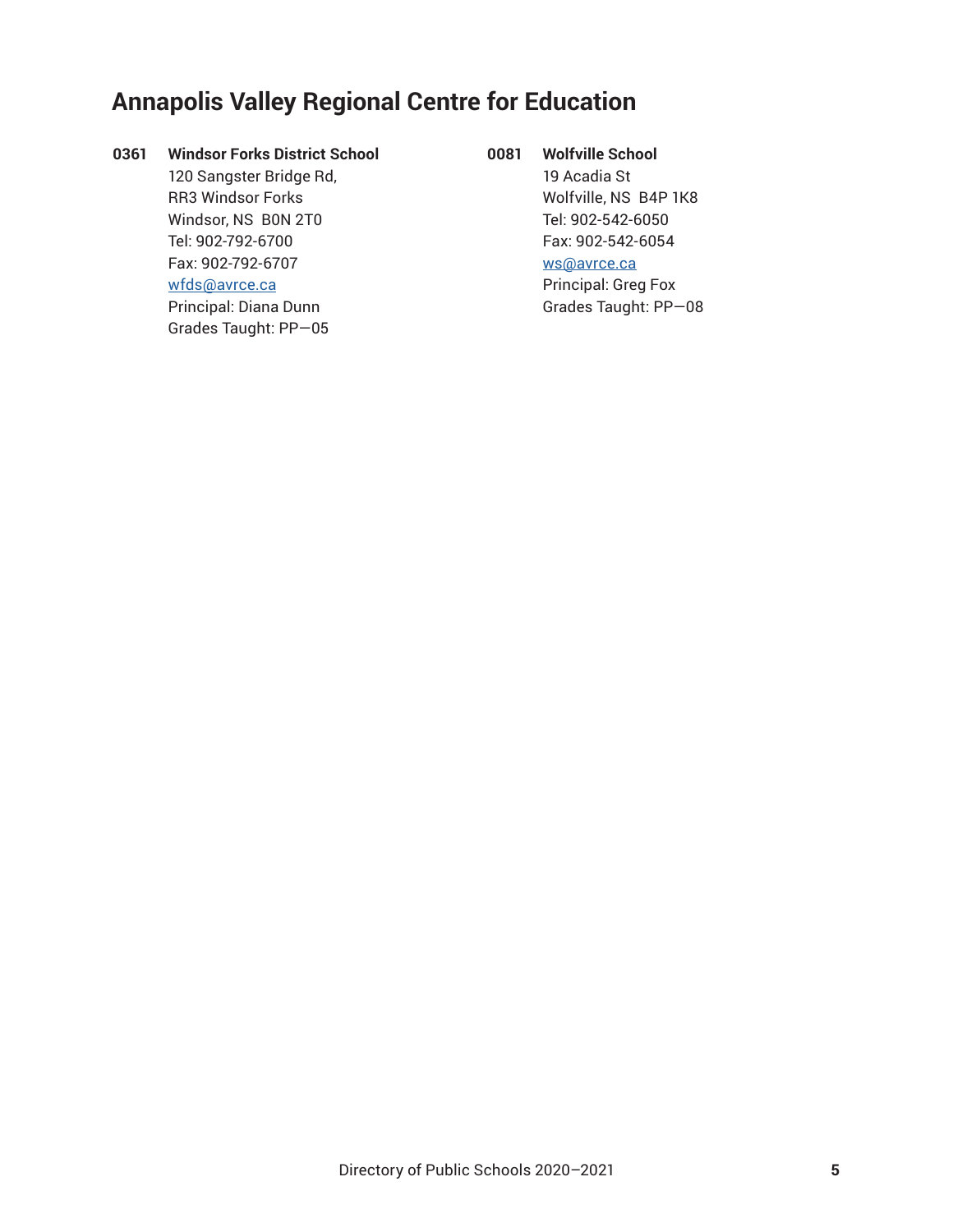#### **0361 Windsor Forks District School**

120 Sangster Bridge Rd, RR3 Windsor Forks Windsor, NS B0N 2T0 Tel: 902-792-6700 Fax: 902-792-6707 wfds@avrce.ca Principal: Diana Dunn Grades Taught: PP—05

#### **0081 Wolfville School**

19 Acadia St Wolfville, NS B4P 1K8 Tel: 902-542-6050 Fax: 902-542-6054 ws@avrce.ca Principal: Greg Fox Grades Taught: PP—08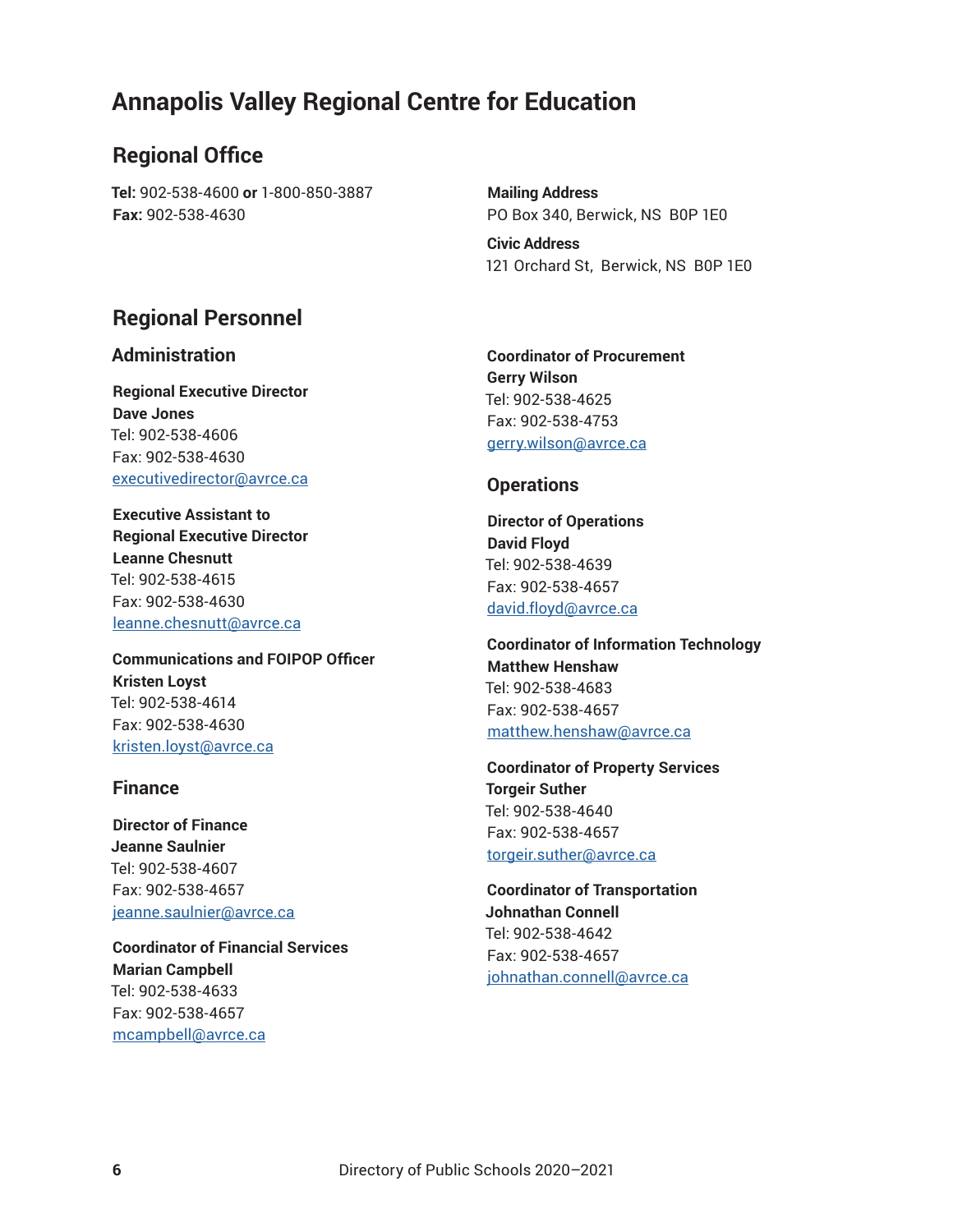# <span id="page-15-0"></span>**Regional Office**

**Tel:** 902-538-4600 **or** 1-800-850-3887 **Fax:** 902-538-4630

**Mailing Address** PO Box 340, Berwick, NS B0P 1E0

**Civic Address** 121 Orchard St, Berwick, NS B0P 1E0

# **Regional Personnel**

**Administration**

**Regional Executive Director Dave Jones** Tel: 902-538-4606 Fax: 902-538-4630 [executivedirector@avrce.ca](mailto:executivedirector@avrce.ca)

**Executive Assistant to Regional Executive Director Leanne Chesnutt** Tel: 902-538-4615 Fax: 902-538-4630 [leanne.chesnutt@avrce.ca](mailto:leanne.chesnutt%40avrce.ca?subject=)

**Communications and FOIPOP Officer Kristen Loyst** Tel: 902-538-4614 Fax: 902-538-4630 [kristen.loyst@avrce.ca](mailto:kristen.loyst%40avrce.ca?subject=)

# **Finance**

**Director of Finance Jeanne Saulnier** Tel: 902-538-4607 Fax: 902-538-4657 [jeanne.saulnier@avrce.ca](mailto:jeanne.saulnier%40avrce.ca?subject=)

**Coordinator of Financial Services Marian Campbell** Tel: 902-538-4633 Fax: 902-538-4657 [mcampbell@avrce.ca](mailto:mcampbell%40avrce.ca?subject=)

**Coordinator of Procurement Gerry Wilson** Tel: 902-538-4625 Fax: 902-538-4753 [gerry.wilson@avrce.ca](mailto:gerry.wilson%40avrce.ca?subject=)

# **Operations**

**Director of Operations David Floyd** Tel: 902-538-4639 Fax: 902-538-4657 [david.floyd@avrce.ca](mailto:david.floyd%40avrce.ca?subject=)

**Coordinator of Information Technology Matthew Henshaw** Tel: 902-538-4683 Fax: 902-538-4657 [matthew.henshaw@avrce.ca](mailto:matthew.henshaw%40avrce.ca?subject=)

**Coordinator of Property Services Torgeir Suther** Tel: 902-538-4640 Fax: 902-538-4657 [torgeir.suther@avrce.ca](mailto:torgeir.suther%40avrce.ca?subject=)

**Coordinator of Transportation Johnathan Connell** Tel: 902-538-4642 Fax: 902-538-4657 [johnathan.connell@avrce.ca](mailto:johnathan.connell%40avrce.ca?subject=)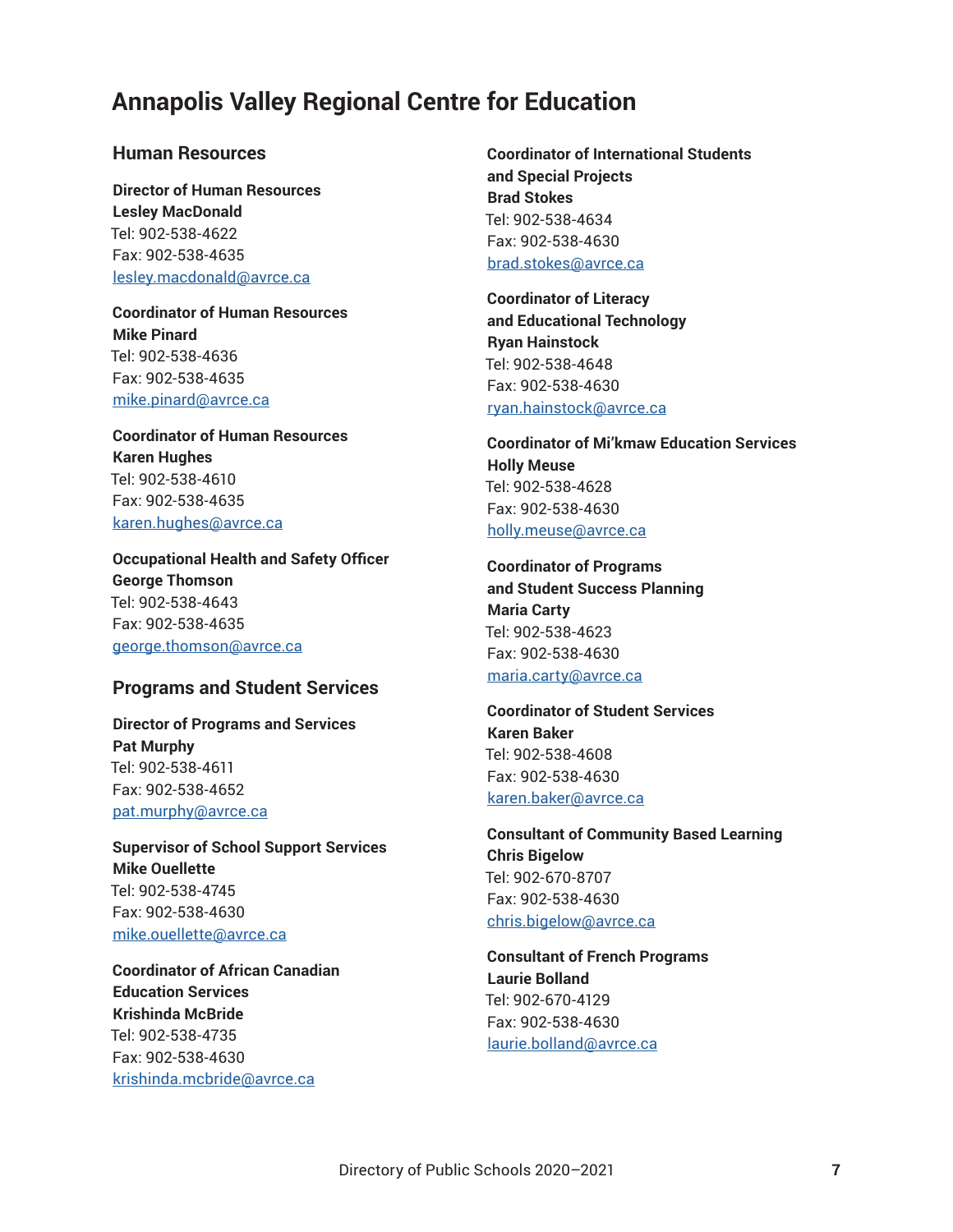#### **Human Resources**

**Director of Human Resources Lesley MacDonald** Tel: 902-538-4622 Fax: 902-538-4635 [lesley.macdonald@avrce.ca](mailto:lesley.macdonald@avrce.ca)

**Coordinator of Human Resources Mike Pinard** Tel: 902-538-4636 Fax: 902-538-4635 [mike.pinard@avrce.ca](mailto:mike.pinard@avrce.ca)

**Coordinator of Human Resources Karen Hughes** Tel: 902-538-4610 Fax: 902-538-4635 [karen.hughes@avrce.ca](mailto:karen.hughes@avrce.ca)

**Occupational Health and Safety Officer George Thomson** Tel: 902-538-4643 Fax: 902-538-4635 [george.thomson@avrce.ca](mailto:george.thomson%40avrce.ca?subject=)

#### **Programs and Student Services**

**Director of Programs and Services Pat Murphy** Tel: 902-538-4611 Fax: 902-538-4652 [pat.murphy@avrce.ca](mailto:pat.murphy@avrce.ca)

**Supervisor of School Support Services Mike Ouellette** Tel: 902-538-4745 Fax: 902-538-4630 [mike.ouellette@avrce.ca](mailto:mike.ouellette%40avrce.ca?subject=)

**Coordinator of African Canadian Education Services Krishinda McBride** Tel: 902-538-4735 Fax: 902-538-4630 [krishinda.mcbride@avrce.ca](mailto:krishinda.mcbride%40avrce.ca?subject=)

**Coordinator of International Students and Special Projects Brad Stokes** Tel: 902-538-4634 Fax: 902-538-4630 [brad.stokes@avrce.ca](mailto:brad.stokes@avrce.ca)

**Coordinator of Literacy and Educational Technology Ryan Hainstock** Tel: 902-538-4648 Fax: 902-538-4630 [ryan.hainstock@avrce.ca](mailto:ryan.hainstock%40avrce.ca?subject=)

**Coordinator of Mi'kmaw Education Services Holly Meuse** Tel: 902-538-4628 Fax: 902-538-4630 [holly.meuse@avrce.ca](mailto:holly.meuse@avrce.ca)

**Coordinator of Programs and Student Success Planning Maria Carty** Tel: 902-538-4623 Fax: 902-538-4630 [maria.carty@avrce.ca](mailto:maria.carty@avrce.ca)

**Coordinator of Student Services Karen Baker** Tel: 902-538-4608 Fax: 902-538-4630 [karen.baker@avrce.ca](mailto:karen.baker@avrce.ca)

**Consultant of Community Based Learning Chris Bigelow** Tel: 902-670-8707 Fax: 902-538-4630 [chris.bigelow@avrce.ca](mailto:chris.bigelow@avrce.ca)

**Consultant of French Programs Laurie Bolland** Tel: 902-670-4129 Fax: 902-538-4630 [laurie.bolland@avrce.ca](mailto:laurie.bolland%40avrce.ca?subject=)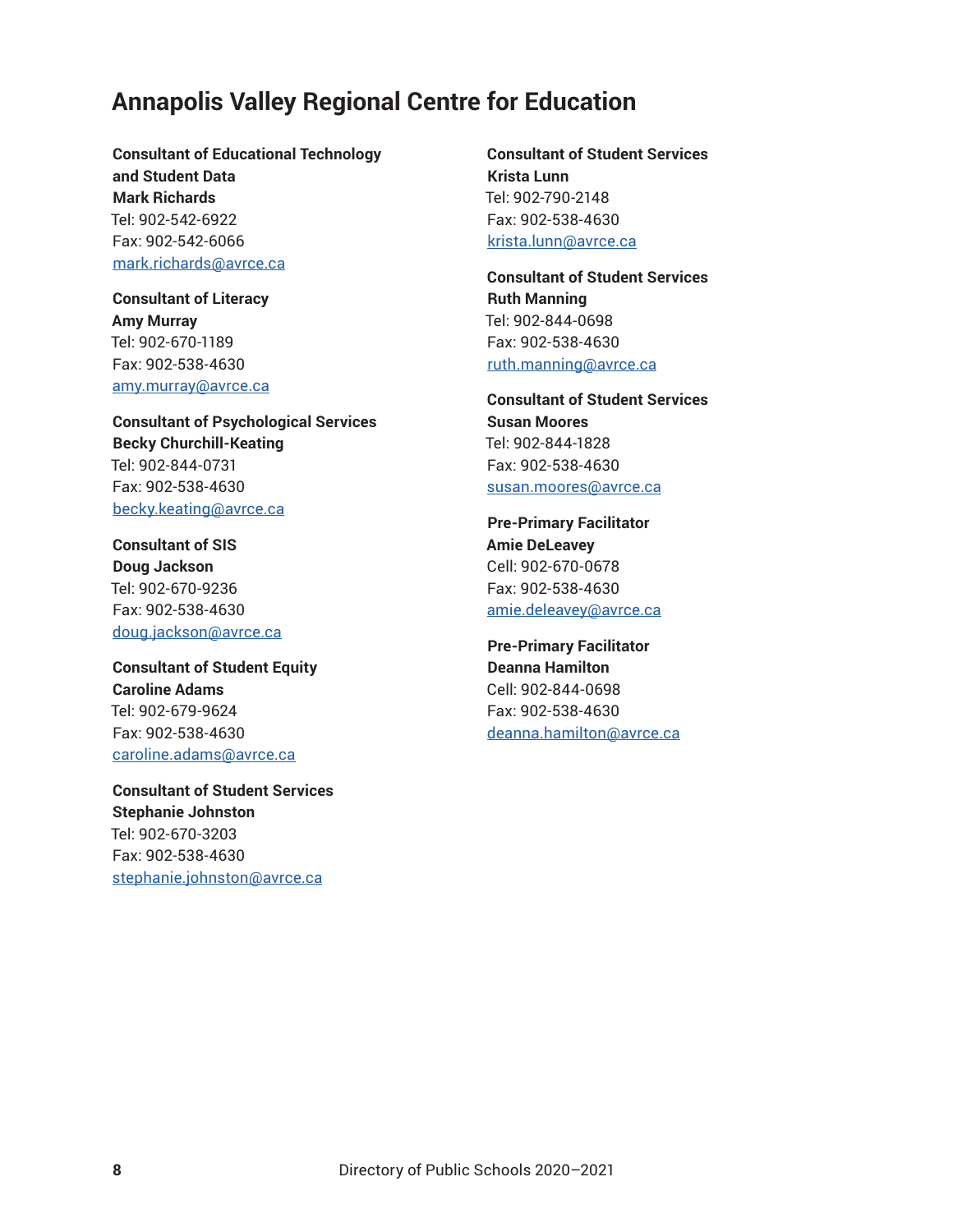**Consultant of Educational Technology and Student Data Mark Richards** Tel: 902-542-6922 Fax: 902-542-6066 [mark.richards@avrce.ca](mailto:mark.richards%40avrce.ca?subject=)

**Consultant of Literacy Amy Murray** Tel: 902-670-1189 Fax: 902-538-4630 [amy.murray@avrce.ca](mailto:amy.murray@avrce.ca)

**Consultant of Psychological Services Becky Churchill-Keating** Tel: 902-844-0731 Fax: 902-538-4630 [becky.keating@avrce.ca](mailto:becky.keating@avrce.ca)

**Consultant of SIS Doug Jackson** Tel: 902-670-9236 Fax: 902-538-4630 [doug.jackson@avrce.ca](mailto:doug.jackson@avrsb.ca)

**Consultant of Student Equity Caroline Adams** Tel: 902-679-9624 Fax: 902-538-4630 [caroline.adams@avrce.ca](mailto:caroline.adams%40avrce.ca?subject=)

**Consultant of Student Services Stephanie Johnston** Tel: 902-670-3203 Fax: 902-538-4630 [stephanie.johnston@avrce.ca](mailto:stephanie.johnston%40avrce.ca?subject=)

**Consultant of Student Services Krista Lunn** Tel: 902-790-2148 Fax: 902-538-4630 [krista.lunn@avrce.ca](mailto:krista.lunn@avrce.ca)

**Consultant of Student Services Ruth Manning** Tel: 902-844-0698 Fax: 902-538-4630 [ruth.manning@avrce.ca](mailto:ruth.manning%40avrce.ca?subject=)

**Consultant of Student Services Susan Moores** Tel: 902-844-1828 Fax: 902-538-4630 [susan.moores@avrce.ca](mailto:susan.moores@avrce.ca)

**Pre-Primary Facilitator Amie DeLeavey** Cell: 902-670-0678 Fax: 902-538-4630 [amie.deleavey@avrce.ca](mailto:amie.deleavey@avrce.ca)

**Pre-Primary Facilitator Deanna Hamilton** Cell: 902-844-0698 Fax: 902-538-4630 [deanna.hamilton@avrce.ca](mailto:deanna.hamilton%40avrce.ca?subject=)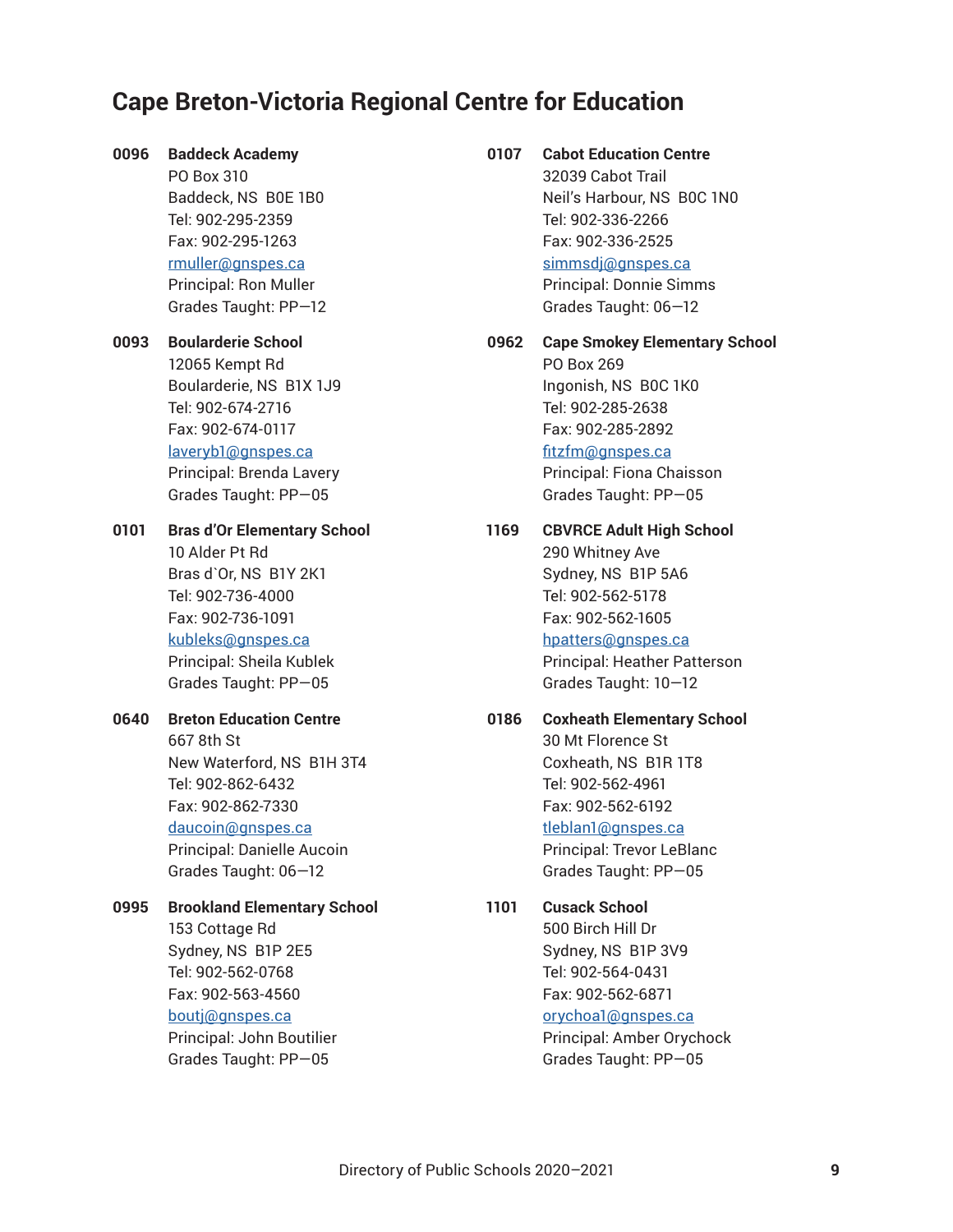<span id="page-18-0"></span>**0096 Baddeck Academy**

PO Box 310 Baddeck, NS B0E 1B0 Tel: 902-295-2359 Fax: 902-295-1263 rmuller@gnspes.ca Principal: Ron Muller Grades Taught: PP—12

#### **0093 Boularderie School**

12065 Kempt Rd Boularderie, NS B1X 1J9 Tel: 902-674-2716 Fax: 902-674-0117 laveryb1@gnspes.ca Principal: Brenda Lavery Grades Taught: PP—05

**0101 Bras d'Or Elementary School** 10 Alder Pt Rd Bras d`Or, NS B1Y 2K1 Tel: 902-736-4000 Fax: 902-736-1091 kubleks@gnspes.ca Principal: Sheila Kublek Grades Taught: PP—05

**0640 Breton Education Centre** 667 8th St New Waterford, NS B1H 3T4 Tel: 902-862-6432 Fax: 902-862-7330 daucoin@gnspes.ca Principal: Danielle Aucoin

**0995 Brookland Elementary School** 153 Cottage Rd Sydney, NS B1P 2E5 Tel: 902-562-0768 Fax: 902-563-4560 boutj@gnspes.ca Principal: John Boutilier

Grades Taught: 06—12

Grades Taught: PP—05

# **0107 Cabot Education Centre**

32039 Cabot Trail Neil's Harbour, NS B0C 1N0 Tel: 902-336-2266 Fax: 902-336-2525 simmsdj@gnspes.ca Principal: Donnie Simms Grades Taught: 06—12

**0962 Cape Smokey Elementary School** PO Box 269 Ingonish, NS B0C 1K0

Tel: 902-285-2638 Fax: 902-285-2892

#### fitzfm@gnspes.ca

Principal: Fiona Chaisson Grades Taught: PP—05

**1169 CBVRCE Adult High School** 290 Whitney Ave Sydney, NS B1P 5A6 Tel: 902-562-5178 Fax: 902-562-1605

hpatters@gnspes.ca Principal: Heather Patterson Grades Taught: 10—12

# **0186 Coxheath Elementary School** 30 Mt Florence St Coxheath, NS B1R 1T8 Tel: 902-562-4961 Fax: 902-562-6192 tleblan1@gnspes.ca Principal: Trevor LeBlanc Grades Taught: PP—05

### **1101 Cusack School** 500 Birch Hill Dr Sydney, NS B1P 3V9 Tel: 902-564-0431 Fax: 902-562-6871 orychoa1@gnspes.ca Principal: Amber Orychock Grades Taught: PP—05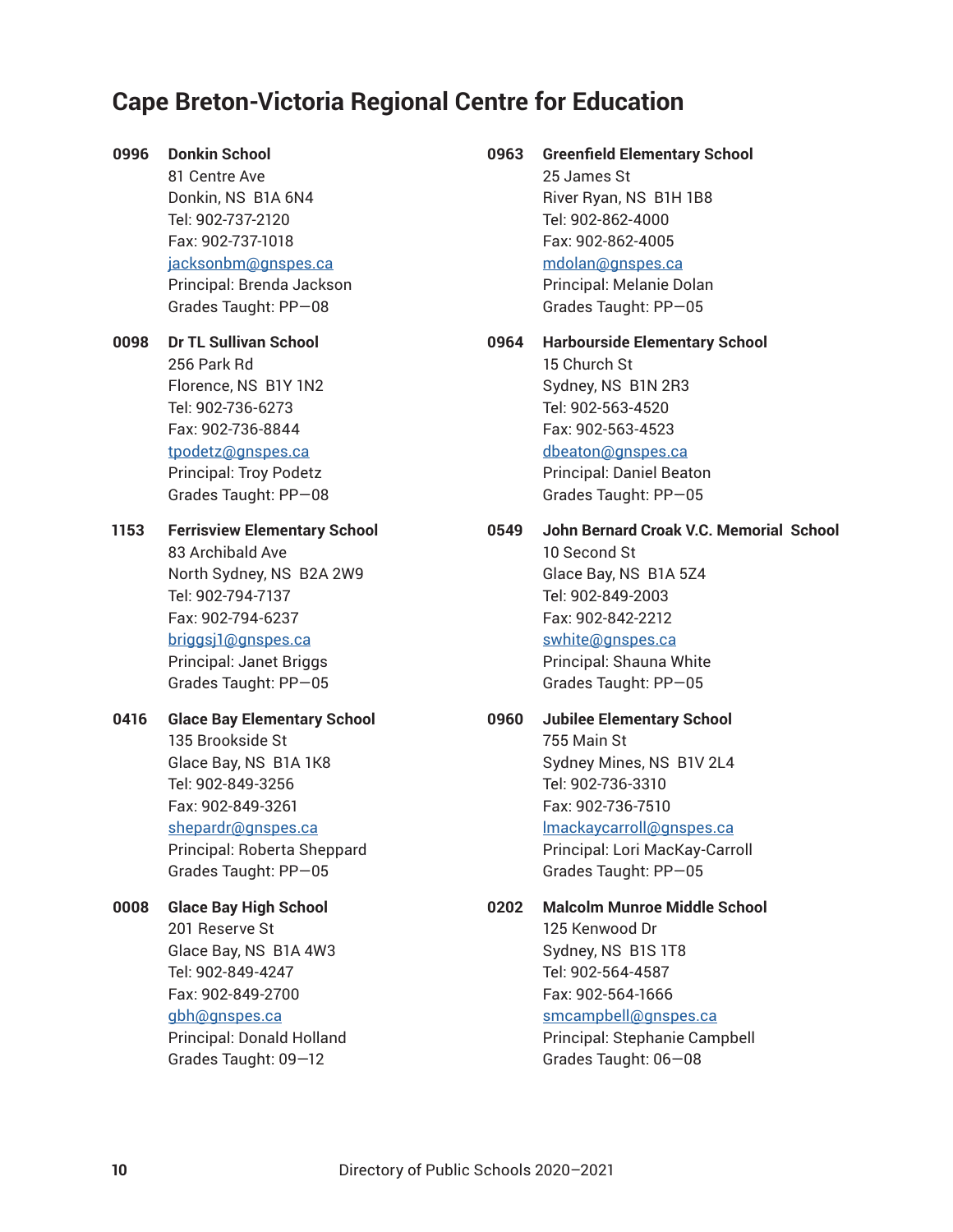**0996 Donkin School** 81 Centre Ave Donkin, NS B1A 6N4 Tel: 902-737-2120 Fax: 902-737-1018 jacksonbm@gnspes.ca Principal: Brenda Jackson Grades Taught: PP—08 **0098 Dr TL Sullivan School** 256 Park Rd Florence, NS B1Y 1N2 Tel: 902-736-6273 Fax: 902-736-8844 tpodetz@gnspes.ca Principal: Troy Podetz Grades Taught: PP—08 **1153 Ferrisview Elementary School** 83 Archibald Ave North Sydney, NS B2A 2W9 Tel: 902-794-7137 Fax: 902-794-6237 briggsj1@gnspes.ca Principal: Janet Briggs Grades Taught: PP—05 **0416 Glace Bay Elementary School** 135 Brookside St Glace Bay, NS B1A 1K8 Tel: 902-849-3256 Fax: 902-849-3261 shepardr@gnspes.ca Principal: Roberta Sheppard Grades Taught: PP—05 **0008 Glace Bay High School** 201 Reserve St Glace Bay, NS B1A 4W3 Tel: 902-849-4247 Fax: 902-849-2700 gbh@gnspes.ca

Principal: Donald Holland Grades Taught: 09—12

### **0963 Greenfield Elementary School**

25 James St River Ryan, NS B1H 1B8 Tel: 902-862-4000 Fax: 902-862-4005 mdolan@gnspes.ca Principal: Melanie Dolan Grades Taught: PP—05

#### **0964 Harbourside Elementary School**

15 Church St Sydney, NS B1N 2R3 Tel: 902-563-4520 Fax: 902-563-4523 dbeaton@gnspes.ca

Principal: Daniel Beaton Grades Taught: PP—05

**0549 John Bernard Croak V.C. Memorial School** 10 Second St Glace Bay, NS B1A 5Z4 Tel: 902-849-2003 Fax: 902-842-2212 swhite@gnspes.ca Principal: Shauna White Grades Taught: PP—05 **0960 Jubilee Elementary School**

755 Main St Sydney Mines, NS B1V 2L4 Tel: 902-736-3310 Fax: 902-736-7510 lmackaycarroll@gnspes.ca Principal: Lori MacKay-Carroll Grades Taught: PP—05

**0202 Malcolm Munroe Middle School** 125 Kenwood Dr Sydney, NS B1S 1T8 Tel: 902-564-4587 Fax: 902-564-1666 smcampbell@gnspes.ca Principal: Stephanie Campbell Grades Taught: 06—08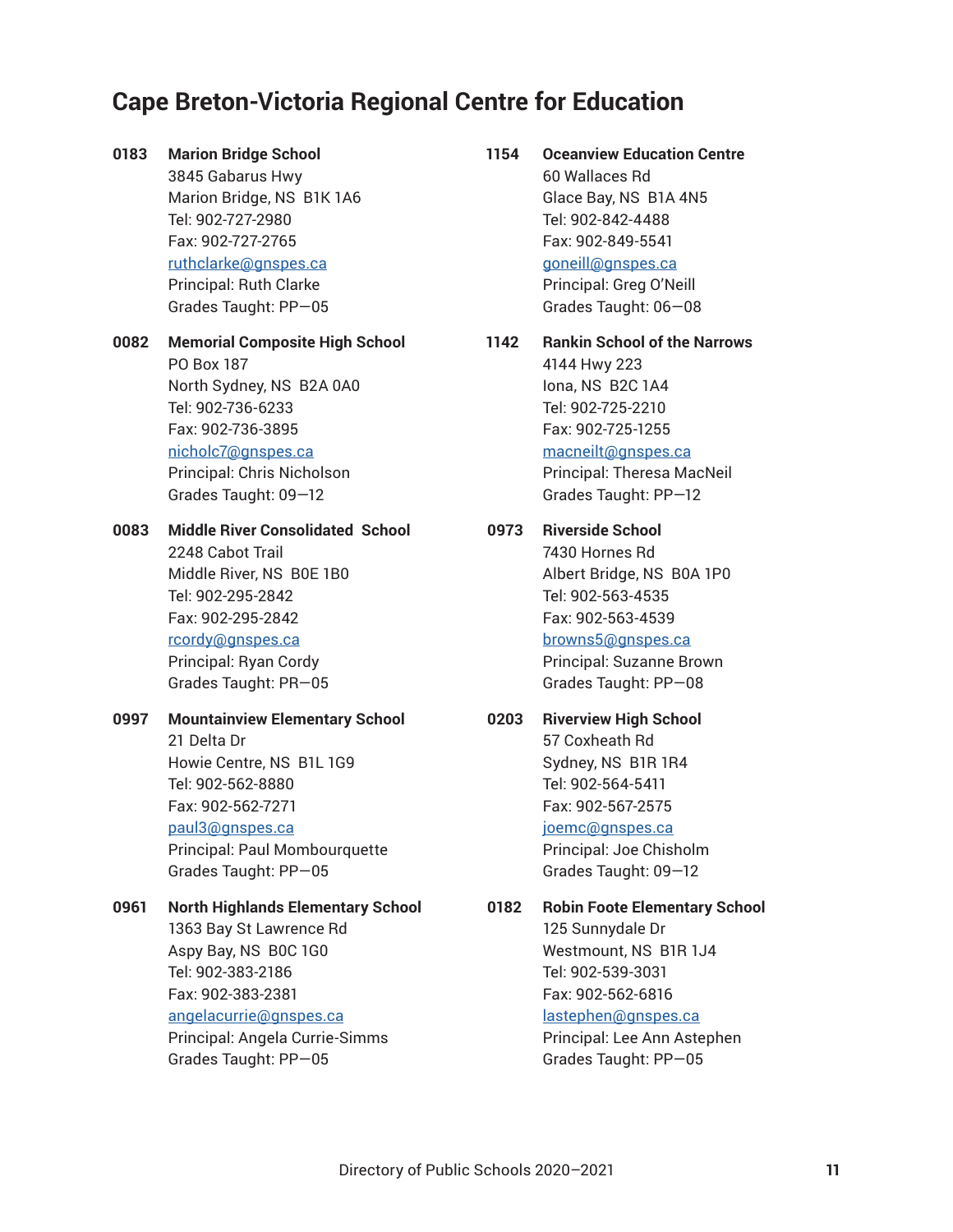#### **0183 Marion Bridge School**

3845 Gabarus Hwy Marion Bridge, NS B1K 1A6 Tel: 902-727-2980 Fax: 902-727-2765 ruthclarke@gnspes.ca Principal: Ruth Clarke Grades Taught: PP—05

**0082 Memorial Composite High School**

PO Box 187 North Sydney, NS B2A 0A0 Tel: 902-736-6233 Fax: 902-736-3895 nicholc7@gnspes.ca

Principal: Chris Nicholson Grades Taught: 09—12

**0083 Middle River Consolidated School** 2248 Cabot Trail

Middle River, NS B0E 1B0 Tel: 902-295-2842 Fax: 902-295-2842 rcordy@gnspes.ca

Principal: Ryan Cordy Grades Taught: PR—05

# **0997 Mountainview Elementary School** 21 Delta Dr Howie Centre, NS B1L 1G9 Tel: 902-562-8880 Fax: 902-562-7271 paul3@gnspes.ca

Principal: Paul Mombourquette Grades Taught: PP—05

#### **0961 North Highlands Elementary School** 1363 Bay St Lawrence Rd Aspy Bay, NS B0C 1G0 Tel: 902-383-2186

Fax: 902-383-2381 angelacurrie@gnspes.ca Principal: Angela Currie-Simms Grades Taught: PP—05

### **1154 Oceanview Education Centre** 60 Wallaces Rd Glace Bay, NS B1A 4N5 Tel: 902-842-4488 Fax: 902-849-5541 goneill@gnspes.ca Principal: Greg O'Neill Grades Taught: 06—08

**1142 Rankin School of the Narrows** 4144 Hwy 223 Iona, NS B2C 1A4 Tel: 902-725-2210 Fax: 902-725-1255 macneilt@gnspes.ca

Principal: Theresa MacNeil Grades Taught: PP—12

**0973 Riverside School** 7430 Hornes Rd Albert Bridge, NS B0A 1P0 Tel: 902-563-4535 Fax: 902-563-4539 browns5@gnspes.ca Principal: Suzanne Brown Grades Taught: PP—08

# **0203 Riverview High School** 57 Coxheath Rd Sydney, NS B1R 1R4 Tel: 902-564-5411 Fax: 902-567-2575 joemc@gnspes.ca Principal: Joe Chisholm Grades Taught: 09—12

**0182 Robin Foote Elementary School** 125 Sunnydale Dr Westmount, NS B1R 1J4 Tel: 902-539-3031 Fax: 902-562-6816 lastephen@gnspes.ca Principal: Lee Ann Astephen Grades Taught: PP—05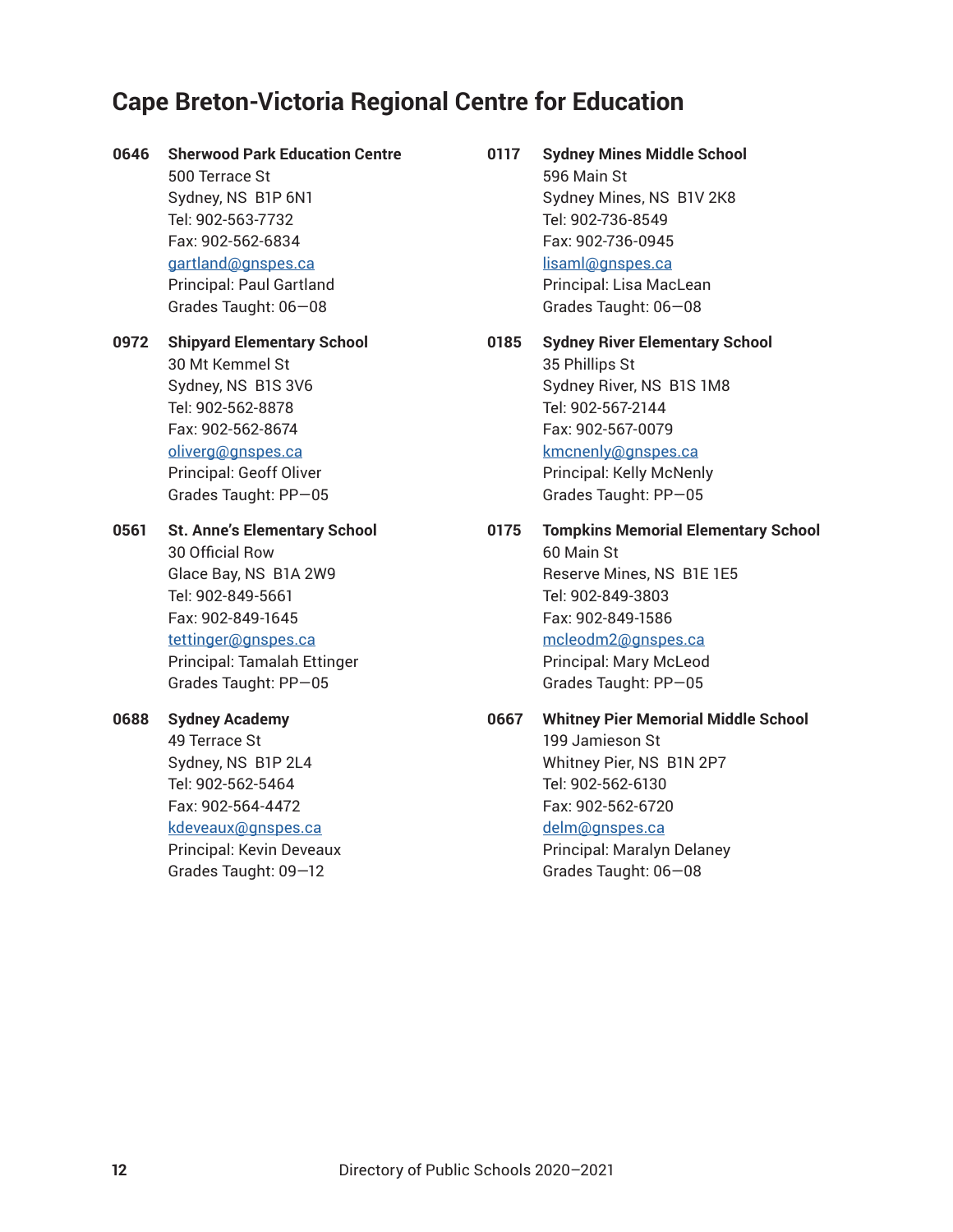**0646 Sherwood Park Education Centre**

500 Terrace St Sydney, NS B1P 6N1 Tel: 902-563-7732 Fax: 902-562-6834 gartland@gnspes.ca Principal: Paul Gartland Grades Taught: 06—08

**0972 Shipyard Elementary School**

30 Mt Kemmel St Sydney, NS B1S 3V6 Tel: 902-562-8878 Fax: 902-562-8674

# oliverg@gnspes.ca

Principal: Geoff Oliver Grades Taught: PP—05

**0561 St. Anne's Elementary School** 30 Official Row Glace Bay, NS B1A 2W9 Tel: 902-849-5661 Fax: 902-849-1645

### tettinger@gnspes.ca

Principal: Tamalah Ettinger Grades Taught: PP—05

#### **0688 Sydney Academy** 49 Terrace St Sydney, NS B1P 2L4 Tel: 902-562-5464 Fax: 902-564-4472 kdeveaux@gnspes.ca Principal: Kevin Deveaux

Grades Taught: 09—12

### **0117 Sydney Mines Middle School** 596 Main St Sydney Mines, NS B1V 2K8 Tel: 902-736-8549 Fax: 902-736-0945 lisaml@gnspes.ca Principal: Lisa MacLean Grades Taught: 06—08

**0185 Sydney River Elementary School** 35 Phillips St Sydney River, NS B1S 1M8 Tel: 902-567-2144 Fax: 902-567-0079 kmcnenly@gnspes.ca

Principal: Kelly McNenly Grades Taught: PP—05

**0175 Tompkins Memorial Elementary School** 60 Main St Reserve Mines, NS B1E 1E5 Tel: 902-849-3803 Fax: 902-849-1586 mcleodm2@gnspes.ca Principal: Mary McLeod Grades Taught: PP—05

# **0667 Whitney Pier Memorial Middle School**

199 Jamieson St Whitney Pier, NS B1N 2P7 Tel: 902-562-6130 Fax: 902-562-6720 delm@gnspes.ca Principal: Maralyn Delaney Grades Taught: 06—08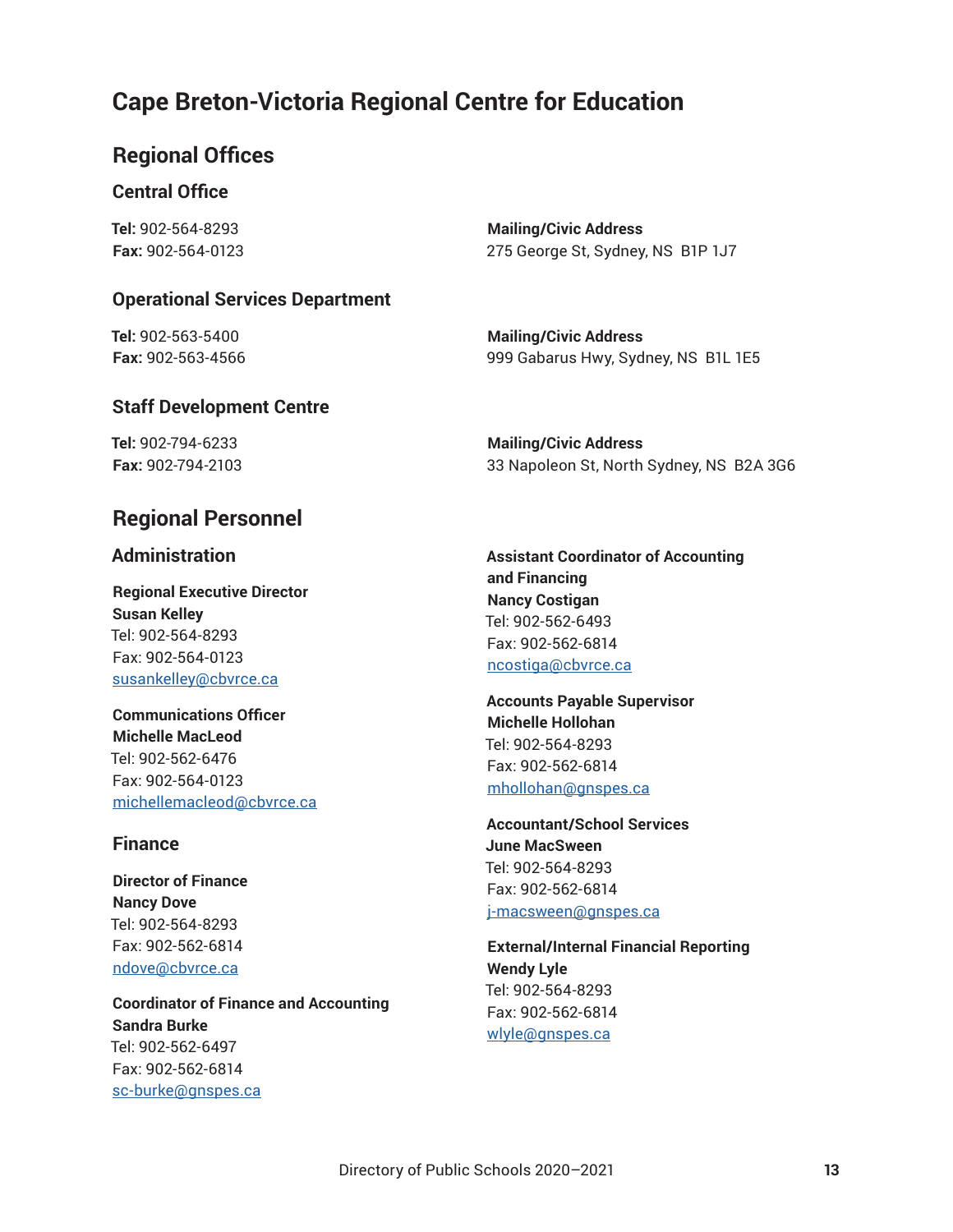# <span id="page-22-0"></span>**Regional Offices**

# **Central Office**

**Tel:** 902-564-8293 **Fax:** 902-564-0123

**Operational Services Department**

**Tel:** 902-563-5400 **Fax:** 902-563-4566 **Mailing/Civic Address** 275 George St, Sydney, NS B1P 1J7

**Mailing/Civic Address** 999 Gabarus Hwy, Sydney, NS B1L 1E5

### **Staff Development Centre**

**Tel:** 902-794-6233 **Fax:** 902-794-2103 **Mailing/Civic Address** 33 Napoleon St, North Sydney, NS B2A 3G6

# **Regional Personnel**

### **Administration**

**Regional Executive Director Susan Kelley** Tel: 902-564-8293 Fax: 902-564-0123 susankelley@cbvrce.ca

**Communications Officer Michelle MacLeod** Tel: 902-562-6476 Fax: 902-564-0123 [michellemacleod@cbvrce.ca](mailto:michellemacleod@cbvrce.ca)

# **Finance**

**Director of Finance Nancy Dove** Tel: 902-564-8293 Fax: 902-562-6814 [ndove@cbvrce.ca](mailto:ndove@cbvrce.ca)

**Coordinator of Finance and Accounting Sandra Burke** Tel: 902-562-6497 Fax: 902-562-6814 sc-burke@gnspes.ca

**Assistant Coordinator of Accounting and Financing Nancy Costigan** Tel: 902-562-6493 Fax: 902-562-6814 ncostiga@cbvrce.ca

**Accounts Payable Supervisor Michelle Hollohan** Tel: 902-564-8293 Fax: 902-562-6814 [mhollohan@gnspes.ca](mailto:mhollohan@gnspes.ca)

**Accountant/School Services June MacSween** Tel: 902-564-8293 Fax: 902-562-6814 [j-macsween@gnspes.ca](mailto:j-macsween@gnspes.ca)

**External/Internal Financial Reporting Wendy Lyle** Tel: 902-564-8293 Fax: 902-562-6814 [wlyle@gnspes.ca](mailto:wlyle@gnspes.ca)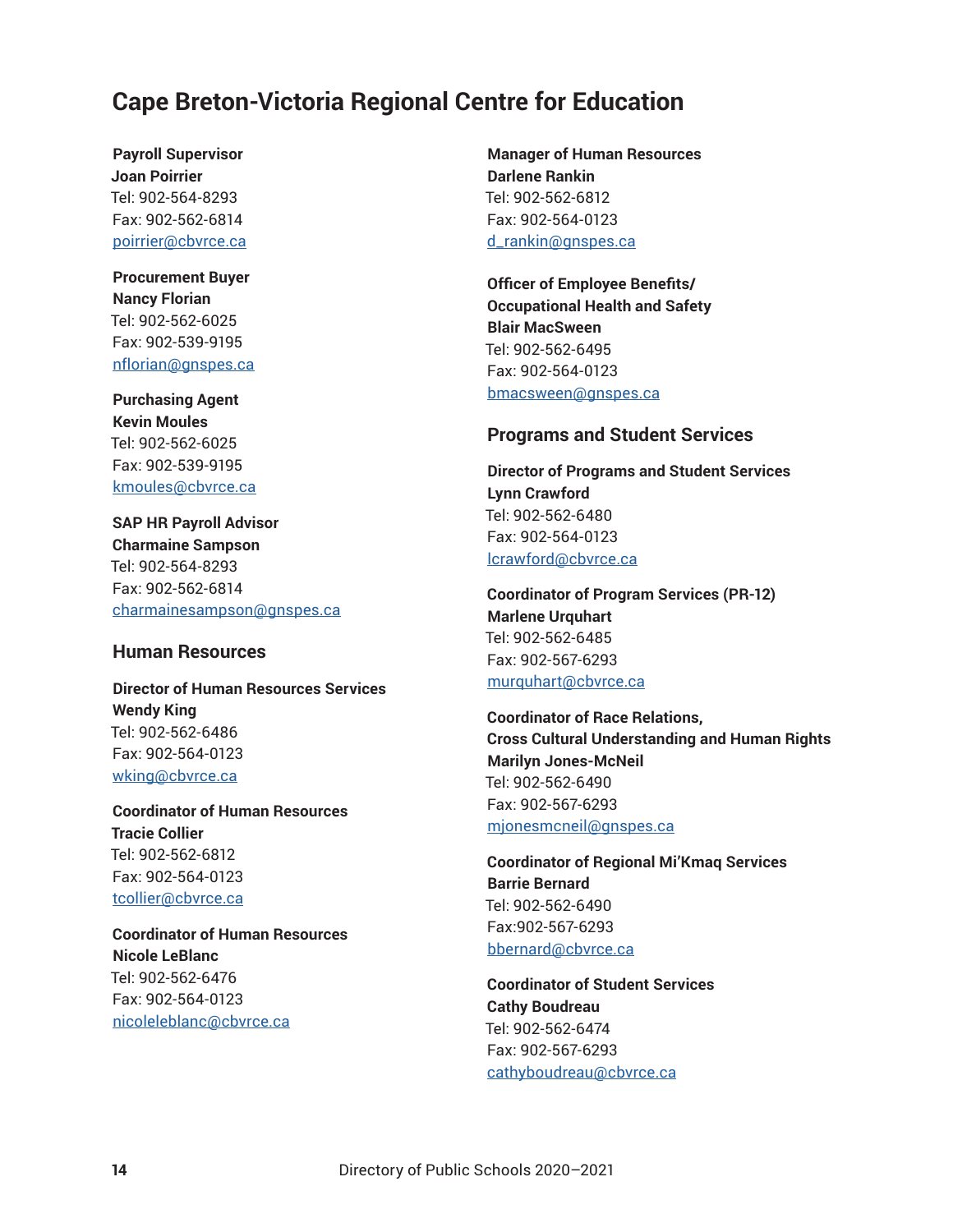**Payroll Supervisor Joan Poirrier** Tel: 902-564-8293 Fax: 902-562-6814 poirrier@cbvrce.ca

**Procurement Buyer Nancy Florian** Tel: 902-562-6025 Fax: 902-539-9195 nflorian@gnspes.ca

**Purchasing Agent Kevin Moules** Tel: 902-562-6025 Fax: 902-539-9195 [kmoules@cbvrce.ca](mailto:kmoules@cbvrce.ca)

**SAP HR Payroll Advisor Charmaine Sampson** Tel: 902-564-8293 Fax: 902-562-6814 [charmainesampson@gnspes.ca](mailto:charmainesampson@gnspes.ca)

#### **Human Resources**

**Director of Human Resources Services Wendy King** Tel: 902-562-6486 Fax: 902-564-0123 [wking@cbvrce.ca](mailto:wking@cbvrce.ca)

**Coordinator of Human Resources Tracie Collier** Tel: 902-562-6812 Fax: 902-564-0123 [tcollier@cbvrce.ca](mailto:tcollier@cbvrce.ca)

**Coordinator of Human Resources Nicole LeBlanc** Tel: 902-562-6476 Fax: 902-564-0123 nicoleleblanc@cbvrce.ca

**Manager of Human Resources Darlene Rankin** Tel: 902-562-6812 Fax: 902-564-0123 d\_rankin@gnspes.ca

**Officer of Employee Benefits/ Occupational Health and Safety Blair MacSween** Tel: 902-562-6495 Fax: 902-564-0123 [bmacsween@gnspes.ca](mailto:bmacsween@gnspes.ca)

#### **Programs and Student Services**

**Director of Programs and Student Services Lynn Crawford**  Tel: 902-562-6480 Fax: 902-564-0123 lcrawford@cbvrce.ca

**Coordinator of Program Services (PR-12) Marlene Urquhart** Tel: 902-562-6485 Fax: 902-567-6293 murquhart@cbvrce.ca

**Coordinator of Race Relations, Cross Cultural Understanding and Human Rights Marilyn Jones-McNeil** Tel: 902-562-6490 Fax: 902-567-6293 [mjonesmcneil@gnspes.ca](mailto:mjonesmcneil@gnspes.ca)

**Coordinator of Regional Mi'Kmaq Services Barrie Bernard** Tel: 902-562-6490 Fax:902-567-6293 [bbernard@cbvrce.ca](mailto:bbernard@cbvrce.ca)

**Coordinator of Student Services Cathy Boudreau** Tel: 902-562-6474 Fax: 902-567-6293 [cathyboudreau@cbvrce.ca](mailto:cathyboudreau@cbvrce.ca)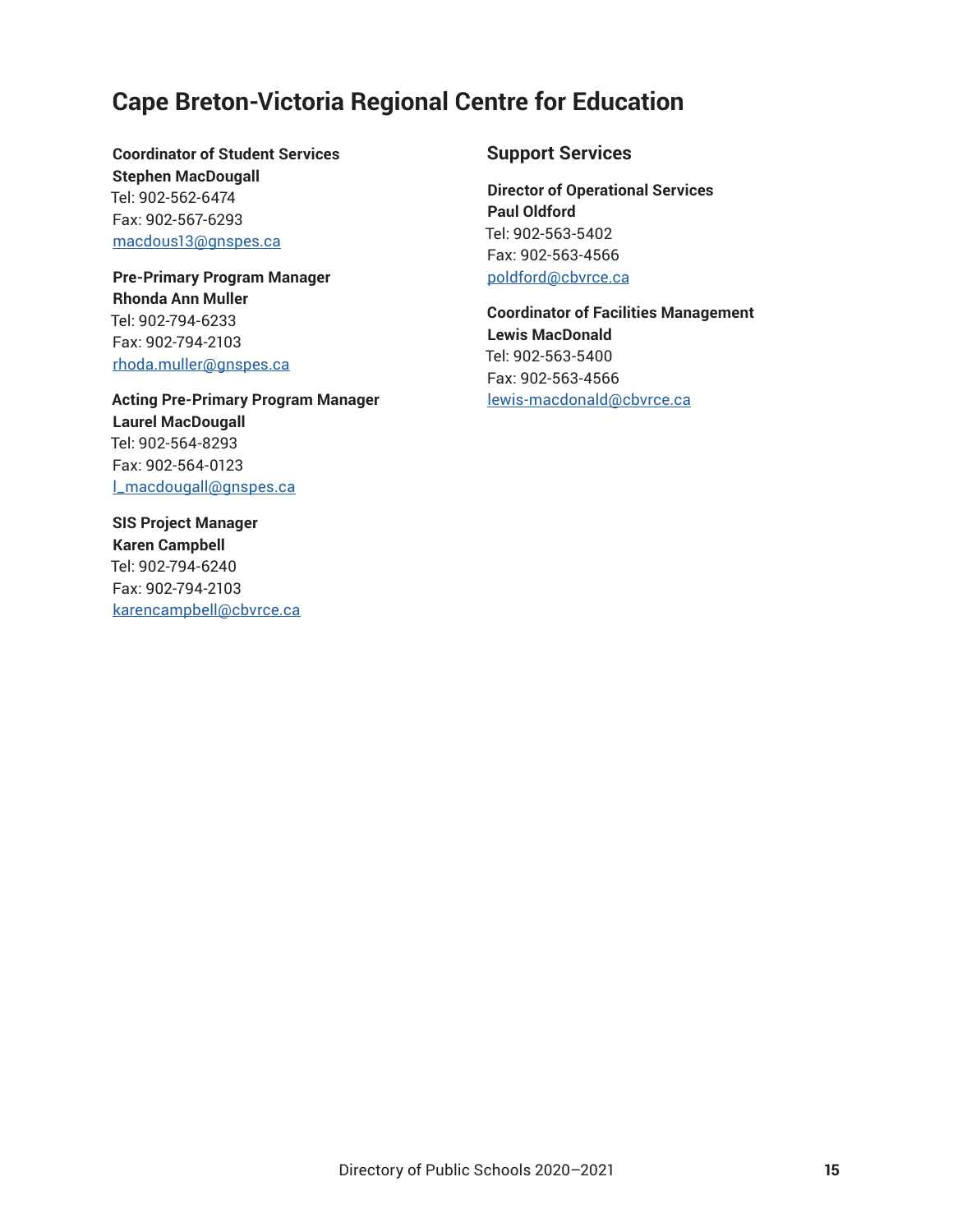**Coordinator of Student Services Stephen MacDougall** Tel: 902-562-6474 Fax: 902-567-6293 [macdous13@gnspes.ca](mailto:macdous13@gnspes.ca)

**Pre-Primary Program Manager Rhonda Ann Muller** Tel: 902-794-6233 Fax: 902-794-2103 [rhoda.muller@gnspes.ca](mailto:rhoda.muller@gnspes.ca)

**Acting Pre-Primary Program Manager Laurel MacDougall** Tel: 902-564-8293 Fax: 902-564-0123 [l\\_macdougall@gnspes.ca](mailto:l_macdougall@gnspes.ca)

**SIS Project Manager Karen Campbell** Tel: 902-794-6240 Fax: 902-794-2103 karencampbell@cbvrce.ca

#### **Support Services**

**Director of Operational Services Paul Oldford** Tel: 902-563-5402 Fax: 902-563-4566 [poldford@cbvrce.ca](mailto:poldford@cbvrce.ca)

**Coordinator of Facilities Management Lewis MacDonald** Tel: 902-563-5400 Fax: 902-563-4566 lewis-macdonald@cbvrce.ca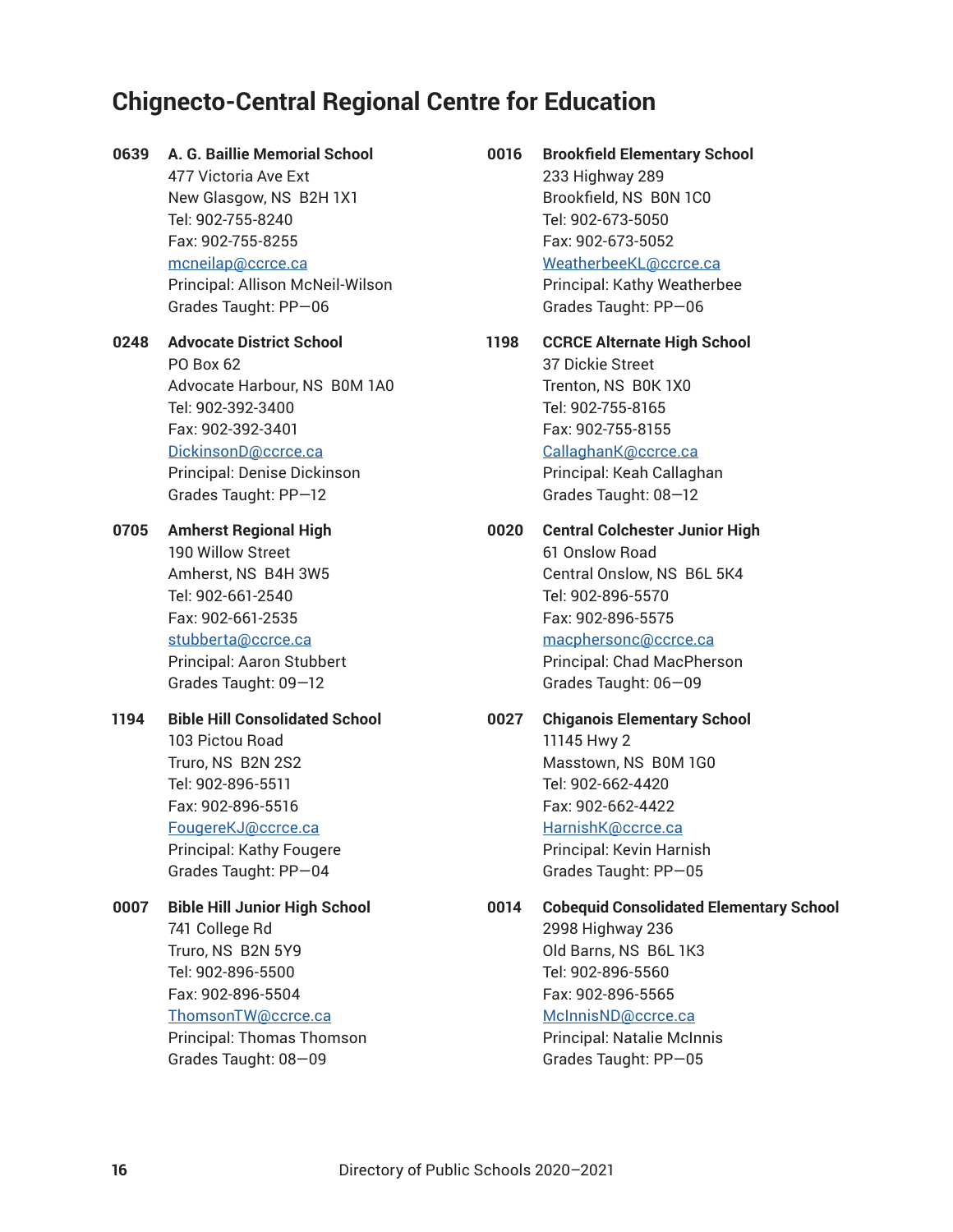#### <span id="page-25-0"></span>**0639 A. G. Baillie Memorial School**

477 Victoria Ave Ext New Glasgow, NS B2H 1X1 Tel: 902-755-8240 Fax: 902-755-8255 mcneilap@ccrce.ca Principal: Allison McNeil-Wilson Grades Taught: PP—06

**0248 Advocate District School**

PO Box 62 Advocate Harbour, NS B0M 1A0 Tel: 902-392-3400 Fax: 902-392-3401

# DickinsonD@ccrce.ca

Principal: Denise Dickinson Grades Taught: PP—12

# **0705 Amherst Regional High**

190 Willow Street Amherst, NS B4H 3W5 Tel: 902-661-2540 Fax: 902-661-2535 stubberta@ccrce.ca Principal: Aaron Stubbert Grades Taught: 09—12

# **1194 Bible Hill Consolidated School** 103 Pictou Road Truro, NS B2N 2S2 Tel: 902-896-5511 Fax: 902-896-5516 FougereKJ@ccrce.ca Principal: Kathy Fougere Grades Taught: PP—04

**0007 Bible Hill Junior High School** 741 College Rd Truro, NS B2N 5Y9 Tel: 902-896-5500 Fax: 902-896-5504 ThomsonTW@ccrce.ca Principal: Thomas Thomson Grades Taught: 08—09

**0016 Brookfield Elementary School** 233 Highway 289 Brookfield, NS B0N 1C0 Tel: 902-673-5050 Fax: 902-673-5052 WeatherbeeKL@ccrce.ca Principal: Kathy Weatherbee Grades Taught: PP—06 **1198 CCRCE Alternate High School** 37 Dickie Street Trenton, NS B0K 1X0 Tel: 902-755-8165 Fax: 902-755-8155 CallaghanK@ccrce.ca Principal: Keah Callaghan Grades Taught: 08—12 **0020 Central Colchester Junior High** 61 Onslow Road Central Onslow, NS B6L 5K4 Tel: 902-896-5570 Fax: 902-896-5575 macphersonc@ccrce.ca Principal: Chad MacPherson Grades Taught: 06—09 **0027 Chiganois Elementary School** 11145 Hwy 2 Masstown, NS B0M 1G0 Tel: 902-662-4420 Fax: 902-662-4422 HarnishK@ccrce.ca

Principal: Kevin Harnish Grades Taught: PP—05

#### **0014 Cobequid Consolidated Elementary School** 2998 Highway 236

Old Barns, NS B6L 1K3 Tel: 902-896-5560 Fax: 902-896-5565 McInnisND@ccrce.ca Principal: Natalie McInnis Grades Taught: PP—05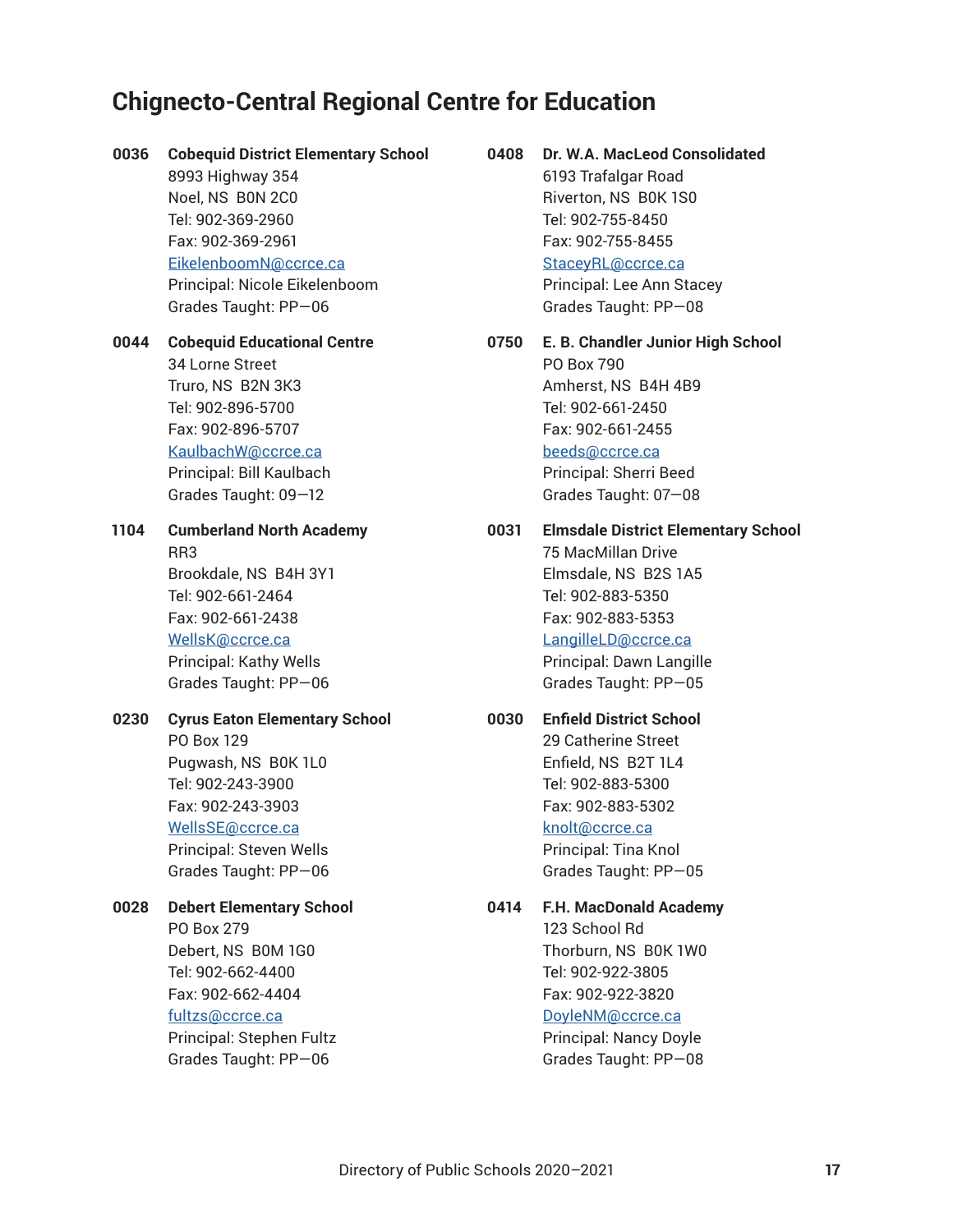#### **0036 Cobequid District Elementary School**

8993 Highway 354 Noel, NS B0N 2C0 Tel: 902-369-2960 Fax: 902-369-2961 EikelenboomN@ccrce.ca Principal: Nicole Eikelenboom Grades Taught: PP—06

#### **0044 Cobequid Educational Centre**

34 Lorne Street Truro, NS B2N 3K3 Tel: 902-896-5700 Fax: 902-896-5707 KaulbachW@ccrce.ca Principal: Bill Kaulbach

Grades Taught: 09—12

**1104 Cumberland North Academy** RR3 Brookdale, NS B4H 3Y1 Tel: 902-661-2464 Fax: 902-661-2438 WellsK@ccrce.ca Principal: Kathy Wells Grades Taught: PP—06

**0230 Cyrus Eaton Elementary School** PO Box 129 Pugwash, NS B0K 1L0 Tel: 902-243-3900 Fax: 902-243-3903 WellsSE@ccrce.ca Principal: Steven Wells Grades Taught: PP—06

**0028 Debert Elementary School**

PO Box 279 Debert, NS B0M 1G0 Tel: 902-662-4400 Fax: 902-662-4404 fultzs@ccrce.ca Principal: Stephen Fultz Grades Taught: PP—06

# **0408 Dr. W.A. MacLeod Consolidated** 6193 Trafalgar Road Riverton, NS B0K 1S0 Tel: 902-755-8450 Fax: 902-755-8455 StaceyRL@ccrce.ca Principal: Lee Ann Stacey Grades Taught: PP—08

**0750 E. B. Chandler Junior High School** PO Box 790 Amherst, NS B4H 4B9 Tel: 902-661-2450 Fax: 902-661-2455 beeds@ccrce.ca Principal: Sherri Beed

Grades Taught: 07—08

# **0031 Elmsdale District Elementary School** 75 MacMillan Drive Elmsdale, NS B2S 1A5 Tel: 902-883-5350 Fax: 902-883-5353 LangilleLD@ccrce.ca Principal: Dawn Langille Grades Taught: PP—05

#### **0030 Enfield District School** 29 Catherine Street Enfield, NS B2T 1L4 Tel: 902-883-5300 Fax: 902-883-5302 knolt@ccrce.ca Principal: Tina Knol

Grades Taught: PP—05

# **0414 F.H. MacDonald Academy**

123 School Rd Thorburn, NS B0K 1W0 Tel: 902-922-3805 Fax: 902-922-3820 DoyleNM@ccrce.ca Principal: Nancy Doyle Grades Taught: PP—08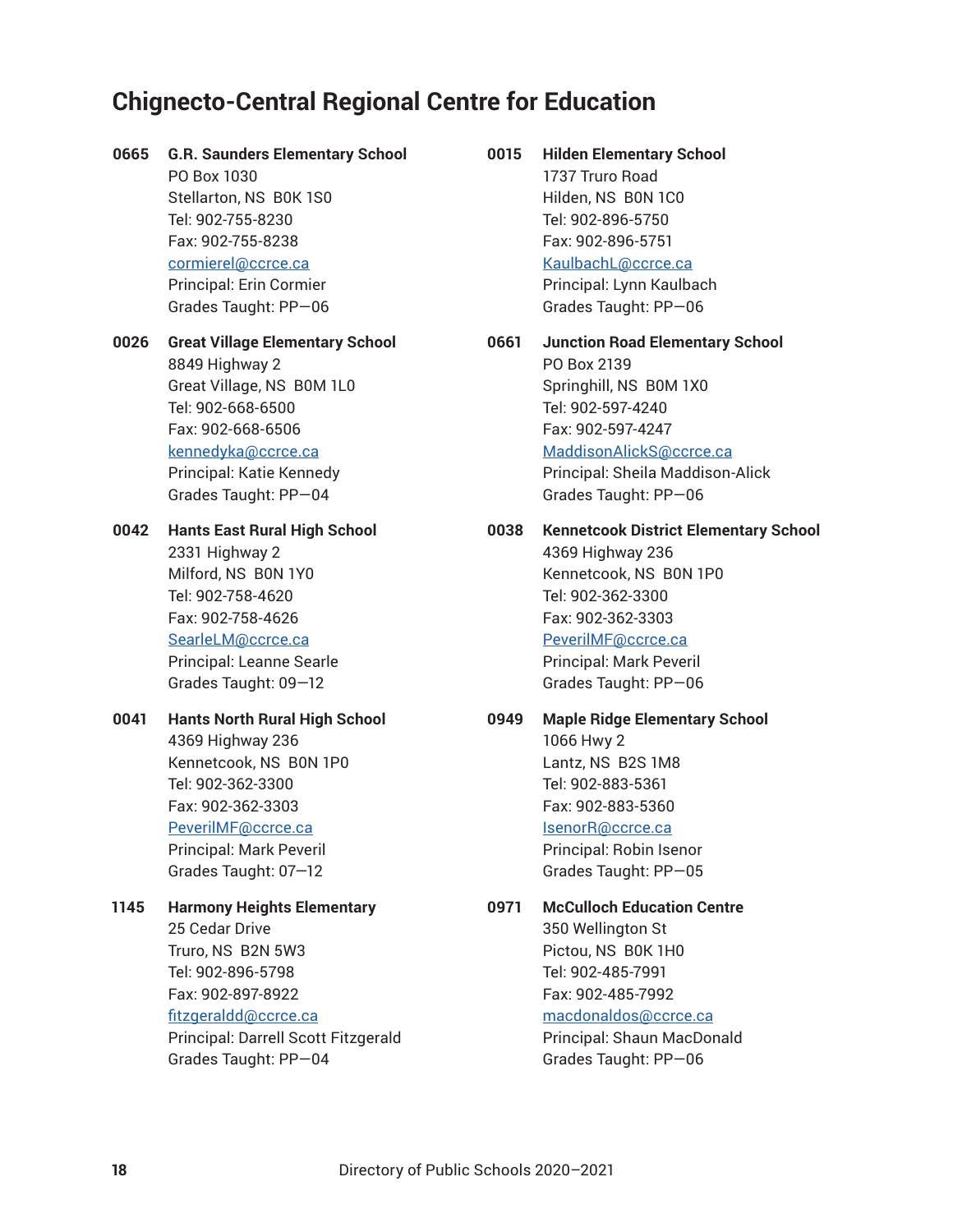**0665 G.R. Saunders Elementary School**

PO Box 1030 Stellarton, NS B0K 1S0 Tel: 902-755-8230 Fax: 902-755-8238 cormierel@ccrce.ca Principal: Erin Cormier Grades Taught: PP—06

**0026 Great Village Elementary School**

8849 Highway 2 Great Village, NS B0M 1L0 Tel: 902-668-6500 Fax: 902-668-6506 kennedyka@ccrce.ca

Principal: Katie Kennedy Grades Taught: PP—04

**0042 Hants East Rural High School** 2331 Highway 2 Milford, NS B0N 1Y0 Tel: 902-758-4620

Fax: 902-758-4626 SearleLM@ccrce.ca

Principal: Leanne Searle Grades Taught: 09—12

**0041 Hants North Rural High School** 4369 Highway 236 Kennetcook, NS B0N 1P0 Tel: 902-362-3300 Fax: 902-362-3303 PeverilMF@ccrce.ca Principal: Mark Peveril Grades Taught: 07—12

**1145 Harmony Heights Elementary** 25 Cedar Drive Truro, NS B2N 5W3 Tel: 902-896-5798 Fax: 902-897-8922 fitzgeraldd@ccrce.ca Principal: Darrell Scott Fitzgerald Grades Taught: PP—04

# **0015 Hilden Elementary School**

1737 Truro Road Hilden, NS B0N 1C0 Tel: 902-896-5750 Fax: 902-896-5751 KaulbachL@ccrce.ca Principal: Lynn Kaulbach Grades Taught: PP—06

**0661 Junction Road Elementary School** PO Box 2139 Springhill, NS B0M 1X0 Tel: 902-597-4240 Fax: 902-597-4247 MaddisonAlickS@ccrce.ca Principal: Sheila Maddison-Alick

Grades Taught: PP—06

**0038 Kennetcook District Elementary School** 4369 Highway 236 Kennetcook, NS B0N 1P0 Tel: 902-362-3300 Fax: 902-362-3303 PeverilMF@ccrce.ca Principal: Mark Peveril Grades Taught: PP—06

**0949 Maple Ridge Elementary School** 1066 Hwy 2 Lantz, NS B2S 1M8 Tel: 902-883-5361 Fax: 902-883-5360 IsenorR@ccrce.ca Principal: Robin Isenor Grades Taught: PP—05

**0971 McCulloch Education Centre** 350 Wellington St Pictou, NS B0K 1H0 Tel: 902-485-7991 Fax: 902-485-7992 macdonaldos@ccrce.ca Principal: Shaun MacDonald Grades Taught: PP—06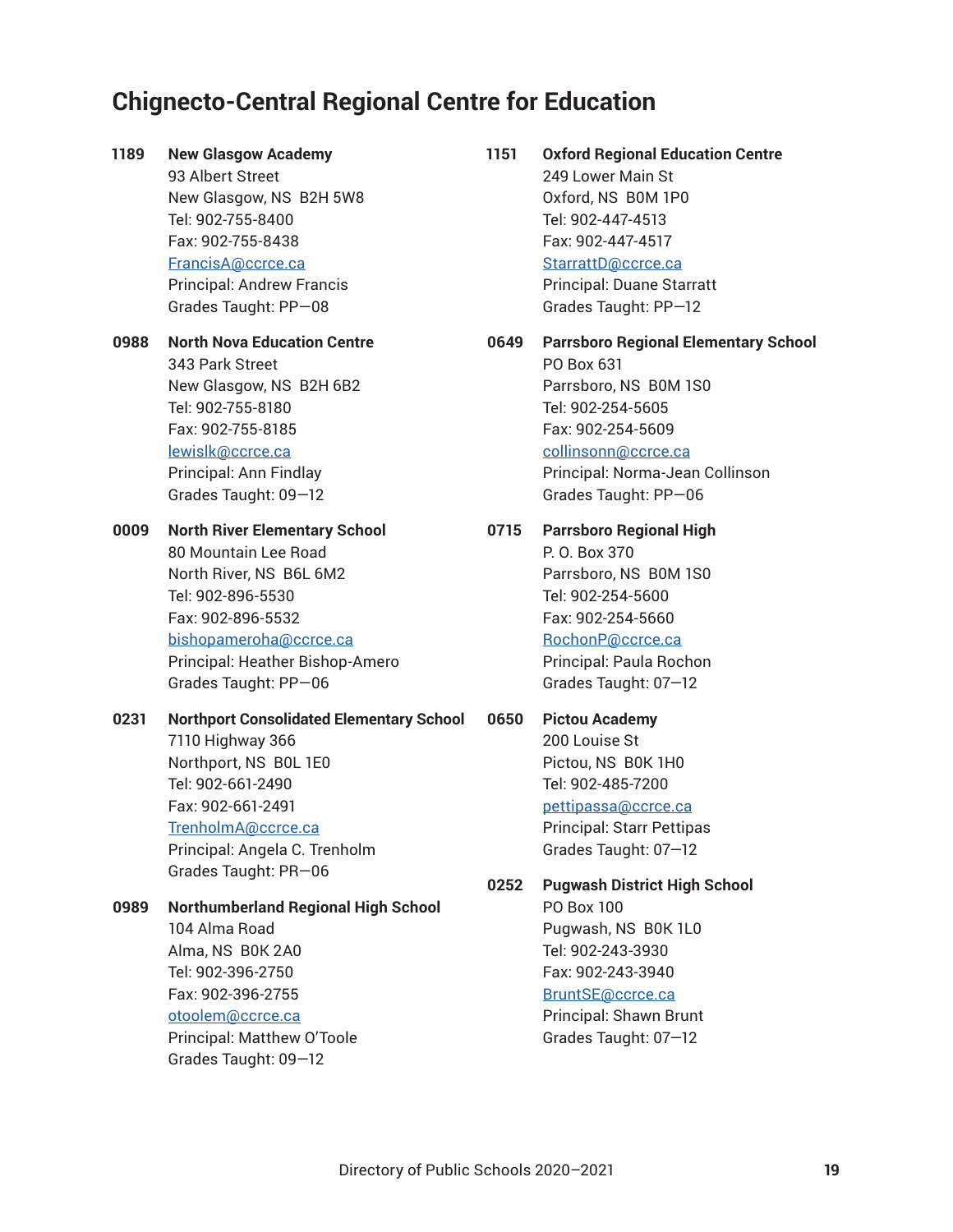#### **1189 New Glasgow Academy**

93 Albert Street New Glasgow, NS B2H 5W8 Tel: 902-755-8400 Fax: 902-755-8438 FrancisA@ccrce.ca Principal: Andrew Francis Grades Taught: PP—08

#### **0988 North Nova Education Centre**

343 Park Street New Glasgow, NS B2H 6B2 Tel: 902-755-8180 Fax: 902-755-8185 lewislk@ccrce.ca Principal: Ann Findlay Grades Taught: 09—12

**0009 North River Elementary School** 80 Mountain Lee Road North River, NS B6L 6M2 Tel: 902-896-5530 Fax: 902-896-5532 bishopameroha@ccrce.ca Principal: Heather Bishop-Amero Grades Taught: PP—06

# **0231 Northport Consolidated Elementary School**

7110 Highway 366 Northport, NS B0L 1E0 Tel: 902-661-2490 Fax: 902-661-2491 TrenholmA@ccrce.ca Principal: Angela C. Trenholm Grades Taught: PR—06

**0989 Northumberland Regional High School** 104 Alma Road Alma, NS B0K 2A0 Tel: 902-396-2750 Fax: 902-396-2755 otoolem@ccrce.ca Principal: Matthew O'Toole Grades Taught: 09—12

# **1151 Oxford Regional Education Centre** 249 Lower Main St Oxford, NS B0M 1P0 Tel: 902-447-4513 Fax: 902-447-4517 StarrattD@ccrce.ca Principal: Duane Starratt Grades Taught: PP—12

**0649 Parrsboro Regional Elementary School** PO Box 631 Parrsboro, NS B0M 1S0 Tel: 902-254-5605 Fax: 902-254-5609

#### collinsonn@ccrce.ca

Principal: Norma-Jean Collinson Grades Taught: PP—06

#### **0715 Parrsboro Regional High**

P. O. Box 370 Parrsboro, NS B0M 1S0 Tel: 902-254-5600 Fax: 902-254-5660 RochonP@ccrce.ca Principal: Paula Rochon Grades Taught: 07—12

# **0650 Pictou Academy**

200 Louise St Pictou, NS B0K 1H0 Tel: 902-485-7200

# pettipassa@ccrce.ca

Principal: Starr Pettipas Grades Taught: 07—12

**0252 Pugwash District High School** PO Box 100 Pugwash, NS B0K 1L0 Tel: 902-243-3930 Fax: 902-243-3940 BruntSE@ccrce.ca Principal: Shawn Brunt

Grades Taught: 07—12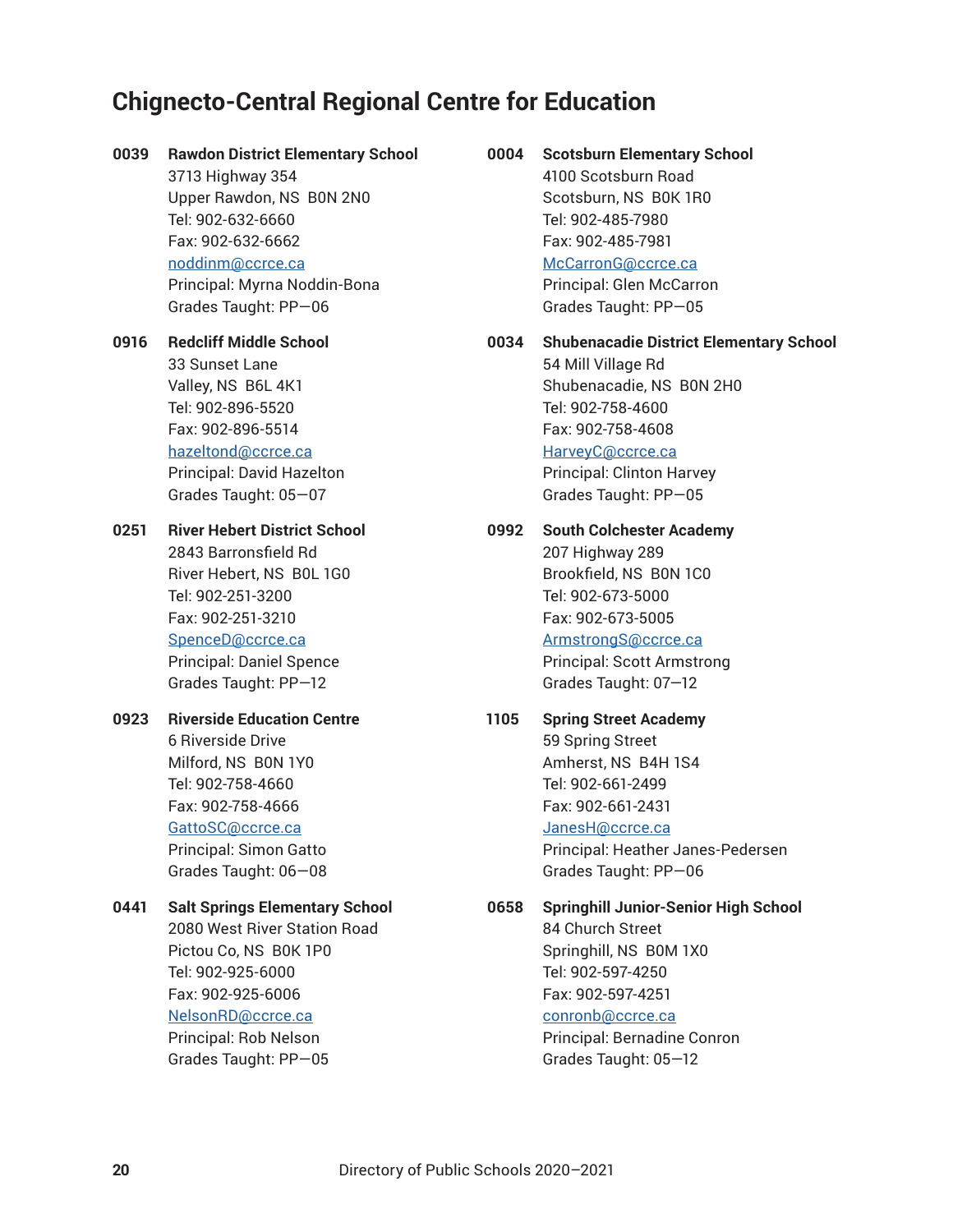#### **0039 Rawdon District Elementary School**

3713 Highway 354 Upper Rawdon, NS B0N 2N0 Tel: 902-632-6660 Fax: 902-632-6662 noddinm@ccrce.ca Principal: Myrna Noddin-Bona Grades Taught: PP—06

**0916 Redcliff Middle School**

33 Sunset Lane Valley, NS B6L 4K1 Tel: 902-896-5520 Fax: 902-896-5514 hazeltond@ccrce.ca

Principal: David Hazelton Grades Taught: 05—07

**0251 River Hebert District School**

2843 Barronsfield Rd River Hebert, NS B0L 1G0 Tel: 902-251-3200 Fax: 902-251-3210

SpenceD@ccrce.ca

Principal: Daniel Spence Grades Taught: PP—12

**0923 Riverside Education Centre**

6 Riverside Drive Milford, NS B0N 1Y0 Tel: 902-758-4660 Fax: 902-758-4666 GattoSC@ccrce.ca Principal: Simon Gatto Grades Taught: 06—08

**0441 Salt Springs Elementary School**

2080 West River Station Road Pictou Co, NS B0K 1P0 Tel: 902-925-6000 Fax: 902-925-6006 NelsonRD@ccrce.ca Principal: Rob Nelson Grades Taught: PP—05

**0004 Scotsburn Elementary School** 4100 Scotsburn Road Scotsburn, NS B0K 1R0 Tel: 902-485-7980 Fax: 902-485-7981 McCarronG@ccrce.ca Principal: Glen McCarron Grades Taught: PP—05

**0034 Shubenacadie District Elementary School**

54 Mill Village Rd Shubenacadie, NS B0N 2H0 Tel: 902-758-4600 Fax: 902-758-4608

#### HarveyC@ccrce.ca

Principal: Clinton Harvey Grades Taught: PP—05

**0992 South Colchester Academy**

207 Highway 289 Brookfield, NS B0N 1C0 Tel: 902-673-5000 Fax: 902-673-5005

ArmstrongS@ccrce.ca Principal: Scott Armstrong Grades Taught: 07—12

# **1105 Spring Street Academy** 59 Spring Street Amherst, NS B4H 1S4 Tel: 902-661-2499 Fax: 902-661-2431 JanesH@ccrce.ca Principal: Heather Janes-Pedersen

Grades Taught: PP—06 **0658 Springhill Junior-Senior High School**

84 Church Street Springhill, NS B0M 1X0 Tel: 902-597-4250 Fax: 902-597-4251 conronb@ccrce.ca

Principal: Bernadine Conron Grades Taught: 05—12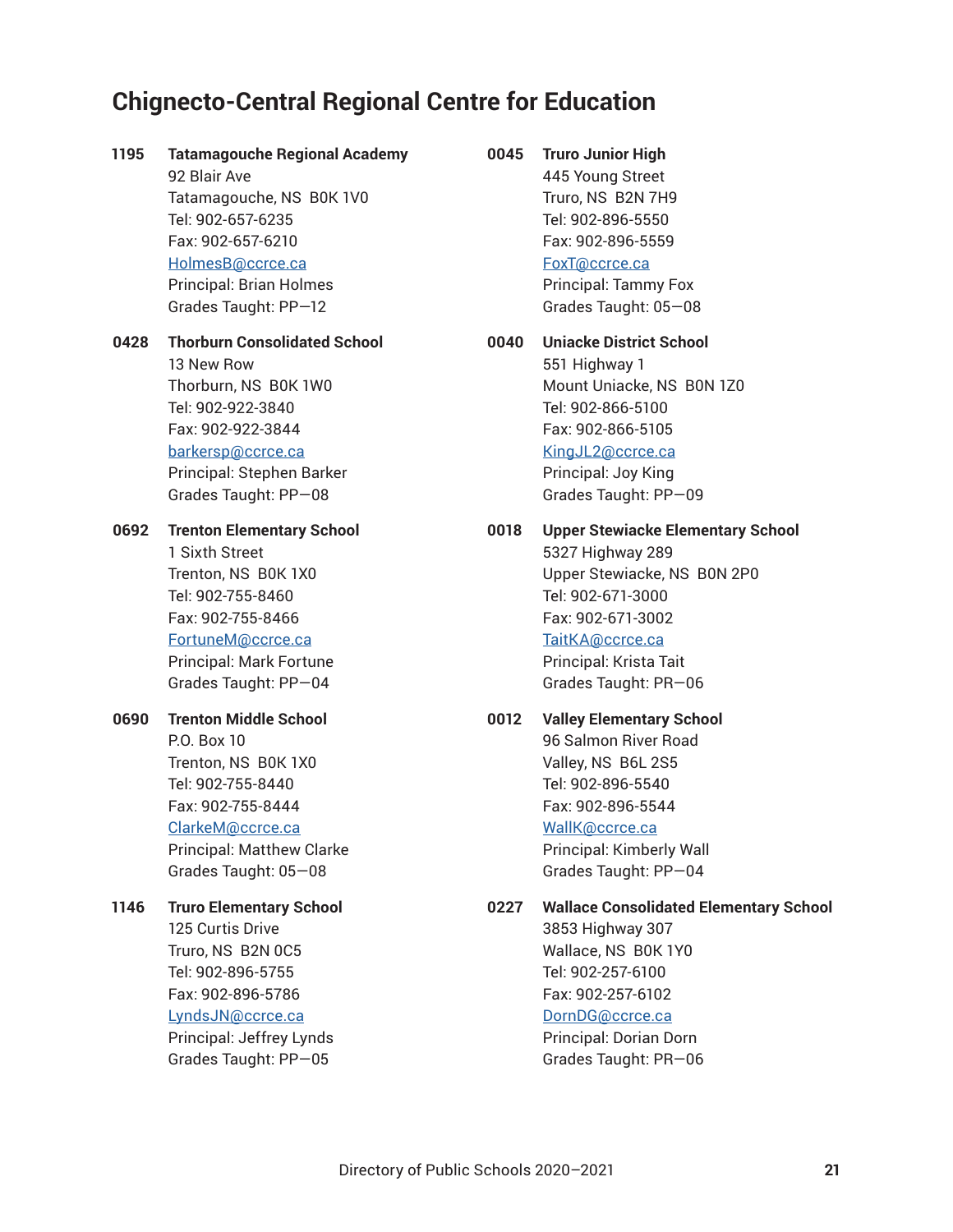#### **1195 Tatamagouche Regional Academy**

92 Blair Ave Tatamagouche, NS B0K 1V0 Tel: 902-657-6235 Fax: 902-657-6210 HolmesB@ccrce.ca Principal: Brian Holmes Grades Taught: PP—12

**0428 Thorburn Consolidated School**

13 New Row Thorburn, NS B0K 1W0 Tel: 902-922-3840 Fax: 902-922-3844

# barkersp@ccrce.ca

Principal: Stephen Barker Grades Taught: PP—08

**0692 Trenton Elementary School** 1 Sixth Street

> Trenton, NS B0K 1X0 Tel: 902-755-8460 Fax: 902-755-8466

#### FortuneM@ccrce.ca

Principal: Mark Fortune Grades Taught: PP—04

#### **0690 Trenton Middle School** P.O. Box 10 Trenton, NS B0K 1X0 Tel: 902-755-8440 Fax: 902-755-8444 ClarkeM@ccrce.ca

Principal: Matthew Clarke Grades Taught: 05—08

### **1146 Truro Elementary School** 125 Curtis Drive Truro, NS B2N 0C5 Tel: 902-896-5755 Fax: 902-896-5786 LyndsJN@ccrce.ca Principal: Jeffrey Lynds Grades Taught: PP—05

**0045 Truro Junior High**

445 Young Street Truro, NS B2N 7H9 Tel: 902-896-5550 Fax: 902-896-5559 FoxT@ccrce.ca Principal: Tammy Fox Grades Taught: 05—08

### **0040 Uniacke District School**

551 Highway 1 Mount Uniacke, NS B0N 1Z0 Tel: 902-866-5100 Fax: 902-866-5105

### KingJL2@ccrce.ca

Principal: Joy King Grades Taught: PP—09

# **0018 Upper Stewiacke Elementary School**

5327 Highway 289 Upper Stewiacke, NS B0N 2P0 Tel: 902-671-3000 Fax: 902-671-3002 TaitKA@ccrce.ca

# Principal: Krista Tait Grades Taught: PR—06

# **0012 Valley Elementary School** 96 Salmon River Road

Valley, NS B6L 2S5 Tel: 902-896-5540 Fax: 902-896-5544 WallK@ccrce.ca Principal: Kimberly Wall Grades Taught: PP—04

### **0227 Wallace Consolidated Elementary School** 3853 Highway 307

Wallace, NS B0K 1Y0 Tel: 902-257-6100 Fax: 902-257-6102 DornDG@ccrce.ca Principal: Dorian Dorn Grades Taught: PR—06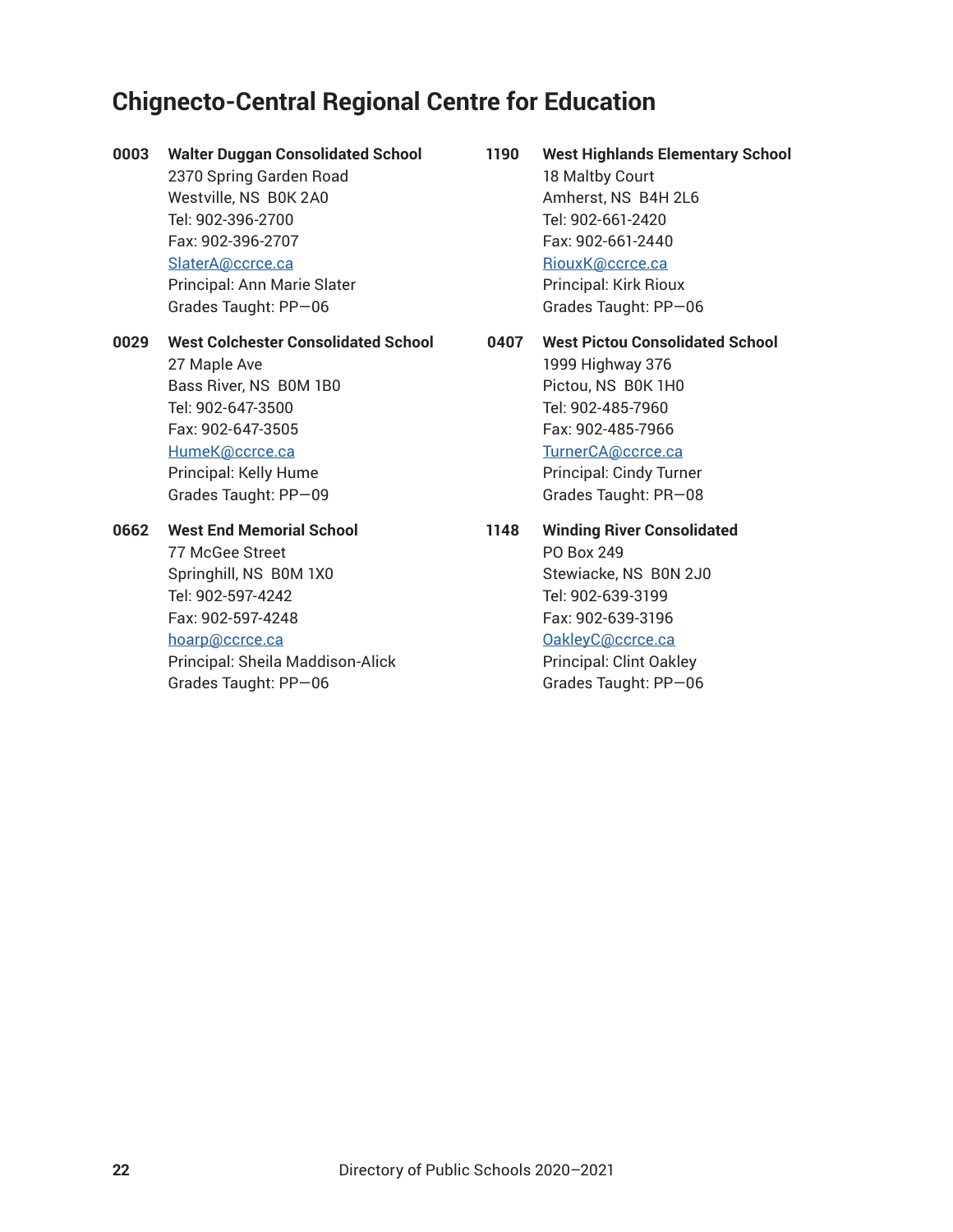#### **0003 Walter Duggan Consolidated School**

2370 Spring Garden Road Westville, NS B0K 2A0 Tel: 902-396-2700 Fax: 902-396-2707 SlaterA@ccrce.ca Principal: Ann Marie Slater Grades Taught: PP—06

**0029 West Colchester Consolidated School**

27 Maple Ave Bass River, NS B0M 1B0 Tel: 902-647-3500 Fax: 902-647-3505

### HumeK@ccrce.ca

Principal: Kelly Hume Grades Taught: PP—09

**0662 West End Memorial School** 77 McGee Street Springhill, NS B0M 1X0 Tel: 902-597-4242

> Fax: 902-597-4248 hoarp@ccrce.ca

Principal: Sheila Maddison-Alick Grades Taught: PP—06

**1190 West Highlands Elementary School** 18 Maltby Court Amherst, NS B4H 2L6 Tel: 902-661-2420 Fax: 902-661-2440 RiouxK@ccrce.ca Principal: Kirk Rioux Grades Taught: PP—06

#### **0407 West Pictou Consolidated School**

1999 Highway 376 Pictou, NS B0K 1H0 Tel: 902-485-7960 Fax: 902-485-7966

#### TurnerCA@ccrce.ca

Principal: Cindy Turner Grades Taught: PR—08

**1148 Winding River Consolidated** PO Box 249

Stewiacke, NS B0N 2J0 Tel: 902-639-3199 Fax: 902-639-3196

#### OakleyC@ccrce.ca

Principal: Clint Oakley Grades Taught: PP—06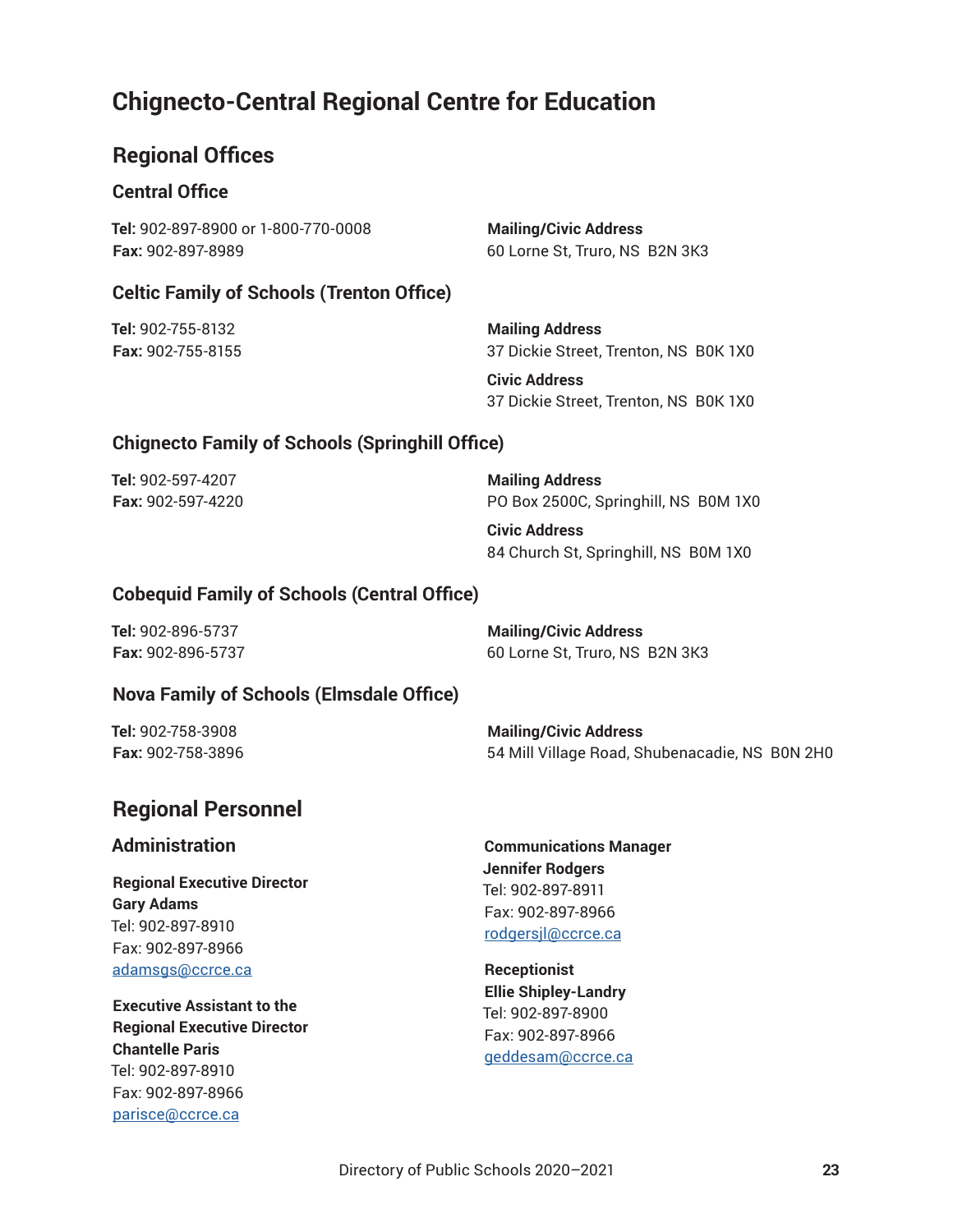# <span id="page-32-0"></span>**Regional Offices**

### **Central Office**

**Tel:** 902-897-8900 or 1-800-770-0008 **Fax:** 902-897-8989

**Mailing/Civic Address** 60 Lorne St, Truro, NS B2N 3K3

### **Celtic Family of Schools (Trenton Office)**

**Tel:** 902-755-8132 **Fax:** 902-755-8155 **Mailing Address** 37 Dickie Street, Trenton, NS B0K 1X0

**Civic Address** 37 Dickie Street, Trenton, NS B0K 1X0

### **Chignecto Family of Schools (Springhill Office)**

**Tel:** 902-597-4207 **Fax:** 902-597-4220 **Mailing Address** PO Box 2500C, Springhill, NS B0M 1X0

**Civic Address** 84 Church St, Springhill, NS B0M 1X0

### **Cobequid Family of Schools (Central Office)**

**Tel:** 902-896-5737 **Fax:** 902-896-5737 **Mailing/Civic Address** 60 Lorne St, Truro, NS B2N 3K3

#### **Nova Family of Schools (Elmsdale Office)**

**Tel:** 902-758-3908 **Fax:** 902-758-3896 **Mailing/Civic Address** 54 Mill Village Road, Shubenacadie, NS B0N 2H0

# **Regional Personnel**

### **Administration**

**Regional Executive Director Gary Adams** Tel: 902-897-8910 Fax: 902-897-8966 [adamsgs@ccrce.ca](mailto:adamsgs@ccrce.ca)

**Executive Assistant to the Regional Executive Director Chantelle Paris** Tel: 902-897-8910 Fax: 902-897-8966 parisce@ccrce.ca

**Communications Manager Jennifer Rodgers** Tel: 902-897-8911 Fax: 902-897-8966 [rodgersjl@ccrce.ca](mailto:rodgersjl%40ccrce.ca?subject=)

**Receptionist Ellie Shipley-Landry** Tel: 902-897-8900 Fax: 902-897-8966 [geddesam@ccrce.ca](mailto:geddesam%40ccrce.ca?subject=)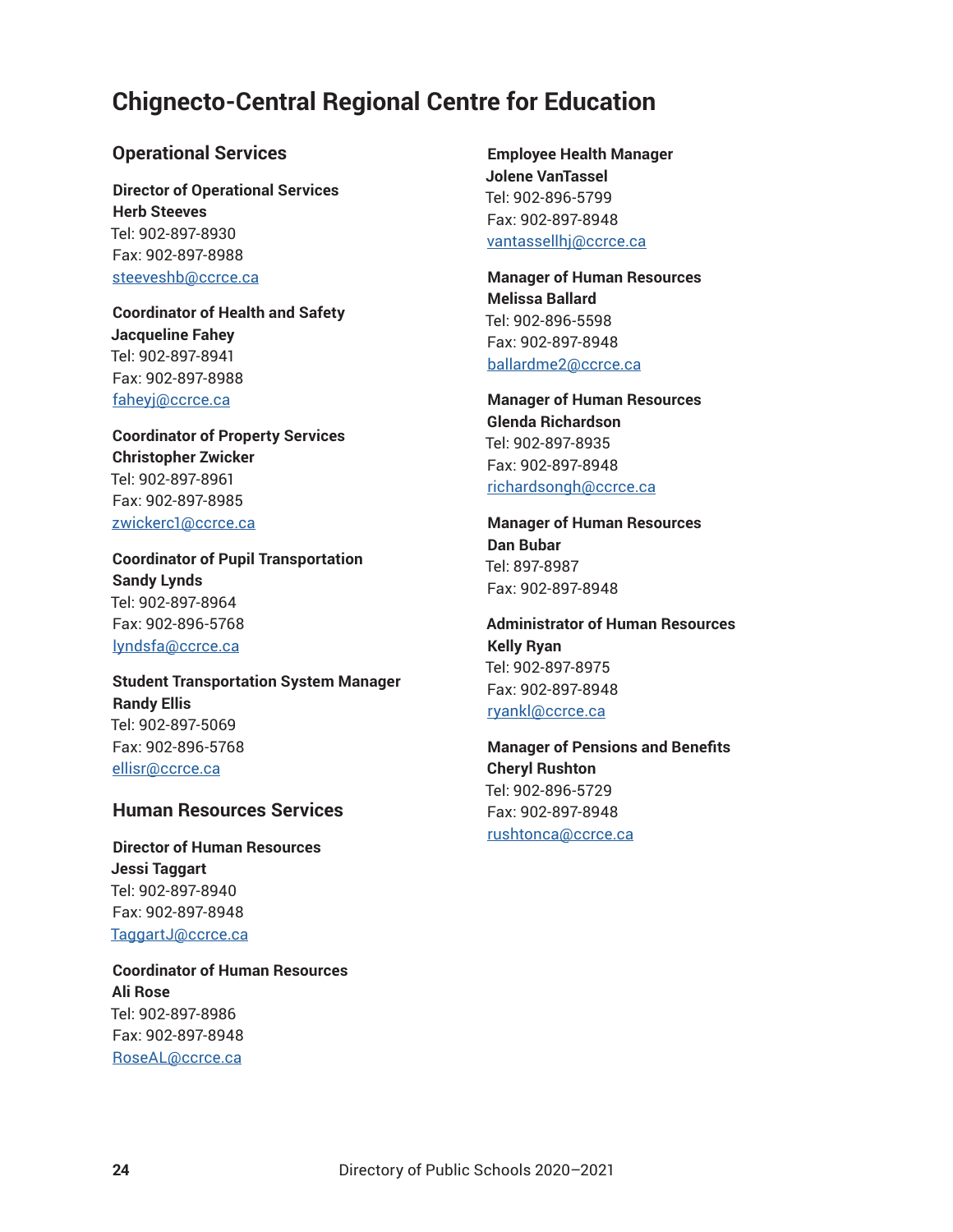# **Operational Services**

**Director of Operational Services Herb Steeves** Tel: 902-897-8930 Fax: 902-897-8988 [steeveshb@ccrce.ca](mailto:steeveshb@ccrce.ca)

**Coordinator of Health and Safety Jacqueline Fahey** Tel: 902-897-8941 Fax: 902-897-8988 [faheyj@ccrce.ca](mailto:faheyj@ccrce.ca)

**Coordinator of Property Services Christopher Zwicker** Tel: 902-897-8961 Fax: 902-897-8985 [zwickerc1@ccrce.ca](mailto:zwickerc1@ccrce.ca)

**Coordinator of Pupil Transportation Sandy Lynds** Tel: 902-897-8964 Fax: 902-896-5768 [lyndsfa@ccrce.ca](mailto:lyndsfa@ccrce.ca)

**Student Transportation System Manager Randy Ellis** Tel: 902-897-5069 Fax: 902-896-5768 [ellisr@ccrce.ca](mailto:ellisr@ccrce.ca)

#### **Human Resources Services**

**Director of Human Resources Jessi Taggart** Tel: 902-897-8940 Fax: 902-897-8948 [TaggartJ@ccrce.ca](mailto:TaggartJ@ccrce.ca)

**Coordinator of Human Resources Ali Rose** Tel: 902-897-8986 Fax: 902-897-8948 [RoseAL@ccrce.ca](mailto:RoseAL@ccrce.ca)

**Employee Health Manager Jolene VanTassel** Tel: 902-896-5799 Fax: 902-897-8948 [vantassellhj@ccrce.ca](mailto:vantassellhj@ccrce.ca)

**Manager of Human Resources Melissa Ballard** Tel: 902-896-5598 Fax: 902-897-8948 [ballardme2@ccrce.ca](mailto:ballardme2@ccrce.ca)

**Manager of Human Resources Glenda Richardson** Tel: 902-897-8935 Fax: 902-897-8948 [richardsongh@ccrce.ca](mailto:richardsongh@ccrce.ca)

**Manager of Human Resources Dan Bubar** Tel: 897-8987 Fax: 902-897-8948

**Administrator of Human Resources Kelly Ryan** Tel: 902-897-8975 Fax: 902-897-8948 [ryankl@ccrce.ca](mailto:ryankl@ccrce.ca)

**Manager of Pensions and Benefits Cheryl Rushton** Tel: 902-896-5729 Fax: 902-897-8948 [rushtonca@ccrce.ca](mailto:rushtonca@ccrce.ca)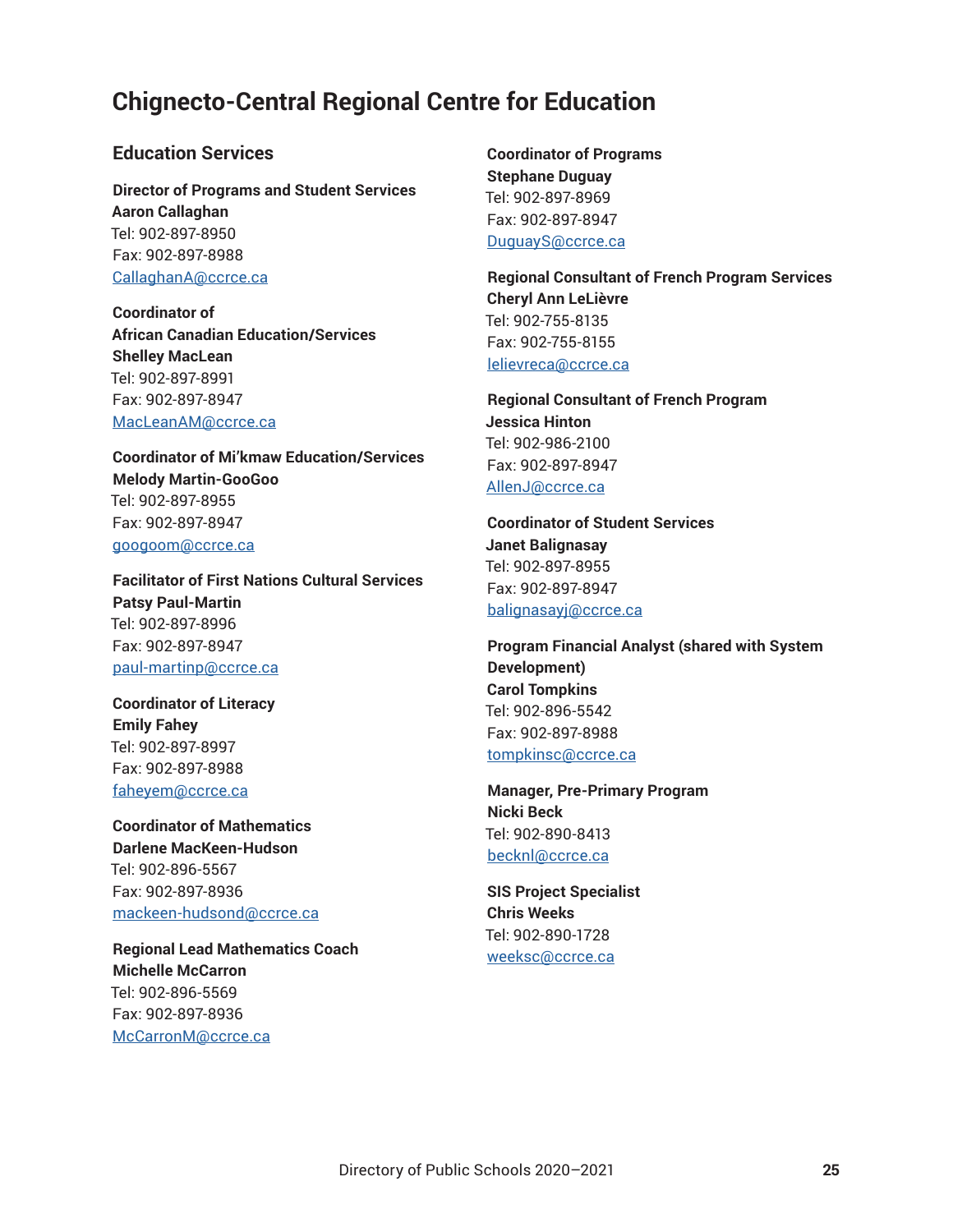### **Education Services**

**Director of Programs and Student Services Aaron Callaghan** Tel: 902-897-8950 Fax: 902-897-8988 [CallaghanA@ccrce.ca](mailto:CallaghanA@ccrce.ca)

**Coordinator of African Canadian Education/Services Shelley MacLean** Tel: 902-897-8991 Fax: 902-897-8947 [MacLeanAM@ccrce.ca](mailto:MacLeanAM@ccrce.ca)

**Coordinator of Mi'kmaw Education/Services Melody Martin-GooGoo** Tel: 902-897-8955 Fax: 902-897-8947 [googoom@ccrce.ca](mailto:googoom@ccrce.ca)

**Facilitator of First Nations Cultural Services Patsy Paul-Martin** Tel: 902-897-8996 Fax: 902-897-8947 [paul-martinp@ccrce.ca](mailto:paul-martinp@ccrce.ca)

**Coordinator of Literacy Emily Fahey** Tel: 902-897-8997 Fax: 902-897-8988 [faheyem@ccrce.ca](mailto:faheyem@ccrce.ca)

**Coordinator of Mathematics Darlene MacKeen-Hudson** Tel: 902-896-5567 Fax: 902-897-8936 [mackeen-hudsond@ccrce.ca](mailto:mackeen-hudsond@ccrce.ca)

**Regional Lead Mathematics Coach Michelle McCarron** Tel: 902-896-5569 Fax: 902-897-8936 [McCarronM@ccrce.ca](mailto:McCarronM@ccrce.ca)

**Coordinator of Programs Stephane Duguay** Tel: 902-897-8969 Fax: 902-897-8947 DuguayS@ccrce.ca

**Regional Consultant of French Program Services Cheryl Ann LeLièvre** Tel: 902-755-8135 Fax: 902-755-8155 [lelievreca@ccrce.ca](mailto:lelievreca%40ccrce.ca?subject=)

**Regional Consultant of French Program Jessica Hinton** Tel: 902-986-2100 Fax: 902-897-8947 [AllenJ@ccrce.ca](mailto:AllenJ%40ccrce.ca?subject=)

**Coordinator of Student Services Janet Balignasay** Tel: 902-897-8955 Fax: 902-897-8947 [balignasayj@ccrce.ca](mailto:balignasayj@ccrce.ca)

**Program Financial Analyst (shared with System Development) Carol Tompkins** Tel: 902-896-5542 Fax: 902-897-8988 [tompkinsc@ccrce.ca](mailto:tompkinsc@ccrce.ca)

**Manager, Pre-Primary Program Nicki Beck** Tel: 902-890-8413 [becknl@ccrce.ca](mailto:becknl@ccrce.ca)

**SIS Project Specialist Chris Weeks** Tel: 902-890-1728 [weeksc@ccrce.ca](mailto:weeksc@ccrce.ca)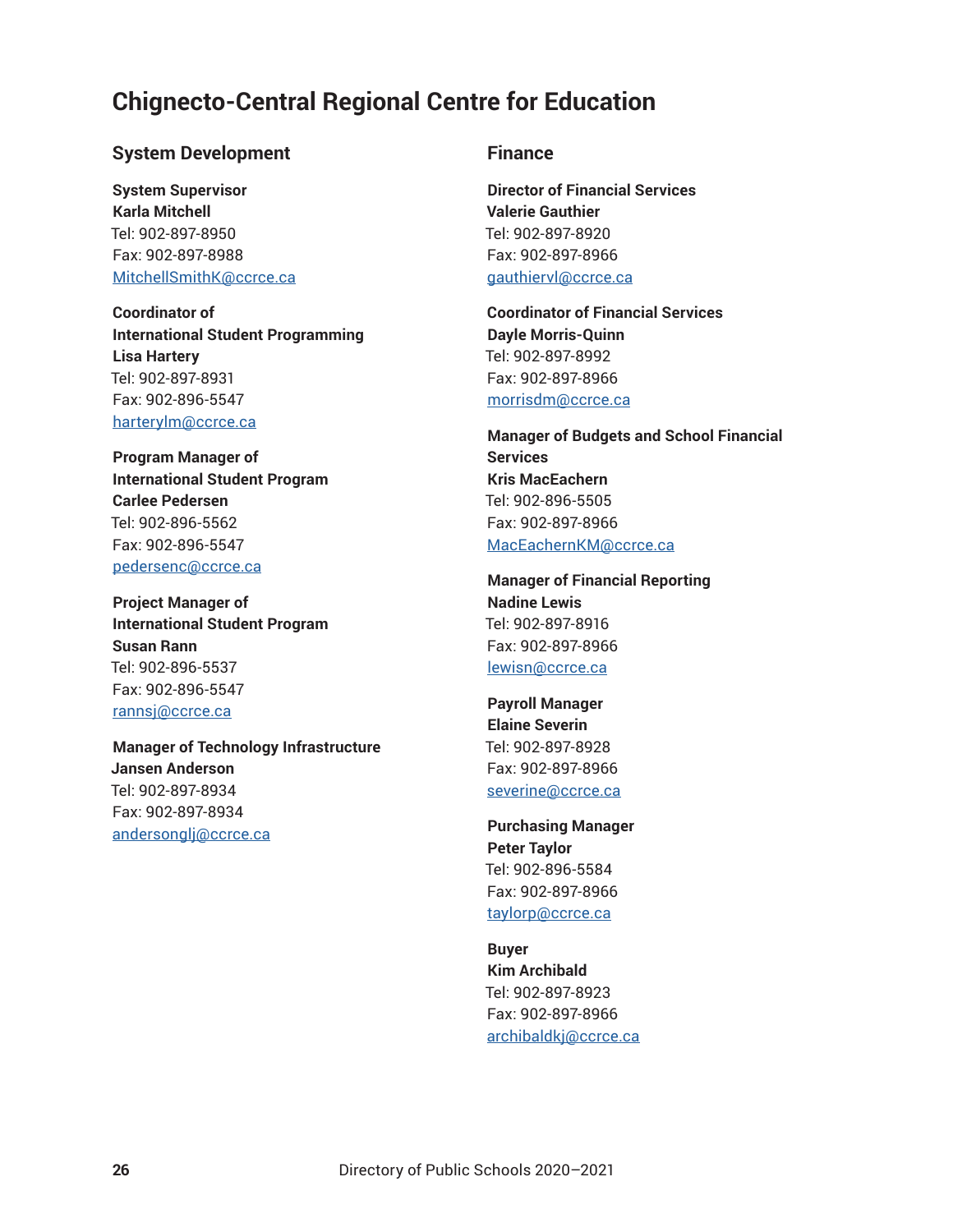# **System Development**

**System Supervisor Karla Mitchell** Tel: 902-897-8950 Fax: 902-897-8988 MitchellSmithK@ccrce.ca

**Coordinator of International Student Programming Lisa Hartery** Tel: 902-897-8931 Fax: 902-896-5547 [harterylm@ccrce.ca](mailto:harterylm@ccrce.ca)

**Program Manager of International Student Program Carlee Pedersen** Tel: 902-896-5562 Fax: 902-896-5547 [pedersenc@ccrce.ca](mailto:pedersenc@ccrce.ca)

**Project Manager of International Student Program Susan Rann** Tel: 902-896-5537 Fax: 902-896-5547 [rannsj@ccrce.ca](mailto:rannsj%40ccrce.ca?subject=)

**Manager of Technology Infrastructure Jansen Anderson** Tel: 902-897-8934 Fax: 902-897-8934 [andersonglj@ccrce.ca](mailto:andersonglj%40ccrce.ca?subject=)

#### **Finance**

**Director of Financial Services Valerie Gauthier** Tel: 902-897-8920 Fax: 902-897-8966 [gauthiervl@ccrce.ca](mailto:gauthiervl@ccrce.ca)

**Coordinator of Financial Services Dayle Morris-Quinn** Tel: 902-897-8992 Fax: 902-897-8966 [morrisdm@ccrce.ca](mailto:morrisdm@ccrce.ca)

**Manager of Budgets and School Financial Services Kris MacEachern** Tel: 902-896-5505 Fax: 902-897-8966 [MacEachernKM@ccrce.ca](mailto:MacEachernKM@ccrce.ca)

**Manager of Financial Reporting Nadine Lewis** Tel: 902-897-8916 Fax: 902-897-8966 [lewisn@ccrce.ca](mailto:lewisn@ccrce.ca)

**Payroll Manager Elaine Severin** Tel: 902-897-8928 Fax: 902-897-8966 [severine@ccrce.ca](mailto:severine@ccrce.ca)

**Purchasing Manager Peter Taylor** Tel: 902-896-5584 Fax: 902-897-8966 [taylorp@ccrce.ca](mailto:taylorp@ccrce.ca)

**Buyer Kim Archibald** Tel: 902-897-8923 Fax: 902-897-8966 [archibaldkj@ccrce.ca](mailto:archibaldkj@ccrce.ca)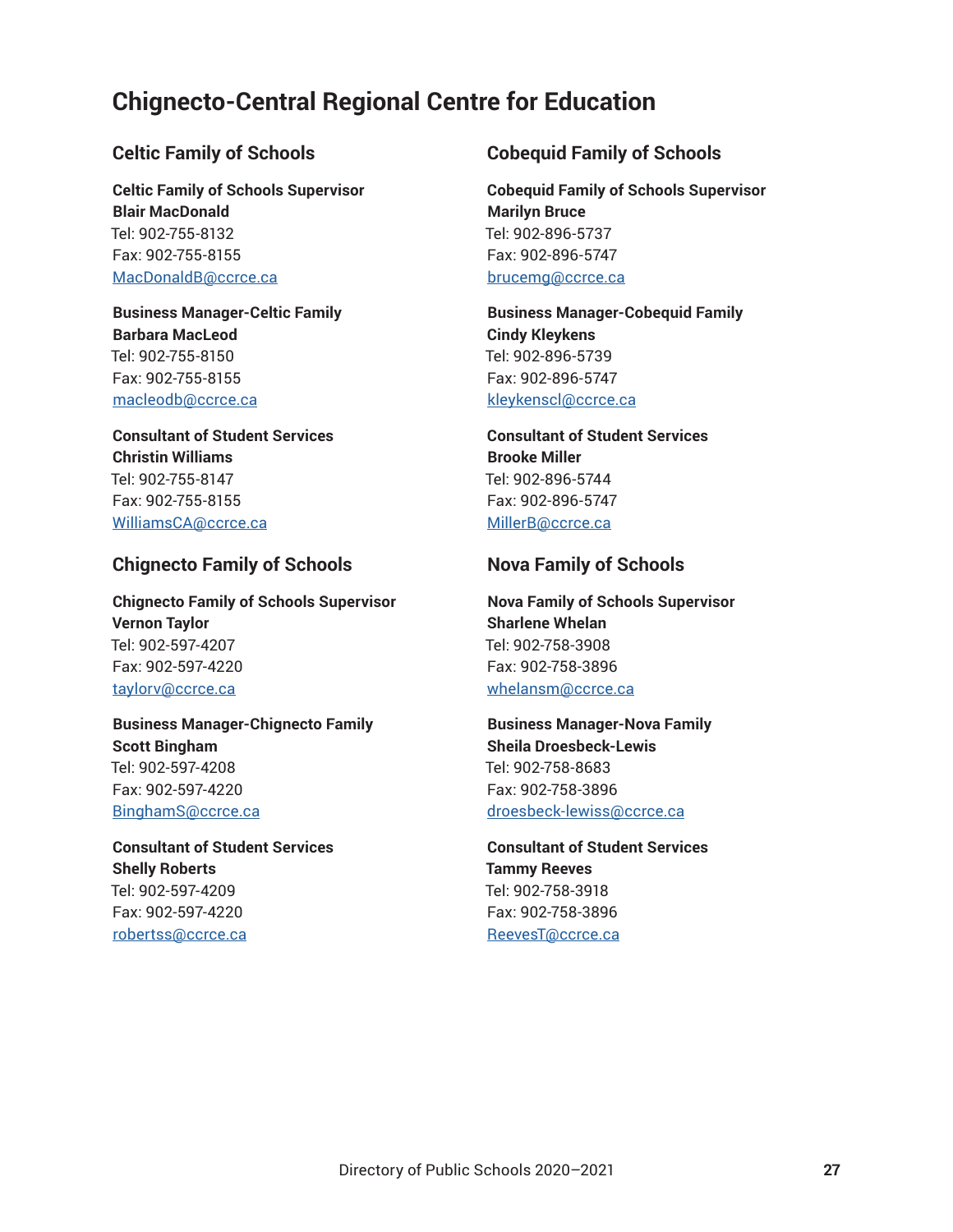# **Chignecto-Central Regional Centre for Education**

## **Celtic Family of Schools**

**Celtic Family of Schools Supervisor Blair MacDonald** Tel: 902-755-8132 Fax: 902-755-8155 [MacDonaldB@ccrce.ca](mailto:MacDonaldB@ccrce.ca)

**Business Manager-Celtic Family Barbara MacLeod** Tel: 902-755-8150 Fax: 902-755-8155 [macleodb@ccrce.ca](mailto:macleodb@ccrce.ca)

**Consultant of Student Services Christin Williams** Tel: 902-755-8147 Fax: 902-755-8155 [WilliamsCA@ccrce.ca](mailto:WilliamsCA@ccrce.ca) 

## **Chignecto Family of Schools**

**Chignecto Family of Schools Supervisor Vernon Taylor** Tel: 902-597-4207 Fax: 902-597-4220 taylorv@ccrce.ca

**Business Manager-Chignecto Family Scott Bingham** Tel: 902-597-4208 Fax: 902-597-4220 BinghamS@ccrce.ca

**Consultant of Student Services Shelly Roberts**  Tel: 902-597-4209 Fax: 902-597-4220 [robertss@ccrce.ca](mailto:robertss@ccrce.ca)

#### **Cobequid Family of Schools**

**Cobequid Family of Schools Supervisor Marilyn Bruce** Tel: 902-896-5737 Fax: 902-896-5747 [brucemg@ccrce.ca](mailto:brucemg@ccrce.ca)

**Business Manager-Cobequid Family Cindy Kleykens** Tel: 902-896-5739 Fax: 902-896-5747 [kleykenscl@ccrce.ca](mailto:kleykenscl%40ccrce.ca?subject=)

**Consultant of Student Services Brooke Miller** Tel: 902-896-5744 Fax: 902-896-5747 [MillerB@ccrce.ca](mailto:MillerB%40ccrce.ca?subject=)

## **Nova Family of Schools**

**Nova Family of Schools Supervisor Sharlene Whelan**  Tel: 902-758-3908 Fax: 902-758-3896 [whelansm@ccrce.ca](mailto:whelansm@ccrce.ca)

**Business Manager-Nova Family Sheila Droesbeck-Lewis** Tel: 902-758-8683 Fax: 902-758-3896 [droesbeck-lewiss@ccrce.ca](mailto:droesbeck-lewiss@ccrce.ca)

**Consultant of Student Services Tammy Reeves** Tel: 902-758-3918 Fax: 902-758-3896 ReevesT@ccrce.ca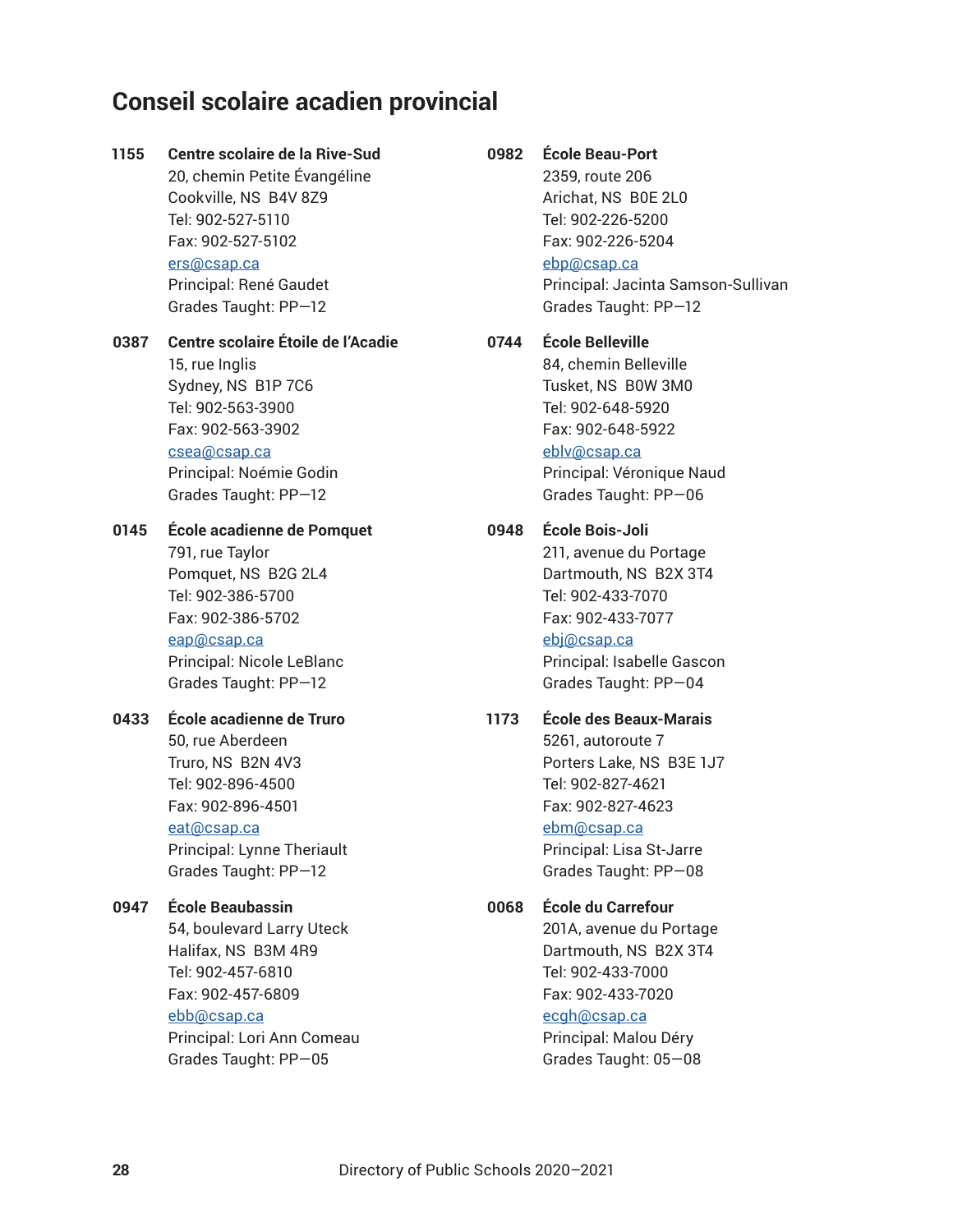## **1155 Centre scolaire de la Rive-Sud**

20, chemin Petite Évangéline Cookville, NS B4V 8Z9 Tel: 902-527-5110 Fax: 902-527-5102 ers@csap.ca Principal: René Gaudet Grades Taught: PP—12

**0387 Centre scolaire Étoile de l'Acadie**

15, rue Inglis Sydney, NS B1P 7C6 Tel: 902-563-3900 Fax: 902-563-3902

#### csea@csap.ca

Principal: Noémie Godin Grades Taught: PP—12

## **0145 École acadienne de Pomquet**

791, rue Taylor Pomquet, NS B2G 2L4 Tel: 902-386-5700 Fax: 902-386-5702

## eap@csap.ca

Principal: Nicole LeBlanc Grades Taught: PP—12

#### **0433 École acadienne de Truro**

50, rue Aberdeen Truro, NS B2N 4V3 Tel: 902-896-4500 Fax: 902-896-4501 eat@csap.ca Principal: Lynne Theriault Grades Taught: PP—12

## **0947 École Beaubassin**

54, boulevard Larry Uteck Halifax, NS B3M 4R9 Tel: 902-457-6810 Fax: 902-457-6809 ebb@csap.ca Principal: Lori Ann Comeau Grades Taught: PP—05

## **0982 École Beau-Port**

2359, route 206 Arichat, NS B0E 2L0 Tel: 902-226-5200 Fax: 902-226-5204 ebp@csap.ca Principal: Jacinta Samson-Sullivan Grades Taught: PP—12

## **0744 École Belleville**

84, chemin Belleville Tusket, NS B0W 3M0 Tel: 902-648-5920 Fax: 902-648-5922

#### eblv@csap.ca

Principal: Véronique Naud Grades Taught: PP—06

## **0948 École Bois-Joli**

211, avenue du Portage Dartmouth, NS B2X 3T4 Tel: 902-433-7070 Fax: 902-433-7077

ebj@csap.ca Principal: Isabelle Gascon Grades Taught: PP—04

## **1173 École des Beaux-Marais**

5261, autoroute 7 Porters Lake, NS B3E 1J7 Tel: 902-827-4621 Fax: 902-827-4623 ebm@csap.ca Principal: Lisa St-Jarre Grades Taught: PP—08

## **0068 École du Carrefour**

201A, avenue du Portage Dartmouth, NS B2X 3T4 Tel: 902-433-7000 Fax: 902-433-7020

#### ecgh@csap.ca

Principal: Malou Déry Grades Taught: 05—08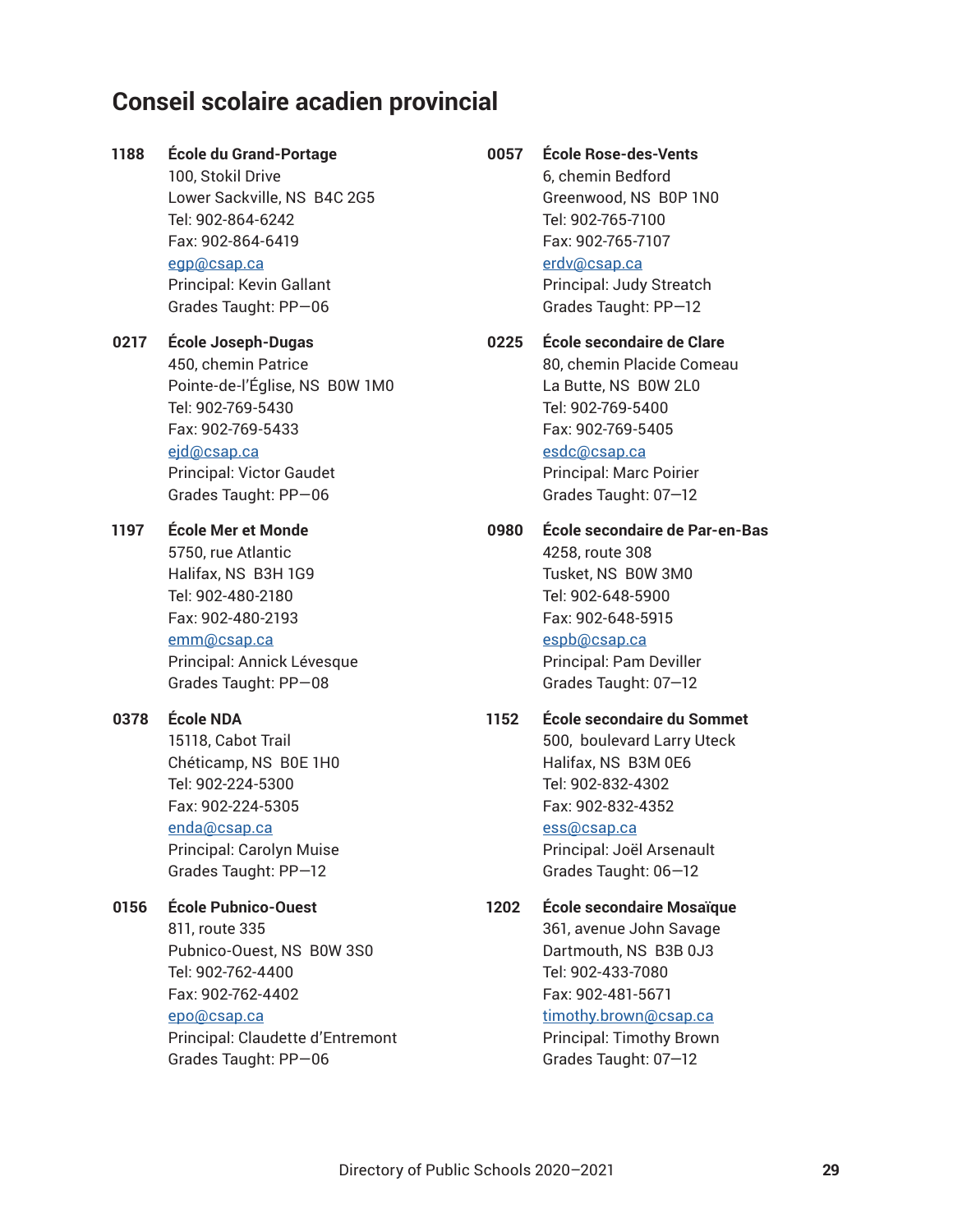#### **1188 École du Grand-Portage**

100, Stokil Drive Lower Sackville, NS B4C 2G5 Tel: 902-864-6242 Fax: 902-864-6419 egp@csap.ca Principal: Kevin Gallant Grades Taught: PP—06

#### **0217 École Joseph-Dugas**

450, chemin Patrice Pointe-de-l'Église, NS B0W 1M0 Tel: 902-769-5430 Fax: 902-769-5433 ejd@csap.ca

# Principal: Victor Gaudet

Grades Taught: PP—06

## **1197 École Mer et Monde**

5750, rue Atlantic Halifax, NS B3H 1G9 Tel: 902-480-2180 Fax: 902-480-2193

#### emm@csap.ca

Principal: Annick Lévesque Grades Taught: PP—08

#### **0378 École NDA**

15118, Cabot Trail Chéticamp, NS B0E 1H0 Tel: 902-224-5300 Fax: 902-224-5305 enda@csap.ca Principal: Carolyn Muise Grades Taught: PP—12

#### **0156 École Pubnico-Ouest**

811, route 335 Pubnico-Ouest, NS B0W 3S0 Tel: 902-762-4400 Fax: 902-762-4402 epo@csap.ca

Principal: Claudette d'Entremont Grades Taught: PP—06

#### **0057 École Rose-des-Vents**

6, chemin Bedford Greenwood, NS B0P 1N0 Tel: 902-765-7100 Fax: 902-765-7107 erdv@csap.ca Principal: Judy Streatch Grades Taught: PP—12

#### **0225 École secondaire de Clare**

80, chemin Placide Comeau La Butte, NS B0W 2L0 Tel: 902-769-5400 Fax: 902-769-5405

#### esdc@csap.ca

Principal: Marc Poirier Grades Taught: 07—12

## **0980 École secondaire de Par-en-Bas** 4258, route 308 Tusket, NS B0W 3M0

Tel: 902-648-5900 Fax: 902-648-5915

#### espb@csap.ca Principal: Pam Deviller Grades Taught: 07—12

#### **1152 École secondaire du Sommet**

500, boulevard Larry Uteck Halifax, NS B3M 0E6 Tel: 902-832-4302 Fax: 902-832-4352 ess@csap.ca Principal: Joël Arsenault Grades Taught: 06—12

#### **1202 École secondaire Mosaïque**

361, avenue John Savage Dartmouth, NS B3B 0J3 Tel: 902-433-7080 Fax: 902-481-5671 timothy.brown@csap.ca Principal: Timothy Brown Grades Taught: 07—12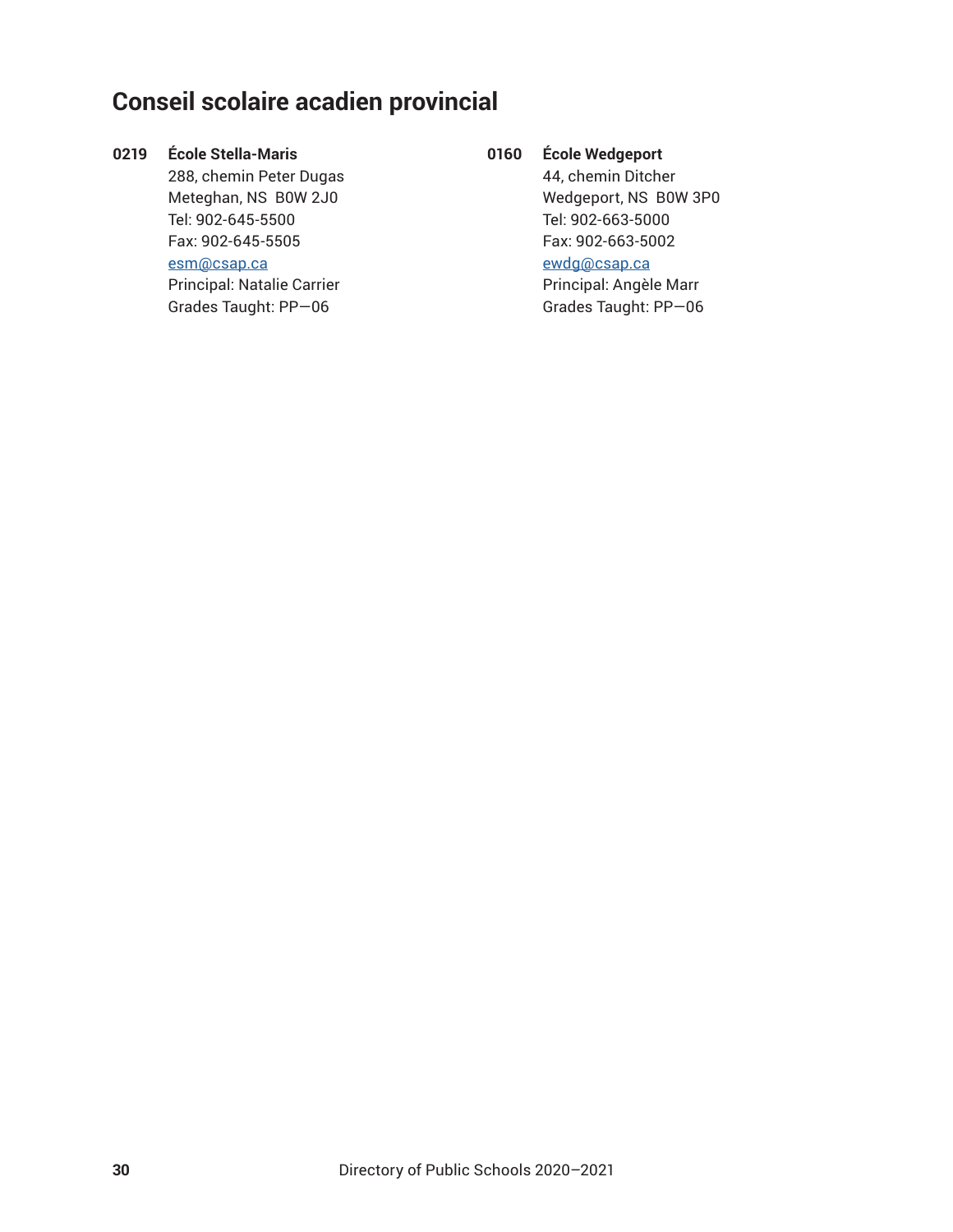#### **0219 École Stella-Maris**

288, chemin Peter Dugas Meteghan, NS B0W 2J0 Tel: 902-645-5500 Fax: 902-645-5505 esm@csap.ca Principal: Natalie Carrier Grades Taught: PP—06

#### **0160 École Wedgeport**

44, chemin Ditcher Wedgeport, NS B0W 3P0 Tel: 902-663-5000 Fax: 902-663-5002 ewdg@csap.ca Principal: Angèle Marr Grades Taught: PP—06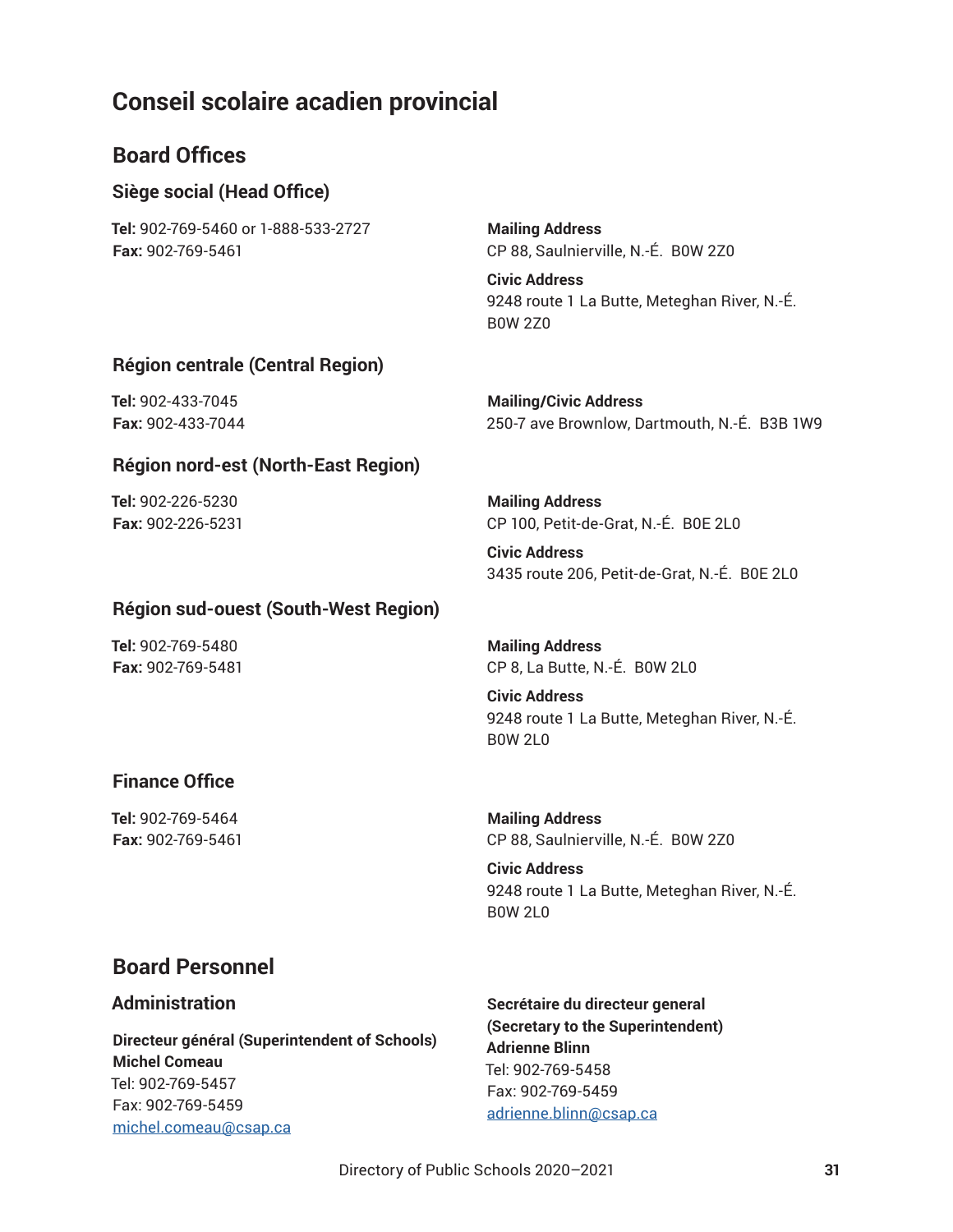## **Board Offices**

## **Siège social (Head Office)**

**Tel:** 902-769-5460 or 1-888-533-2727 **Fax:** 902-769-5461

**Mailing Address** CP 88, Saulnierville, N.-É. B0W 2Z0

**Civic Address** 9248 route 1 La Butte, Meteghan River, N.-É. B0W 2Z0

## **Région centrale (Central Region)**

**Tel:** 902-433-7045 **Fax:** 902-433-7044

## **Région nord-est (North-East Region)**

**Tel:** 902-226-5230 **Fax:** 902-226-5231 **Mailing/Civic Address** 250-7 ave Brownlow, Dartmouth, N.-É. B3B 1W9

**Mailing Address** CP 100, Petit-de-Grat, N.-É. B0E 2L0

**Civic Address** 3435 route 206, Petit-de-Grat, N.-É. B0E 2L0

## **Région sud-ouest (South-West Region)**

**Tel:** 902-769-5480 **Fax:** 902-769-5481

## **Finance Office**

**Tel:** 902-769-5464 **Fax:** 902-769-5461 **Mailing Address** CP 8, La Butte, N.-É. B0W 2L0

**Civic Address** 9248 route 1 La Butte, Meteghan River, N.-É. B0W 2L0

**Mailing Address** CP 88, Saulnierville, N.-É. B0W 2Z0

**Civic Address** 9248 route 1 La Butte, Meteghan River, N.-É. B0W 2L0

## **Board Personnel**

**Administration**

**Directeur général (Superintendent of Schools) Michel Comeau** Tel: 902-769-5457 Fax: 902-769-5459 [michel.comeau@csap.ca](mailto:michel.comeau@csap.ca)

**Secrétaire du directeur general (Secretary to the Superintendent) Adrienne Blinn** Tel: 902-769-5458 Fax: 902-769-5459 [adrienne.blinn@csap.ca](mailto:adrienne.blinn@csap.ca)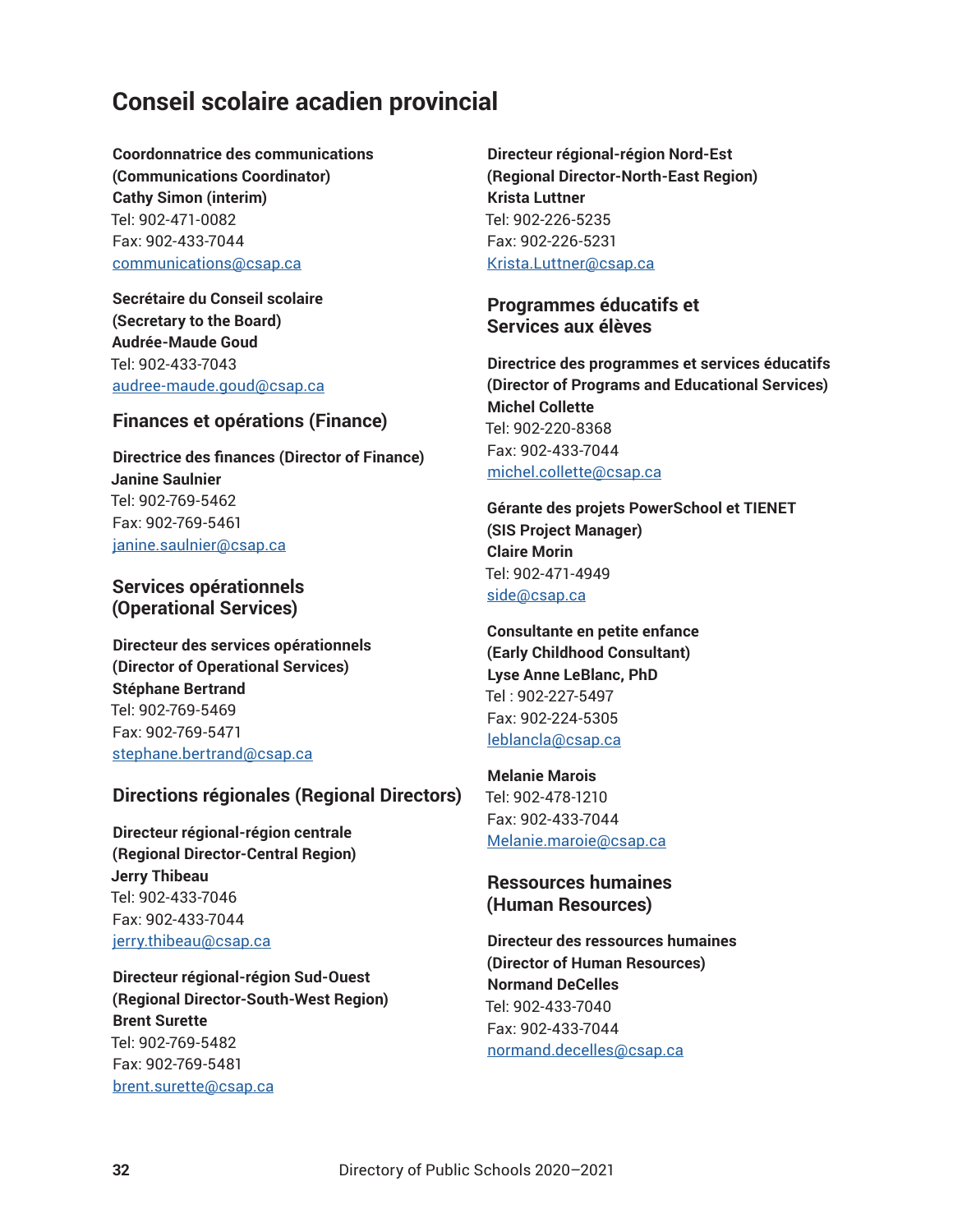**Coordonnatrice des communications (Communications Coordinator) Cathy Simon (interim)** Tel: 902-471-0082 Fax: 902-433-7044 [communications@csap.ca](mailto:communications@csap.ca)

**Secrétaire du Conseil scolaire (Secretary to the Board) Audrée-Maude Goud** Tel: 902-433-7043 [audree-maude.goud@csap.ca](mailto:audree-maude.goud@csap.ca)

## **Finances et opérations (Finance)**

**Directrice des finances (Director of Finance) Janine Saulnier** Tel: 902-769-5462 Fax: 902-769-5461 [janine.saulnier@csap.ca](mailto:janine.saulnier@csap.ca)

## **Services opérationnels (Operational Services)**

**Directeur des services opérationnels (Director of Operational Services) Stéphane Bertrand** Tel: 902-769-5469 Fax: 902-769-5471 [stephane.bertrand@csap.ca](mailto:stephane.bertrand@csap.ca)

## **Directions régionales (Regional Directors)**

**Directeur régional-région centrale (Regional Director-Central Region) Jerry Thibeau** Tel: 902-433-7046 Fax: 902-433-7044 [jerry.thibeau@csap.ca](mailto:jerry.thibeau@csap.ca)

**Directeur régional-région Sud-Ouest (Regional Director-South-West Region) Brent Surette** Tel: 902-769-5482 Fax: 902-769-5481 [brent.surette@csap.ca](mailto:brent.surette@csap.ca)

**Directeur régional-région Nord-Est (Regional Director-North-East Region) Krista Luttner** Tel: 902-226-5235 Fax: 902-226-5231 Krista.Luttner@csap.ca

### **Programmes éducatifs et Services aux élèves**

**Directrice des programmes et services éducatifs (Director of Programs and Educational Services) Michel Collette** Tel: 902-220-8368 Fax: 902-433-7044 michel.collette@csap.ca

**Gérante des projets PowerSchool et TIENET (SIS Project Manager) Claire Morin** Tel: 902-471-4949 [side@csap.ca](mailto:side@csap.ca)

**Consultante en petite enfance (Early Childhood Consultant) Lyse Anne LeBlanc, PhD** Tel : 902-227-5497 Fax: 902-224-5305 [leblancla@csap.ca](mailto:leblancla@csap.ca)

**Melanie Marois** Tel: 902-478-1210 Fax: 902-433-7044 [Melanie.maroie@csap.ca](mailto:Melanie.maroie@csap.ca)

## **Ressources humaines (Human Resources)**

**Directeur des ressources humaines (Director of Human Resources) Normand DeCelles** Tel: 902-433-7040 Fax: 902-433-7044 [normand.decelles@csap.ca](mailto:normand.decelles@csap.ca)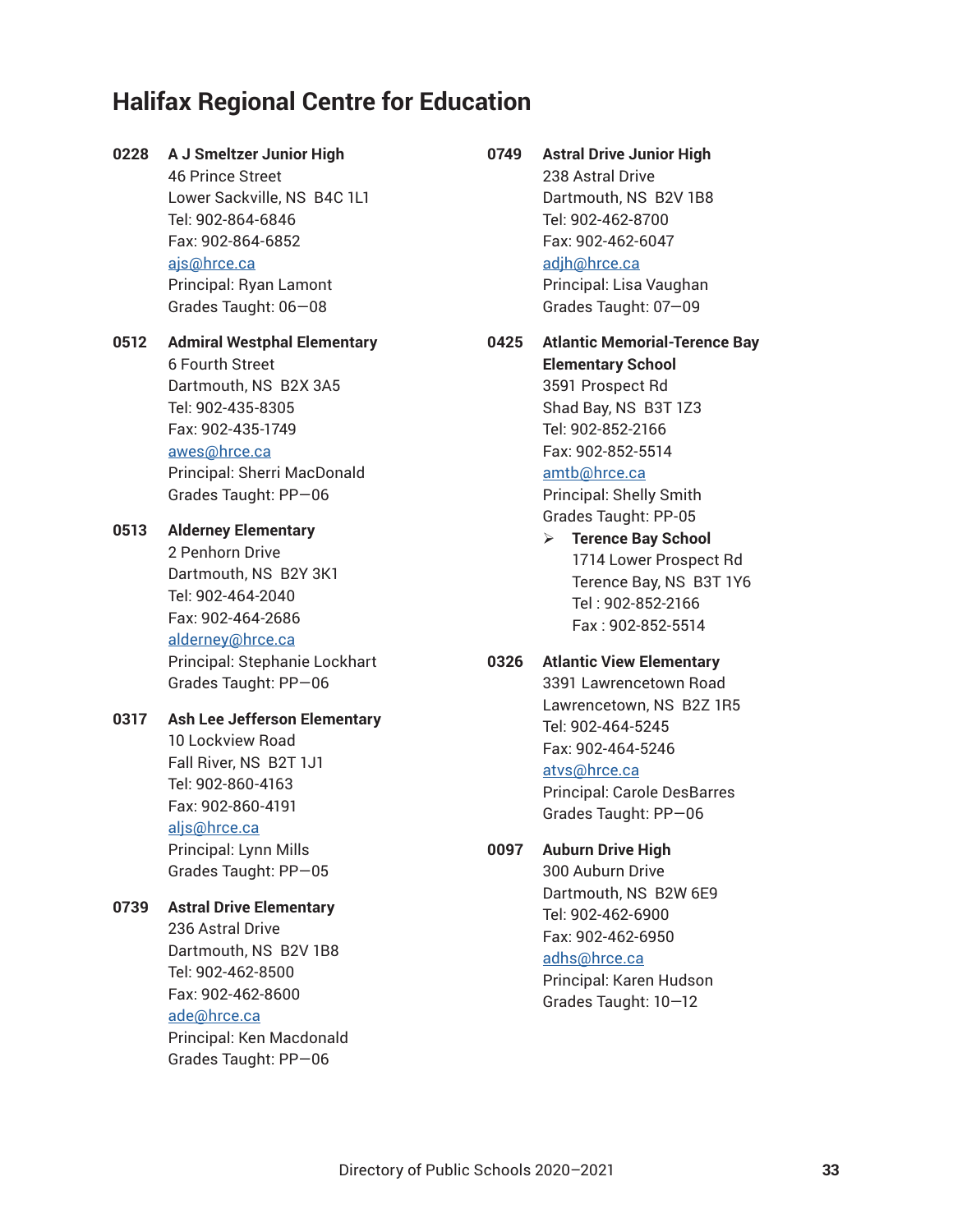#### **0228 A J Smeltzer Junior High**

46 Prince Street Lower Sackville, NS B4C 1L1 Tel: 902-864-6846 Fax: 902-864-6852 ajs@hrce.ca Principal: Ryan Lamont Grades Taught: 06—08

#### **0512 Admiral Westphal Elementary**

6 Fourth Street Dartmouth, NS B2X 3A5 Tel: 902-435-8305 Fax: 902-435-1749 awes@hrce.ca

Principal: Sherri MacDonald Grades Taught: PP—06

## **0513 Alderney Elementary**

2 Penhorn Drive Dartmouth, NS B2Y 3K1 Tel: 902-464-2040 Fax: 902-464-2686 alderney@hrce.ca Principal: Stephanie Lockhart Grades Taught: PP—06

#### **0317 Ash Lee Jefferson Elementary**

10 Lockview Road Fall River, NS B2T 1J1 Tel: 902-860-4163 Fax: 902-860-4191 aljs@hrce.ca Principal: Lynn Mills Grades Taught: PP—05

## **0739 Astral Drive Elementary**

236 Astral Drive Dartmouth, NS B2V 1B8 Tel: 902-462-8500 Fax: 902-462-8600 ade@hrce.ca Principal: Ken Macdonald Grades Taught: PP—06

## **0749 Astral Drive Junior High**

238 Astral Drive Dartmouth, NS B2V 1B8 Tel: 902-462-8700 Fax: 902-462-6047 adjh@hrce.ca Principal: Lisa Vaughan Grades Taught: 07—09

## **0425 Atlantic Memorial-Terence Bay Elementary School**  3591 Prospect Rd Shad Bay, NS B3T 1Z3 Tel: 902-852-2166 Fax: 902-852-5514

## amtb@hrce.ca

Principal: Shelly Smith Grades Taught: PP-05

 **Terence Bay School** 1714 Lower Prospect Rd Terence Bay, NS B3T 1Y6 Tel : 902-852-2166 Fax : 902-852-5514

## **0326 Atlantic View Elementary**

3391 Lawrencetown Road Lawrencetown, NS B2Z 1R5 Tel: 902-464-5245 Fax: 902-464-5246

#### atvs@hrce.ca

Principal: Carole DesBarres Grades Taught: PP—06

## **0097 Auburn Drive High**

300 Auburn Drive Dartmouth, NS B2W 6E9 Tel: 902-462-6900 Fax: 902-462-6950 adhs@hrce.ca Principal: Karen Hudson Grades Taught: 10—12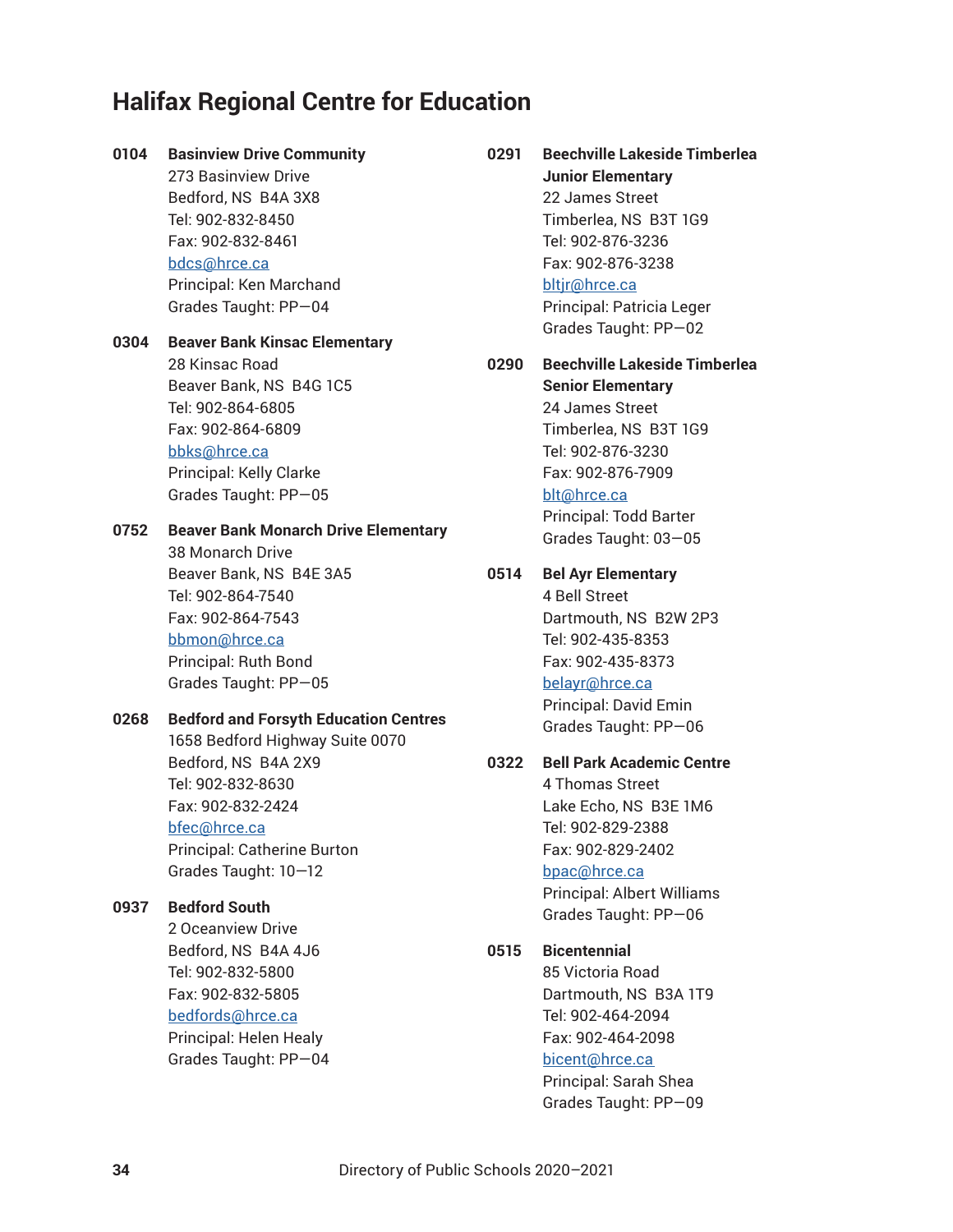#### **0104 Basinview Drive Community**

273 Basinview Drive Bedford, NS B4A 3X8 Tel: 902-832-8450 Fax: 902-832-8461 bdcs@hrce.ca Principal: Ken Marchand Grades Taught: PP—04

#### **0304 Beaver Bank Kinsac Elementary**

28 Kinsac Road Beaver Bank, NS B4G 1C5 Tel: 902-864-6805 Fax: 902-864-6809 bbks@hrce.ca Principal: Kelly Clarke Grades Taught: PP—05

#### **0752 Beaver Bank Monarch Drive Elementary**

38 Monarch Drive Beaver Bank, NS B4E 3A5 Tel: 902-864-7540 Fax: 902-864-7543 bbmon@hrce.ca Principal: Ruth Bond Grades Taught: PP—05

#### **0268 Bedford and Forsyth Education Centres**

1658 Bedford Highway Suite 0070 Bedford, NS B4A 2X9 Tel: 902-832-8630 Fax: 902-832-2424 bfec@hrce.ca Principal: Catherine Burton Grades Taught: 10—12

#### **0937 Bedford South**

2 Oceanview Drive Bedford, NS B4A 4J6 Tel: 902-832-5800 Fax: 902-832-5805 bedfords@hrce.ca Principal: Helen Healy Grades Taught: PP—04

## **0291 Beechville Lakeside Timberlea Junior Elementary** 22 James Street Timberlea, NS B3T 1G9 Tel: 902-876-3236 Fax: 902-876-3238 bltjr@hrce.ca

Principal: Patricia Leger Grades Taught: PP—02

### **0290 Beechville Lakeside Timberlea Senior Elementary** 24 James Street Timberlea, NS B3T 1G9

Tel: 902-876-3230 Fax: 902-876-7909

## blt@hrce.ca

Principal: Todd Barter Grades Taught: 03—05

## **0514 Bel Ayr Elementary**

4 Bell Street Dartmouth, NS B2W 2P3 Tel: 902-435-8353 Fax: 902-435-8373 belayr@hrce.ca Principal: David Emin Grades Taught: PP—06

#### **0322 Bell Park Academic Centre**

4 Thomas Street Lake Echo, NS B3E 1M6 Tel: 902-829-2388 Fax: 902-829-2402

## bpac@hrce.ca

Principal: Albert Williams Grades Taught: PP—06

## **0515 Bicentennial**

85 Victoria Road Dartmouth, NS B3A 1T9 Tel: 902-464-2094 Fax: 902-464-2098

#### bicent@hrce.ca

Principal: Sarah Shea Grades Taught: PP—09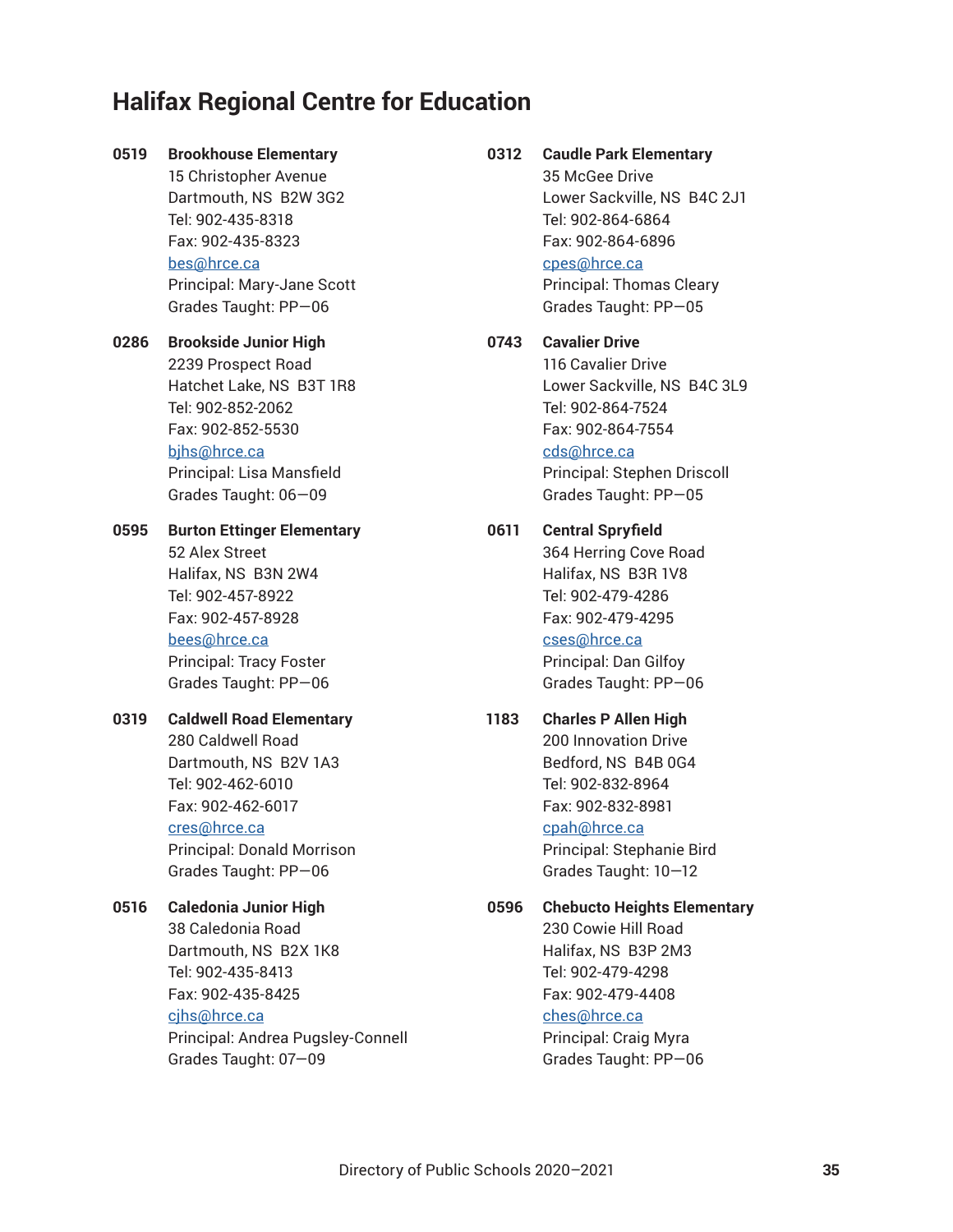## **0519 Brookhouse Elementary** 15 Christopher Avenue Dartmouth, NS B2W 3G2 Tel: 902-435-8318 Fax: 902-435-8323 bes@hrce.ca Principal: Mary-Jane Scott Grades Taught: PP—06 **0286 Brookside Junior High** 2239 Prospect Road Hatchet Lake, NS B3T 1R8 Tel: 902-852-2062 Fax: 902-852-5530 bjhs@hrce.ca Principal: Lisa Mansfield Grades Taught: 06—09 **0595 Burton Ettinger Elementary** 52 Alex Street Halifax, NS B3N 2W4 Tel: 902-457-8922 Fax: 902-457-8928 bees@hrce.ca Principal: Tracy Foster Grades Taught: PP—06 **0319 Caldwell Road Elementary** 280 Caldwell Road Dartmouth, NS B2V 1A3 Tel: 902-462-6010 Fax: 902-462-6017 cres@hrce.ca Principal: Donald Morrison Grades Taught: PP—06 **0516 Caledonia Junior High** 38 Caledonia Road Dartmouth, NS B2X 1K8 Tel: 902-435-8413 Fax: 902-435-8425 cjhs@hrce.ca

Principal: Andrea Pugsley-Connell Grades Taught: 07—09

## **0312 Caudle Park Elementary**

35 McGee Drive Lower Sackville, NS B4C 2J1 Tel: 902-864-6864 Fax: 902-864-6896 cpes@hrce.ca Principal: Thomas Cleary Grades Taught: PP—05

## **0743 Cavalier Drive**

116 Cavalier Drive Lower Sackville, NS B4C 3L9 Tel: 902-864-7524 Fax: 902-864-7554

#### cds@hrce.ca

Principal: Stephen Driscoll Grades Taught: PP—05

## **0611 Central Spryfield**

364 Herring Cove Road Halifax, NS B3R 1V8 Tel: 902-479-4286 Fax: 902-479-4295

cses@hrce.ca Principal: Dan Gilfoy Grades Taught: PP—06

## **1183 Charles P Allen High**

200 Innovation Drive Bedford, NS B4B 0G4 Tel: 902-832-8964 Fax: 902-832-8981 cpah@hrce.ca Principal: Stephanie Bird Grades Taught: 10—12

#### **0596 Chebucto Heights Elementary** 230 Cowie Hill Road Halifax, NS B3P 2M3

Tel: 902-479-4298 Fax: 902-479-4408

## ches@hrce.ca

Principal: Craig Myra Grades Taught: PP—06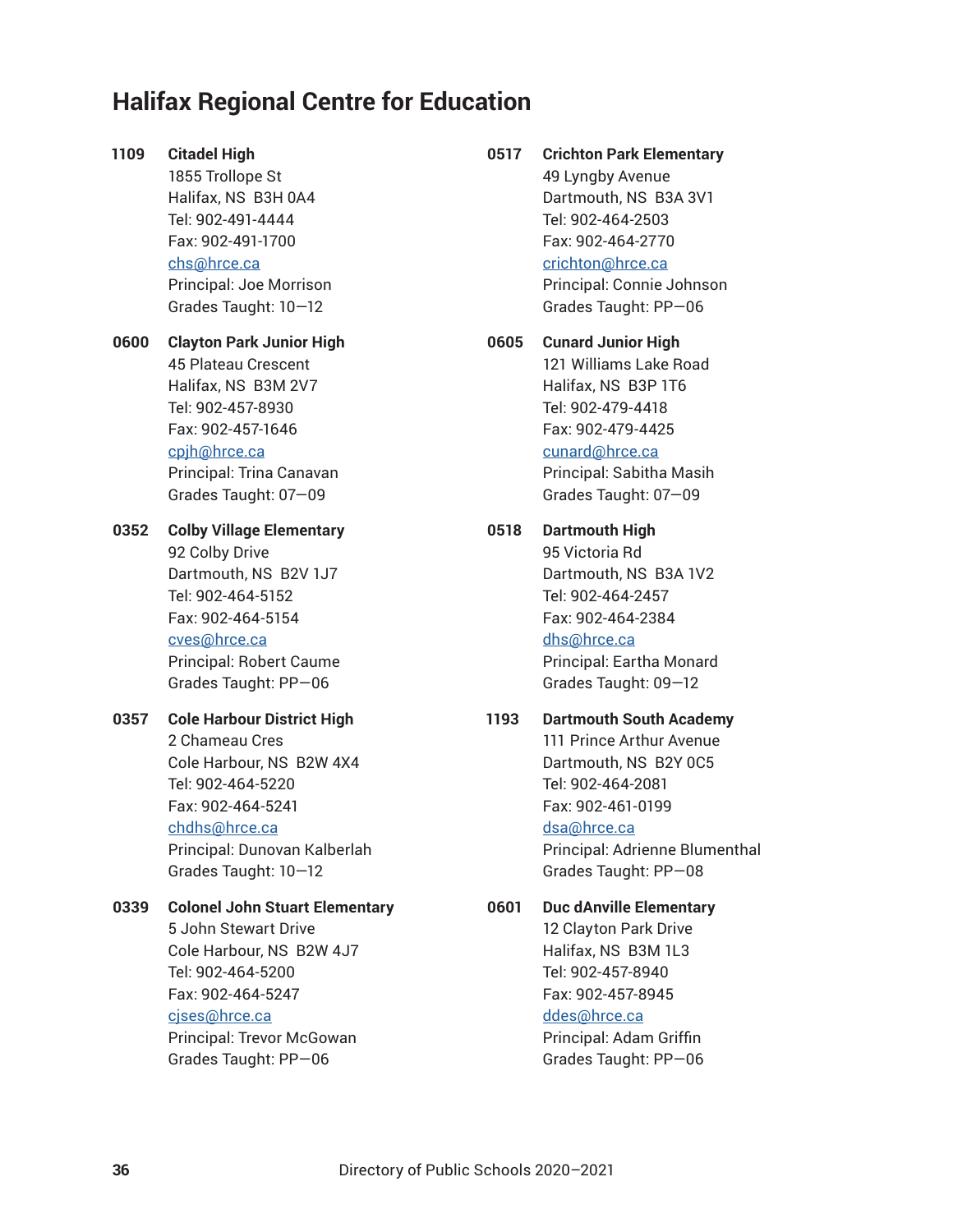**1109 Citadel High** 1855 Trollope St Halifax, NS B3H 0A4 Tel: 902-491-4444 Fax: 902-491-1700 chs@hrce.ca Principal: Joe Morrison Grades Taught: 10—12 **0600 Clayton Park Junior High** 45 Plateau Crescent Halifax, NS B3M 2V7 Tel: 902-457-8930 Fax: 902-457-1646 cpjh@hrce.ca Principal: Trina Canavan Grades Taught: 07—09 **0352 Colby Village Elementary** 92 Colby Drive Dartmouth, NS B2V 1J7 Tel: 902-464-5152 Fax: 902-464-5154 cves@hrce.ca Principal: Robert Caume Grades Taught: PP—06 **0357 Cole Harbour District High** 2 Chameau Cres Cole Harbour, NS B2W 4X4 Tel: 902-464-5220 Fax: 902-464-5241 chdhs@hrce.ca Principal: Dunovan Kalberlah Grades Taught: 10—12 **0339 Colonel John Stuart Elementary** 5 John Stewart Drive Cole Harbour, NS B2W 4J7 Tel: 902-464-5200 Fax: 902-464-5247 cjses@hrce.ca Principal: Trevor McGowan

Grades Taught: PP—06

**0517 Crichton Park Elementary** 49 Lyngby Avenue Dartmouth, NS B3A 3V1 Tel: 902-464-2503 Fax: 902-464-2770 crichton@hrce.ca Principal: Connie Johnson Grades Taught: PP—06 **0605 Cunard Junior High** 121 Williams Lake Road Halifax, NS B3P 1T6 Tel: 902-479-4418 Fax: 902-479-4425 cunard@hrce.ca Principal: Sabitha Masih Grades Taught: 07—09 **0518 Dartmouth High** 95 Victoria Rd Dartmouth, NS B3A 1V2 Tel: 902-464-2457 Fax: 902-464-2384 dhs@hrce.ca Principal: Eartha Monard Grades Taught: 09—12 **1193 Dartmouth South Academy** 111 Prince Arthur Avenue Dartmouth, NS B2Y 0C5 Tel: 902-464-2081 Fax: 902-461-0199 dsa@hrce.ca Principal: Adrienne Blumenthal Grades Taught: PP—08 **0601 Duc dAnville Elementary** 12 Clayton Park Drive Halifax, NS B3M 1L3 Tel: 902-457-8940 Fax: 902-457-8945 ddes@hrce.ca

Principal: Adam Griffin Grades Taught: PP—06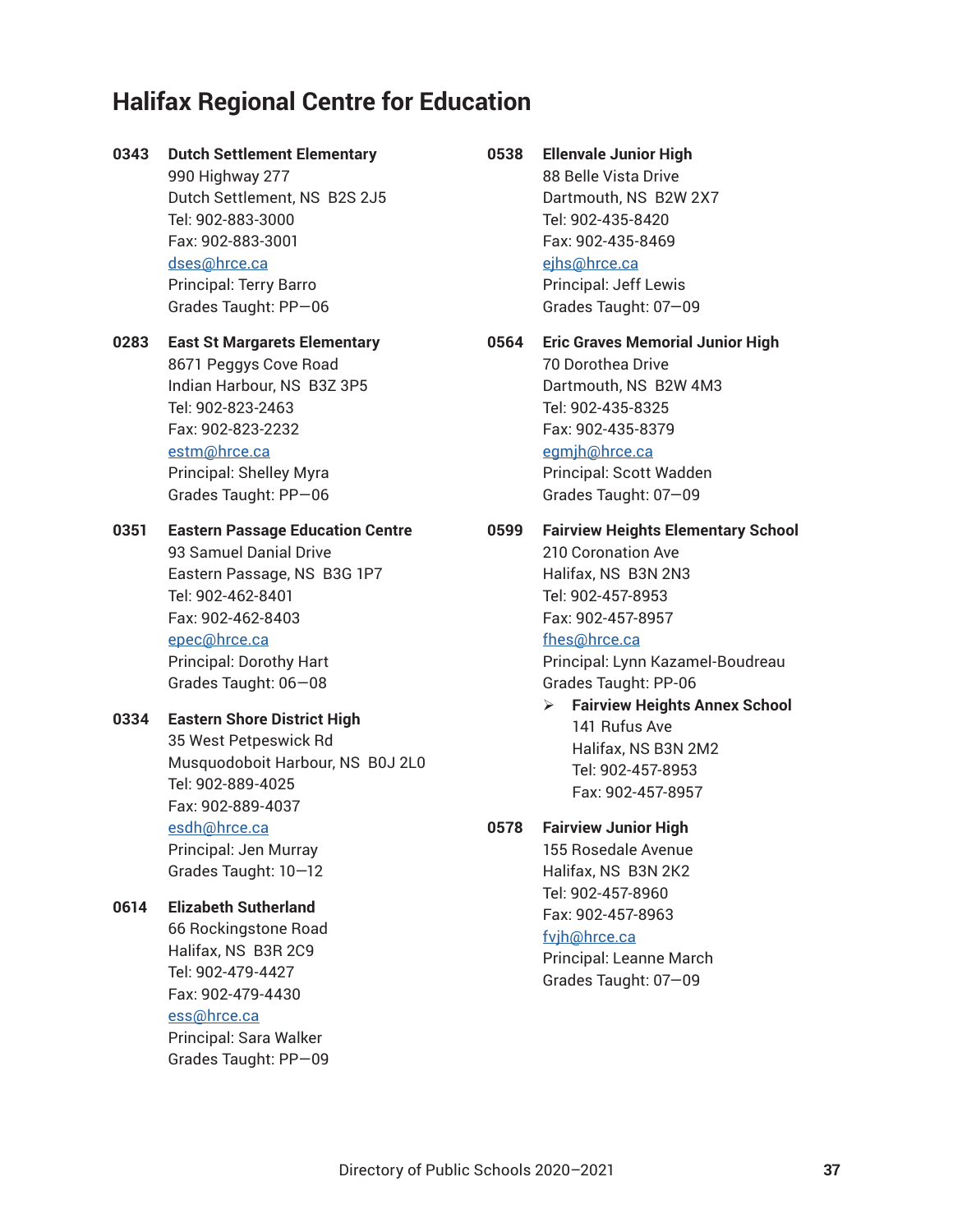#### **0343 Dutch Settlement Elementary**

990 Highway 277 Dutch Settlement, NS B2S 2J5 Tel: 902-883-3000 Fax: 902-883-3001 dses@hrce.ca Principal: Terry Barro Grades Taught: PP—06

#### **0283 East St Margarets Elementary**

8671 Peggys Cove Road Indian Harbour, NS B3Z 3P5 Tel: 902-823-2463 Fax: 902-823-2232

## estm@hrce.ca

Principal: Shelley Myra Grades Taught: PP—06

## **0351 Eastern Passage Education Centre**

93 Samuel Danial Drive Eastern Passage, NS B3G 1P7 Tel: 902-462-8401 Fax: 902-462-8403 epec@hrce.ca

Principal: Dorothy Hart Grades Taught: 06—08

## **0334 Eastern Shore District High**

35 West Petpeswick Rd Musquodoboit Harbour, NS B0J 2L0 Tel: 902-889-4025 Fax: 902-889-4037 esdh@hrce.ca Principal: Jen Murray Grades Taught: 10—12

### **0614 Elizabeth Sutherland**

66 Rockingstone Road Halifax, NS B3R 2C9 Tel: 902-479-4427 Fax: 902-479-4430 ess@hrce.ca Principal: Sara Walker Grades Taught: PP—09

### **0538 Ellenvale Junior High**

88 Belle Vista Drive Dartmouth, NS B2W 2X7 Tel: 902-435-8420 Fax: 902-435-8469 ejhs@hrce.ca Principal: Jeff Lewis Grades Taught: 07—09

#### **0564 Eric Graves Memorial Junior High**

70 Dorothea Drive Dartmouth, NS B2W 4M3 Tel: 902-435-8325 Fax: 902-435-8379

#### egmjh@hrce.ca

Principal: Scott Wadden Grades Taught: 07—09

#### **0599 Fairview Heights Elementary School** 210 Coronation Ave Halifax, NS B3N 2N3 Tel: 902-457-8953

Fax: 902-457-8957

#### fhes@hrce.ca

Principal: Lynn Kazamel-Boudreau Grades Taught: PP-06

## **Fairview Heights Annex School** 141 Rufus Ave Halifax, NS B3N 2M2 Tel: 902-457-8953 Fax: 902-457-8957

#### **0578 Fairview Junior High**

155 Rosedale Avenue Halifax, NS B3N 2K2 Tel: 902-457-8960 Fax: 902-457-8963 fvjh@hrce.ca Principal: Leanne March Grades Taught: 07—09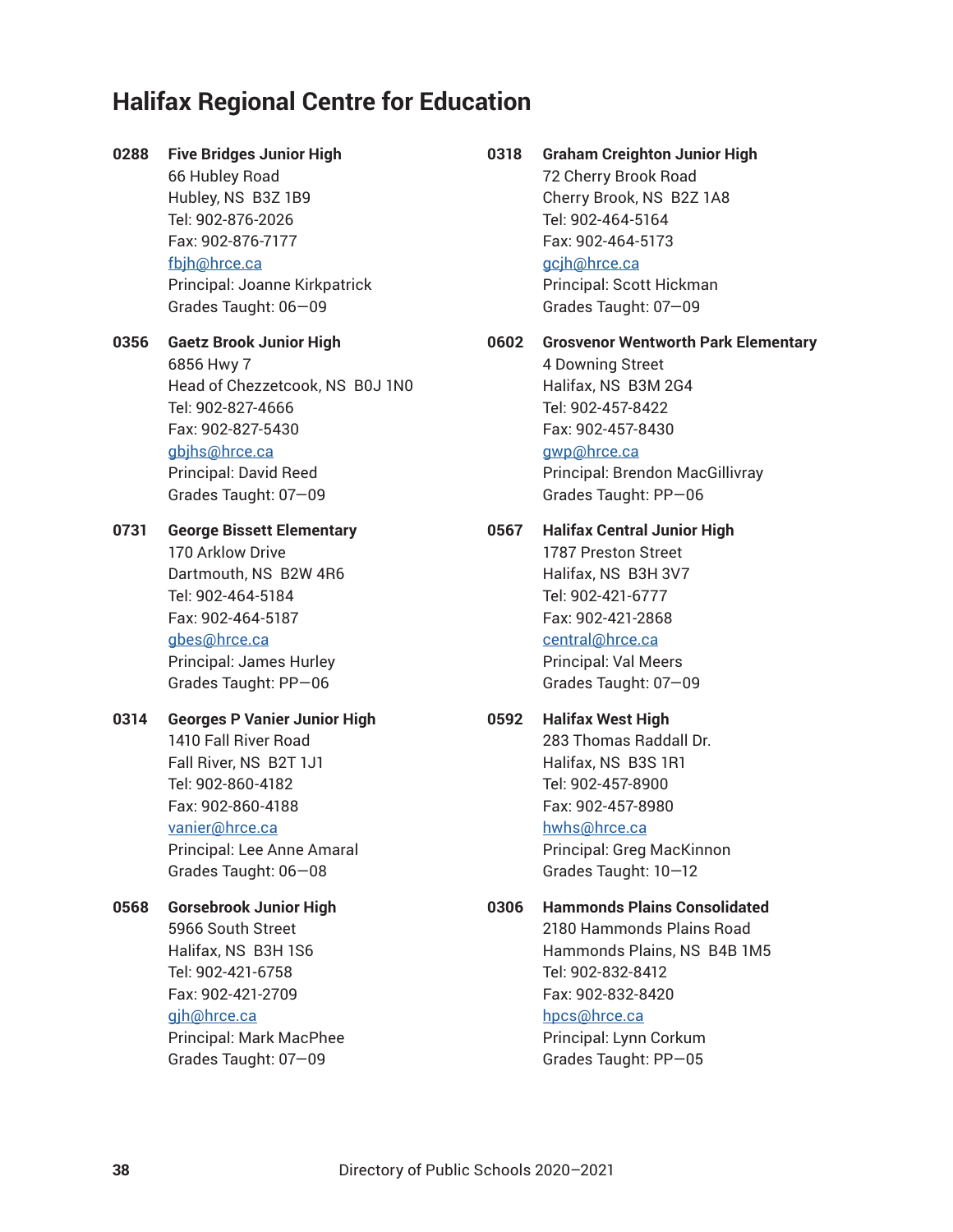### **0288 Five Bridges Junior High**

66 Hubley Road Hubley, NS B3Z 1B9 Tel: 902-876-2026 Fax: 902-876-7177 fbjh@hrce.ca Principal: Joanne Kirkpatrick Grades Taught: 06—09

**0356 Gaetz Brook Junior High**

6856 Hwy 7 Head of Chezzetcook, NS B0J 1N0 Tel: 902-827-4666 Fax: 902-827-5430 gbjhs@hrce.ca Principal: David Reed Grades Taught: 07—09

## **0731 George Bissett Elementary**

170 Arklow Drive Dartmouth, NS B2W 4R6 Tel: 902-464-5184 Fax: 902-464-5187 gbes@hrce.ca

Principal: James Hurley Grades Taught: PP—06

## **0314 Georges P Vanier Junior High**

1410 Fall River Road Fall River, NS B2T 1J1 Tel: 902-860-4182 Fax: 902-860-4188 vanier@hrce.ca Principal: Lee Anne Amaral Grades Taught: 06—08

## **0568 Gorsebrook Junior High**

5966 South Street Halifax, NS B3H 1S6 Tel: 902-421-6758 Fax: 902-421-2709 gjh@hrce.ca Principal: Mark MacPhee Grades Taught: 07—09

## **0318 Graham Creighton Junior High**

72 Cherry Brook Road Cherry Brook, NS B2Z 1A8 Tel: 902-464-5164 Fax: 902-464-5173 gcjh@hrce.ca Principal: Scott Hickman Grades Taught: 07—09

#### **0602 Grosvenor Wentworth Park Elementary**

4 Downing Street Halifax, NS B3M 2G4 Tel: 902-457-8422 Fax: 902-457-8430

#### gwp@hrce.ca

Principal: Brendon MacGillivray Grades Taught: PP—06

#### **0567 Halifax Central Junior High**

1787 Preston Street Halifax, NS B3H 3V7 Tel: 902-421-6777 Fax: 902-421-2868 central@hrce.ca Principal: Val Meers Grades Taught: 07—09

## **0592 Halifax West High**

283 Thomas Raddall Dr. Halifax, NS B3S 1R1 Tel: 902-457-8900 Fax: 902-457-8980 hwhs@hrce.ca Principal: Greg MacKinnon Grades Taught: 10—12

## **0306 Hammonds Plains Consolidated** 2180 Hammonds Plains Road

Hammonds Plains, NS B4B 1M5 Tel: 902-832-8412 Fax: 902-832-8420

## hpcs@hrce.ca

Principal: Lynn Corkum Grades Taught: PP—05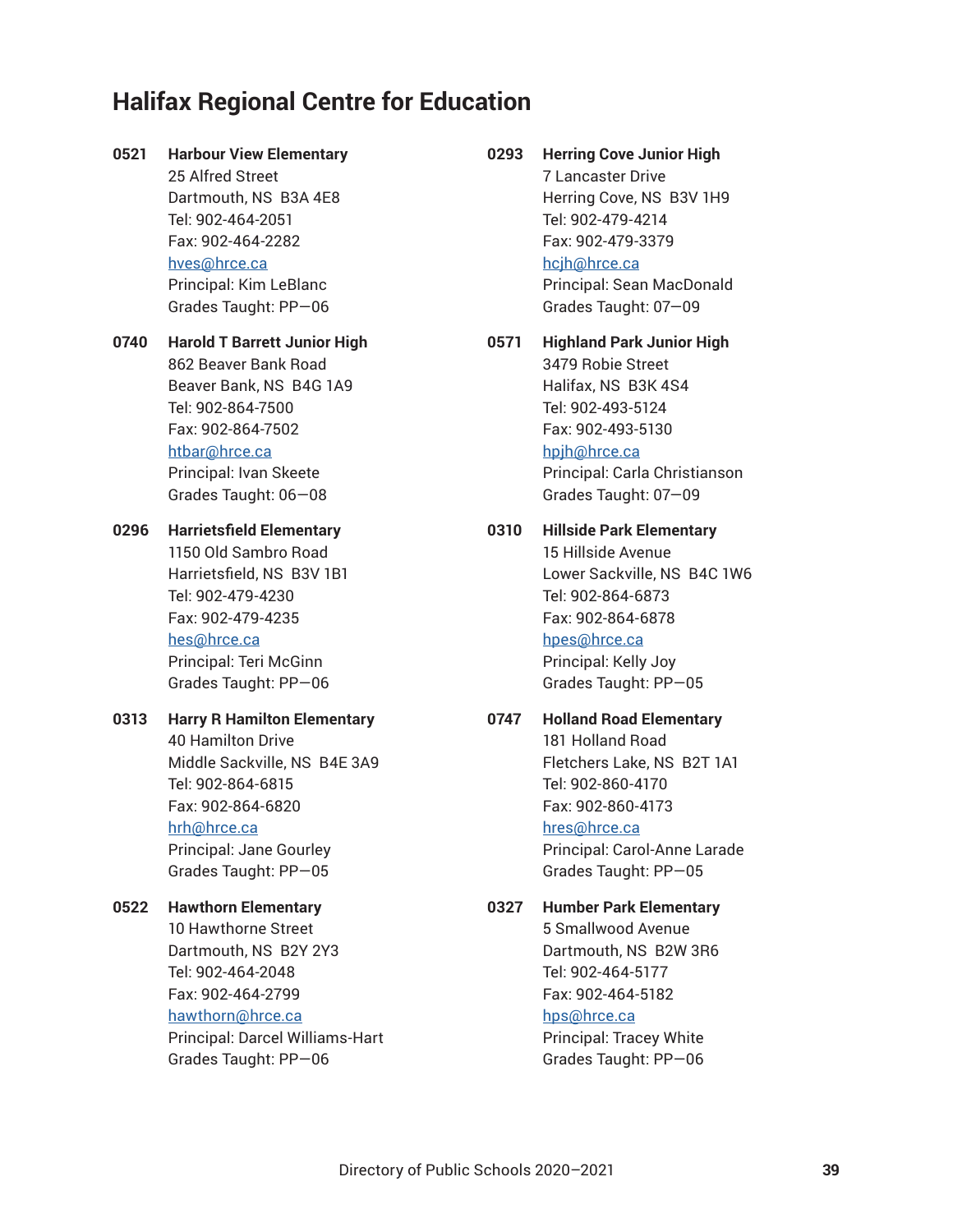#### **0521 Harbour View Elementary**

25 Alfred Street Dartmouth, NS B3A 4E8 Tel: 902-464-2051 Fax: 902-464-2282 hves@hrce.ca Principal: Kim LeBlanc Grades Taught: PP—06

#### **0740 Harold T Barrett Junior High**

862 Beaver Bank Road Beaver Bank, NS B4G 1A9 Tel: 902-864-7500 Fax: 902-864-7502 htbar@hrce.ca Principal: Ivan Skeete Grades Taught: 06—08

### **0296 Harrietsfield Elementary**

1150 Old Sambro Road Harrietsfield, NS B3V 1B1 Tel: 902-479-4230 Fax: 902-479-4235 hes@hrce.ca Principal: Teri McGinn Grades Taught: PP—06

## **0313 Harry R Hamilton Elementary**

40 Hamilton Drive Middle Sackville, NS B4E 3A9 Tel: 902-864-6815 Fax: 902-864-6820 hrh@hrce.ca Principal: Jane Gourley Grades Taught: PP—05

#### **0522 Hawthorn Elementary**

10 Hawthorne Street Dartmouth, NS B2Y 2Y3 Tel: 902-464-2048 Fax: 902-464-2799 hawthorn@hrce.ca Principal: Darcel Williams-Hart Grades Taught: PP—06

## **0293 Herring Cove Junior High**

7 Lancaster Drive Herring Cove, NS B3V 1H9 Tel: 902-479-4214 Fax: 902-479-3379 hcjh@hrce.ca Principal: Sean MacDonald Grades Taught: 07—09

## **0571 Highland Park Junior High** 3479 Robie Street Halifax, NS B3K 4S4

Tel: 902-493-5124 Fax: 902-493-5130

#### hpjh@hrce.ca

Principal: Carla Christianson Grades Taught: 07—09

### **0310 Hillside Park Elementary**

15 Hillside Avenue Lower Sackville, NS B4C 1W6 Tel: 902-864-6873 Fax: 902-864-6878

### hpes@hrce.ca Principal: Kelly Joy Grades Taught: PP—05

#### **0747 Holland Road Elementary**

181 Holland Road Fletchers Lake, NS B2T 1A1 Tel: 902-860-4170 Fax: 902-860-4173 hres@hrce.ca Principal: Carol-Anne Larade Grades Taught: PP—05

#### **0327 Humber Park Elementary**

5 Smallwood Avenue Dartmouth, NS B2W 3R6 Tel: 902-464-5177 Fax: 902-464-5182 hps@hrce.ca

> Principal: Tracey White Grades Taught: PP—06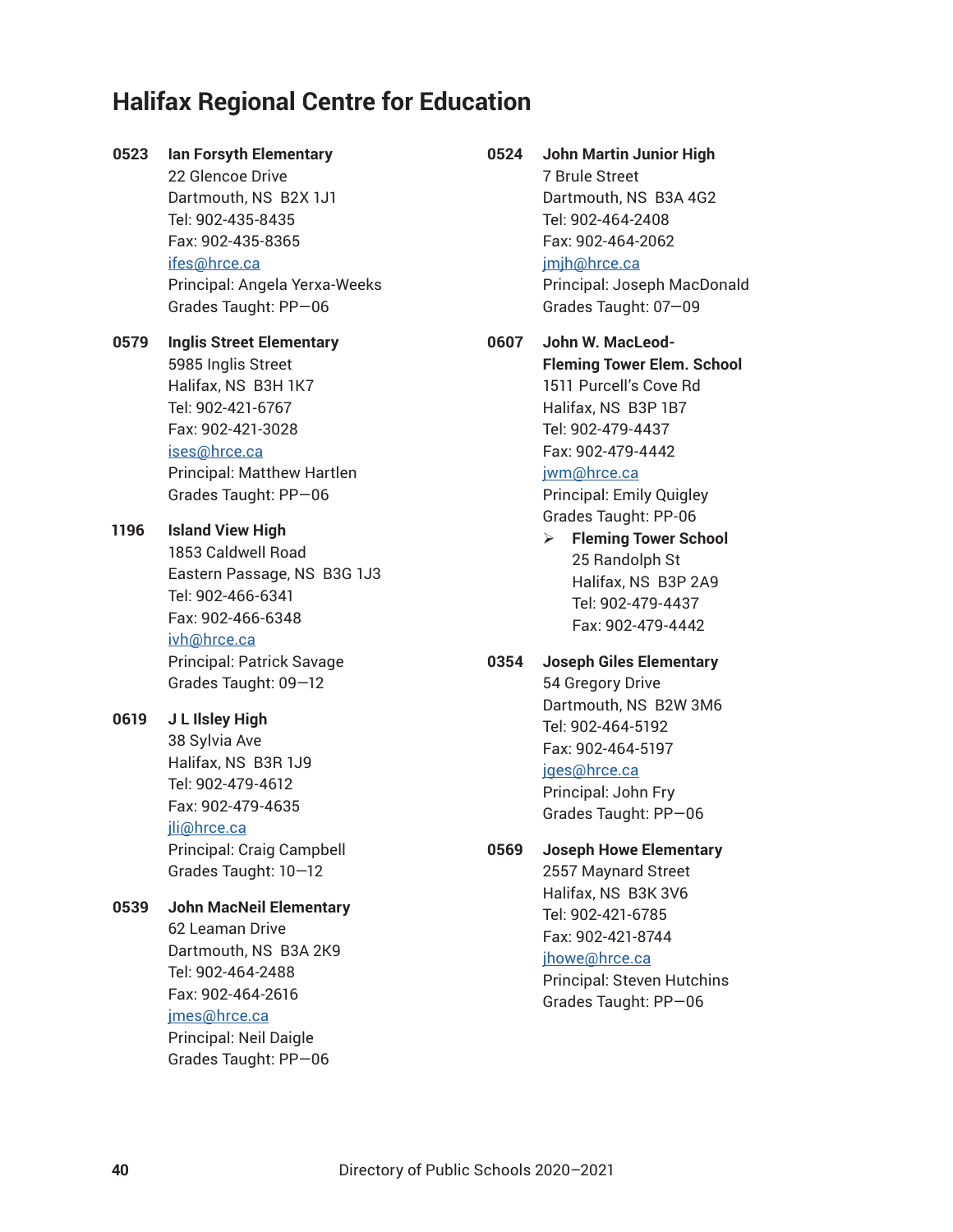#### **0523 Ian Forsyth Elementary**

22 Glencoe Drive Dartmouth, NS B2X 1J1 Tel: 902-435-8435 Fax: 902-435-8365 ifes@hrce.ca Principal: Angela Yerxa-Weeks Grades Taught: PP—06

#### **0579 Inglis Street Elementary**

5985 Inglis Street Halifax, NS B3H 1K7 Tel: 902-421-6767 Fax: 902-421-3028 ises@hrce.ca Principal: Matthew Hartlen Grades Taught: PP—06

#### **1196 Island View High**

1853 Caldwell Road Eastern Passage, NS B3G 1J3 Tel: 902-466-6341 Fax: 902-466-6348 ivh@hrce.ca Principal: Patrick Savage Grades Taught: 09—12

#### **0619 J L Ilsley High**

38 Sylvia Ave Halifax, NS B3R 1J9 Tel: 902-479-4612 Fax: 902-479-4635 jli@hrce.ca Principal: Craig Campbell Grades Taught: 10—12

#### **0539 John MacNeil Elementary** 62 Leaman Drive

Dartmouth, NS B3A 2K9 Tel: 902-464-2488 Fax: 902-464-2616 jmes@hrce.ca Principal: Neil Daigle Grades Taught: PP—06

## **0524 John Martin Junior High** 7 Brule Street

Dartmouth, NS B3A 4G2 Tel: 902-464-2408 Fax: 902-464-2062 jmjh@hrce.ca Principal: Joseph MacDonald Grades Taught: 07—09

## **0607 John W. MacLeod-Fleming Tower Elem. School** 1511 Purcell's Cove Rd Halifax, NS B3P 1B7 Tel: 902-479-4437 Fax: 902-479-4442

## jwm@hrce.ca

Principal: Emily Quigley Grades Taught: PP-06

 **Fleming Tower School** 25 Randolph St Halifax, NS B3P 2A9 Tel: 902-479-4437 Fax: 902-479-4442

## **0354 Joseph Giles Elementary**

54 Gregory Drive Dartmouth, NS B2W 3M6 Tel: 902-464-5192 Fax: 902-464-5197

## jges@hrce.ca

Principal: John Fry Grades Taught: PP—06

## **0569 Joseph Howe Elementary**

2557 Maynard Street Halifax, NS B3K 3V6 Tel: 902-421-6785 Fax: 902-421-8744 jhowe@hrce.ca Principal: Steven Hutchins Grades Taught: PP—06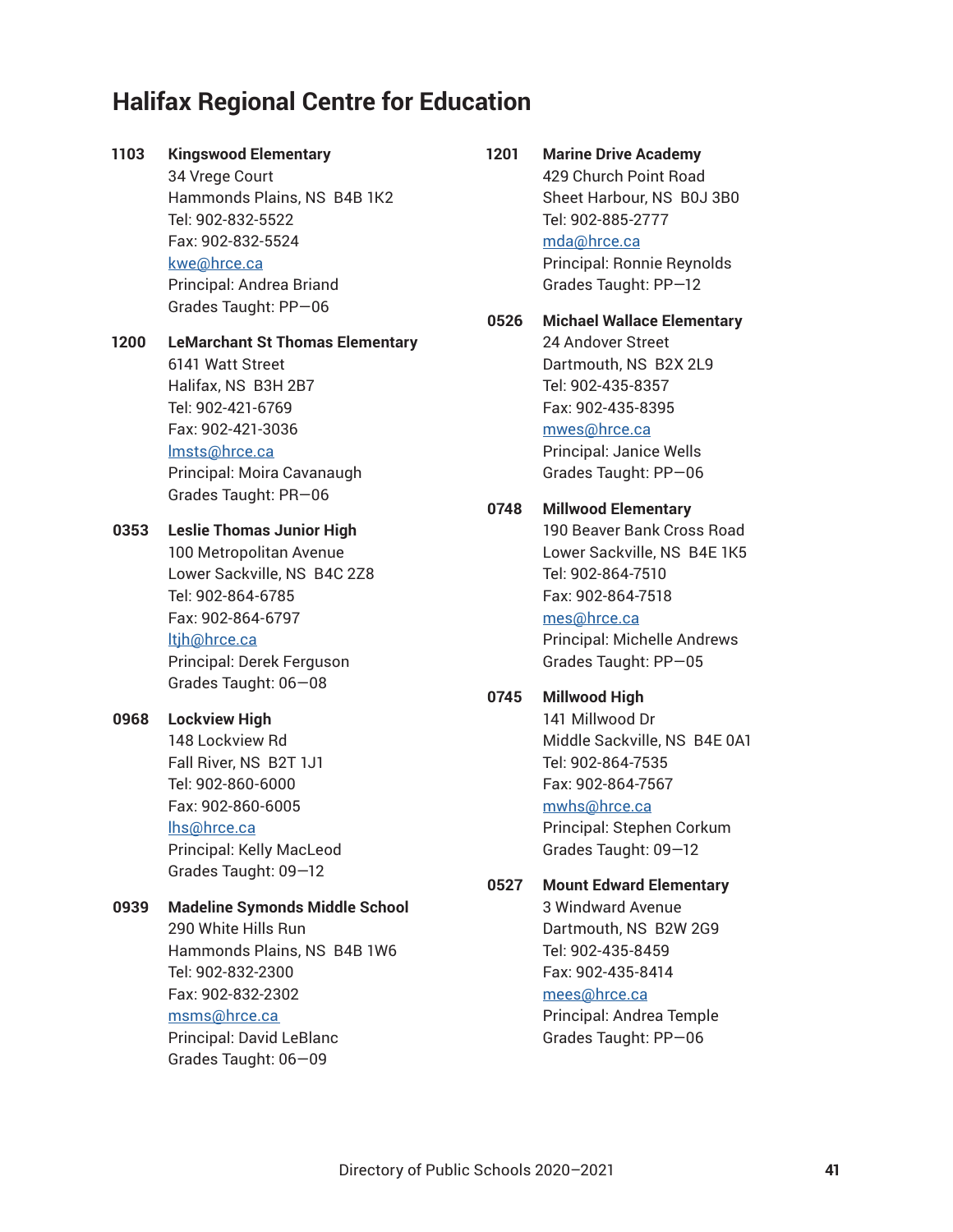#### **1103 Kingswood Elementary**

34 Vrege Court Hammonds Plains, NS B4B 1K2 Tel: 902-832-5522 Fax: 902-832-5524 kwe@hrce.ca Principal: Andrea Briand Grades Taught: PP—06

#### **1200 LeMarchant St Thomas Elementary**

6141 Watt Street Halifax, NS B3H 2B7 Tel: 902-421-6769 Fax: 902-421-3036 lmsts@hrce.ca Principal: Moira Cavanaugh Grades Taught: PR—06

### **0353 Leslie Thomas Junior High**

100 Metropolitan Avenue Lower Sackville, NS B4C 2Z8 Tel: 902-864-6785 Fax: 902-864-6797 ltjh@hrce.ca Principal: Derek Ferguson Grades Taught: 06—08

#### **0968 Lockview High**

148 Lockview Rd Fall River, NS B2T 1J1 Tel: 902-860-6000 Fax: 902-860-6005 lhs@hrce.ca Principal: Kelly MacLeod Grades Taught: 09—12

## **0939 Madeline Symonds Middle School**

290 White Hills Run Hammonds Plains, NS B4B 1W6 Tel: 902-832-2300 Fax: 902-832-2302 msms@hrce.ca Principal: David LeBlanc Grades Taught: 06—09

## **1201 Marine Drive Academy**

429 Church Point Road Sheet Harbour, NS B0J 3B0 Tel: 902-885-2777

#### mda@hrce.ca

Principal: Ronnie Reynolds Grades Taught: PP—12

## **0526 Michael Wallace Elementary**

24 Andover Street Dartmouth, NS B2X 2L9 Tel: 902-435-8357 Fax: 902-435-8395 mwes@hrce.ca

Principal: Janice Wells Grades Taught: PP—06

## **0748 Millwood Elementary**

190 Beaver Bank Cross Road Lower Sackville, NS B4E 1K5 Tel: 902-864-7510 Fax: 902-864-7518 mes@hrce.ca Principal: Michelle Andrews Grades Taught: PP—05

## **0745 Millwood High**

141 Millwood Dr Middle Sackville, NS B4E 0A1 Tel: 902-864-7535 Fax: 902-864-7567

#### mwhs@hrce.ca

Principal: Stephen Corkum Grades Taught: 09—12

#### **0527 Mount Edward Elementary**

3 Windward Avenue Dartmouth, NS B2W 2G9 Tel: 902-435-8459 Fax: 902-435-8414

## mees@hrce.ca

Principal: Andrea Temple Grades Taught: PP—06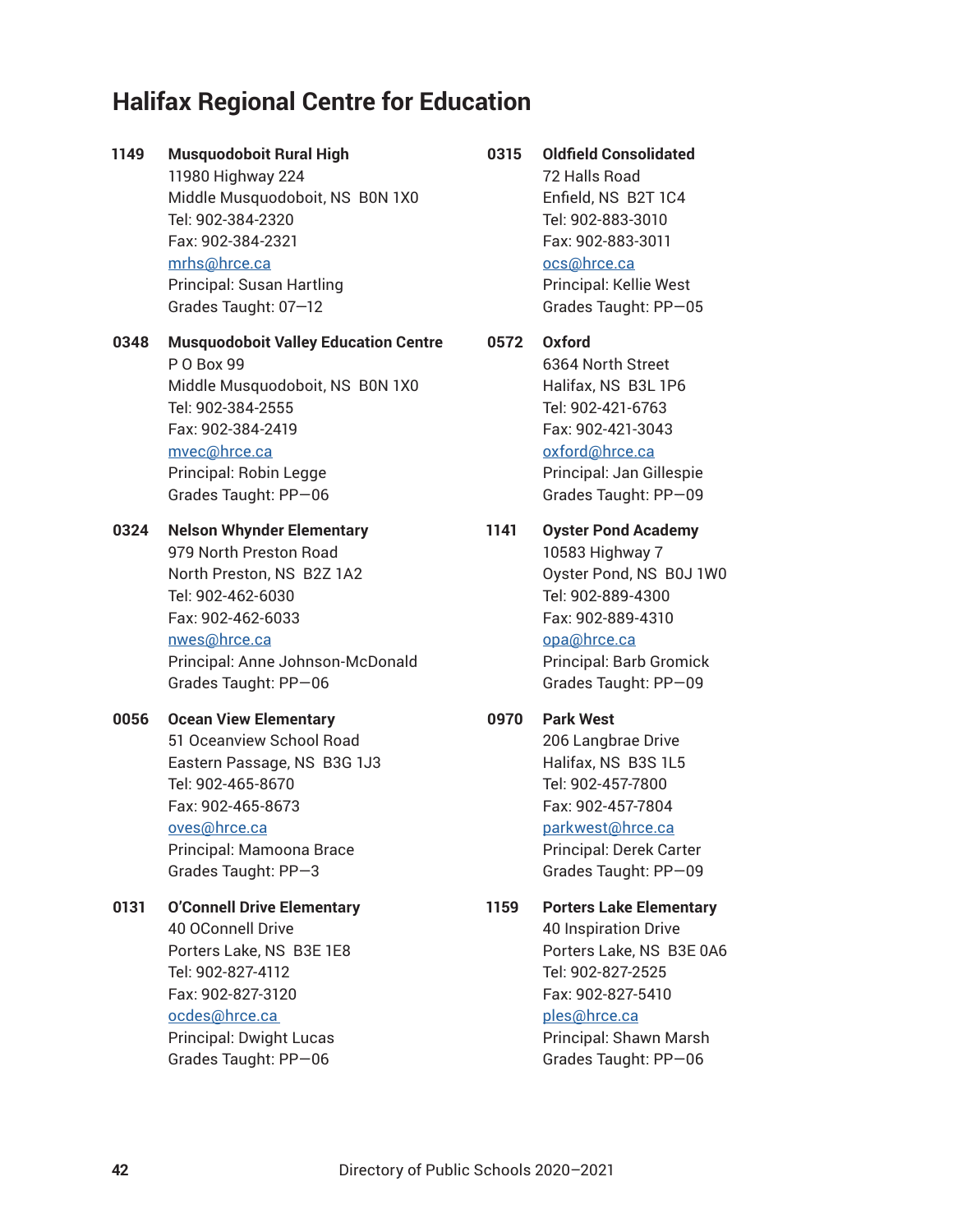#### **1149 Musquodoboit Rural High**

11980 Highway 224 Middle Musquodoboit, NS B0N 1X0 Tel: 902-384-2320 Fax: 902-384-2321 mrhs@hrce.ca Principal: Susan Hartling Grades Taught: 07—12

#### **0348 Musquodoboit Valley Education Centre**

P O Box 99 Middle Musquodoboit, NS B0N 1X0 Tel: 902-384-2555 Fax: 902-384-2419

## mvec@hrce.ca

Principal: Robin Legge Grades Taught: PP—06

## **0324 Nelson Whynder Elementary**

979 North Preston Road North Preston, NS B2Z 1A2 Tel: 902-462-6030 Fax: 902-462-6033 nwes@hrce.ca Principal: Anne Johnson-McDonald Grades Taught: PP—06

#### **0056 Ocean View Elementary**

51 Oceanview School Road Eastern Passage, NS B3G 1J3 Tel: 902-465-8670 Fax: 902-465-8673 oves@hrce.ca Principal: Mamoona Brace Grades Taught: PP—3

## **0131 O'Connell Drive Elementary**

40 OConnell Drive Porters Lake, NS B3E 1E8 Tel: 902-827-4112 Fax: 902-827-3120 ocdes@hrce.ca Principal: Dwight Lucas Grades Taught: PP—06

## **0315 Oldfield Consolidated**

72 Halls Road Enfield, NS B2T 1C4 Tel: 902-883-3010 Fax: 902-883-3011 ocs@hrce.ca Principal: Kellie West Grades Taught: PP—05

## **0572 Oxford**

6364 North Street Halifax, NS B3L 1P6 Tel: 902-421-6763 Fax: 902-421-3043

#### oxford@hrce.ca

Principal: Jan Gillespie Grades Taught: PP—09

## **1141 Oyster Pond Academy**

10583 Highway 7 Oyster Pond, NS B0J 1W0 Tel: 902-889-4300 Fax: 902-889-4310

opa@hrce.ca Principal: Barb Gromick Grades Taught: PP—09

## **0970 Park West**

206 Langbrae Drive Halifax, NS B3S 1L5 Tel: 902-457-7800 Fax: 902-457-7804 parkwest@hrce.ca Principal: Derek Carter Grades Taught: PP—09

### **1159 Porters Lake Elementary**

40 Inspiration Drive Porters Lake, NS B3E 0A6 Tel: 902-827-2525 Fax: 902-827-5410 ples@hrce.ca

Principal: Shawn Marsh Grades Taught: PP—06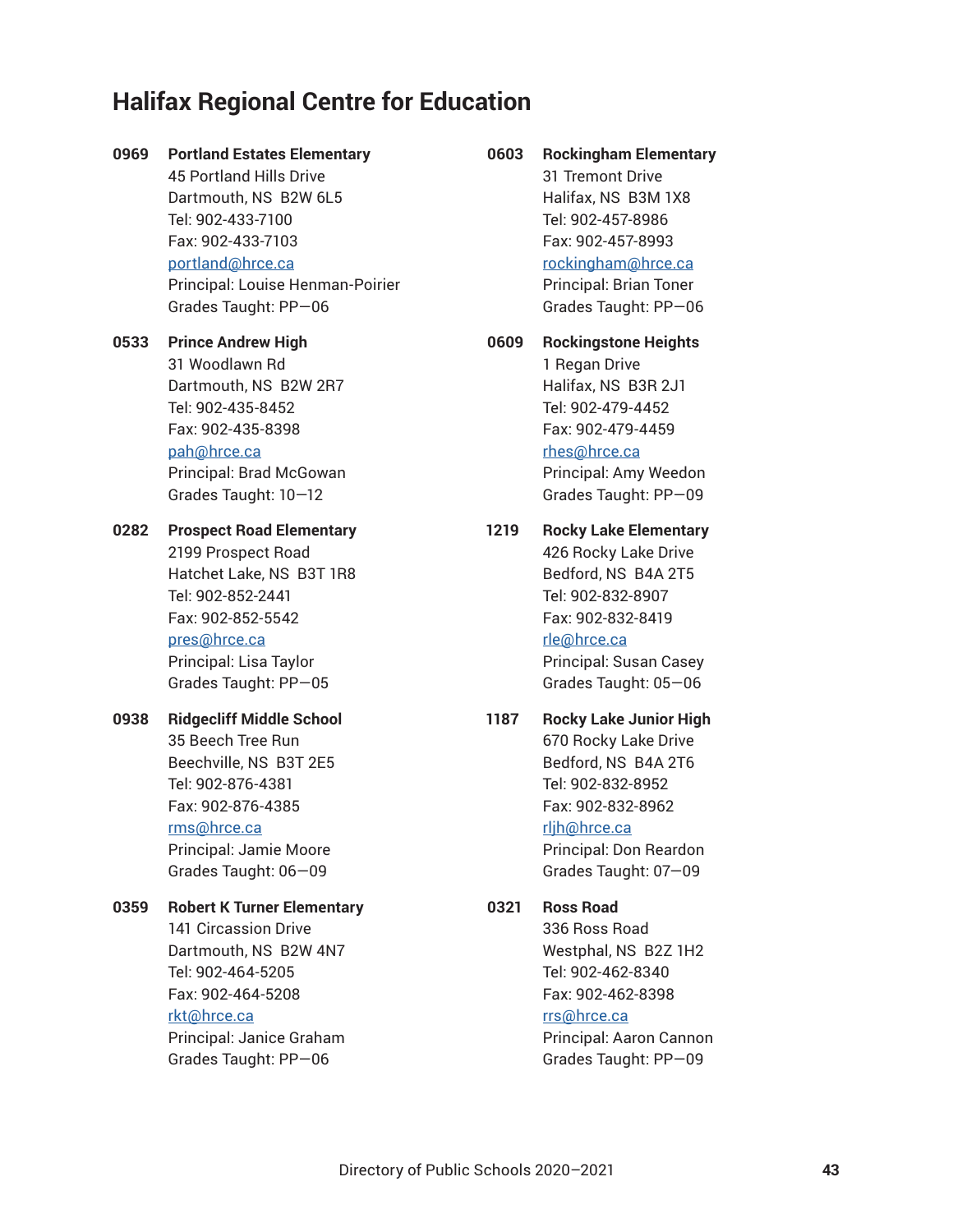#### **0969 Portland Estates Elementary**

45 Portland Hills Drive Dartmouth, NS B2W 6L5 Tel: 902-433-7100 Fax: 902-433-7103 portland@hrce.ca Principal: Louise Henman-Poirier Grades Taught: PP—06

#### **0533 Prince Andrew High**

31 Woodlawn Rd Dartmouth, NS B2W 2R7 Tel: 902-435-8452 Fax: 902-435-8398 pah@hrce.ca

Principal: Brad McGowan Grades Taught: 10—12

## **0282 Prospect Road Elementary**

2199 Prospect Road Hatchet Lake, NS B3T 1R8 Tel: 902-852-2441 Fax: 902-852-5542

## pres@hrce.ca

Principal: Lisa Taylor Grades Taught: PP—05

## **0938 Ridgecliff Middle School**

35 Beech Tree Run Beechville, NS B3T 2E5 Tel: 902-876-4381 Fax: 902-876-4385 rms@hrce.ca Principal: Jamie Moore Grades Taught: 06—09

## **0359 Robert K Turner Elementary**

141 Circassion Drive Dartmouth, NS B2W 4N7 Tel: 902-464-5205 Fax: 902-464-5208 rkt@hrce.ca Principal: Janice Graham Grades Taught: PP—06

## **0603 Rockingham Elementary**

31 Tremont Drive Halifax, NS B3M 1X8 Tel: 902-457-8986 Fax: 902-457-8993 rockingham@hrce.ca Principal: Brian Toner Grades Taught: PP—06

### **0609 Rockingstone Heights**

1 Regan Drive Halifax, NS B3R 2J1 Tel: 902-479-4452 Fax: 902-479-4459

#### rhes@hrce.ca

Principal: Amy Weedon Grades Taught: PP—09

## **1219 Rocky Lake Elementary**

426 Rocky Lake Drive Bedford, NS B4A 2T5 Tel: 902-832-8907 Fax: 902-832-8419 rle@hrce.ca Principal: Susan Casey Grades Taught: 05—06

## **1187 Rocky Lake Junior High** 670 Rocky Lake Drive

Bedford, NS B4A 2T6 Tel: 902-832-8952 Fax: 902-832-8962 rljh@hrce.ca Principal: Don Reardon Grades Taught: 07—09

## **0321 Ross Road**

336 Ross Road Westphal, NS B2Z 1H2 Tel: 902-462-8340 Fax: 902-462-8398 rrs@hrce.ca

Principal: Aaron Cannon Grades Taught: PP—09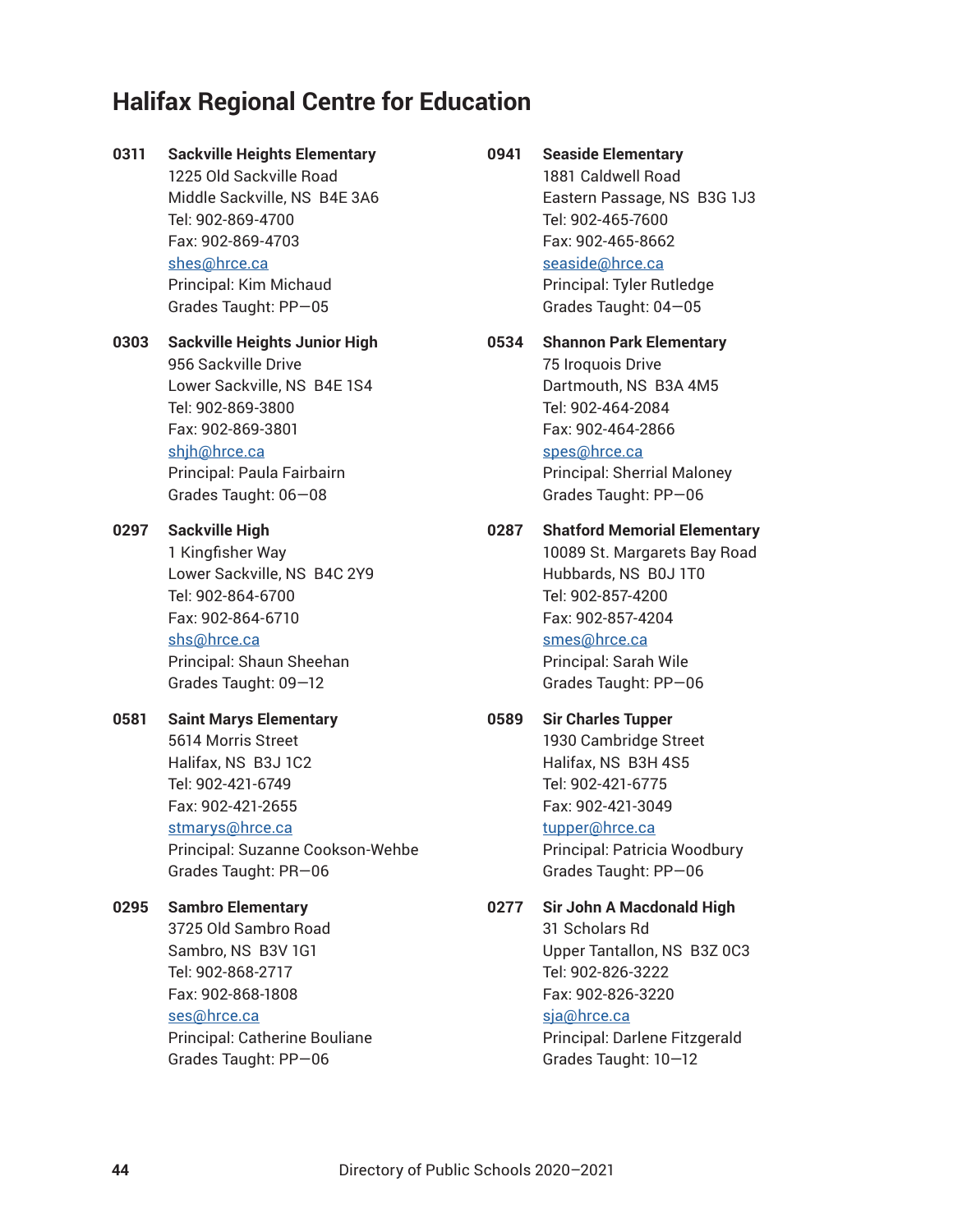#### **0311 Sackville Heights Elementary**

1225 Old Sackville Road Middle Sackville, NS B4E 3A6 Tel: 902-869-4700 Fax: 902-869-4703 shes@hrce.ca Principal: Kim Michaud Grades Taught: PP—05

#### **0303 Sackville Heights Junior High**

956 Sackville Drive Lower Sackville, NS B4E 1S4 Tel: 902-869-3800 Fax: 902-869-3801 shjh@hrce.ca Principal: Paula Fairbairn

Grades Taught: 06—08

### **0297 Sackville High**

1 Kingfisher Way Lower Sackville, NS B4C 2Y9 Tel: 902-864-6700 Fax: 902-864-6710 shs@hrce.ca Principal: Shaun Sheehan Grades Taught: 09—12

#### **0581 Saint Marys Elementary**

5614 Morris Street Halifax, NS B3J 1C2 Tel: 902-421-6749 Fax: 902-421-2655 stmarys@hrce.ca Principal: Suzanne Cookson-Wehbe Grades Taught: PR—06

#### **0295 Sambro Elementary**

3725 Old Sambro Road Sambro, NS B3V 1G1 Tel: 902-868-2717 Fax: 902-868-1808 ses@hrce.ca Principal: Catherine Bouliane Grades Taught: PP—06

### **0941 Seaside Elementary**

1881 Caldwell Road Eastern Passage, NS B3G 1J3 Tel: 902-465-7600 Fax: 902-465-8662 seaside@hrce.ca Principal: Tyler Rutledge Grades Taught: 04—05

### **0534 Shannon Park Elementary**

75 Iroquois Drive Dartmouth, NS B3A 4M5 Tel: 902-464-2084 Fax: 902-464-2866

#### spes@hrce.ca

Principal: Sherrial Maloney Grades Taught: PP—06

## **0287 Shatford Memorial Elementary**

10089 St. Margarets Bay Road Hubbards, NS B0J 1T0 Tel: 902-857-4200 Fax: 902-857-4204

smes@hrce.ca Principal: Sarah Wile Grades Taught: PP—06

## **0589 Sir Charles Tupper**

1930 Cambridge Street Halifax, NS B3H 4S5 Tel: 902-421-6775 Fax: 902-421-3049 tupper@hrce.ca

Principal: Patricia Woodbury Grades Taught: PP—06

### **0277 Sir John A Macdonald High**

31 Scholars Rd Upper Tantallon, NS B3Z 0C3 Tel: 902-826-3222 Fax: 902-826-3220

#### sja@hrce.ca

Principal: Darlene Fitzgerald Grades Taught: 10—12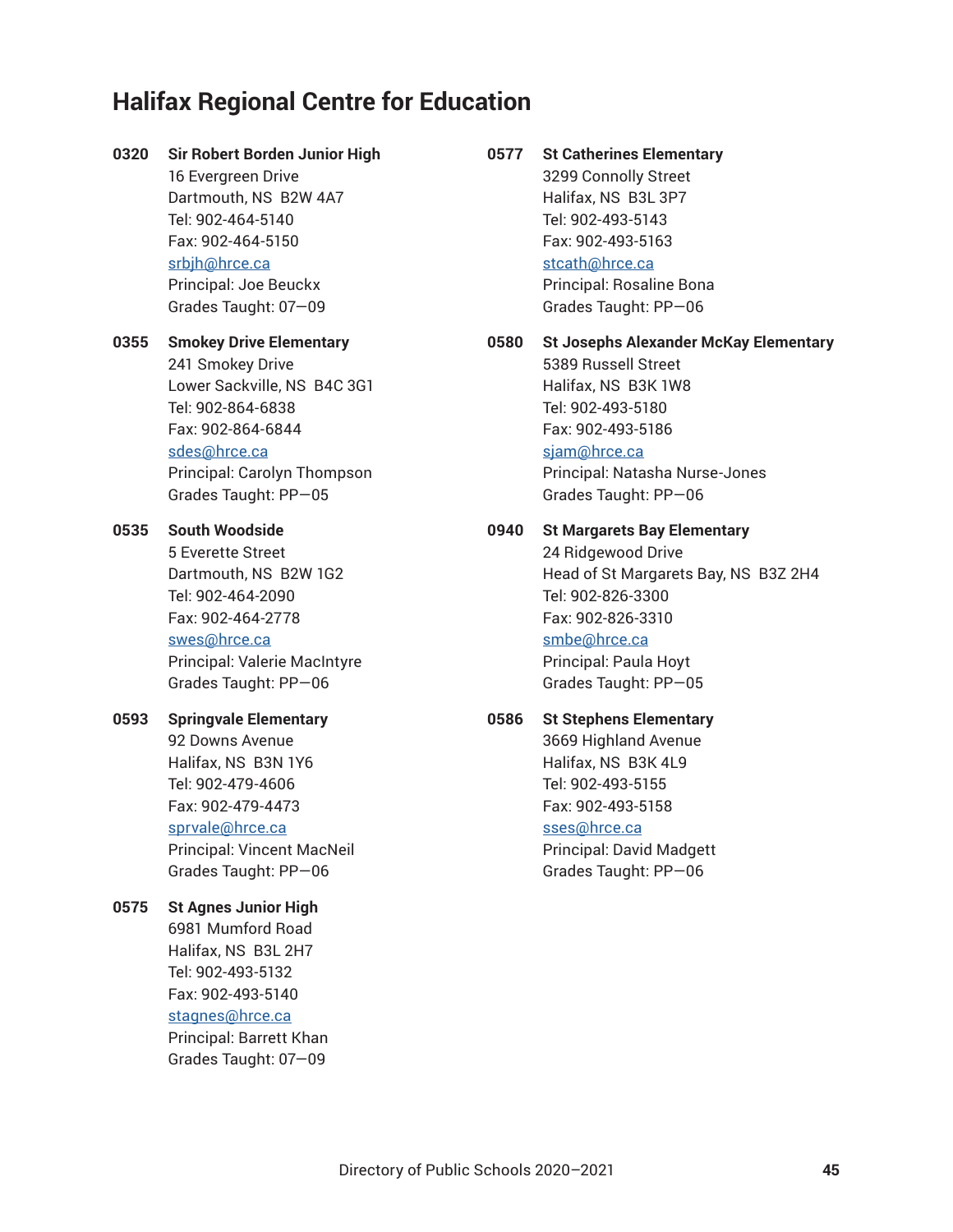#### **0320 Sir Robert Borden Junior High**

16 Evergreen Drive Dartmouth, NS B2W 4A7 Tel: 902-464-5140 Fax: 902-464-5150 srbjh@hrce.ca Principal: Joe Beuckx Grades Taught: 07—09

#### **0355 Smokey Drive Elementary**

241 Smokey Drive Lower Sackville, NS B4C 3G1 Tel: 902-864-6838 Fax: 902-864-6844 sdes@hrce.ca Principal: Carolyn Thompson Grades Taught: PP—05

#### **0535 South Woodside**

5 Everette Street Dartmouth, NS B2W 1G2 Tel: 902-464-2090 Fax: 902-464-2778

### swes@hrce.ca

Principal: Valerie MacIntyre Grades Taught: PP—06

## **0593 Springvale Elementary**

92 Downs Avenue Halifax, NS B3N 1Y6 Tel: 902-479-4606 Fax: 902-479-4473 sprvale@hrce.ca Principal: Vincent MacNeil Grades Taught: PP—06

## **0575 St Agnes Junior High**

6981 Mumford Road Halifax, NS B3L 2H7 Tel: 902-493-5132 Fax: 902-493-5140 stagnes@hrce.ca Principal: Barrett Khan Grades Taught: 07—09

## **0577 St Catherines Elementary**

3299 Connolly Street Halifax, NS B3L 3P7 Tel: 902-493-5143 Fax: 902-493-5163 stcath@hrce.ca Principal: Rosaline Bona Grades Taught: PP—06

## **0580 St Josephs Alexander McKay Elementary**

5389 Russell Street Halifax, NS B3K 1W8 Tel: 902-493-5180 Fax: 902-493-5186

## sjam@hrce.ca

Principal: Natasha Nurse-Jones Grades Taught: PP—06

## **0940 St Margarets Bay Elementary**

24 Ridgewood Drive Head of St Margarets Bay, NS B3Z 2H4 Tel: 902-826-3300 Fax: 902-826-3310

## smbe@hrce.ca Principal: Paula Hoyt Grades Taught: PP—05

## **0586 St Stephens Elementary**

3669 Highland Avenue Halifax, NS B3K 4L9 Tel: 902-493-5155 Fax: 902-493-5158 sses@hrce.ca Principal: David Madgett Grades Taught: PP—06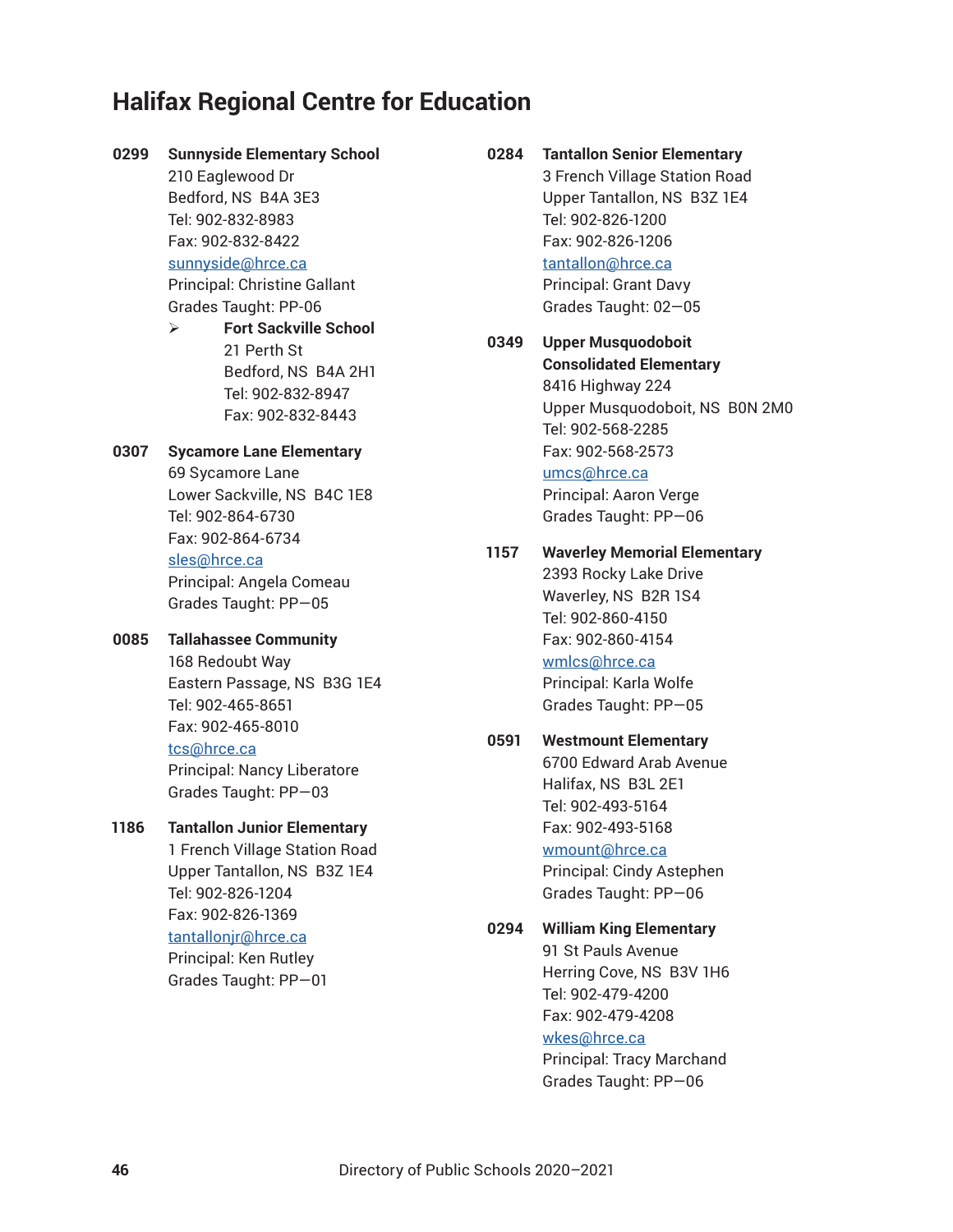#### **0299 Sunnyside Elementary School**

210 Eaglewood Dr Bedford, NS B4A 3E3 Tel: 902-832-8983 Fax: 902-832-8422 sunnyside@hrce.ca Principal: Christine Gallant Grades Taught: PP-06 **Fort Sackville School** 21 Perth St Bedford, NS B4A 2H1

# Tel: 902-832-8947 Fax: 902-832-8443

### **0307 Sycamore Lane Elementary** 69 Sycamore Lane Lower Sackville, NS B4C 1E8 Tel: 902-864-6730 Fax: 902-864-6734 sles@hrce.ca Principal: Angela Comeau Grades Taught: PP—05

#### **0085 Tallahassee Community**

168 Redoubt Way Eastern Passage, NS B3G 1E4 Tel: 902-465-8651 Fax: 902-465-8010 tcs@hrce.ca Principal: Nancy Liberatore Grades Taught: PP—03

#### **1186 Tantallon Junior Elementary**

1 French Village Station Road Upper Tantallon, NS B3Z 1E4 Tel: 902-826-1204 Fax: 902-826-1369 [tantallonjr@hrce.ca](mailto:tantallonjr%40hrce.ca?subject=) Principal: Ken Rutley Grades Taught: PP—01

## **0284 Tantallon Senior Elementary** 3 French Village Station Road Upper Tantallon, NS B3Z 1E4 Tel: 902-826-1200 Fax: 902-826-1206 tantallon@hrce.ca Principal: Grant Davy Grades Taught: 02—05

## **0349 Upper Musquodoboit Consolidated Elementary** 8416 Highway 224 Upper Musquodoboit, NS B0N 2M0 Tel: 902-568-2285 Fax: 902-568-2573 umcs@hrce.ca Principal: Aaron Verge Grades Taught: PP—06

#### **1157 Waverley Memorial Elementary**

2393 Rocky Lake Drive Waverley, NS B2R 1S4 Tel: 902-860-4150 Fax: 902-860-4154 wmlcs@hrce.ca Principal: Karla Wolfe Grades Taught: PP—05

#### **0591 Westmount Elementary**

6700 Edward Arab Avenue Halifax, NS B3L 2E1 Tel: 902-493-5164 Fax: 902-493-5168

#### wmount@hrce.ca

Principal: Cindy Astephen Grades Taught: PP—06

#### **0294 William King Elementary**

91 St Pauls Avenue Herring Cove, NS B3V 1H6 Tel: 902-479-4200 Fax: 902-479-4208 wkes@hrce.ca Principal: Tracy Marchand Grades Taught: PP—06

**46** Directory of Public Schools 2020–2021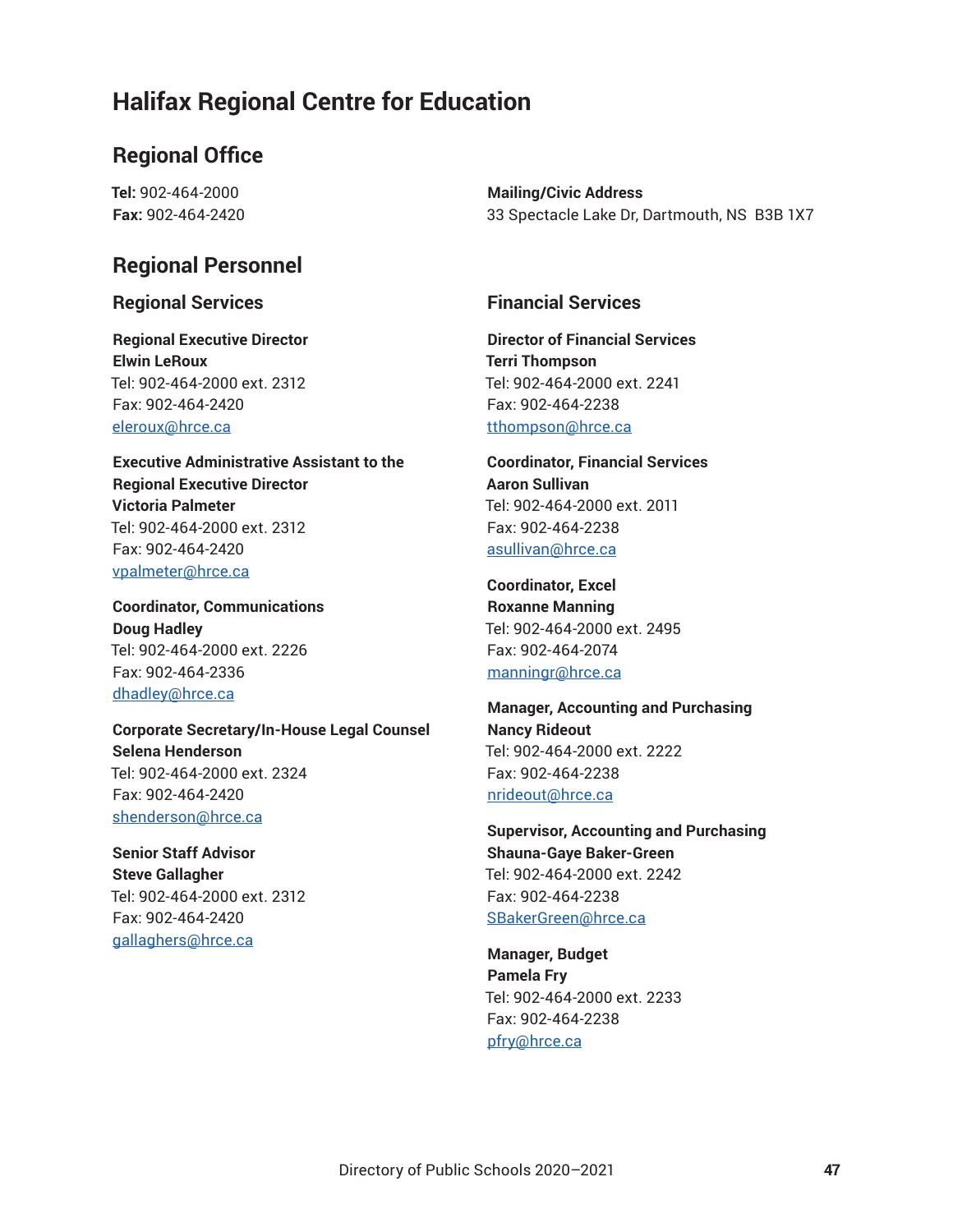## **Regional Office**

**Tel:** 902-464-2000 **Fax:** 902-464-2420

## **Regional Personnel**

#### **Regional Services**

**Regional Executive Director Elwin LeRoux** Tel: 902-464-2000 ext. 2312 Fax: 902-464-2420 [eleroux@hrce.ca](mailto:eleroux@hrce.ca)

**Executive Administrative Assistant to the Regional Executive Director Victoria Palmeter** Tel: 902-464-2000 ext. 2312 Fax: 902-464-2420 [vpalmeter@hrce.ca](mailto:vpalmeter@hrce.ca)

**Coordinator, Communications Doug Hadley** Tel: 902-464-2000 ext. 2226 Fax: 902-464-2336 [dhadley@hrce.ca](mailto:dhadley@hrce.ca)

**Corporate Secretary/In-House Legal Counsel Selena Henderson** Tel: 902-464-2000 ext. 2324 Fax: 902-464-2420 [shenderson@hrce.ca](mailto:shenderson@hrce.ca)

**Senior Staff Advisor Steve Gallagher** Tel: 902-464-2000 ext. 2312 Fax: 902-464-2420 [gallaghers@hrce.ca](mailto:gallaghers%40hrce.ca?subject=)

**Mailing/Civic Address** 33 Spectacle Lake Dr, Dartmouth, NS B3B 1X7

## **Financial Services**

**Director of Financial Services Terri Thompson** Tel: 902-464-2000 ext. 2241 Fax: 902-464-2238 [tthompson@hrce.ca](mailto:tthompson@hrce.ca)

**Coordinator, Financial Services Aaron Sullivan** Tel: 902-464-2000 ext. 2011 Fax: 902-464-2238 [asullivan@hrce.ca](mailto:asullivan@hrce.ca)

**Coordinator, Excel Roxanne Manning** Tel: 902-464-2000 ext. 2495 Fax: 902-464-2074 [manningr@hrce.ca](mailto:manningr%40hrce.ca?subject=)

**Manager, Accounting and Purchasing Nancy Rideout** Tel: 902-464-2000 ext. 2222 Fax: 902-464-2238 [nrideout@hrce.ca](mailto:nrideout%40hrce.ca?subject=)

**Supervisor, Accounting and Purchasing Shauna-Gaye Baker-Green** Tel: 902-464-2000 ext. 2242 Fax: 902-464-2238 [SBakerGreen@hrce.ca](mailto:SBakerGreen%40hrce.ca?subject=)

**Manager, Budget Pamela Fry** Tel: 902-464-2000 ext. 2233 Fax: 902-464-2238 [pfry@hrce.ca](mailto:pfry%40hrce.ca?subject=)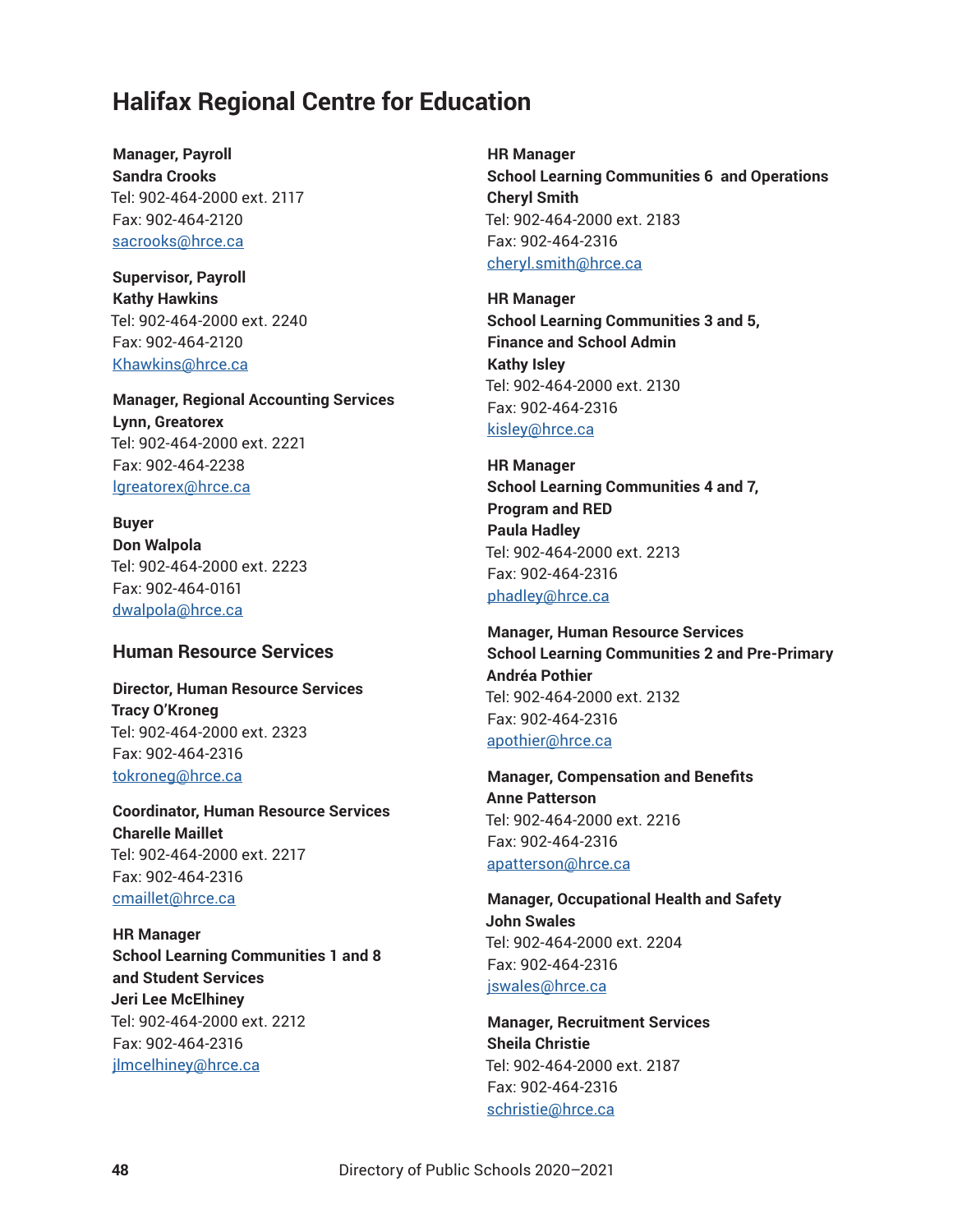**Manager, Payroll Sandra Crooks** Tel: 902-464-2000 ext. 2117 Fax: 902-464-2120 [sacrooks@hrce.ca](mailto:sacrooks@hrce.ca)

**Supervisor, Payroll Kathy Hawkins** Tel: 902-464-2000 ext. 2240 Fax: 902-464-2120 [Khawkins@hrce.ca](mailto:Khawkins@hrce.ca)

**Manager, Regional Accounting Services Lynn, Greatorex** Tel: 902-464-2000 ext. 2221 Fax: 902-464-2238 [lgreatorex@hrce.ca](mailto:lgreatorex@hrce.ca)

**Buyer Don Walpola** Tel: 902-464-2000 ext. 2223 Fax: 902-464-0161 [dwalpola@hrce.ca](mailto:dwalpola@hrce.ca)

### **Human Resource Services**

**Director, Human Resource Services Tracy O'Kroneg** Tel: 902-464-2000 ext. 2323 Fax: 902-464-2316 [tokroneg@hrce.ca](mailto:tokroneg@hrce.ca)

**Coordinator, Human Resource Services Charelle Maillet** Tel: 902-464-2000 ext. 2217 Fax: 902-464-2316 [cmaillet@hrce.ca](mailto:cmaillet@hrce.ca)

**HR Manager School Learning Communities 1 and 8 and Student Services Jeri Lee McElhiney** Tel: 902-464-2000 ext. 2212 Fax: 902-464-2316 [jlmcelhiney@hrce.ca](mailto:jlmcelhiney@hrce.ca)

**HR Manager School Learning Communities 6 and Operations Cheryl Smith** Tel: 902-464-2000 ext. 2183 Fax: 902-464-2316 [cheryl.smith@hrce.ca](mailto:cheryl.smith@hrce.ca)

**HR Manager School Learning Communities 3 and 5, Finance and School Admin Kathy Isley** Tel: 902-464-2000 ext. 2130 Fax: 902-464-2316 [kisley@hrce.ca](mailto:kisley@hrce.ca)

**HR Manager School Learning Communities 4 and 7, Program and RED Paula Hadley** Tel: 902-464-2000 ext. 2213 Fax: 902-464-2316 [phadley@hrce.ca](mailto:phadley@hrce.ca)

**Manager, Human Resource Services School Learning Communities 2 and Pre-Primary Andréa Pothier** Tel: 902-464-2000 ext. 2132 Fax: 902-464-2316 [apothier@hrce.ca](mailto:apothier@hrce.ca)

**Manager, Compensation and Benefits Anne Patterson** Tel: 902-464-2000 ext. 2216 Fax: 902-464-2316 [apatterson@hrce.ca](mailto:apatterson@hrce.ca)

**Manager, Occupational Health and Safety John Swales** Tel: 902-464-2000 ext. 2204 Fax: 902-464-2316 [jswales@hrce.ca](mailto:jswales@hrce.ca)

**Manager, Recruitment Services Sheila Christie** Tel: 902-464-2000 ext. 2187 Fax: 902-464-2316 [schristie@hrce.ca](mailto:schristie@hrce.ca)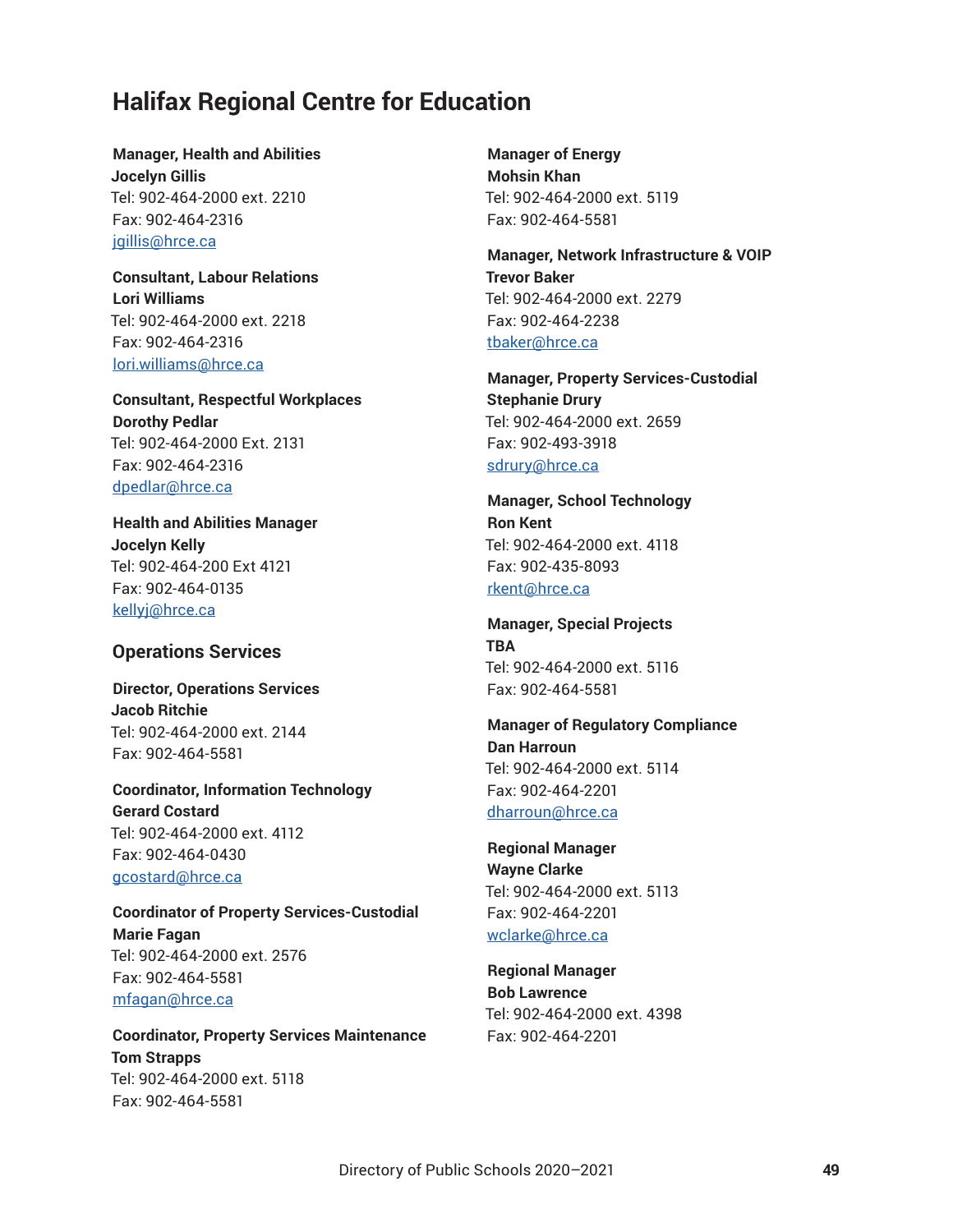**Manager, Health and Abilities Jocelyn Gillis** Tel: 902-464-2000 ext. 2210 Fax: 902-464-2316 [jgillis@hrce.ca](mailto:jgillis@hrce.ca)

**Consultant, Labour Relations Lori Williams** Tel: 902-464-2000 ext. 2218 Fax: 902-464-2316 [lori.williams@hrce.ca](mailto:lori.williams@hrce.ca)

**Consultant, Respectful Workplaces Dorothy Pedlar** Tel: 902-464-2000 Ext. 2131 Fax: 902-464-2316 [dpedlar@hrce.ca](mailto:dpedlar@hrce.ca)

**Health and Abilities Manager Jocelyn Kelly** Tel: 902-464-200 Ext 4121 Fax: 902-464-0135 kellyj@hrce.ca

## **Operations Services**

**Director, Operations Services Jacob Ritchie** Tel: 902-464-2000 ext. 2144 Fax: 902-464-5581

**Coordinator, Information Technology Gerard Costard** Tel: 902-464-2000 ext. 4112 Fax: 902-464-0430 [gcostard@hrce.ca](mailto:gcostard@hrce.ca)

**Coordinator of Property Services-Custodial Marie Fagan** Tel: 902-464-2000 ext. 2576 Fax: 902-464-5581 [mfagan@hrce.ca](mailto:mfagan@hrce.ca)

**Coordinator, Property Services Maintenance Tom Strapps** Tel: 902-464-2000 ext. 5118 Fax: 902-464-5581

**Manager of Energy Mohsin Khan** Tel: 902-464-2000 ext. 5119 Fax: 902-464-5581

**Manager, Network Infrastructure & VOIP Trevor Baker** Tel: 902-464-2000 ext. 2279 Fax: 902-464-2238 [tbaker@hrce.ca](mailto:tbaker@hrce.ca)

**Manager, Property Services-Custodial Stephanie Drury** Tel: 902-464-2000 ext. 2659 Fax: 902-493-3918 [sdrury@hrce.ca](mailto:sdrury@hrce.ca)

**Manager, School Technology Ron Kent** Tel: 902-464-2000 ext. 4118 Fax: 902-435-8093 [rkent@hrce.ca](mailto:rkent@hrce.ca)

**Manager, Special Projects TBA** Tel: 902-464-2000 ext. 5116 Fax: 902-464-5581

**Manager of Regulatory Compliance Dan Harroun** Tel: 902-464-2000 ext. 5114 Fax: 902-464-2201 [dharroun@hrce.ca](mailto:dharroun@hrce.ca)

**Regional Manager Wayne Clarke** Tel: 902-464-2000 ext. 5113 Fax: 902-464-2201 [wclarke@hrce.ca](mailto:wclarke@hrce.ca)

**Regional Manager Bob Lawrence** Tel: 902-464-2000 ext. 4398 Fax: 902-464-2201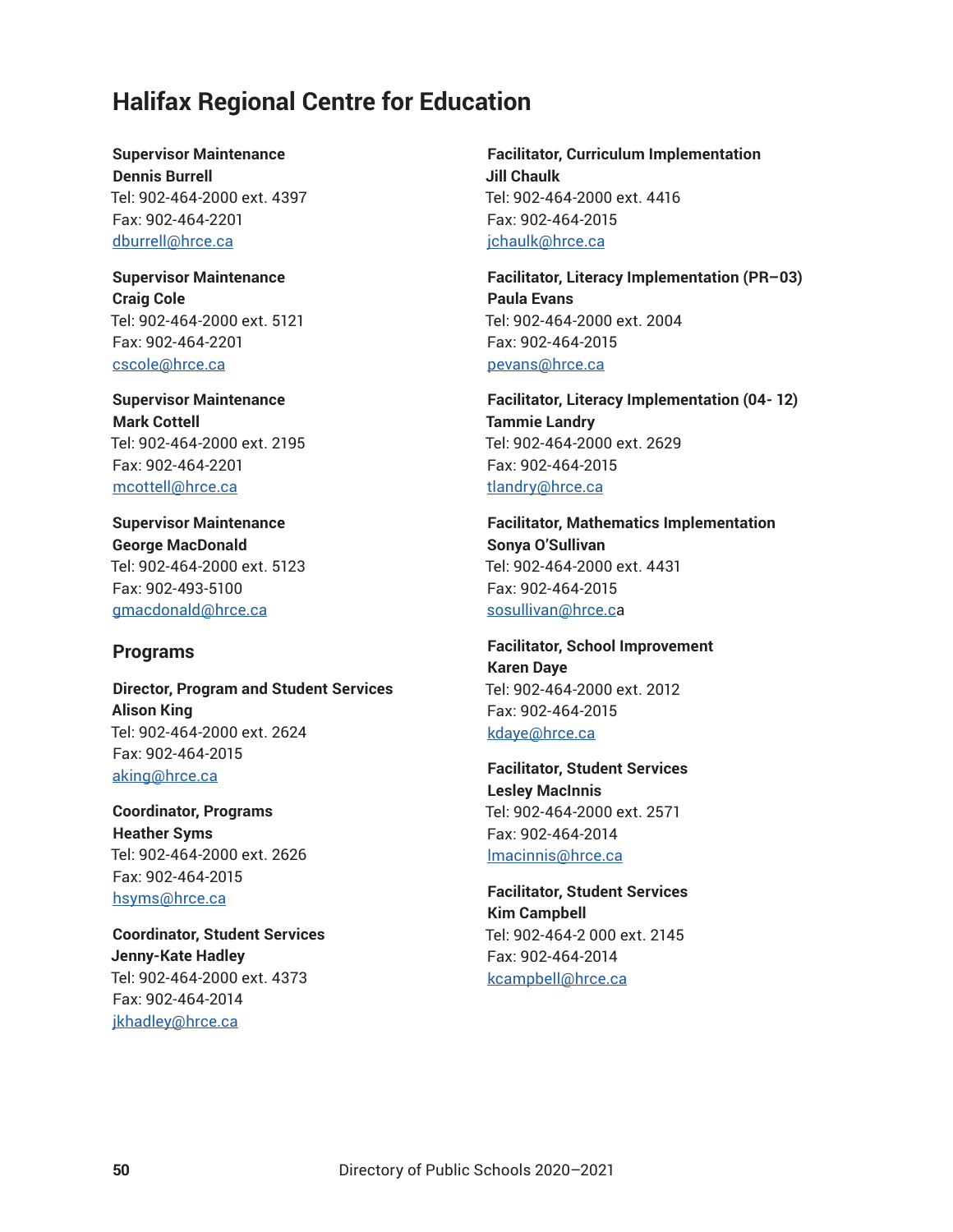**Supervisor Maintenance Dennis Burrell** Tel: 902-464-2000 ext. 4397 Fax: 902-464-2201 [dburrell@hrce.ca](mailto:dburrell@hrce.ca)

**Supervisor Maintenance Craig Cole** Tel: 902-464-2000 ext. 5121 Fax: 902-464-2201 [cscole@hrce.ca](mailto:cscole@hrce.ca)

**Supervisor Maintenance Mark Cottell** Tel: 902-464-2000 ext. 2195 Fax: 902-464-2201 [mcottell@hrce.ca](mailto:mcottell@hrce.ca)

**Supervisor Maintenance George MacDonald** Tel: 902-464-2000 ext. 5123 Fax: 902-493-5100 [gmacdonald@hrce.ca](mailto:tdrury@hrce.ca)

#### **Programs**

**Director, Program and Student Services Alison King** Tel: 902-464-2000 ext. 2624 Fax: 902-464-2015 [aking@hrce.ca](mailto:aking@hrce.ca)

**Coordinator, Programs Heather Syms** Tel: 902-464-2000 ext. 2626 Fax: 902-464-2015 [hsyms@hrce.ca](mailto:hsyms@hrce.ca)

**Coordinator, Student Services Jenny-Kate Hadley** Tel: 902-464-2000 ext. 4373 Fax: 902-464-2014 [jkhadley@hrce.ca](mailto:jkhadley@hrce.ca)

**Facilitator, Curriculum Implementation Jill Chaulk** Tel: 902-464-2000 ext. 4416 Fax: 902-464-2015 [jchaulk@hrce.ca](mailto:jchaulk@hrce.ca)

**Facilitator, Literacy Implementation (PR–03) Paula Evans** Tel: 902-464-2000 ext. 2004 Fax: 902-464-2015 [pevans@hrce.ca](mailto:pevans@hrce.ca)

**Facilitator, Literacy Implementation (04- 12) Tammie Landry** Tel: 902-464-2000 ext. 2629 Fax: 902-464-2015 [tlandry@hrce.ca](mailto:tlandry@hrce.ca)

**Facilitator, Mathematics Implementation Sonya O'Sullivan** Tel: 902-464-2000 ext. 4431 Fax: 902-464-2015 [sosullivan@hrce.c](mailto:sosullivan@hrce.ca)a

**Facilitator, School Improvement Karen Daye** Tel: 902-464-2000 ext. 2012 Fax: 902-464-2015 [kdaye@hrce.ca](mailto:kdaye@hrce.ca)

**Facilitator, Student Services Lesley MacInnis** Tel: 902-464-2000 ext. 2571 Fax: 902-464-2014 [lmacinnis@hrce.ca](mailto:lmacinnis@hrce.ca)

**Facilitator, Student Services Kim Campbell** Tel: 902-464-2 000 ext. 2145 Fax: 902-464-2014 [kcampbell@hrce.ca](mailto:kcampbell@hrce.ca)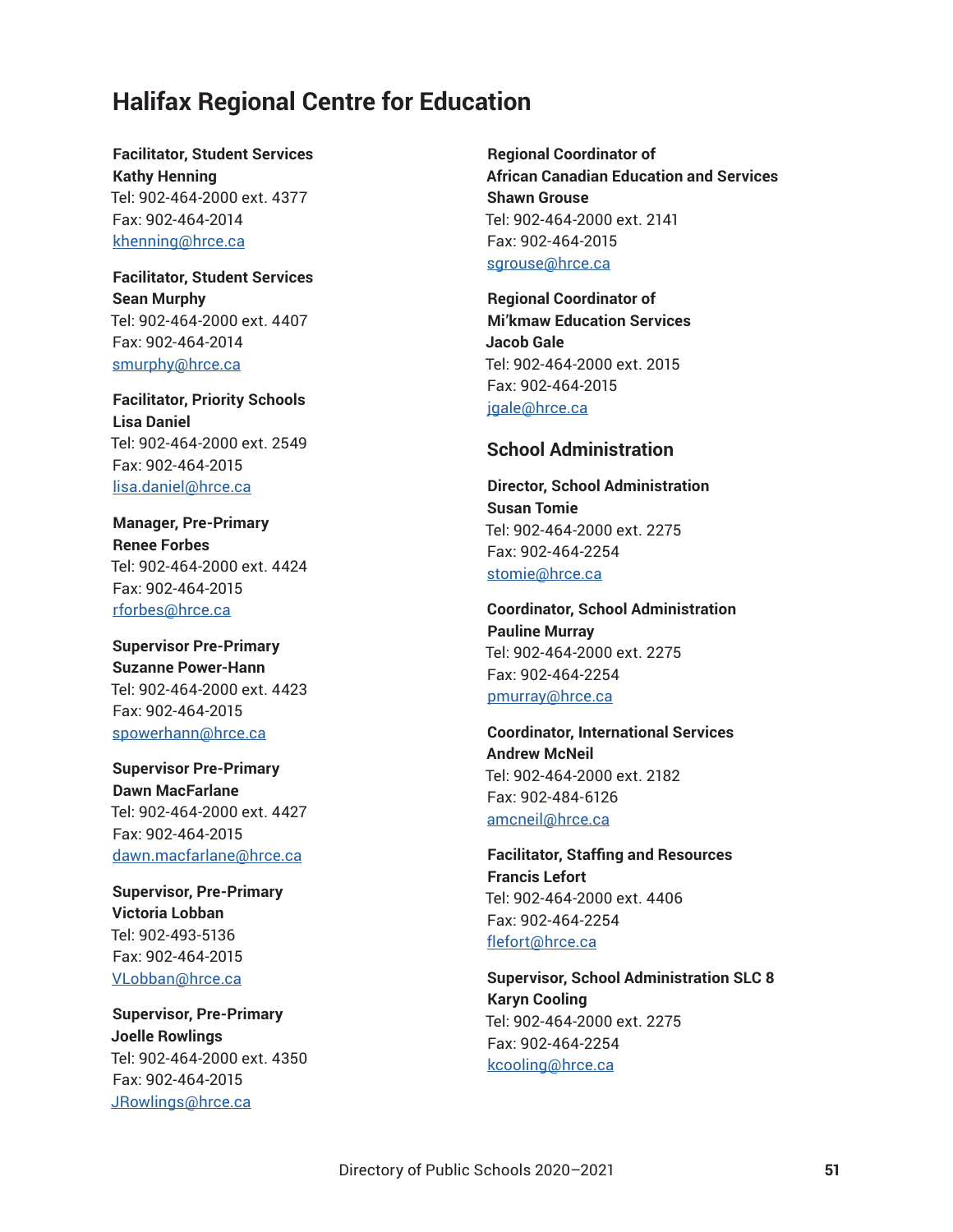**Facilitator, Student Services Kathy Henning** Tel: 902-464-2000 ext. 4377 Fax: 902-464-2014 [khenning@hrce.ca](mailto:khenning@hrce.ca)

**Facilitator, Student Services Sean Murphy** Tel: 902-464-2000 ext. 4407 Fax: 902-464-2014 [smurphy@hrce.ca](mailto:smurphy@hrce.ca)

**Facilitator, Priority Schools Lisa Daniel** Tel: 902-464-2000 ext. 2549 Fax: 902-464-2015 [lisa.daniel@hrce.ca](mailto:lisa.daniel@hrce.ca)

**Manager, Pre-Primary Renee Forbes** Tel: 902-464-2000 ext. 4424 Fax: 902-464-2015 [rforbes@hrce.ca](mailto:rforbes@hrce.ca)

**Supervisor Pre-Primary Suzanne Power-Hann** Tel: 902-464-2000 ext. 4423 Fax: 902-464-2015 [spowerhann@hrce.ca](mailto:spowerhann@hrce.ca)

**Supervisor Pre-Primary Dawn MacFarlane** Tel: 902-464-2000 ext. 4427 Fax: 902-464-2015 [dawn.macfarlane@hrce.ca](mailto:dawn.macfarlane@hrce.ca)

**Supervisor, Pre-Primary Victoria Lobban** Tel: 902-493-5136 Fax: 902-464-2015 [VLobban@hrce.ca](mailto:VLobban@hrce.ca)

**Supervisor, Pre-Primary Joelle Rowlings** Tel: 902-464-2000 ext. 4350 Fax: 902-464-2015 [JRowlings@hrce.ca](mailto:JRowlings@hrce.ca)

**Regional Coordinator of African Canadian Education and Services Shawn Grouse** Tel: 902-464-2000 ext. 2141 Fax: 902-464-2015 [sgrouse@hrce.ca](mailto:sgrouse@hrce.ca)

**Regional Coordinator of Mi'kmaw Education Services Jacob Gale** Tel: 902-464-2000 ext. 2015 Fax: 902-464-2015 igale@hrce.ca

#### **School Administration**

**Director, School Administration Susan Tomie** Tel: 902-464-2000 ext. 2275 Fax: 902-464-2254 [stomie@hrce.ca](mailto:stomie@hrce.ca)

**Coordinator, School Administration Pauline Murray** Tel: 902-464-2000 ext. 2275 Fax: 902-464-2254 [pmurray@hrce.ca](mailto:pmurray@hrce.ca)

**Coordinator, International Services Andrew McNeil** Tel: 902-464-2000 ext. 2182 Fax: 902-484-6126 [amcneil@hrce.ca](mailto:amcneil@hrce.ca)

**Facilitator, Staffing and Resources Francis Lefort** Tel: 902-464-2000 ext. 4406 Fax: 902-464-2254 [flefort@hrce.ca](mailto:flefort@hrce.ca)

**Supervisor, School Administration SLC 8 Karyn Cooling** Tel: 902-464-2000 ext. 2275 Fax: 902-464-2254 [kcooling@hrce.ca](mailto:kcooling@hrce.ca)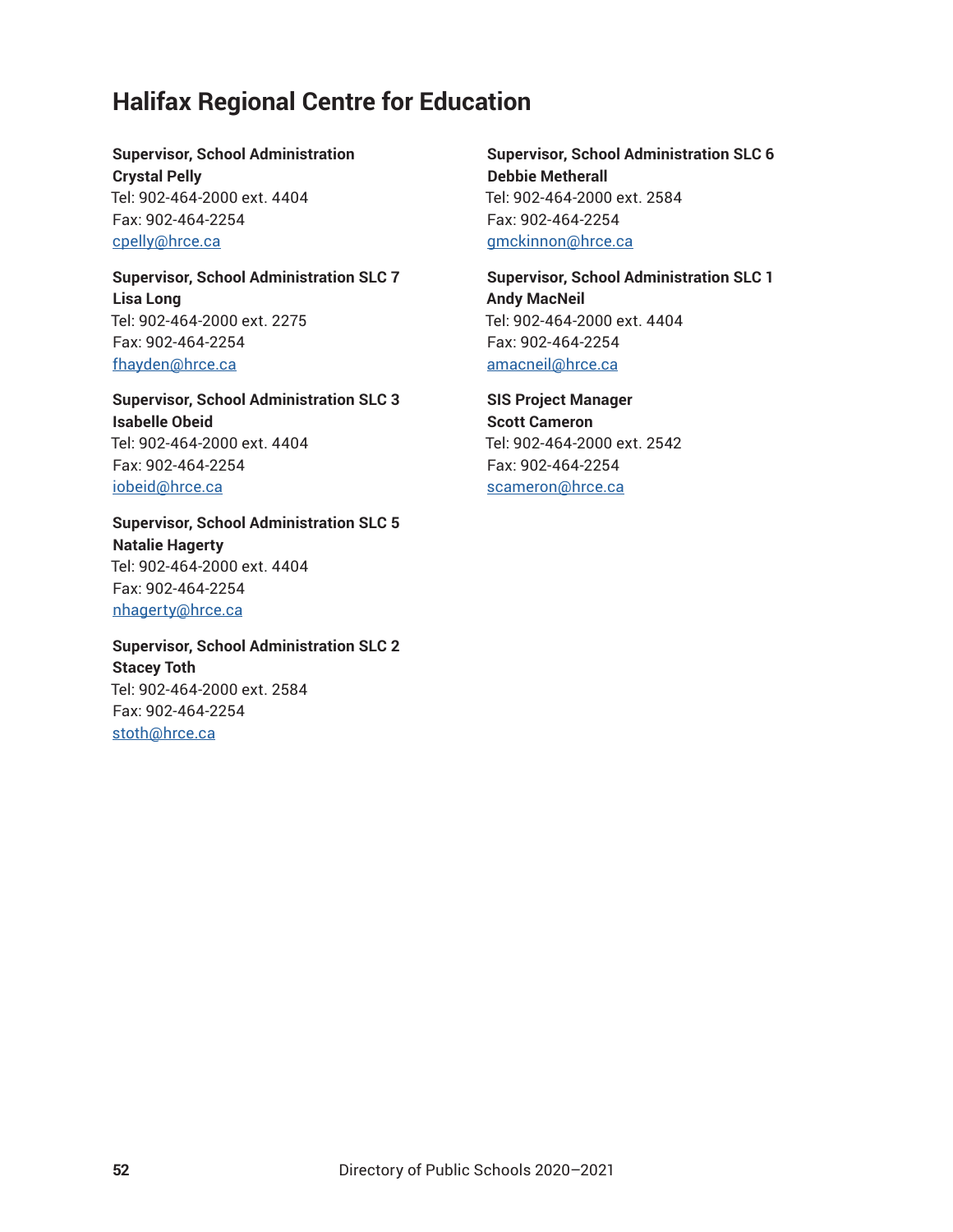#### **Supervisor, School Administration Crystal Pelly** Tel: 902-464-2000 ext. 4404

Fax: 902-464-2254 [cpelly@hrce.ca](mailto:cpelly@hrce.ca)

## **Supervisor, School Administration SLC 7 Lisa Long** Tel: 902-464-2000 ext. 2275 Fax: 902-464-2254 [fhayden@hrce.ca](mailto:fhayden@hrce.ca)

**Supervisor, School Administration SLC 3 Isabelle Obeid** Tel: 902-464-2000 ext. 4404 Fax: 902-464-2254 [iobeid@hrce.ca](mailto:iobeid@hrce.ca)

**Supervisor, School Administration SLC 5 Natalie Hagerty** Tel: 902-464-2000 ext. 4404 Fax: 902-464-2254 [nhagerty@hrce.ca](mailto:nhagerty@hrce.ca)

**Supervisor, School Administration SLC 2 Stacey Toth** Tel: 902-464-2000 ext. 2584 Fax: 902-464-2254 [stoth@hrce.ca](mailto:stoth@hrce.ca)

**Supervisor, School Administration SLC 6 Debbie Metherall** Tel: 902-464-2000 ext. 2584 Fax: 902-464-2254 [gmckinnon@hrce.ca](mailto:gmckinnon@hrce.ca)

**Supervisor, School Administration SLC 1 Andy MacNeil** Tel: 902-464-2000 ext. 4404 Fax: 902-464-2254 [amacneil@hrce.ca](mailto:amacneil@hrce.ca)

**SIS Project Manager Scott Cameron** Tel: 902-464-2000 ext. 2542 Fax: 902-464-2254 [scameron@hrce.ca](mailto:scameron@hrce.ca)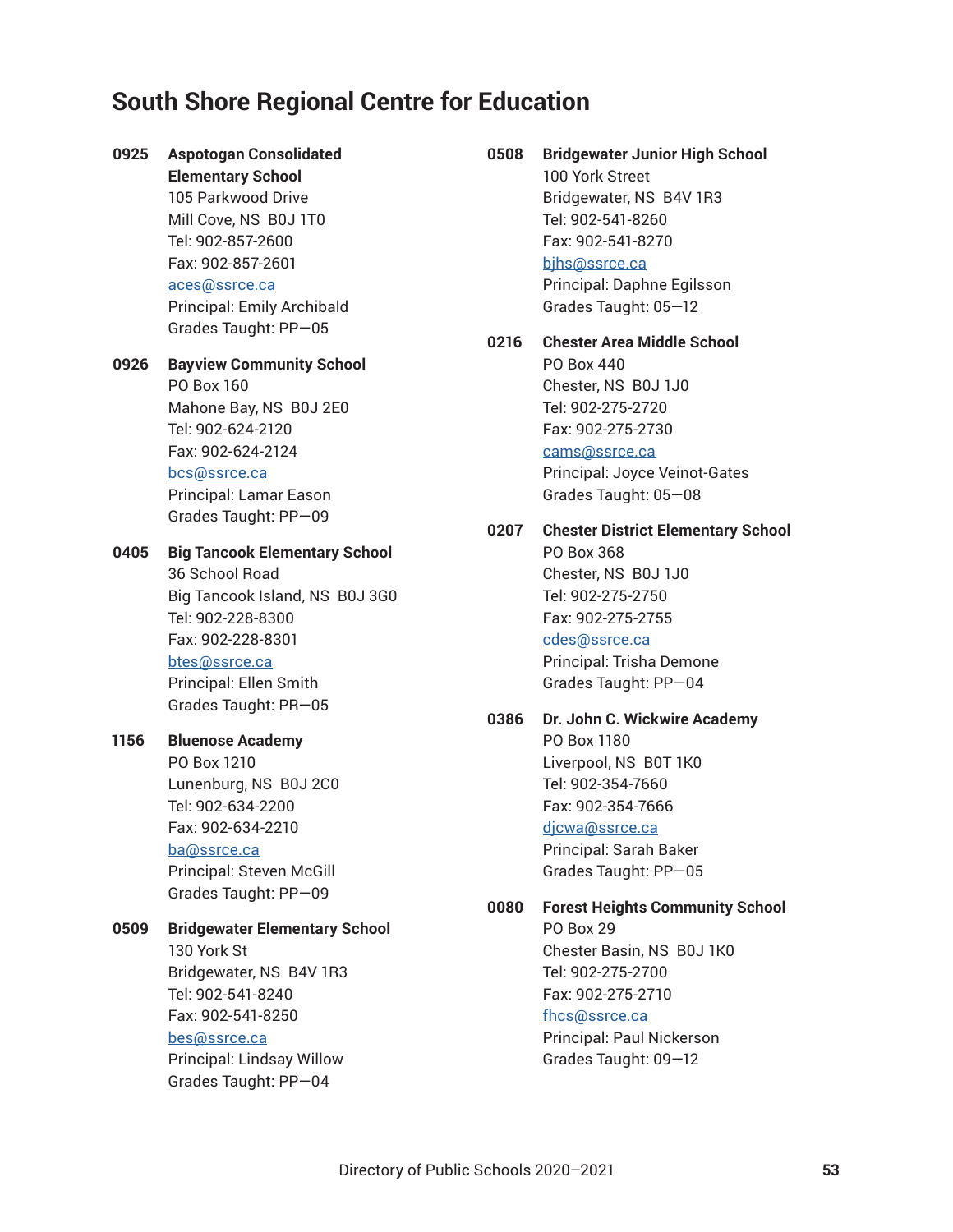#### **0925 Aspotogan Consolidated**

**Elementary School** 105 Parkwood Drive Mill Cove, NS B0J 1T0 Tel: 902-857-2600 Fax: 902-857-2601 aces@ssrce.ca Principal: Emily Archibald Grades Taught: PP—05

#### **0926 Bayview Community School**

PO Box 160 Mahone Bay, NS B0J 2E0 Tel: 902-624-2120 Fax: 902-624-2124 bcs@ssrce.ca Principal: Lamar Eason Grades Taught: PP—09

#### **0405 Big Tancook Elementary School**

36 School Road Big Tancook Island, NS B0J 3G0 Tel: 902-228-8300 Fax: 902-228-8301 btes@ssrce.ca Principal: Ellen Smith Grades Taught: PR—05

#### **1156 Bluenose Academy**

PO Box 1210 Lunenburg, NS B0J 2C0 Tel: 902-634-2200 Fax: 902-634-2210

#### ba@ssrce.ca

Principal: Steven McGill Grades Taught: PP—09

### **0509 Bridgewater Elementary School** 130 York St

Bridgewater, NS B4V 1R3 Tel: 902-541-8240 Fax: 902-541-8250 bes@ssrce.ca Principal: Lindsay Willow Grades Taught: PP—04

## **0508 Bridgewater Junior High School**

100 York Street Bridgewater, NS B4V 1R3 Tel: 902-541-8260 Fax: 902-541-8270 bjhs@ssrce.ca Principal: Daphne Egilsson Grades Taught: 05—12

## **0216 Chester Area Middle School**

PO Box 440 Chester, NS B0J 1J0 Tel: 902-275-2720 Fax: 902-275-2730

#### cams@ssrce.ca

Principal: Joyce Veinot-Gates Grades Taught: 05—08

#### **0207 Chester District Elementary School** PO Box 368 Chester, NS B0J 1J0 Tel: 902-275-2750 Fax: 902-275-2755

cdes@ssrce.ca Principal: Trisha Demone Grades Taught: PP—04

#### **0386 Dr. John C. Wickwire Academy** PO Box 1180

Liverpool, NS B0T 1K0 Tel: 902-354-7660 Fax: 902-354-7666 djcwa@ssrce.ca Principal: Sarah Baker Grades Taught: PP—05

#### **0080 Forest Heights Community School** PO Box 29

Chester Basin, NS B0J 1K0 Tel: 902-275-2700 Fax: 902-275-2710

#### fhcs@ssrce.ca

Principal: Paul Nickerson Grades Taught: 09—12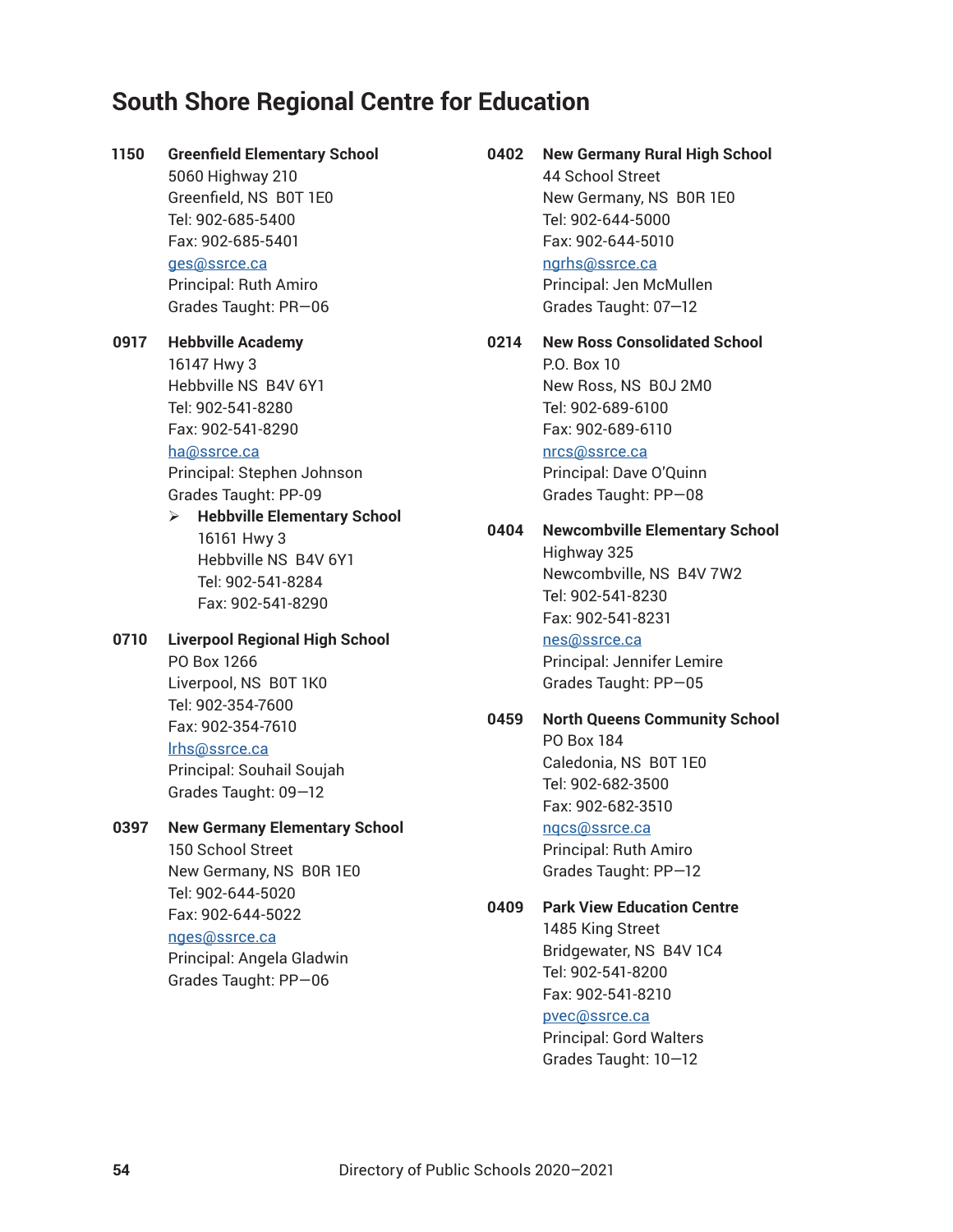#### **1150 Greenfield Elementary School**

5060 Highway 210 Greenfield, NS B0T 1E0 Tel: 902-685-5400 Fax: 902-685-5401 ges@ssrce.ca Principal: Ruth Amiro Grades Taught: PR—06

#### **0917 Hebbville Academy**

16147 Hwy 3 Hebbville NS B4V 6Y1 Tel: 902-541-8280 Fax: 902-541-8290

## ha@ssrce.ca

Principal: Stephen Johnson Grades Taught: PP-09

 **Hebbville Elementary School** 16161 Hwy 3 Hebbville NS B4V 6Y1 Tel: 902-541-8284 Fax: 902-541-8290

#### **0710 Liverpool Regional High School**

PO Box 1266 Liverpool, NS B0T 1K0 Tel: 902-354-7600 Fax: 902-354-7610 lrhs@ssrce.ca Principal: Souhail Soujah Grades Taught: 09—12

#### **0397 New Germany Elementary School**

150 School Street New Germany, NS B0R 1E0 Tel: 902-644-5020 Fax: 902-644-5022 nges@ssrce.ca Principal: Angela Gladwin Grades Taught: PP—06

## **0402 New Germany Rural High School**

44 School Street New Germany, NS B0R 1E0 Tel: 902-644-5000 Fax: 902-644-5010 ngrhs@ssrce.ca Principal: Jen McMullen Grades Taught: 07—12

## **0214 New Ross Consolidated School** P.O. Box 10

New Ross, NS B0J 2M0 Tel: 902-689-6100 Fax: 902-689-6110

#### nrcs@ssrce.ca

Principal: Dave O'Quinn Grades Taught: PP—08

## **0404 Newcombville Elementary School** Highway 325 Newcombville, NS B4V 7W2

Tel: 902-541-8230 Fax: 902-541-8231

nes@ssrce.ca Principal: Jennifer Lemire Grades Taught: PP—05

#### **0459 North Queens Community School**

PO Box 184 Caledonia, NS B0T 1E0 Tel: 902-682-3500 Fax: 902-682-3510 nqcs@ssrce.ca Principal: Ruth Amiro Grades Taught: PP—12

#### **0409 Park View Education Centre**

1485 King Street Bridgewater, NS B4V 1C4 Tel: 902-541-8200 Fax: 902-541-8210

#### pvec@ssrce.ca

Principal: Gord Walters Grades Taught: 10—12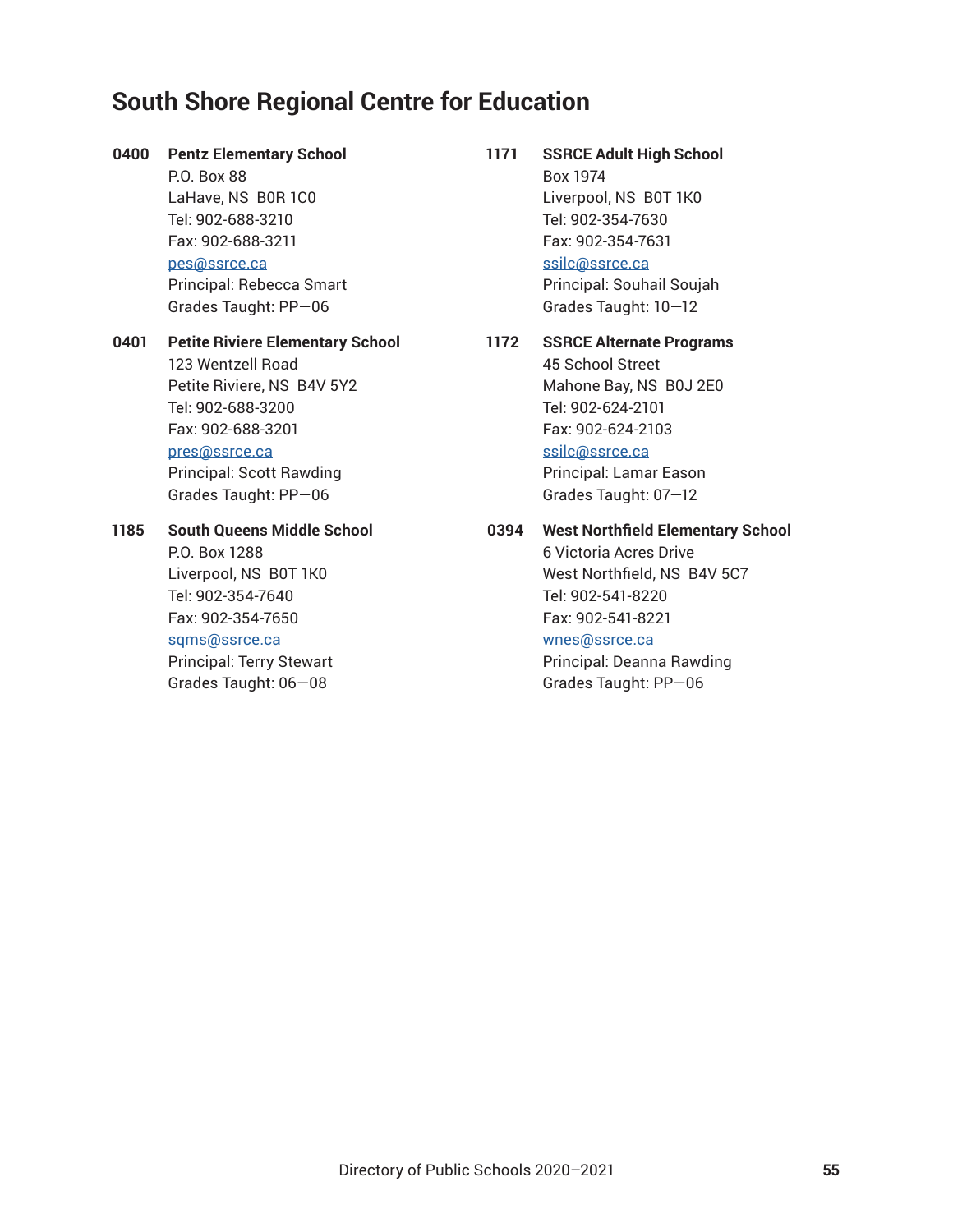#### **0400 Pentz Elementary School**

P.O. Box 88 LaHave, NS B0R 1C0 Tel: 902-688-3210 Fax: 902-688-3211 pes@ssrce.ca Principal: Rebecca Smart Grades Taught: PP—06

#### **0401 Petite Riviere Elementary School**

123 Wentzell Road Petite Riviere, NS B4V 5Y2 Tel: 902-688-3200 Fax: 902-688-3201

#### pres@ssrce.ca

Principal: Scott Rawding Grades Taught: PP—06

#### **1185 South Queens Middle School** P.O. Box 1288 Liverpool, NS B0T 1K0 Tel: 902-354-7640 Fax: 902-354-7650

### sqms@ssrce.ca

Principal: Terry Stewart Grades Taught: 06—08

## **1171 SSRCE Adult High School**

Box 1974 Liverpool, NS B0T 1K0 Tel: 902-354-7630 Fax: 902-354-7631 ssilc@ssrce.ca Principal: Souhail Soujah Grades Taught: 10—12

### **1172 SSRCE Alternate Programs**

45 School Street Mahone Bay, NS B0J 2E0 Tel: 902-624-2101 Fax: 902-624-2103

#### ssilc@ssrce.ca

Principal: Lamar Eason Grades Taught: 07—12

#### **0394 West Northfield Elementary School**

6 Victoria Acres Drive West Northfield, NS B4V 5C7 Tel: 902-541-8220 Fax: 902-541-8221

#### wnes@ssrce.ca

Principal: Deanna Rawding Grades Taught: PP—06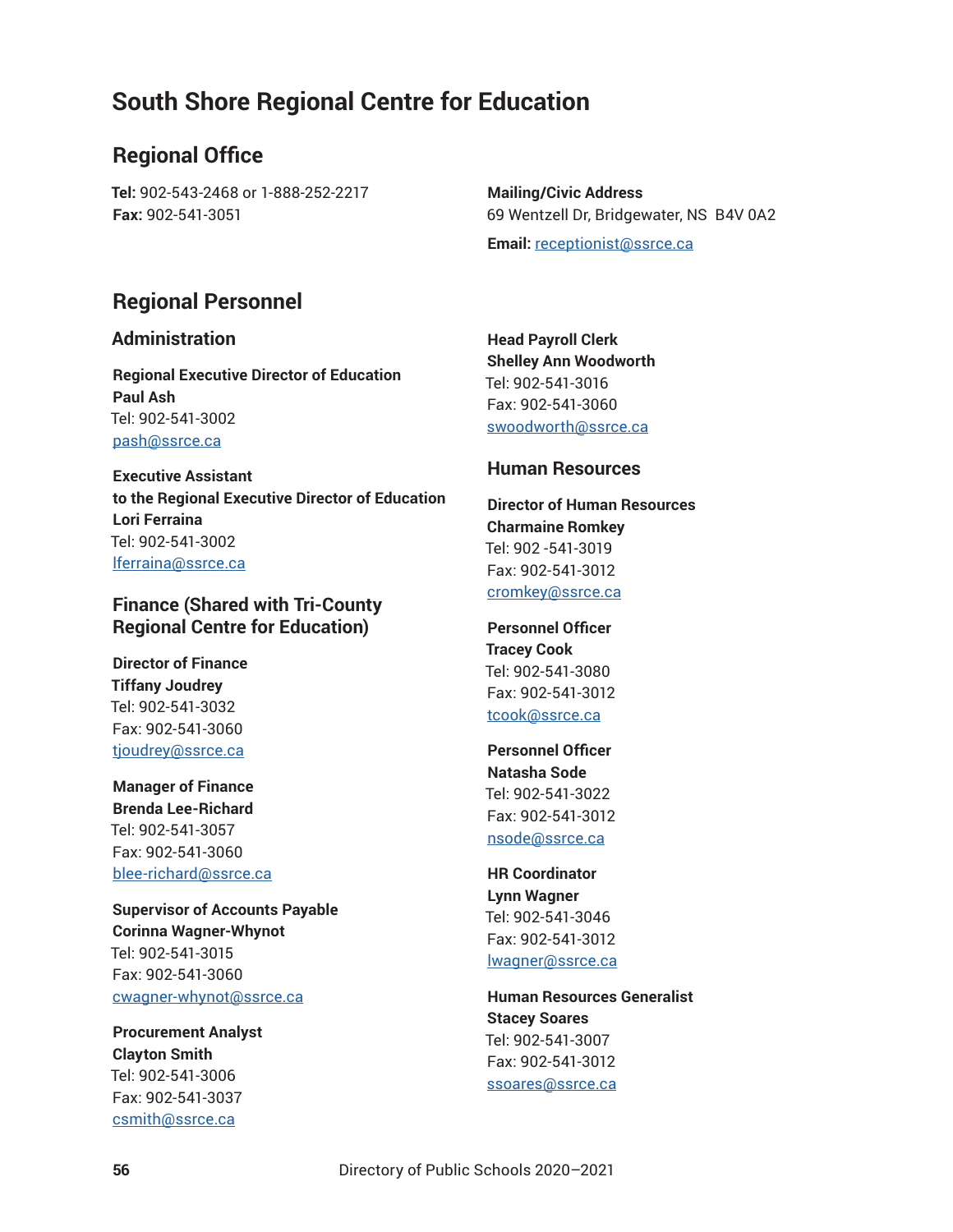## **Regional Office**

**Tel:** 902-543-2468 or 1-888-252-2217 **Fax:** 902-541-3051

**Mailing/Civic Address** 69 Wentzell Dr, Bridgewater, NS B4V 0A2

**Email:** [receptionist@ssrce.ca](mailto:receptionist@ssrce.ca)

## **Regional Personnel**

#### **Administration**

**Regional Executive Director of Education Paul Ash** Tel: 902-541-3002 [pash@ssrce.ca](mailto:pash@ssrce.ca)

**Executive Assistant to the Regional Executive Director of Education Lori Ferraina** Tel: 902-541-3002 lferraina@ssrce.ca

## **Finance (Shared with Tri-County Regional Centre for Education)**

**Director of Finance Tiffany Joudrey** Tel: 902-541-3032 Fax: 902-541-3060 [tjoudrey@ssrce.ca](mailto:tjoudrey@ssrce.ca)

**Manager of Finance Brenda Lee-Richard** Tel: 902-541-3057 Fax: 902-541-3060 [blee-richard@ssrce.ca](mailto:blee-richard@ssrce.ca)

**Supervisor of Accounts Payable Corinna Wagner-Whynot** Tel: 902-541-3015 Fax: 902-541-3060 [cwagner-whynot@ssrce.ca](mailto:cwagner-whynot@ssrce.ca)

**Procurement Analyst Clayton Smith** Tel: 902-541-3006 Fax: 902-541-3037 [csmith@ssrce.ca](mailto:csmith@ssrce.ca)

**Head Payroll Clerk Shelley Ann Woodworth** Tel: 902-541-3016 Fax: 902-541-3060 [swoodworth@ssrce.ca](mailto:swoodworth@ssrce.ca)

#### **Human Resources**

**Director of Human Resources Charmaine Romkey** Tel: 902 -541-3019 Fax: 902-541-3012 [cromkey@ssrce.ca](mailto:cromkey@ssrce.ca)

**Personnel Officer Tracey Cook** Tel: 902-541-3080 Fax: 902-541-3012 [tcook@ssrce.ca](mailto:tcook@ssrce.ca)

**Personnel Officer Natasha Sode** Tel: 902-541-3022 Fax: 902-541-3012 [nsode@ssrce.ca](mailto:nsode@ssrce.ca)

**HR Coordinator Lynn Wagner** Tel: 902-541-3046 Fax: 902-541-3012 lwagner@ssrce.ca

**Human Resources Generalist Stacey Soares** Tel: 902-541-3007 Fax: 902-541-3012 [ssoares@ssrce.ca](mailto:ssoares@ssrce.ca)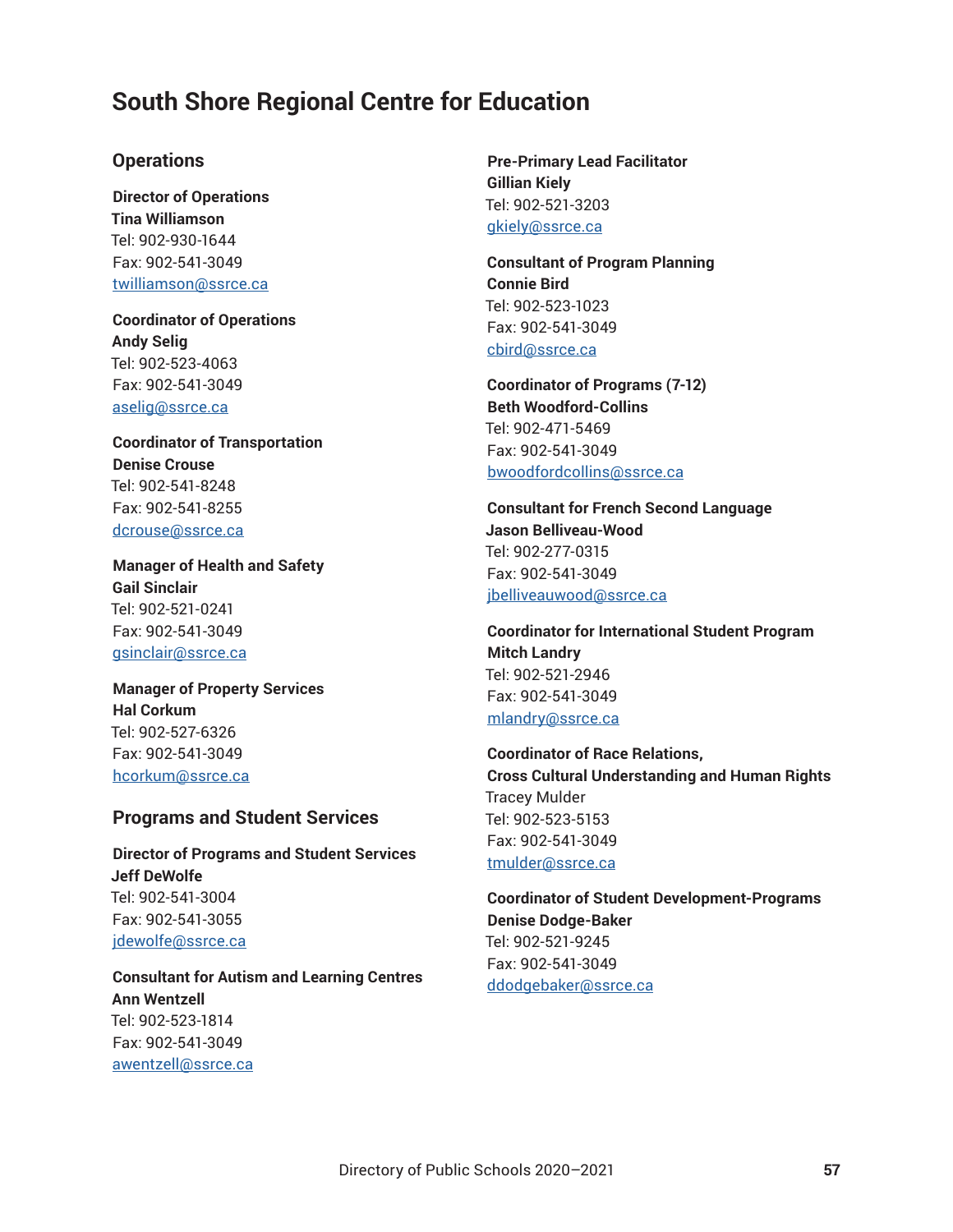## **Operations**

**Director of Operations Tina Williamson** Tel: 902-930-1644 Fax: 902-541-3049 [twilliamson@ssrce.ca](mailto:twilliamson@ssrce.ca)

**Coordinator of Operations Andy Selig** Tel: 902-523-4063 Fax: 902-541-3049 [aselig@ssrce.ca](mailto:aselig@ssrce.ca)

**Coordinator of Transportation Denise Crouse** Tel: 902-541-8248 Fax: 902-541-8255 [dcrouse@ssrce.ca](mailto:dcrouse@ssrce.ca)

**Manager of Health and Safety Gail Sinclair** Tel: 902-521-0241 Fax: 902-541-3049 [gsinclair@ssrce.ca](mailto:gsinclair@ssrce.ca)

**Manager of Property Services Hal Corkum** Tel: 902-527-6326 Fax: 902-541-3049 hcorkum@ssrce.ca

#### **Programs and Student Services**

**Director of Programs and Student Services Jeff DeWolfe** Tel: 902-541-3004 Fax: 902-541-3055 [jdewolfe@ssrce.ca](mailto:jdewolfe@ssrce.ca)

**Consultant for Autism and Learning Centres Ann Wentzell** Tel: 902-523-1814 Fax: 902-541-3049 awentzell@ssrce.ca

**Pre-Primary Lead Facilitator Gillian Kiely** Tel: 902-521-3203 [gkiely@ssrce.ca](mailto:gkiely@ssrce.ca)

**Consultant of Program Planning Connie Bird** Tel: 902-523-1023 Fax: 902-541-3049 [cbird@ssrce.ca](mailto:cbird@ssrce.ca)

**Coordinator of Programs (7-12) Beth Woodford-Collins** Tel: 902-471-5469 Fax: 902-541-3049 [bwoodfordcollins@ssrce.ca](mailto:bwoodfordcollins@ssrce.ca)

**Consultant for French Second Language Jason Belliveau-Wood** Tel: 902-277-0315 Fax: 902-541-3049 jbelliveauwood@ssrce.ca

**Coordinator for International Student Program Mitch Landry** Tel: 902-521-2946 Fax: 902-541-3049 [mlandry@ssrce.ca](mailto:mlandry@ssrce.ca)

**Coordinator of Race Relations, Cross Cultural Understanding and Human Rights** Tracey Mulder Tel: 902-523-5153 Fax: 902-541-3049 tmulder@ssrce.ca

**Coordinator of Student Development-Programs Denise Dodge-Baker** Tel: 902-521-9245 Fax: 902-541-3049 [ddodgebaker@ssrce.ca](mailto:ddodgebaker@ssrce.ca)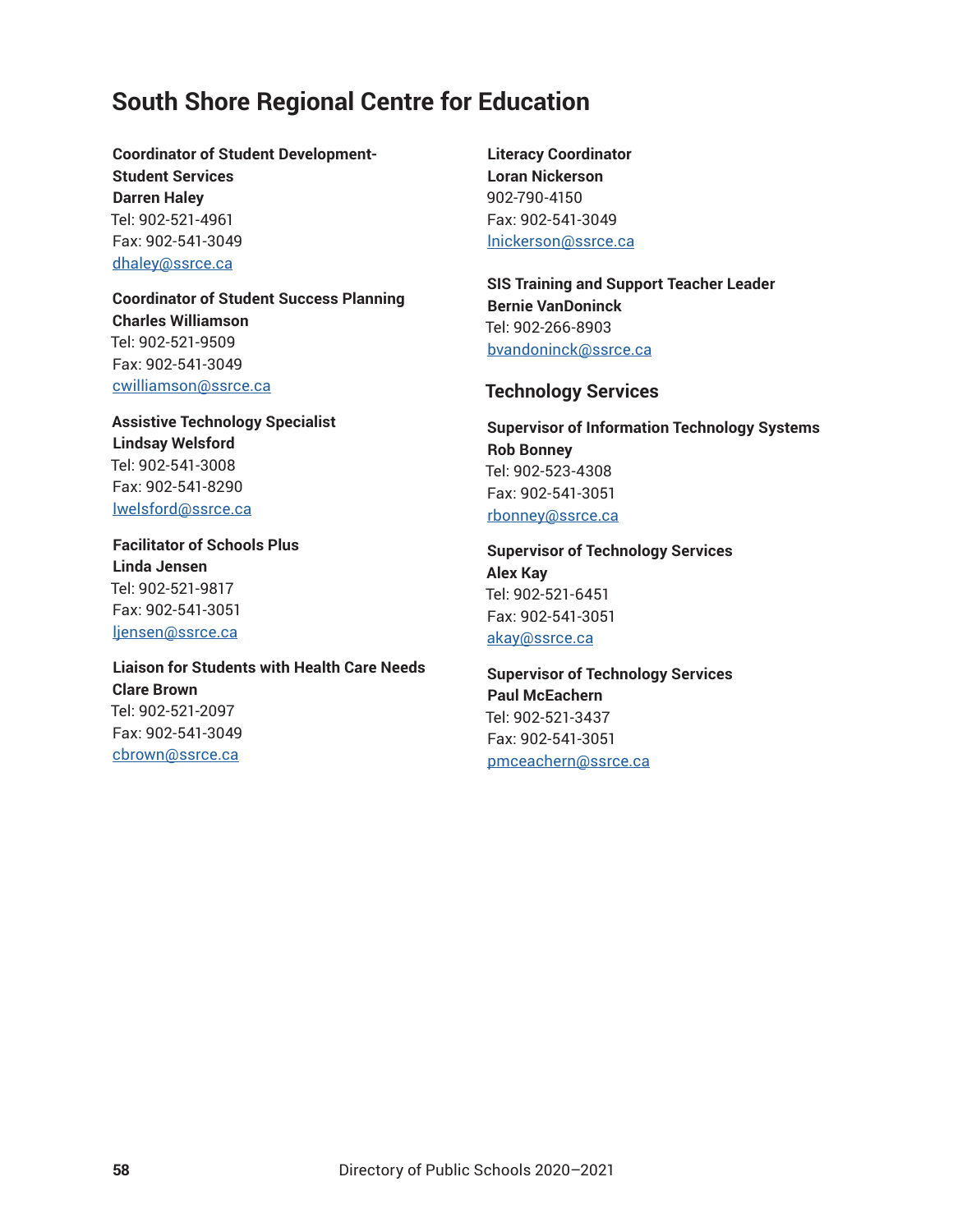## **Coordinator of Student Development-Student Services Darren Haley** Tel: 902-521-4961 Fax: 902-541-3049

[dhaley@ssrce.ca](mailto:dhaley@ssrce.ca)

**Coordinator of Student Success Planning Charles Williamson** Tel: 902-521-9509 Fax: 902-541-3049 [cwilliamson@ssrce.ca](mailto:cwilliamson@ssrce.ca)

**Assistive Technology Specialist Lindsay Welsford** Tel: 902-541-3008 Fax: 902-541-8290 [lwelsford@ssrce.ca](mailto:lwelsford@ssrce.ca)

**Facilitator of Schools Plus Linda Jensen** Tel: 902-521-9817 Fax: 902-541-3051 [ljensen@ssrce.ca](mailto:ljensen@ssrce.ca)

**Liaison for Students with Health Care Needs Clare Brown** Tel: 902-521-2097 Fax: 902-541-3049 [cbrown@ssrce.ca](mailto:cbrown@ssrce.ca)

**Literacy Coordinator Loran Nickerson** 902-790-4150 Fax: 902-541-3049 [lnickerson@ssrce.ca](mailto:lnickerson@ssrce.ca)

**SIS Training and Support Teacher Leader Bernie VanDoninck** Tel: 902-266-8903 [bvandoninck@ssrce.ca](mailto:bvandoninck@ssrce.ca)

## **Technology Services**

**Supervisor of Information Technology Systems Rob Bonney** Tel: 902-523-4308 Fax: 902-541-3051 [rbonney@ssrce.ca](mailto:rbonney@ssrce.ca)

**Supervisor of Technology Services Alex Kay** Tel: 902-521-6451 Fax: 902-541-3051 [akay@ssrce.ca](mailto:akay@ssrce.ca)

**Supervisor of Technology Services Paul McEachern** Tel: 902-521-3437 Fax: 902-541-3051 pmceachern@ssrce.ca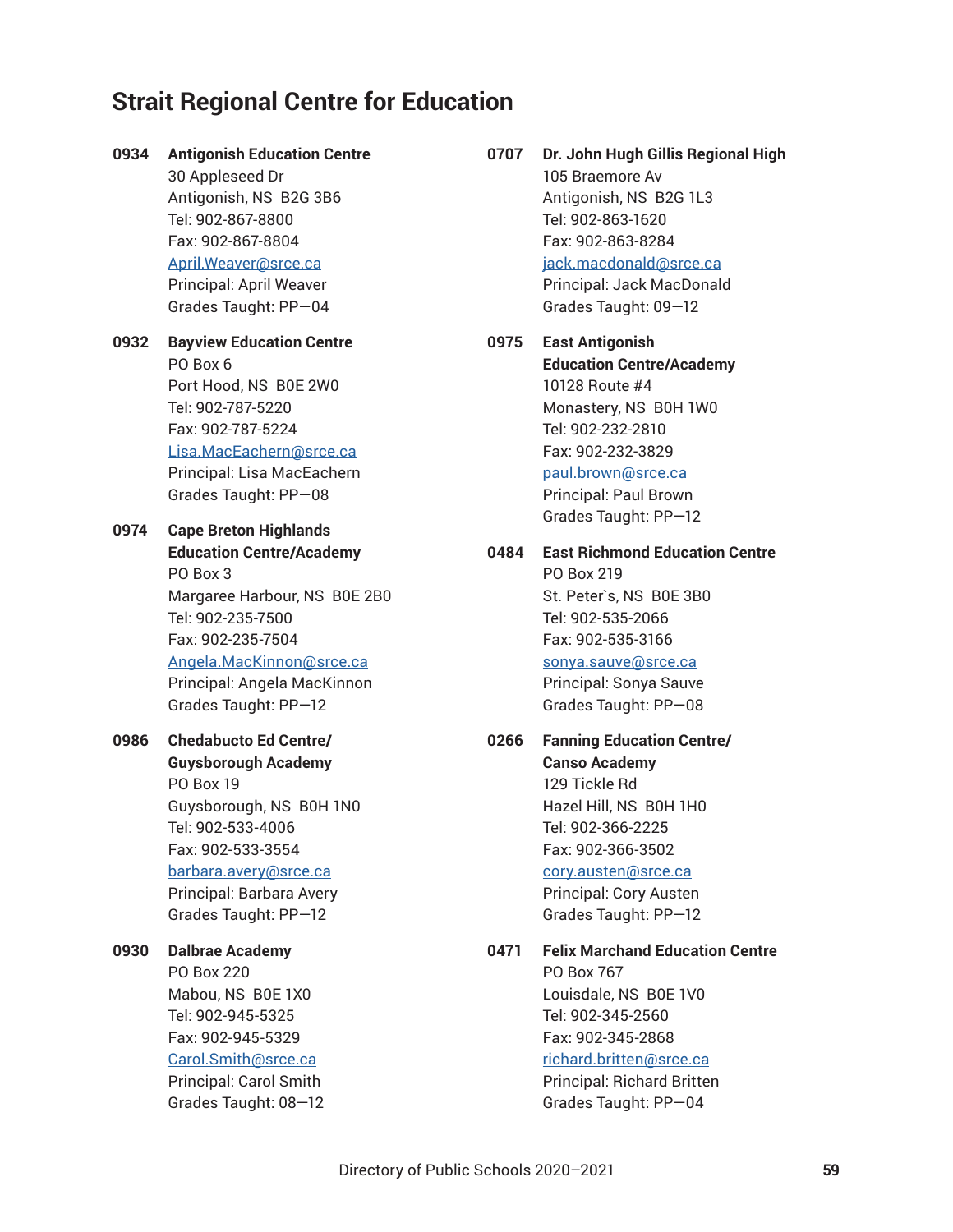#### **0934 Antigonish Education Centre**

30 Appleseed Dr Antigonish, NS B2G 3B6 Tel: 902-867-8800 Fax: 902-867-8804 April.Weaver@srce.ca Principal: April Weaver Grades Taught: PP—04

#### **0932 Bayview Education Centre**

PO Box 6 Port Hood, NS B0E 2W0 Tel: 902-787-5220 Fax: 902-787-5224 Lisa.MacEachern@srce.ca Principal: Lisa MacEachern Grades Taught: PP—08

#### **0974 Cape Breton Highlands Education Centre/Academy**

PO Box 3 Margaree Harbour, NS B0E 2B0 Tel: 902-235-7500 Fax: 902-235-7504 Angela.MacKinnon@srce.ca Principal: Angela MacKinnon Grades Taught: PP—12

#### **0986 Chedabucto Ed Centre/ Guysborough Academy**

PO Box 19 Guysborough, NS B0H 1N0 Tel: 902-533-4006 Fax: 902-533-3554 barbara.avery@srce.ca Principal: Barbara Avery Grades Taught: PP—12

## **0930 Dalbrae Academy**

PO Box 220 Mabou, NS B0E 1X0 Tel: 902-945-5325 Fax: 902-945-5329 Carol.Smith@srce.ca Principal: Carol Smith Grades Taught: 08—12

## **0707 Dr. John Hugh Gillis Regional High** 105 Braemore Av Antigonish, NS B2G 1L3 Tel: 902-863-1620 Fax: 902-863-8284 jack.macdonald@srce.ca Principal: Jack MacDonald Grades Taught: 09—12

## **0975 East Antigonish Education Centre/Academy** 10128 Route #4 Monastery, NS B0H 1W0 Tel: 902-232-2810 Fax: 902-232-3829 paul.brown@srce.ca Principal: Paul Brown Grades Taught: PP—12

## **0484 East Richmond Education Centre**

PO Box 219 St. Peter`s, NS B0E 3B0 Tel: 902-535-2066 Fax: 902-535-3166 sonya.sauve@srce.ca

Principal: Sonya Sauve Grades Taught: PP—08

## **0266 Fanning Education Centre/ Canso Academy** 129 Tickle Rd Hazel Hill, NS B0H 1H0 Tel: 902-366-2225

Fax: 902-366-3502 cory.austen@srce.ca

Principal: Cory Austen Grades Taught: PP—12

## **0471 Felix Marchand Education Centre**

PO Box 767 Louisdale, NS B0E 1V0 Tel: 902-345-2560 Fax: 902-345-2868 richard.britten@srce.ca Principal: Richard Britten

Grades Taught: PP—04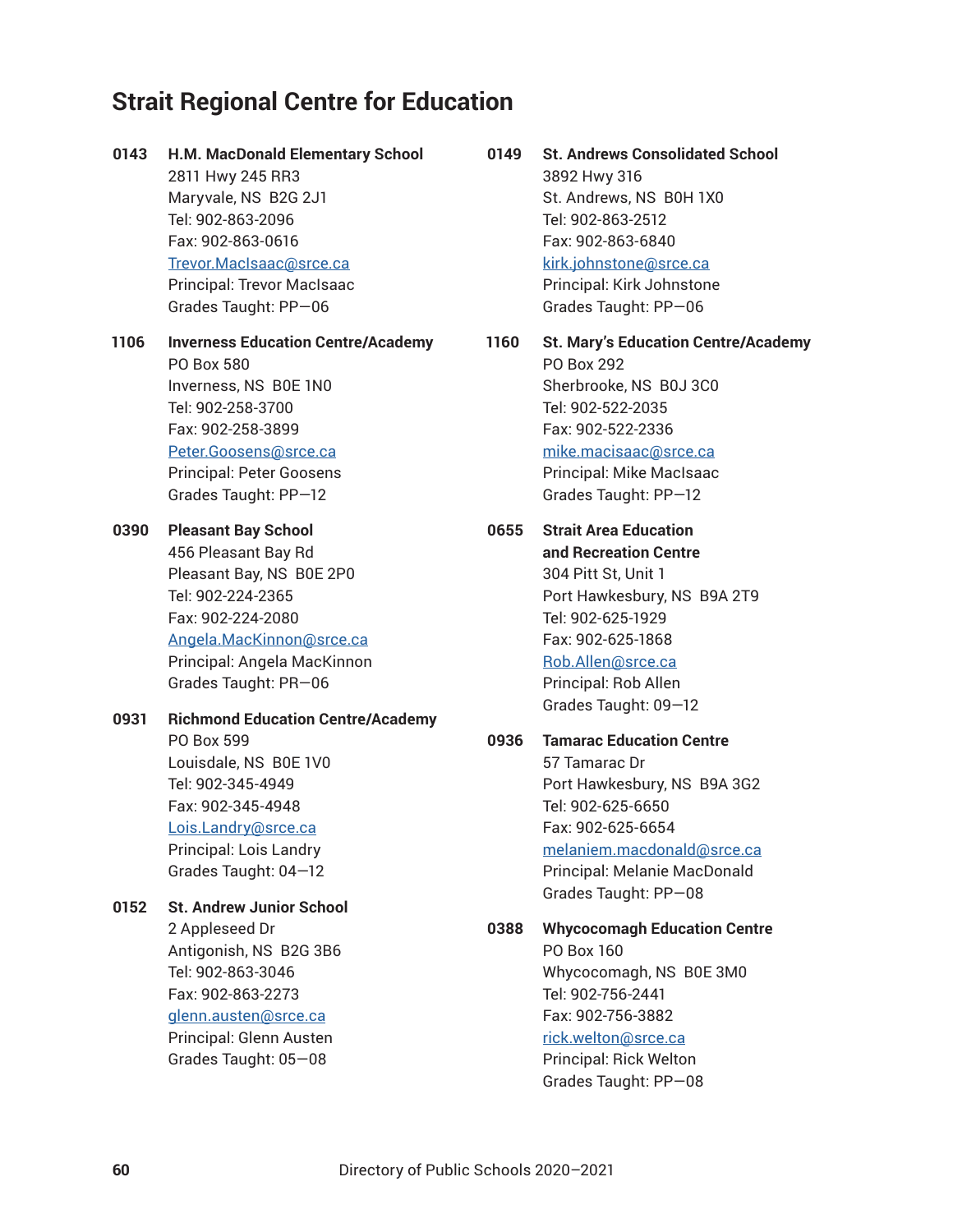**0143 H.M. MacDonald Elementary School** 2811 Hwy 245 RR3

Maryvale, NS B2G 2J1 Tel: 902-863-2096 Fax: 902-863-0616 Trevor.MacIsaac@srce.ca Principal: Trevor MacIsaac Grades Taught: PP—06

**1106 Inverness Education Centre/Academy** PO Box 580 Inverness, NS B0E 1N0 Tel: 902-258-3700 Fax: 902-258-3899 Peter.Goosens@srce.ca Principal: Peter Goosens

Grades Taught: PP—12

**0390 Pleasant Bay School** 456 Pleasant Bay Rd

Pleasant Bay, NS B0E 2P0 Tel: 902-224-2365 Fax: 902-224-2080 Angela.MacKinnon@srce.ca Principal: Angela MacKinnon Grades Taught: PR—06

**0931 Richmond Education Centre/Academy** PO Box 599 Louisdale, NS B0E 1V0 Tel: 902-345-4949 Fax: 902-345-4948 Lois.Landry@srce.ca Principal: Lois Landry Grades Taught: 04—12 **0152 St. Andrew Junior School**

2 Appleseed Dr Antigonish, NS B2G 3B6 Tel: 902-863-3046 Fax: 902-863-2273 glenn.austen@srce.ca Principal: Glenn Austen Grades Taught: 05—08

**0149 St. Andrews Consolidated School** 3892 Hwy 316 St. Andrews, NS B0H 1X0 Tel: 902-863-2512 Fax: 902-863-6840 kirk.johnstone@srce.ca Principal: Kirk Johnstone Grades Taught: PP—06

**1160 St. Mary's Education Centre/Academy** PO Box 292

Sherbrooke, NS B0J 3C0 Tel: 902-522-2035 Fax: 902-522-2336 mike.macisaac@srce.ca

Principal: Mike MacIsaac Grades Taught: PP—12

**0655 Strait Area Education** 

**and Recreation Centre** 304 Pitt St, Unit 1 Port Hawkesbury, NS B9A 2T9 Tel: 902-625-1929 Fax: 902-625-1868 Rob.Allen@srce.ca Principal: Rob Allen Grades Taught: 09—12

**0936 Tamarac Education Centre** 57 Tamarac Dr Port Hawkesbury, NS B9A 3G2 Tel: 902-625-6650 Fax: 902-625-6654 melaniem.macdonald@srce.ca Principal: Melanie MacDonald Grades Taught: PP—08

**0388 Whycocomagh Education Centre** PO Box 160 Whycocomagh, NS B0E 3M0 Tel: 902-756-2441 Fax: 902-756-3882 rick.welton@srce.ca Principal: Rick Welton Grades Taught: PP—08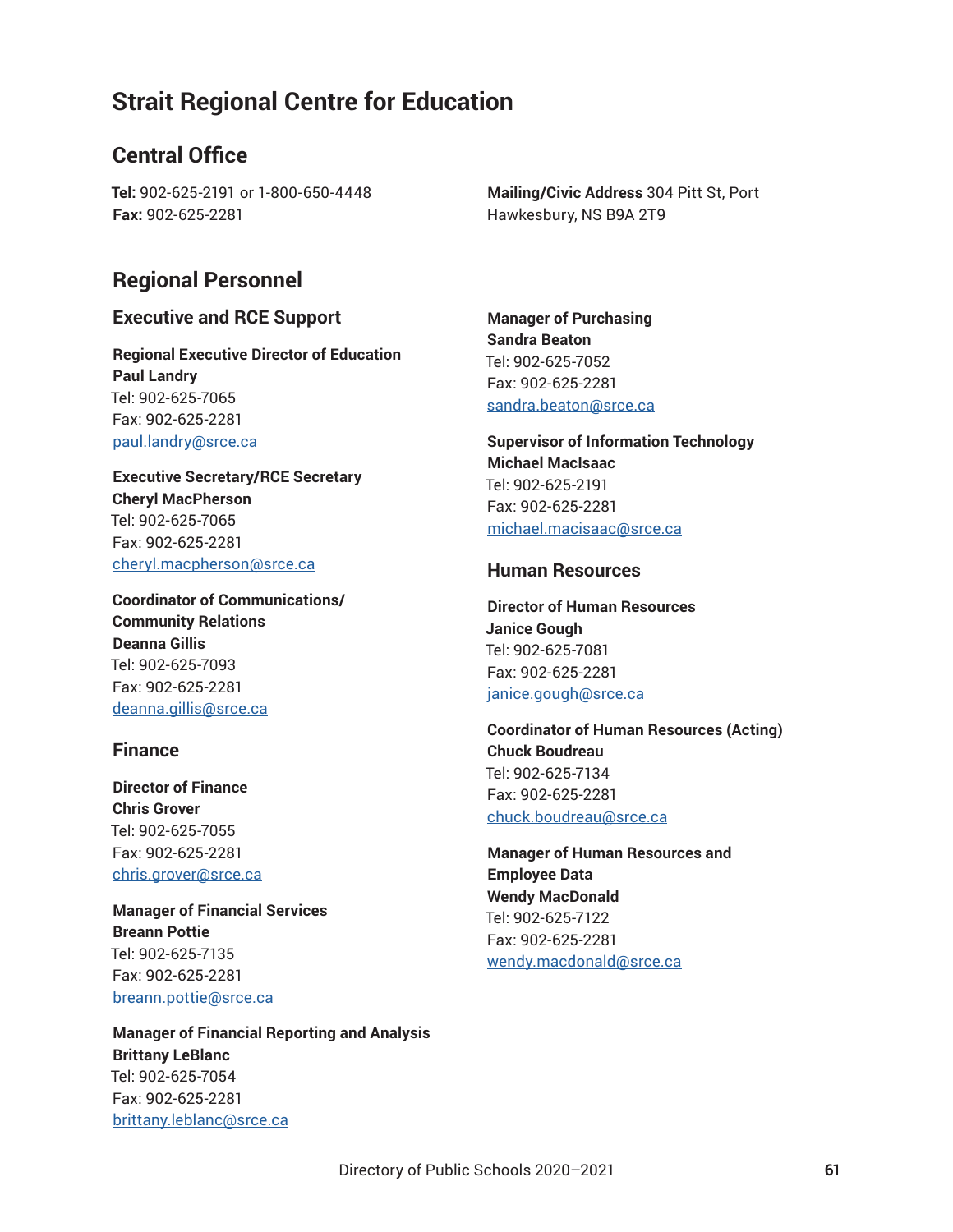## **Central Office**

**Tel:** 902-625-2191 or 1-800-650-4448 **Fax:** 902-625-2281

## **Regional Personnel**

## **Executive and RCE Support**

**Regional Executive Director of Education Paul Landry** Tel: 902-625-7065 Fax: 902-625-2281 [paul.landry@srce.ca](mailto:paul.landry@srce.ca)

**Executive Secretary/RCE Secretary Cheryl MacPherson** Tel: 902-625-7065 Fax: 902-625-2281 [cheryl.macpherson@srce.ca](mailto:cheryl.macpherson@srce.ca)

**Coordinator of Communications/ Community Relations Deanna Gillis** Tel: 902-625-7093 Fax: 902-625-2281 [deanna.gillis@srce.ca](mailto:deanna.gillis%40srce.ca?subject=)

#### **Finance**

**Director of Finance Chris Grover** Tel: 902-625-7055 Fax: 902-625-2281 [chris.grover@srce.ca](mailto:chris.grover%40srce.ca?subject=)

**Manager of Financial Services Breann Pottie** Tel: 902-625-7135 Fax: 902-625-2281 [breann.pottie@srce.ca](mailto:breann.pottie%40srce.ca?subject=)

**Manager of Financial Reporting and Analysis Brittany LeBlanc** Tel: 902-625-7054 Fax: 902-625-2281 [brittany.leblanc@srce.ca](mailto:brittany.leblanc@srce.ca)

**Mailing/Civic Address** 304 Pitt St, Port Hawkesbury, NS B9A 2T9

**Manager of Purchasing Sandra Beaton** Tel: 902-625-7052 Fax: 902-625-2281 [sandra.beaton@srce.ca](mailto:sandra.beaton%40srce.ca?subject=)

**Supervisor of Information Technology Michael MacIsaac** Tel: 902-625-2191 Fax: 902-625-2281 [michael.macisaac@srce.ca](mailto:michael.macisaac%40srce.ca?subject=)

#### **Human Resources**

**Director of Human Resources Janice Gough** Tel: 902-625-7081 Fax: 902-625-2281 [janice.gough@srce.ca](mailto:janice.gough%40srce.ca?subject=)

**Coordinator of Human Resources (Acting) Chuck Boudreau** Tel: 902-625-7134 Fax: 902-625-2281 [chuck.boudreau@srce.ca](mailto:chuck.boudreau@srce.ca)

**Manager of Human Resources and Employee Data Wendy MacDonald** Tel: 902-625-7122 Fax: 902-625-2281 [wendy.macdonald@srce.ca](mailto:wendy.macdonald@srce.ca)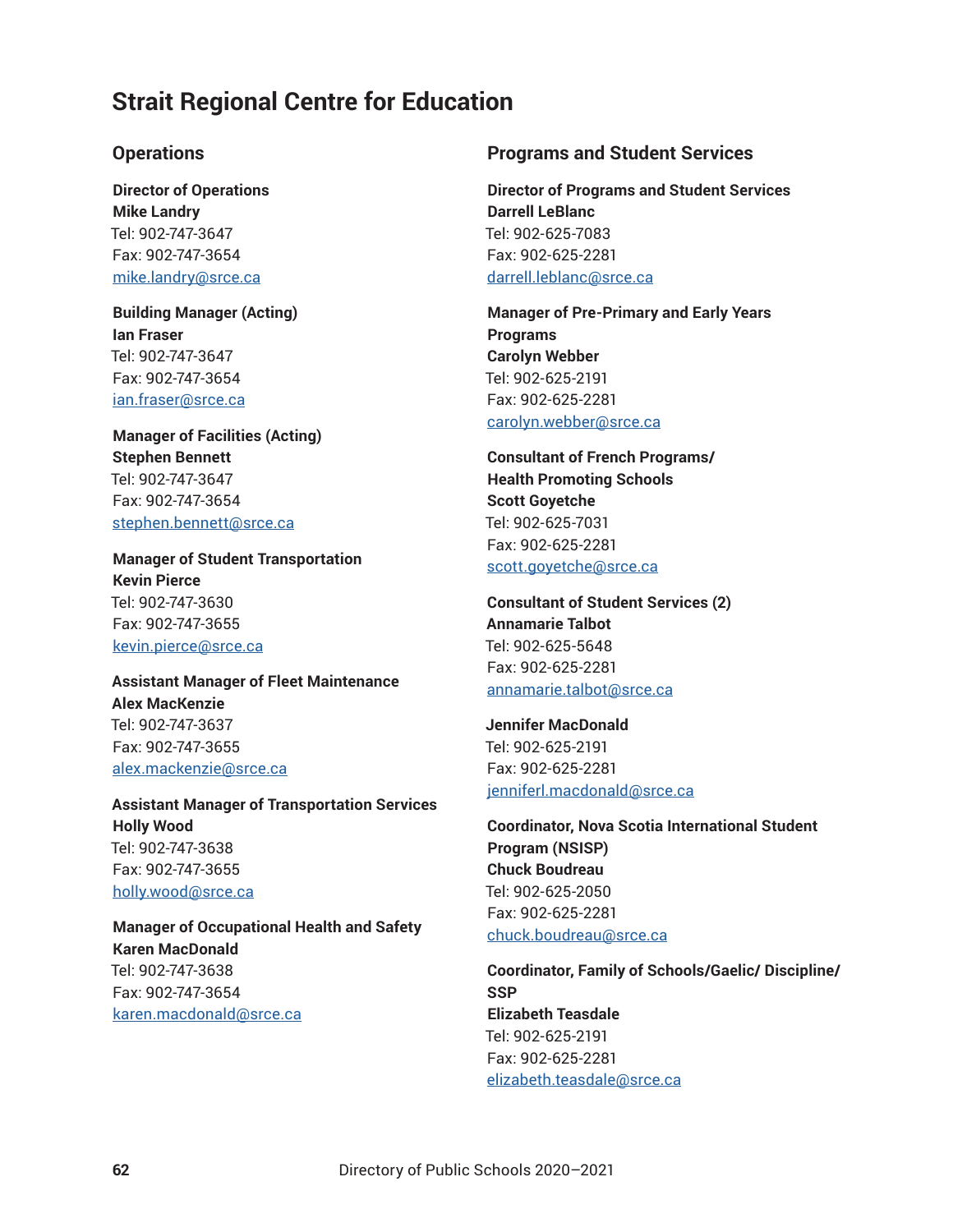### **Operations**

**Director of Operations Mike Landry** Tel: 902-747-3647 Fax: 902-747-3654 [mike.landry@srce.ca](mailto:mike.landry@srce.ca)

**Building Manager (Acting) Ian Fraser** Tel: 902-747-3647 Fax: 902-747-3654 [ian.fraser@srce.ca](mailto:ian.fraser@srce.ca)

**Manager of Facilities (Acting) Stephen Bennett** Tel: 902-747-3647 Fax: 902-747-3654 [stephen.bennett@srce.ca](mailto:stephen.bennett@srce.ca)

**Manager of Student Transportation Kevin Pierce** Tel: 902-747-3630 Fax: 902-747-3655 [kevin.pierce@srce.ca](mailto:kevin.pierce%40srce.ca?subject=)

**Assistant Manager of Fleet Maintenance Alex MacKenzie** Tel: 902-747-3637 Fax: 902-747-3655 [alex.mackenzie@srce.ca](mailto:alex.mackenzie%40srce.ca?subject=)

**Assistant Manager of Transportation Services Holly Wood** Tel: 902-747-3638 Fax: 902-747-3655 [holly.wood@srce.ca](mailto:holly.wood%40srce.ca?subject=)

**Manager of Occupational Health and Safety Karen MacDonald** Tel: 902-747-3638 Fax: 902-747-3654 [karen.macdonald@srce.ca](mailto:karen.macdonald@srce.ca)

#### **Programs and Student Services**

**Director of Programs and Student Services Darrell LeBlanc** Tel: 902-625-7083 Fax: 902-625-2281 [darrell.leblanc@srce.ca](mailto:darrell.leblanc@srce.ca)

**Manager of Pre-Primary and Early Years Programs Carolyn Webber** Tel: 902-625-2191 Fax: 902-625-2281 [carolyn.webber@srce.ca](mailto:carolyn.webber%40srce.ca?subject=)

**Consultant of French Programs/ Health Promoting Schools Scott Goyetche** Tel: 902-625-7031 Fax: 902-625-2281 [scott.goyetche@srce.ca](mailto:scott.goyetche%40srce.ca?subject=)

**Consultant of Student Services (2) Annamarie Talbot** Tel: 902-625-5648 Fax: 902-625-2281 [annamarie.talbot@srce.ca](mailto:annamarie.talbot%40srce.ca?subject=)

**Jennifer MacDonald** Tel: 902-625-2191 Fax: 902-625-2281 [jenniferl.macdonald@srce.ca](mailto:jenniferl.macdonald@srce.ca)

**Coordinator, Nova Scotia International Student Program (NSISP) Chuck Boudreau** Tel: 902-625-2050 Fax: 902-625-2281 [chuck.boudreau@srce.ca](mailto:chuck.boudreau@srce.ca)

**Coordinator, Family of Schools/Gaelic/ Discipline/ SSP Elizabeth Teasdale** Tel: 902-625-2191 Fax: 902-625-2281 [elizabeth.teasdale@srce.ca](mailto:elizabeth.teasdale%40srce.ca?subject=)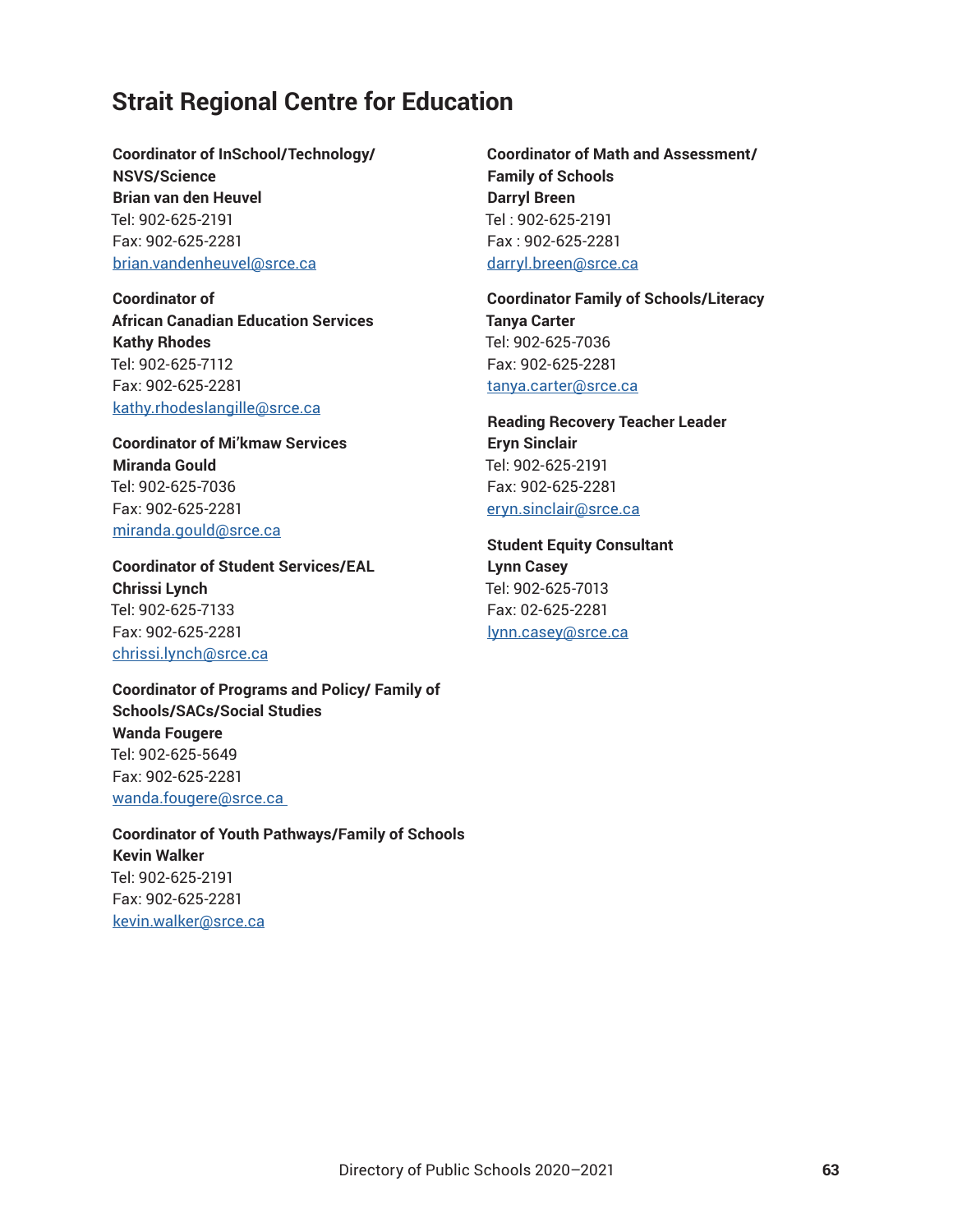# **Strait Regional Centre for Education**

**Coordinator of InSchool/Technology/ NSVS/Science Brian van den Heuvel** Tel: 902-625-2191 Fax: 902-625-2281 [brian.vandenheuvel@srce.ca](mailto:brian.vandenheuvel%40srce.ca?subject=)

**Coordinator of African Canadian Education Services Kathy Rhodes** Tel: 902-625-7112 Fax: 902-625-2281 [kathy.rhodeslangille@srce.ca](mailto:kathy.rhodeslangille@srce.ca)

**Coordinator of Mi'kmaw Services Miranda Gould** Tel: 902-625-7036 Fax: 902-625-2281 [miranda.gould@srce.ca](mailto:miranda.gould@srce.ca)

**Coordinator of Student Services/EAL Chrissi Lynch** Tel: 902-625-7133 Fax: 902-625-2281 [chrissi.lynch@srce.ca](mailto:chrissi.lynch%40srce.ca?subject=)

**Coordinator of Programs and Policy/ Family of Schools/SACs/Social Studies Wanda Fougere** Tel: 902-625-5649 Fax: 902-625-2281 [wanda.fougere@srce.ca](mailto:wanda.fougere%40srce.ca?subject=)

**Coordinator of Youth Pathways/Family of Schools Kevin Walker** Tel: 902-625-2191 Fax: 902-625-2281 [kevin.walker@srce.ca](mailto:Kevin.walker%40srce.ca?subject=)

**Coordinator of Math and Assessment/ Family of Schools Darryl Breen** Tel : 902-625-2191 Fax : 902-625-2281 [darryl.breen@srce.ca](mailto:darryl.breen@srce.ca)

**Coordinator Family of Schools/Literacy Tanya Carter** Tel: 902-625-7036 Fax: 902-625-2281 [tanya.carter@srce.ca](mailto:tanya.carter@srce.ca)

**Reading Recovery Teacher Leader Eryn Sinclair** Tel: 902-625-2191 Fax: 902-625-2281 [eryn.sinclair@srce.ca](mailto:eryn.sinclair@srce.ca)

**Student Equity Consultant Lynn Casey** Tel: 902-625-7013 Fax: 02-625-2281 [lynn.casey@srce.ca](mailto:lynn.casey@srce.ca)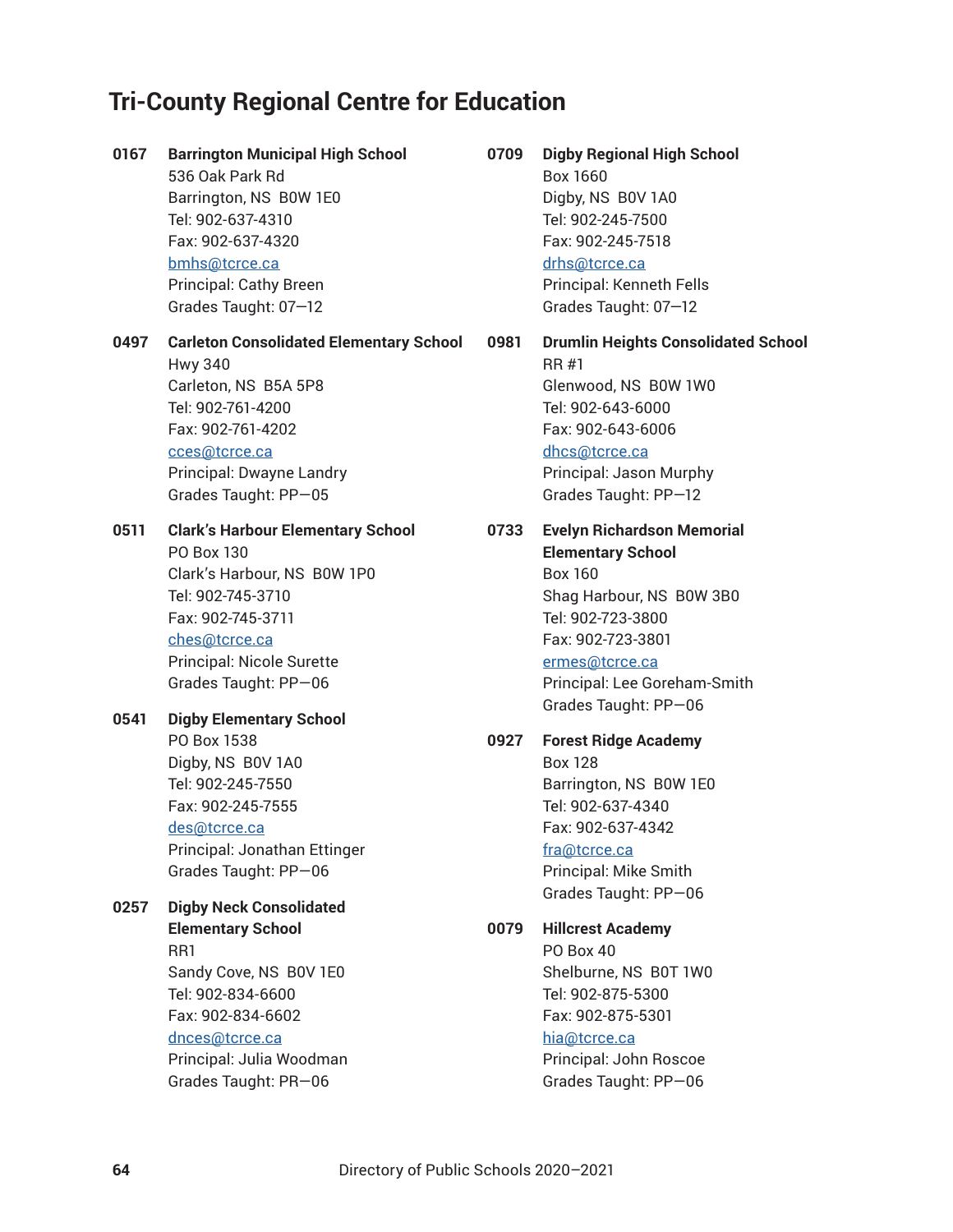#### <span id="page-73-0"></span>**0167 Barrington Municipal High School**

536 Oak Park Rd Barrington, NS B0W 1E0 Tel: 902-637-4310 Fax: 902-637-4320 bmhs@tcrce.ca Principal: Cathy Breen Grades Taught: 07—12

**0497 Carleton Consolidated Elementary School** Hwy 340 Carleton, NS B5A 5P8

> Tel: 902-761-4200 Fax: 902-761-4202 cces@tcrce.ca Principal: Dwayne Landry

Grades Taught: PP—05

**0511 Clark's Harbour Elementary School**

PO Box 130 Clark's Harbour, NS B0W 1P0 Tel: 902-745-3710 Fax: 902-745-3711

ches@tcrce.ca

Principal: Nicole Surette Grades Taught: PP—06

**0541 Digby Elementary School** PO Box 1538

Digby, NS B0V 1A0 Tel: 902-245-7550 Fax: 902-245-7555 des@tcrce.ca Principal: Jonathan Ettinger Grades Taught: PP—06

**0257 Digby Neck Consolidated Elementary School** RR1 Sandy Cove, NS B0V 1E0 Tel: 902-834-6600 Fax: 902-834-6602 dnces@tcrce.ca Principal: Julia Woodman Grades Taught: PR—06

#### **0709 Digby Regional High School** Box 1660 Digby, NS B0V 1A0 Tel: 902-245-7500 Fax: 902-245-7518 drhs@tcrce.ca Principal: Kenneth Fells Grades Taught: 07—12

**0981 Drumlin Heights Consolidated School**

RR #1 Glenwood, NS B0W 1W0 Tel: 902-643-6000 Fax: 902-643-6006

#### dhcs@tcrce.ca

Principal: Jason Murphy Grades Taught: PP—12

**0733 Evelyn Richardson Memorial Elementary School** Box 160 Shag Harbour, NS B0W 3B0 Tel: 902-723-3800

Fax: 902-723-3801

#### ermes@tcrce.ca Principal: Lee Goreham-Smith

Grades Taught: PP—06

## **0927 Forest Ridge Academy**

Box 128 Barrington, NS B0W 1E0 Tel: 902-637-4340 Fax: 902-637-4342

#### fra@tcrce.ca

Principal: Mike Smith Grades Taught: PP—06

#### **0079 Hillcrest Academy**

PO Box 40 Shelburne, NS B0T 1W0 Tel: 902-875-5300 Fax: 902-875-5301 hia@tcrce.ca Principal: John Roscoe Grades Taught: PP—06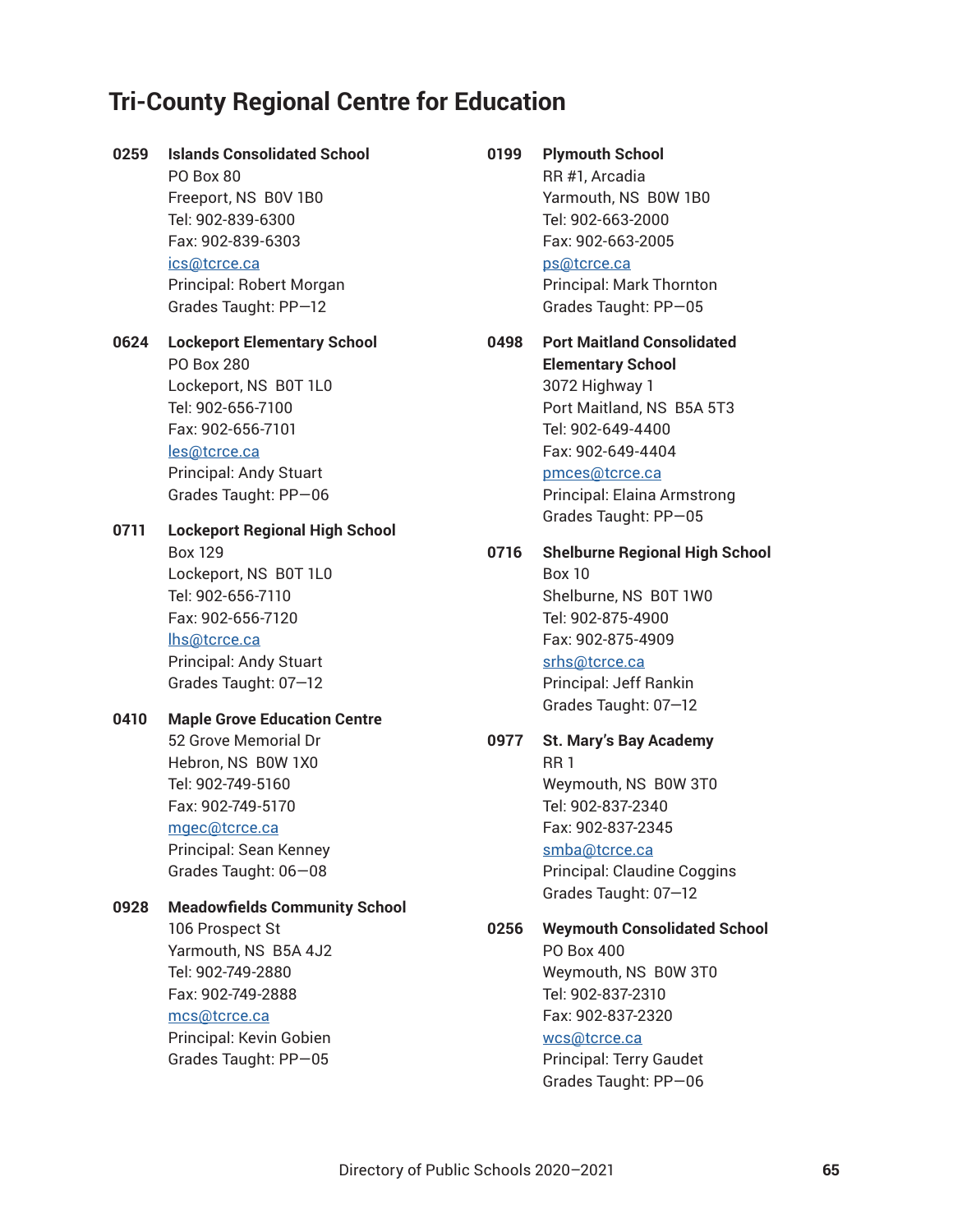#### <span id="page-74-0"></span>**0259 Islands Consolidated School**

PO Box 80 Freeport, NS B0V 1B0 Tel: 902-839-6300 Fax: 902-839-6303 ics@tcrce.ca Principal: Robert Morgan Grades Taught: PP—12

#### **0624 Lockeport Elementary School**

PO Box 280 Lockeport, NS B0T 1L0 Tel: 902-656-7100 Fax: 902-656-7101 les@tcrce.ca Principal: Andy Stuart Grades Taught: PP—06

# **0711 Lockeport Regional High School**

Box 129 Lockeport, NS B0T 1L0 Tel: 902-656-7110 Fax: 902-656-7120 lhs@tcrce.ca Principal: Andy Stuart Grades Taught: 07—12

#### **0410 Maple Grove Education Centre**

52 Grove Memorial Dr Hebron, NS B0W 1X0 Tel: 902-749-5160 Fax: 902-749-5170 mgec@tcrce.ca Principal: Sean Kenney Grades Taught: 06—08

#### **0928 Meadowfields Community School**

106 Prospect St Yarmouth, NS B5A 4J2 Tel: 902-749-2880 Fax: 902-749-2888 mcs@tcrce.ca Principal: Kevin Gobien Grades Taught: PP—05

#### **0199 Plymouth School**

RR #1, Arcadia Yarmouth, NS B0W 1B0 Tel: 902-663-2000 Fax: 902-663-2005 ps@tcrce.ca Principal: Mark Thornton Grades Taught: PP—05

### **0498 Port Maitland Consolidated Elementary School** 3072 Highway 1

Port Maitland, NS B5A 5T3 Tel: 902-649-4400 Fax: 902-649-4404

#### pmces@tcrce.ca

Principal: Elaina Armstrong Grades Taught: PP—05

#### **0716 Shelburne Regional High School**

Box 10 Shelburne, NS B0T 1W0 Tel: 902-875-4900 Fax: 902-875-4909 srhs@tcrce.ca

Principal: Jeff Rankin Grades Taught: 07—12

#### **0977 St. Mary's Bay Academy**

RR 1 Weymouth, NS B0W 3T0 Tel: 902-837-2340 Fax: 902-837-2345

#### smba@tcrce.ca

Principal: Claudine Coggins Grades Taught: 07—12

#### **0256 Weymouth Consolidated School** PO Box 400

Weymouth, NS B0W 3T0 Tel: 902-837-2310 Fax: 902-837-2320 wcs@tcrce.ca Principal: Terry Gaudet Grades Taught: PP—06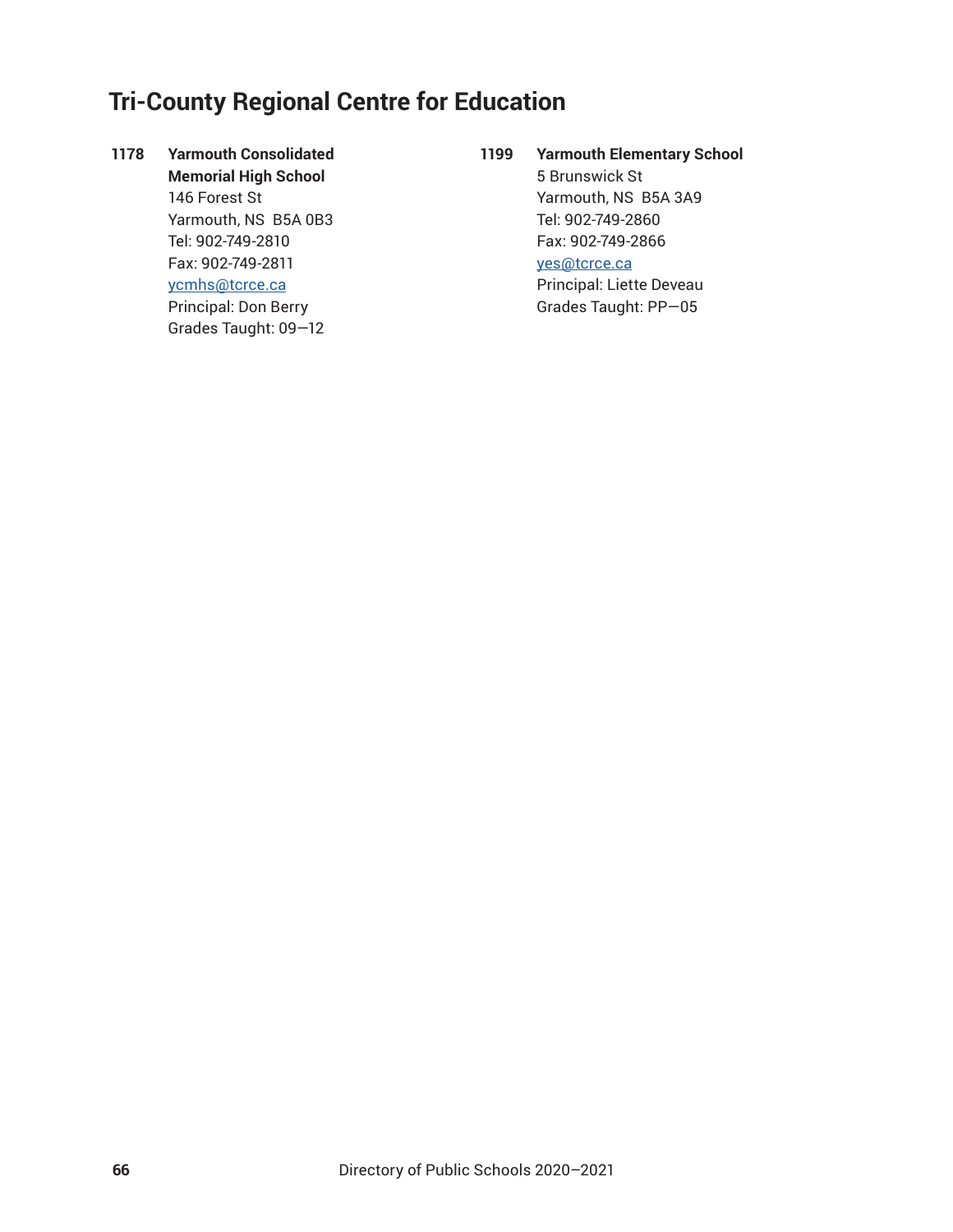#### <span id="page-75-0"></span>**1178 Yarmouth Consolidated Memorial High School** 146 Forest St Yarmouth, NS B5A 0B3 Tel: 902-749-2810 Fax: 902-749-2811 ycmhs@tcrce.ca Principal: Don Berry Grades Taught: 09—12

#### **1199 Yarmouth Elementary School** 5 Brunswick St Yarmouth, NS B5A 3A9 Tel: 902-749-2860 Fax: 902-749-2866 yes@tcrce.ca Principal: Liette Deveau Grades Taught: PP—05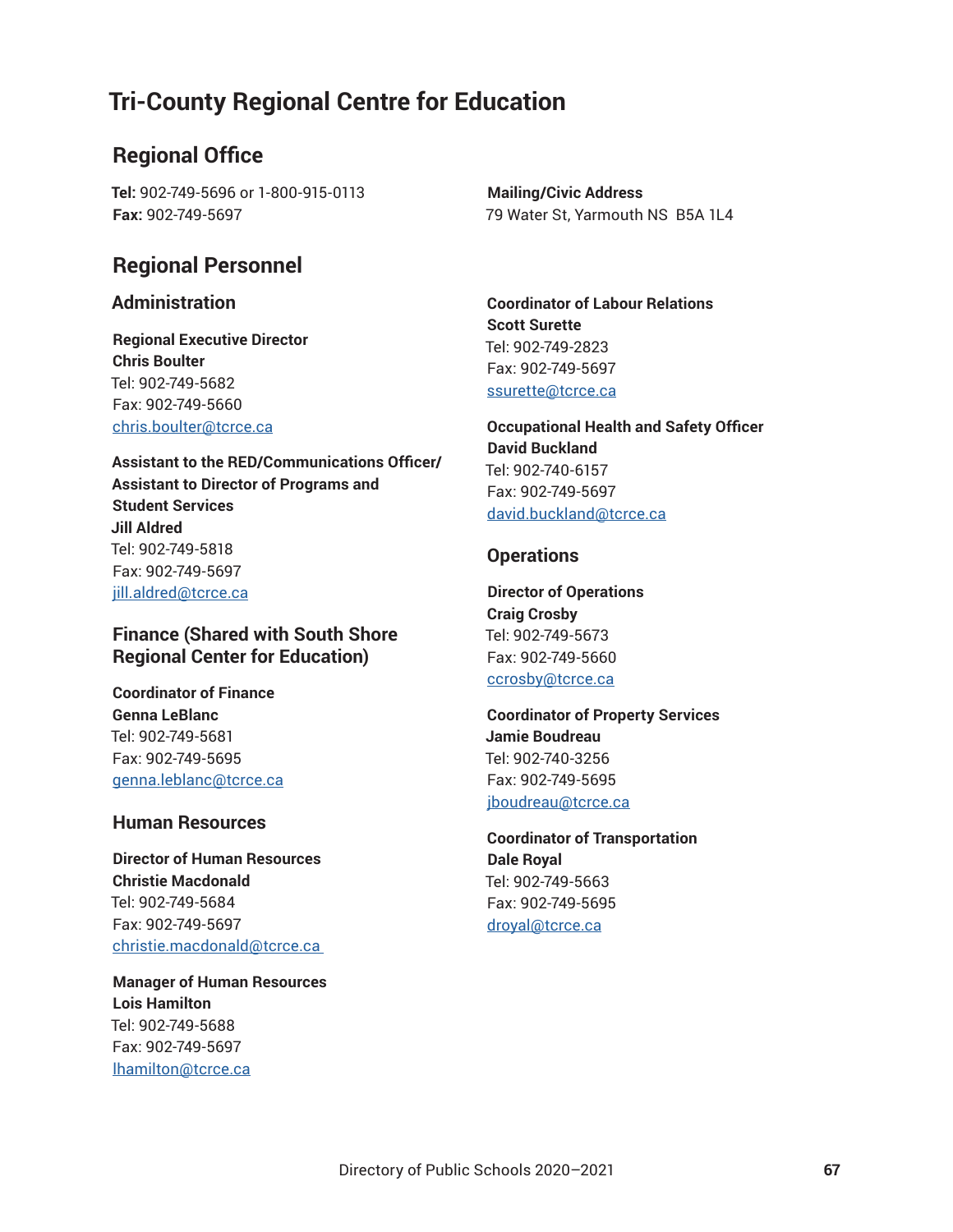## **Regional Office**

**Tel:** 902-749-5696 or 1-800-915-0113 **Fax:** 902-749-5697

## **Regional Personnel**

#### **Administration**

**Regional Executive Director Chris Boulter** Tel: 902-749-5682 Fax: 902-749-5660 [chris.boulter@tcrce.ca](mailto:chris.boulter@tcrce.ca)

**Assistant to the RED/Communications Officer/ Assistant to Director of Programs and Student Services Jill Aldred** Tel: 902-749-5818 Fax: 902-749-5697 [jill.aldred@tcrce.ca](mailto:jill.aldred@tcrce.ca)

#### **Finance (Shared with South Shore Regional Center for Education)**

**Coordinator of Finance Genna LeBlanc** Tel: 902-749-5681 Fax: 902-749-5695 [genna.leblanc@tcrce.ca](mailto:genna.leblanc@tcrce.ca)

#### **Human Resources**

**Director of Human Resources Christie Macdonald** Tel: 902-749-5684 Fax: 902-749-5697 [christie.macdonald@tcrce.ca](mailto:christie.macdonald@tcrce.ca) 

**Manager of Human Resources Lois Hamilton** Tel: 902-749-5688 Fax: 902-749-5697 [lhamilton@tcrce.ca](mailto:lhamilton@tcrce.ca)

**Mailing/Civic Address**  79 Water St, Yarmouth NS B5A 1L4

**Coordinator of Labour Relations Scott Surette** Tel: 902-749-2823 Fax: 902-749-5697 [ssurette@tcrce.ca](mailto:ssurette@tcrce.ca)

**Occupational Health and Safety Officer David Buckland** Tel: 902-740-6157 Fax: 902-749-5697 [david.buckland@tcrce.ca](mailto:david.buckland@tcrce.ca)

#### **Operations**

**Director of Operations Craig Crosby** Tel: 902-749-5673 Fax: 902-749-5660 [ccrosby@tcrce.ca](mailto:ccrosby@tcrce.ca)

**Coordinator of Property Services Jamie Boudreau** Tel: 902-740-3256 Fax: 902-749-5695 [jboudreau@tcrce.ca](mailto:jamie.boudreau@tcrce.ca)

**Coordinator of Transportation Dale Royal** Tel: 902-749-5663 Fax: 902-749-5695 [droyal@tcrce.ca](mailto:droyal@tcrce.ca)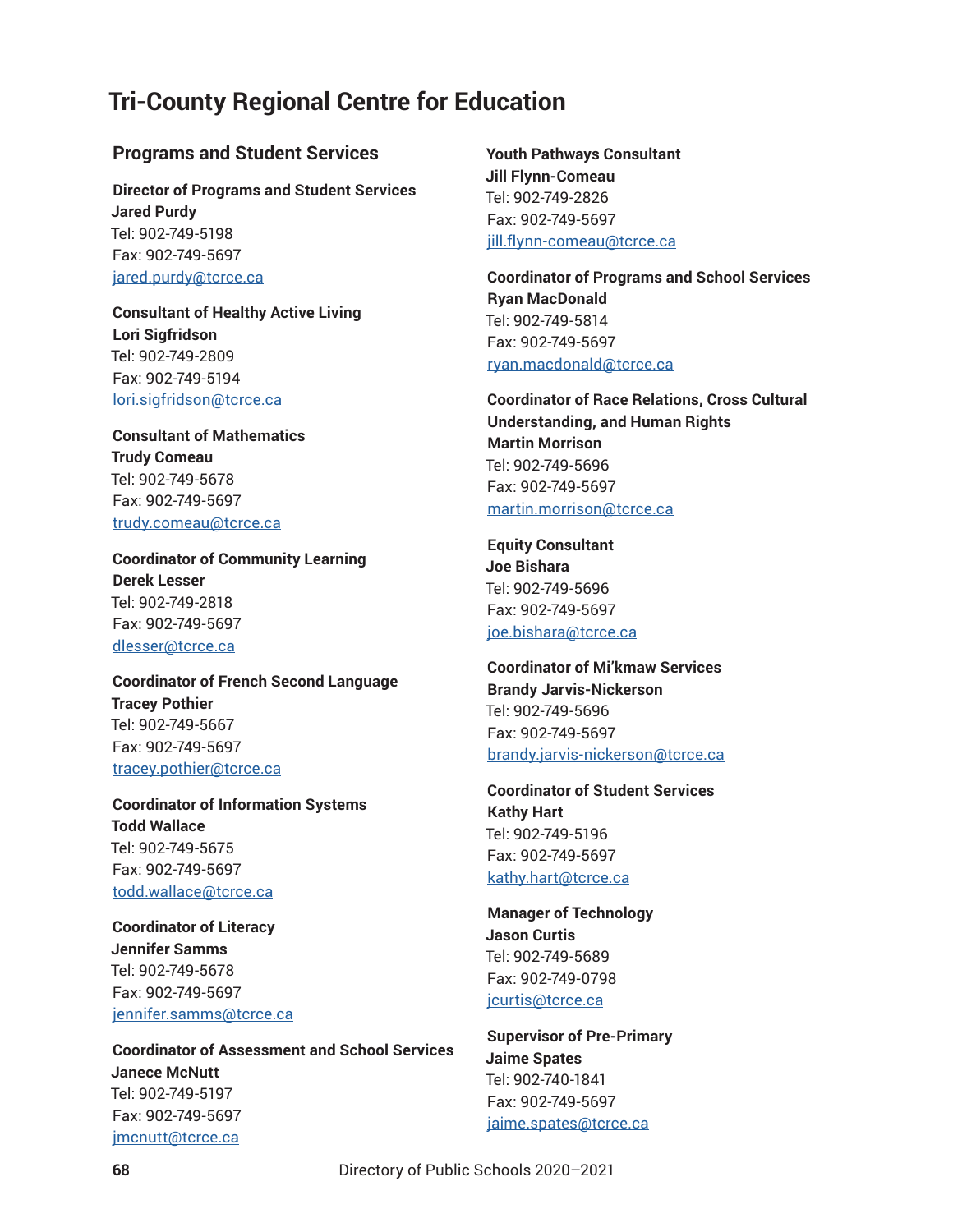#### **Programs and Student Services**

**Director of Programs and Student Services Jared Purdy** Tel: 902-749-5198 Fax: 902-749-5697 [jared.purdy@tcrce.ca](mailto:jared.purdy@tcrce.ca)

**Consultant of Healthy Active Living Lori Sigfridson** Tel: 902-749-2809 Fax: 902-749-5194 [lori.sigfridson@tcrce.ca](mailto:lori.sigfridson%40tcrce.ca?subject=)

**Consultant of Mathematics Trudy Comeau** Tel: 902-749-5678 Fax: 902-749-5697 [trudy.comeau@tcrce.ca](mailto:trudy.comeau%40tcrce.ca?subject=)

**Coordinator of Community Learning Derek Lesser** Tel: 902-749-2818 Fax: 902-749-5697 [dlesser@tcrce.ca](mailto:derek.lesser@tcrce.ca)

**Coordinator of French Second Language Tracey Pothier** Tel: 902-749-5667 Fax: 902-749-5697 [tracey.pothier@tcrce.ca](mailto:tracey.pothier%40tcrce.ca?subject=)

**Coordinator of Information Systems Todd Wallace** Tel: 902-749-5675 Fax: 902-749-5697 [todd.wallace@tcrce.ca](mailto:todd.wallace@tcrce.ca)

**Coordinator of Literacy Jennifer Samms** Tel: 902-749-5678 Fax: 902-749-5697 [jennifer.samms@tcrce.ca](mailto:jennifer.samms@tcrce.ca)

**Coordinator of Assessment and School Services Janece McNutt** Tel: 902-749-5197 Fax: 902-749-5697 [jmcnutt@tcrce.ca](mailto:jmcnutt@tcrce.ca)

**Youth Pathways Consultant Jill Flynn-Comeau** Tel: 902-749-2826 Fax: 902-749-5697 [jill.flynn-comeau@tcrce.ca](mailto:jill.flynn-comeau@tcrce.ca)

**Coordinator of Programs and School Services Ryan MacDonald** Tel: 902-749-5814 Fax: 902-749-5697 [ryan.macdonald@tcrce.ca](mailto:ryan.macdonald@tcrce.ca)

**Coordinator of Race Relations, Cross Cultural Understanding, and Human Rights Martin Morrison** Tel: 902-749-5696 Fax: 902-749-5697 [martin.morrison@tcrce.ca](mailto:martin.morrison@tcrce.ca)

**Equity Consultant Joe Bishara** Tel: 902-749-5696 Fax: 902-749-5697 [joe.bishara@tcrce.ca](mailto:joe.bishara@tcrce.ca)

**Coordinator of Mi'kmaw Services Brandy Jarvis-Nickerson** Tel: 902-749-5696 Fax: 902-749-5697 [brandy.jarvis-nickerson@tcrce.ca](mailto:brandy.jarvis-nickerson@tcrce.ca)

**Coordinator of Student Services Kathy Hart** Tel: 902-749-5196 Fax: 902-749-5697 [kathy.hart@tcrce.ca](mailto:kathy.hart@tcrce.ca)

**Manager of Technology Jason Curtis** Tel: 902-749-5689 Fax: 902-749-0798 [jcurtis@tcrce.ca](mailto:jcurtis@tcrce.ca)

**Supervisor of Pre-Primary Jaime Spates** Tel: 902-740-1841 Fax: 902-749-5697 [jaime.spates@tcrce.ca](mailto:jaime.spates@tcrce.ca)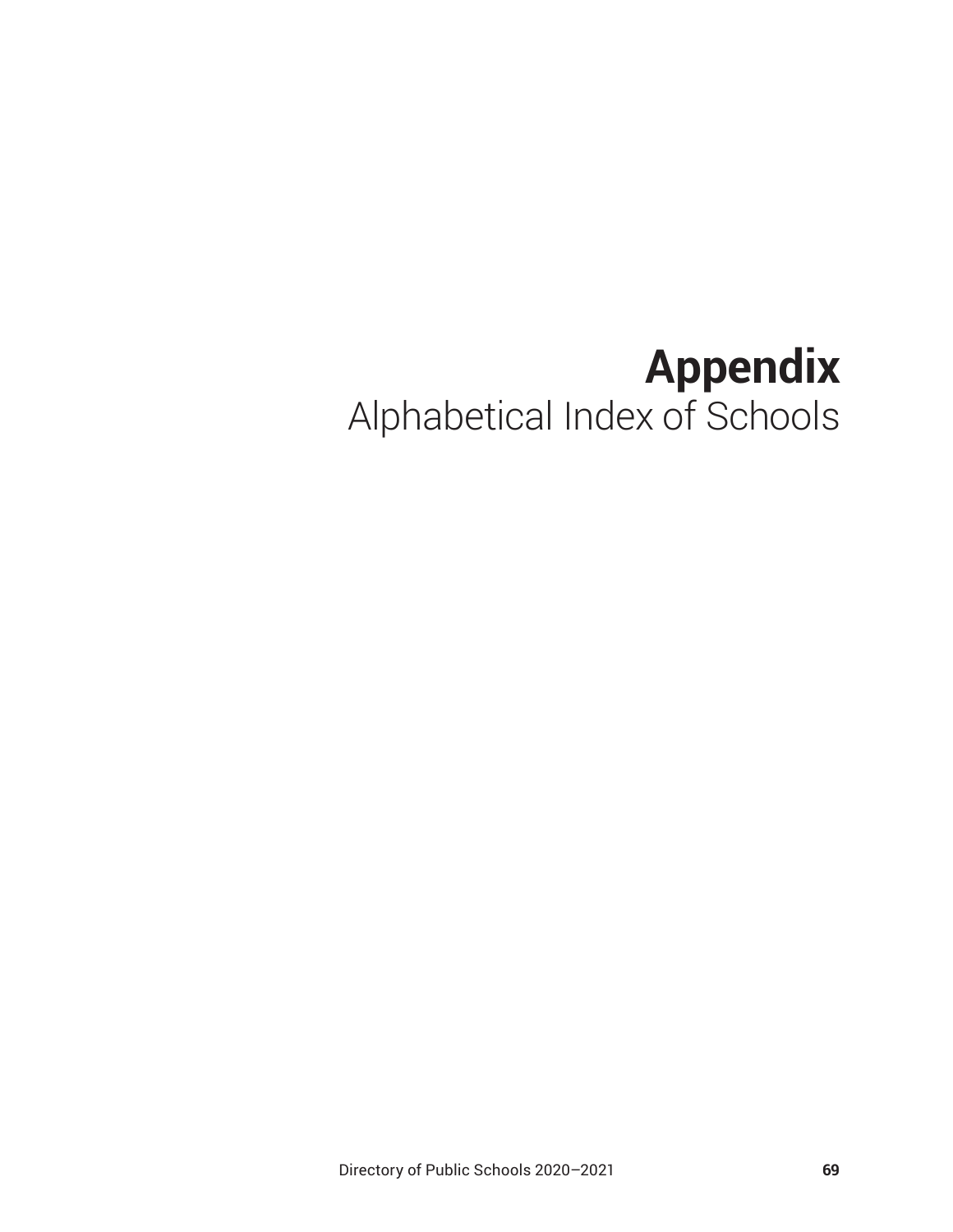# **Appendix** Alphabetical Index of Schools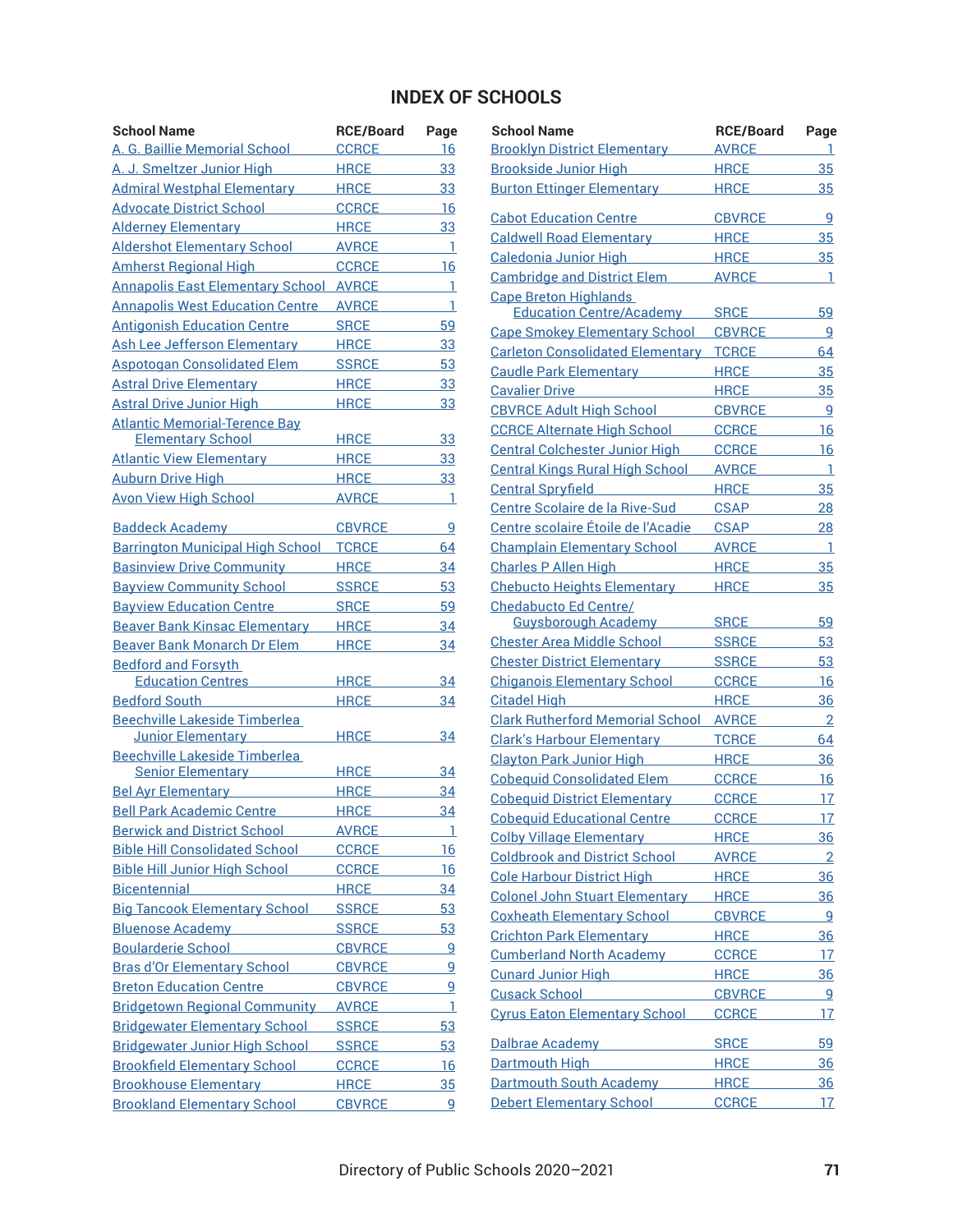| <b>School Name</b>                                               | <b>RCE/Board</b> | Page           |
|------------------------------------------------------------------|------------------|----------------|
| A. G. Baillie Memorial School                                    | <b>CCRCE</b>     | 16             |
| A. J. Smeltzer Junior High                                       | <b>HRCE</b>      | 33             |
| <b>Admiral Westphal Elementary</b>                               | <b>HRCE</b>      | 33             |
| <b>Advocate District School</b>                                  | <b>CCRCE</b>     | 16             |
| <b>Alderney Elementary</b>                                       | <b>HRCE</b>      | 33             |
| <b>Aldershot Elementary School</b>                               | <b>AVRCE</b>     | $\overline{1}$ |
| <b>Amherst Regional High</b>                                     | <b>CCRCE</b>     | 16             |
| <b>Annapolis East Elementary School</b>                          | <b>AVRCE</b>     | 1              |
| <b>Annapolis West Education Centre</b>                           | <b>AVRCE</b>     | 1              |
| <b>Antigonish Education Centre</b>                               | <b>SRCE</b>      | 59             |
| <b>Ash Lee Jefferson Elementary</b>                              | <b>HRCE</b>      | 33             |
| <b>Aspotogan Consolidated Elem</b>                               | <b>SSRCE</b>     | 53             |
| <b>Astral Drive Elementary</b>                                   | <b>HRCE</b>      | 33             |
| <b>Astral Drive Junior High</b>                                  | <b>HRCE</b>      | 33             |
| <b>Atlantic Memorial-Terence Bay</b>                             |                  |                |
| <b>Elementary School</b>                                         | <b>HRCE</b>      | 33             |
| <b>Atlantic View Elementary</b>                                  | <b>HRCE</b>      | 33             |
| <b>Auburn Drive High</b>                                         | <b>HRCE</b>      | 33             |
| <b>Avon View High School</b>                                     | <b>AVRCE</b>     | 1              |
| Baddeck Academy <b>Baddeck Academy</b>                           | <b>CBVRCE</b>    | 9              |
| <b>Barrington Municipal High School</b>                          | <b>TCRCE</b>     | 64             |
| <b>Basinview Drive Community</b>                                 | <b>HRCE</b>      | 34             |
| <b>Bayview Community School</b>                                  | <b>SSRCE</b>     | 53             |
| <b>Bayview Education Centre</b>                                  | <b>SRCE</b>      | 59             |
| <b>Beaver Bank Kinsac Elementary</b>                             | <b>HRCE</b>      | 34             |
| Beaver Bank Monarch Dr Elem                                      | <b>HRCE</b>      | 34             |
| <b>Bedford and Forsyth</b>                                       |                  |                |
| <b>Education Centres</b>                                         | <b>HRCE</b>      | 34             |
| <b>Bedford South</b>                                             | <b>HRCE</b>      | 34             |
| <b>Beechville Lakeside Timberlea</b>                             |                  |                |
| <b>Junior Elementary</b>                                         | HRCE             | 34             |
| <b>Beechville Lakeside Timberlea</b><br><b>Senior Elementary</b> | <b>HRCE</b>      | 34             |
| <b>Bel Ayr Elementary</b>                                        | <b>HRCE</b>      | 34             |
| <b>Bell Park Academic Centre</b>                                 | <b>HRCE</b>      | 34             |
| Berwick and District School                                      | AVRCE            | 1              |
| <b>Bible Hill Consolidated School</b>                            | <b>CCRCE</b>     | 16             |
| <u>Bible Hill Junior High School</u>                             | <b>CCRCE</b>     | 16             |
| <b>Bicentennial</b>                                              | <b>HRCE</b>      | 34             |
| <b>Big Tancook Elementary School</b>                             | <b>SSRCE</b>     | 53             |
| Bluenose Academy                                                 | <b>SSRCE</b>     | 53             |
| <b>Boularderie School</b>                                        | <b>CBVRCE</b>    | 9              |
| <b>Bras d'Or Elementary School</b>                               | <b>CBVRCE</b>    | 9              |
| <b>Breton Education Centre</b>                                   | <b>CBVRCE</b>    | $\overline{9}$ |
| <b>Bridgetown Regional Community</b>                             | <b>AVRCE</b>     | $\mathbf{1}$   |
| <b>Bridgewater Elementary School</b>                             | <b>SSRCE</b>     | 53             |
| <b>Bridgewater Junior High School</b>                            | <b>SSRCE</b>     | 53             |
| <b>Brookfield Elementary School</b>                              | <b>CCRCE</b>     | <u>16</u>      |
| <b>Brookhouse Elementary</b>                                     | <b>HRCE</b>      | 35             |
| <b>Brookland Elementary School</b>                               | <b>CBVRCE</b>    | - 9            |
|                                                                  |                  |                |

| <b>School Name</b>                                     | <b>RCE/Board</b> | Page           | <b>School Name</b>                                | <b>RCE/Board</b> | Page           |
|--------------------------------------------------------|------------------|----------------|---------------------------------------------------|------------------|----------------|
| A. G. Baillie Memorial School                          | <b>CCRCE</b>     | 16             | <b>Brooklyn District Elementary</b>               | <b>AVRCE</b>     | -1             |
| A. J. Smeltzer Junior High                             | <b>HRCE</b>      | 33             | <b>Brookside Junior High</b>                      | <b>HRCE</b>      | 35             |
| <b>Admiral Westphal Elementary</b>                     | <b>HRCE</b>      | 33             | <b>Burton Ettinger Elementary</b>                 | <b>HRCE</b>      | 35             |
| <b>Advocate District School</b>                        | <b>CCRCE</b>     | 16             | <b>Cabot Education Centre</b>                     | <b>CBVRCE</b>    | 9              |
| <b>Alderney Elementary</b>                             | <b>HRCE</b>      | 33             | <b>Caldwell Road Elementary</b>                   | <b>HRCE</b>      | 35             |
| <b>Aldershot Elementary School</b>                     | <b>AVRCE</b>     | -1             | Caledonia Junior High                             | <b>HRCE</b>      | 35             |
| <b>Amherst Regional High</b>                           | <b>CCRCE</b>     | 16             | <b>Cambridge and District Elem</b>                | <b>AVRCE</b>     | $\mathbf{1}$   |
| <b>Annapolis East Elementary School</b>                | <b>AVRCE</b>     | -1             | <b>Cape Breton Highlands</b>                      |                  |                |
| <b>Annapolis West Education Centre</b>                 | <b>AVRCE</b>     | $\mathbf{1}$   | <b>Education Centre/Academy</b>                   | <b>SRCE</b>      | 59             |
| <b>Antigonish Education Centre</b>                     | <b>SRCE</b>      | 59             | <b>Cape Smokey Elementary School</b>              | <b>CBVRCE</b>    | 9              |
| Ash Lee Jefferson Elementary                           | <b>HRCE</b>      | 33             | <b>Carleton Consolidated Elementary</b>           | <b>TCRCE</b>     | 64             |
| <b>Aspotogan Consolidated Elem</b>                     | <b>SSRCE</b>     | 53             | <b>Caudle Park Elementary</b>                     | <b>HRCE</b>      | 35             |
| <b>Astral Drive Elementary</b>                         | <b>HRCE</b>      | 33             | <b>Cavalier Drive</b>                             | <b>HRCE</b>      | 35             |
| <b>Astral Drive Junior High</b>                        | <b>HRCE</b>      | 33             | <b>CBVRCE Adult High School</b>                   | <b>CBVRCE</b>    | 9              |
| <b>Atlantic Memorial-Terence Bay</b>                   |                  |                | <b>CCRCE Alternate High School</b>                | <b>CCRCE</b>     | 16             |
| <b>Elementary School</b>                               | <b>HRCE</b>      | 33             | <b>Central Colchester Junior High</b>             | <b>CCRCE</b>     | 16             |
| <b>Atlantic View Elementary</b>                        | <b>HRCE</b>      | 33             | <b>Central Kings Rural High School</b>            | <b>AVRCE</b>     | $\overline{1}$ |
| Auburn Drive High                                      | <b>HRCE</b>      | 33             | <b>Central Spryfield</b>                          | <b>HRCE</b>      | 35             |
| <b>Avon View High School</b>                           | <b>AVRCE</b>     | 1              | Centre Scolaire de la Rive-Sud                    | <b>CSAP</b>      | 28             |
| <b>Baddeck Academy</b>                                 | <b>CBVRCE</b>    | 9              | Centre scolaire Étoile de l'Acadie                | <b>CSAP</b>      | 28             |
| <b>Barrington Municipal High School</b>                | <b>TCRCE</b>     | 64             | <b>Champlain Elementary School</b>                | <b>AVRCE</b>     | $\overline{1}$ |
| <b>Basinview Drive Community</b>                       | <b>HRCE</b>      | 34             | <b>Charles P Allen High</b>                       | <b>HRCE</b>      | 35             |
| <b>Bayview Community School</b>                        | <b>SSRCE</b>     | 53             | <b>Chebucto Heights Elementary</b>                | <b>HRCE</b>      | 35             |
| <b>Bayview Education Centre</b>                        | <b>SRCE</b>      | 59             | Chedabucto Ed Centre/                             |                  |                |
| <b>Beaver Bank Kinsac Elementary</b>                   | <b>HRCE</b>      | 34             | <b>Guysborough Academy</b>                        | <b>SRCE</b>      | 59             |
|                                                        |                  |                | <b>Chester Area Middle School</b>                 | <b>SSRCE</b>     | 53             |
| <b>Beaver Bank Monarch Dr Elem</b>                     | <b>HRCE</b>      | 34             | <b>Chester District Elementary</b>                | <b>SSRCE</b>     | 53             |
| <b>Bedford and Forsyth</b><br><b>Education Centres</b> | <b>HRCE</b>      | 34             | <b>Chiganois Elementary School</b>                | <b>CCRCE</b>     | 16             |
| <b>Bedford South</b>                                   | <b>HRCE</b>      | 34             | <b>Citadel High</b>                               | <b>HRCE</b>      | 36             |
| <b>Beechville Lakeside Timberlea</b>                   |                  |                | <b>Clark Rutherford Memorial School</b>           | <b>AVRCE</b>     | $\overline{2}$ |
| <b>Junior Elementary</b>                               | <b>HRCE</b>      | 34             | <b>Clark's Harbour Elementary</b>                 | <b>TCRCE</b>     | 64             |
| <b>Beechville Lakeside Timberlea</b>                   |                  |                | <b>Clayton Park Junior High</b>                   | <b>HRCE</b>      | 36             |
| <b>Senior Elementary</b>                               | <b>HRCE</b>      | 34             | <b>Cobequid Consolidated Elem</b>                 | <b>CCRCE</b>     | 16             |
| <b>Bel Ayr Elementary</b>                              | <b>HRCE</b>      | 34             | <b>Cobequid District Elementary</b>               | <b>CCRCE</b>     | 17             |
| <b>Bell Park Academic Centre</b>                       | <b>HRCE</b>      | 34             | <b>Cobequid Educational Centre</b>                | <b>CCRCE</b>     | 17             |
| <b>Berwick and District School</b>                     | <b>AVRCE</b>     | $\perp$        | <b>Colby Village Elementary</b>                   | <b>HRCE</b>      | 36             |
| <b>Bible Hill Consolidated School</b>                  | <b>CCRCE</b>     | 16             | <b>Coldbrook and District School</b>              | <b>AVRCE</b>     | $\overline{2}$ |
| <b>Bible Hill Junior High School</b>                   | <b>CCRCE</b>     | 16             | <b>Cole Harbour District High</b>                 | <b>HRCE</b>      | 36             |
| <b>Bicentennial</b>                                    | <b>HRCE</b>      | 34             | <b>Colonel John Stuart Elementary</b>             | <b>HRCE</b>      | 36             |
| <b>Big Tancook Elementary School</b>                   | <b>SSRCE</b>     | 53             | <b>Coxheath Elementary School</b>                 |                  |                |
| <b>Bluenose Academy</b>                                | <b>SSRCE</b>     | 53             | <b>Crichton Park Elementary</b>                   | <b>CBVRCE</b>    | <u>g</u>       |
| <b>Boularderie School</b>                              | <b>CBVRCE</b>    | <u>و</u>       |                                                   | <b>HRCE</b>      | 36             |
| <b>Bras d'Or Elementary School</b>                     | <b>CBVRCE</b>    | $\overline{9}$ | <b>Cumberland North Academy</b>                   | <b>CCRCE</b>     | <u> 17</u>     |
| <b>Breton Education Centre</b>                         | <b>CBVRCE</b>    | $\overline{9}$ | <b>Cunard Junior High</b><br><b>Cusack School</b> | <b>HRCE</b>      | 36             |
| <b>Bridgetown Regional Community</b>                   | <b>AVRCE</b>     | $\mathbf{1}$   |                                                   | <b>CBVRCE</b>    | 9              |
| <b>Bridgewater Elementary School</b>                   | <b>SSRCE</b>     | 53             | <b>Cyrus Eaton Elementary School</b>              | <b>CCRCE</b>     | 17             |
| <b>Bridgewater Junior High School</b>                  | <b>SSRCE</b>     | 53             | Dalbrae Academy                                   | <b>SRCE</b>      | 59             |
| <b>Brookfield Elementary School</b>                    | <b>CCRCE</b>     | 16             | <b>Dartmouth High</b>                             | <b>HRCE</b>      | 36             |
| <b>Brookhouse Elementary</b>                           | <b>HRCE</b>      | 35             | <b>Dartmouth South Academy</b>                    | <b>HRCE</b>      | 36             |
| <b>Brookland Elementary School</b>                     | <b>CBVRCE</b>    | 9              | <b>Debert Elementary School</b>                   | <b>CCRCE</b>     | 17             |
|                                                        |                  |                |                                                   |                  |                |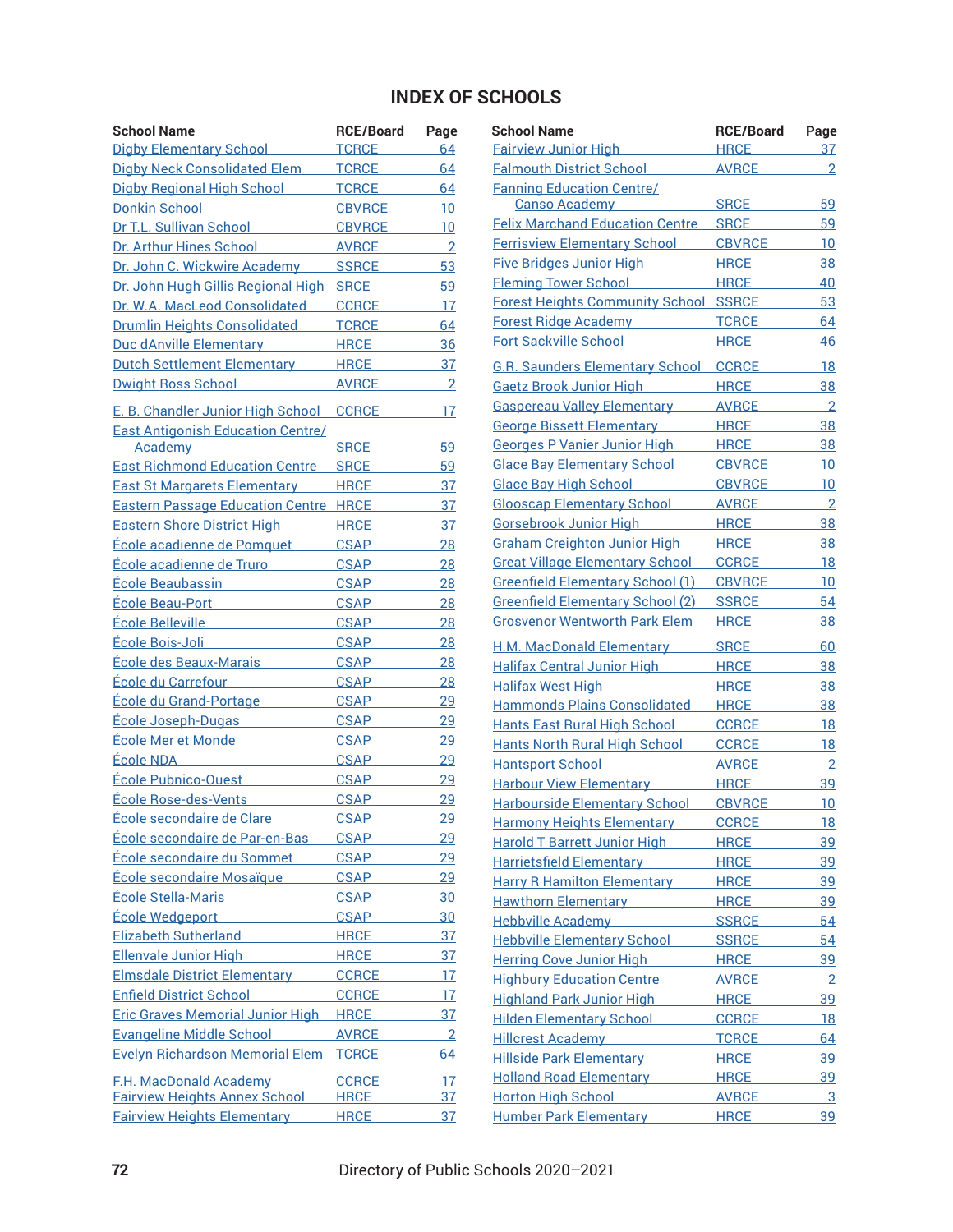| <b>School Name</b>                                                                                            | <b>RCE/Board</b>     | Page           |
|---------------------------------------------------------------------------------------------------------------|----------------------|----------------|
| <b>Digby Elementary School</b>                                                                                | <b>TCRCE</b>         | 64             |
| <b>Digby Neck Consolidated Elem</b>                                                                           | <b>TCRCE</b>         | 64             |
| Digby Regional High School                                                                                    | <b>TCRCE</b>         | 64             |
| Donkin School                                                                                                 | <b>CBVRCE</b>        | 10             |
| Dr T.L. Sullivan School                                                                                       | <b>CBVRCE</b>        | 10             |
| Dr. Arthur Hines School                                                                                       | <b>AVRCE</b>         | $\overline{2}$ |
| Dr. John C. Wickwire Academy SSRCE                                                                            |                      | 53             |
| Dr. John Hugh Gillis Regional High SRCE                                                                       |                      | 59             |
| Dr. W.A. MacLeod Consolidated                                                                                 | <b>CCRCE</b>         | 17             |
| <b>Drumlin Heights Consolidated</b>                                                                           | <b>TCRCE</b>         | 64             |
| Duc dAnville Elementary HRCE                                                                                  |                      | 36             |
| <b>Dutch Settlement Elementary HRCE</b>                                                                       |                      | <u>37</u>      |
| <b>Dwight Ross School</b>                                                                                     | <b>AVRCE</b>         | $\overline{2}$ |
| E. B. Chandler Junior High School CCRCE                                                                       |                      | 17             |
| <b>East Antigonish Education Centre/</b>                                                                      |                      |                |
| Academy                                                                                                       | <b>SRCE</b>          | 59             |
| <b>East Richmond Education Centre</b>                                                                         | <b>SRCE</b>          | 59             |
| <b>East St Margarets Elementary HRCE</b>                                                                      |                      | 37             |
| <b>Eastern Passage Education Centre HRCE</b>                                                                  |                      | 37             |
| <b>Eastern Shore District High</b>                                                                            | <b>HRCE</b>          | 37             |
| École acadienne de Pomquet                                                                                    | <b>CSAP</b>          | <u>28</u>      |
| École acadienne de Truro                                                                                      | <b>CSAP</b>          | 28             |
| École Beaubassin                                                                                              | <b>CSAP</b>          | 28             |
| École Beau-Port                                                                                               | <b>CSAP</b>          | <u>28</u>      |
| <b>École Belleville</b><br>and the control of the control of                                                  | <b>CSAP</b>          | 28             |
| <b>École Bois-Joli</b>                                                                                        | <b>CSAP</b>          | <u>28</u>      |
| <u>École des Beaux-Marais — Los Ant</u>                                                                       | <b>CSAP</b>          | 28             |
| École du Carrefour                                                                                            | <b>CSAP</b>          | <u>28</u>      |
| École du Grand-Portage                                                                                        | <b>CSAP</b>          | 29             |
| <b>École Joseph-Dugas</b>                                                                                     | <b>CSAP</b>          | 29             |
| École Mer et Monde                                                                                            | <b>CSAP</b>          | <u>29</u>      |
| École NDA                                                                                                     | <b>CSAP</b>          | <u>29</u>      |
| École Pubnico-Ouest                                                                                           | <b>CSAP</b>          | <u>29</u>      |
| École Rose-des-Vents                                                                                          | <b>CSAP</b>          | <u> 29</u>     |
| École secondaire de Clare                                                                                     | <b>CSAP</b>          | 29             |
| École secondaire de Par-en-Bas                                                                                | <b>CSAP</b>          | <u> 29</u>     |
| École secondaire du Sommet                                                                                    | <b>CSAP</b>          | 29             |
| <b>École secondaire Mosaïque</b>                                                                              | <b>CSAP</b>          | 29             |
| École Stella-Maris<br>$\mathcal{L}^{\text{max}}_{\text{max}}$ , where $\mathcal{L}^{\text{max}}_{\text{max}}$ | <b>CSAP</b>          | 30             |
| Ecole Wedgeport                                                                                               | <b>CSAP</b>          | 30             |
| Elizabeth Sutherland                                                                                          | <b>HRCE</b>          | <u>37</u>      |
| <b>Ellenvale Junior High</b>                                                                                  | <b>HRCE</b>          | <u>37</u>      |
| <b>Elmsdale District Elementary</b>                                                                           | <b>CCRCE</b>         | 17             |
| <b>Enfield District School</b>                                                                                | <b>CCRCE</b>         | 17             |
| <b>Eric Graves Memorial Junior High</b>                                                                       | <b>HRCE</b>          | <u>37</u>      |
| <b>Evangeline Middle School</b>                                                                               | <b>AVRCE</b>         |                |
|                                                                                                               |                      | $\overline{2}$ |
| <b>Evelyn Richardson Memorial Elem</b>                                                                        | <b>TCRCE</b>         | 64             |
| F.H. MacDonald Academy<br><b>Fairview Heights Annex School</b>                                                | <b>CCRCE</b><br>HRCE | 17             |
|                                                                                                               |                      | 37             |
| <b>Fairview Heights Elementary</b>                                                                            | <b>HRCE</b>          | <u>37</u>      |

| <b>School Name</b>                           | <b>RCE/Board</b> | Page            | <b>School Name</b>                           | <b>RCE/Board</b> | Page           |
|----------------------------------------------|------------------|-----------------|----------------------------------------------|------------------|----------------|
| <b>Digby Elementary School</b>               | <b>TCRCE</b>     | 64              | <b>Fairview Junior High</b>                  | <b>HRCE</b>      | <u>37</u>      |
| <b>Digby Neck Consolidated Elem</b>          | <b>TCRCE</b>     | 64              | <b>Falmouth District School</b>              | <b>AVRCE</b>     | $\overline{2}$ |
| <b>Digby Regional High School</b>            | <b>TCRCE</b>     | 64              | <b>Fanning Education Centre/</b>             |                  |                |
| <b>Donkin School</b>                         | <b>CBVRCE</b>    | 10              | <b>Canso Academy</b>                         | <b>SRCE</b>      | 59             |
| Dr T.L. Sullivan School                      | <b>CBVRCE</b>    | 10              | <b>Felix Marchand Education Centre</b>       | <b>SRCE</b>      | 59             |
| Dr. Arthur Hines School                      | <b>AVRCE</b>     | $\overline{2}$  | <b>Ferrisview Elementary School</b>          | <b>CBVRCE</b>    | 10             |
| Dr. John C. Wickwire Academy                 | <b>SSRCE</b>     | 53              | <b>Five Bridges Junior High</b>              | <b>HRCE</b>      | 38             |
| Dr. John Hugh Gillis Regional High           | <b>SRCE</b>      | 59              | <b>Fleming Tower School</b>                  | <b>HRCE</b>      | 40             |
| Dr. W.A. MacLeod Consolidated                | <b>CCRCE</b>     | 17              | <b>Forest Heights Community School SSRCE</b> |                  | 53             |
| <b>Drumlin Heights Consolidated</b>          | <b>TCRCE</b>     | 64              | <b>Forest Ridge Academy</b>                  | <b>TCRCE</b>     | 64             |
| Duc dAnville Elementary                      | <b>HRCE</b>      | 36              | <b>Fort Sackville School</b>                 | <b>HRCE</b>      | 46             |
| <b>Dutch Settlement Elementary</b>           | <b>HRCE</b>      | <u>37</u>       | <b>G.R. Saunders Elementary School</b>       | <b>CCRCE</b>     | 18             |
| <b>Dwight Ross School</b>                    | <b>AVRCE</b>     | $\overline{2}$  | <b>Gaetz Brook Junior High</b>               | <b>HRCE</b>      | 38             |
| E. B. Chandler Junior High School            | <b>CCRCE</b>     | 17              | <b>Gaspereau Valley Elementary</b>           | <b>AVRCE</b>     | $\overline{2}$ |
| <b>East Antigonish Education Centre/</b>     |                  |                 | <b>George Bissett Elementary</b>             | <b>HRCE</b>      | 38             |
| <b>Academy</b>                               | <b>SRCE</b>      | 59              | <b>Georges P Vanier Junior High</b>          | <b>HRCE</b>      | 38             |
| <b>East Richmond Education Centre</b>        | <b>SRCE</b>      | 59              | <b>Glace Bay Elementary School</b>           | <b>CBVRCE</b>    | 10             |
| <b>East St Margarets Elementary</b>          | <b>HRCE</b>      | 37              | <b>Glace Bay High School</b>                 | <b>CBVRCE</b>    | 10             |
| <b>Eastern Passage Education Centre HRCE</b> |                  | 37              | <b>Glooscap Elementary School</b>            | <b>AVRCE</b>     | $\overline{2}$ |
| <b>Eastern Shore District High</b>           | <b>HRCE</b>      | 37              | <b>Gorsebrook Junior High</b>                | <b>HRCE</b>      | 38             |
| <u>École acadienne de Pomquet</u>            | <b>CSAP</b>      | <u>28</u>       | <b>Graham Creighton Junior High</b>          | <b>HRCE</b>      | 38             |
| École acadienne de Truro                     | <b>CSAP</b>      | 28              | <b>Great Village Elementary School</b>       | <b>CCRCE</b>     | 18             |
| <u>École Beaubassin</u>                      | <b>CSAP</b>      | 28              | <b>Greenfield Elementary School (1)</b>      | <b>CBVRCE</b>    | 10             |
| École Beau-Port                              | <b>CSAP</b>      | 28              | <b>Greenfield Elementary School (2)</b>      | <b>SSRCE</b>     | 54             |
| <u>École Belleville</u>                      | <b>CSAP</b>      |                 | <b>Grosvenor Wentworth Park Elem</b>         | <b>HRCE</b>      | 38             |
| <u>École Bois-Joli</u>                       | <b>CSAP</b>      | <u>28</u><br>28 |                                              |                  |                |
| <u>École des Beaux-Marais</u>                | <b>CSAP</b>      | 28              | <b>H.M. MacDonald Elementary</b>             | <b>SRCE</b>      | 60             |
| École du Carrefour                           | <b>CSAP</b>      | 28              | <b>Halifax Central Junior High</b>           | <b>HRCE</b>      | 38             |
|                                              |                  |                 | <b>Halifax West High</b>                     | <b>HRCE</b>      | 38             |
| <u>École du Grand-Portage</u>                | <b>CSAP</b>      | 29              | <b>Hammonds Plains Consolidated</b>          | <b>HRCE</b>      | 38             |
| <u>École Joseph-Dugas</u>                    | <b>CSAP</b>      | 29              | <b>Hants East Rural High School</b>          | <b>CCRCE</b>     | 18             |
| <u>École Mer et Monde</u>                    | <b>CSAP</b>      | 29              | <b>Hants North Rural High School</b>         | <b>CCRCE</b>     | 18             |
| <u>École NDA</u>                             | <b>CSAP</b>      | 29              | <b>Hantsport School</b>                      | <b>AVRCE</b>     | $\overline{2}$ |
| École Pubnico-Ouest                          | <b>CSAP</b>      | <u>29</u>       | <b>Harbour View Elementary</b>               | <b>HRCE</b>      | 39             |
| <u>École Rose-des-Vents</u>                  | <b>CSAP</b>      | 29              | <b>Harbourside Elementary School</b>         | <b>CBVRCE</b>    | 10             |
| <u>École secondaire de Clare</u>             | <b>CSAP</b>      | 29              | <b>Harmony Heights Elementary</b>            | <b>CCRCE</b>     | <u>18</u>      |
| <u>École secondaire de Par-en-Bas</u>        | <b>CSAP</b>      | 29              | <b>Harold T Barrett Junior High</b>          | <b>HRCE</b>      | 39             |
| École secondaire du Sommet                   | <b>CSAP</b>      | 29              | <b>Harrietsfield Elementary</b>              | <b>HRCE</b>      | 39             |
| <u>École secondaire Mosaïque</u>             | <b>CSAP</b>      | $\overline{29}$ | <b>Harry R Hamilton Elementary</b>           | <b>HRCE</b>      | 39             |
| <u>École Stella-Maris</u>                    | <b>CSAP</b>      | 30              | <b>Hawthorn Elementary</b>                   | <b>HRCE</b>      | 39             |
| École Wedgeport                              | <b>CSAP</b>      | 30              | <b>Hebbville Academy</b>                     | <b>SSRCE</b>     | 54             |
| <b>Elizabeth Sutherland</b>                  | <b>HRCE</b>      | 37              | <b>Hebbville Elementary School</b>           | <b>SSRCE</b>     | 54             |
| <b>Ellenvale Junior High</b>                 | <b>HRCE</b>      | 37              | <b>Herring Cove Junior High</b>              | <b>HRCE</b>      | 39             |
| <b>Elmsdale District Elementary</b>          | <b>CCRCE</b>     | 17              | <b>Highbury Education Centre</b>             | <b>AVRCE</b>     | $\overline{2}$ |
| <b>Enfield District School</b>               | <b>CCRCE</b>     | 17              | <b>Highland Park Junior High</b>             | <b>HRCE</b>      | 39             |
| <b>Eric Graves Memorial Junior High</b>      | <b>HRCE</b>      | <u>37</u>       | <b>Hilden Elementary School</b>              | <b>CCRCE</b>     | <u>18</u>      |
| <b>Evangeline Middle School</b>              | <b>AVRCE</b>     | $\overline{2}$  | <b>Hillcrest Academy</b>                     | <b>TCRCE</b>     | 64             |
| <b>Evelyn Richardson Memorial Elem</b>       | <b>TCRCE</b>     | 64              | <b>Hillside Park Elementary</b>              | <b>HRCE</b>      | 39             |
| F.H. MacDonald Academy                       | <b>CCRCE</b>     | 17              | <b>Holland Road Elementary</b>               | <b>HRCE</b>      | 39             |
| <b>Fairview Heights Annex School</b>         | <b>HRCE</b>      | 37              | <b>Horton High School</b>                    | <b>AVRCE</b>     | $\overline{3}$ |
| <b>Fairview Heights Elementary</b>           | <b>HRCE</b>      | 37              | <b>Humber Park Elementary</b>                | <b>HRCE</b>      | 39             |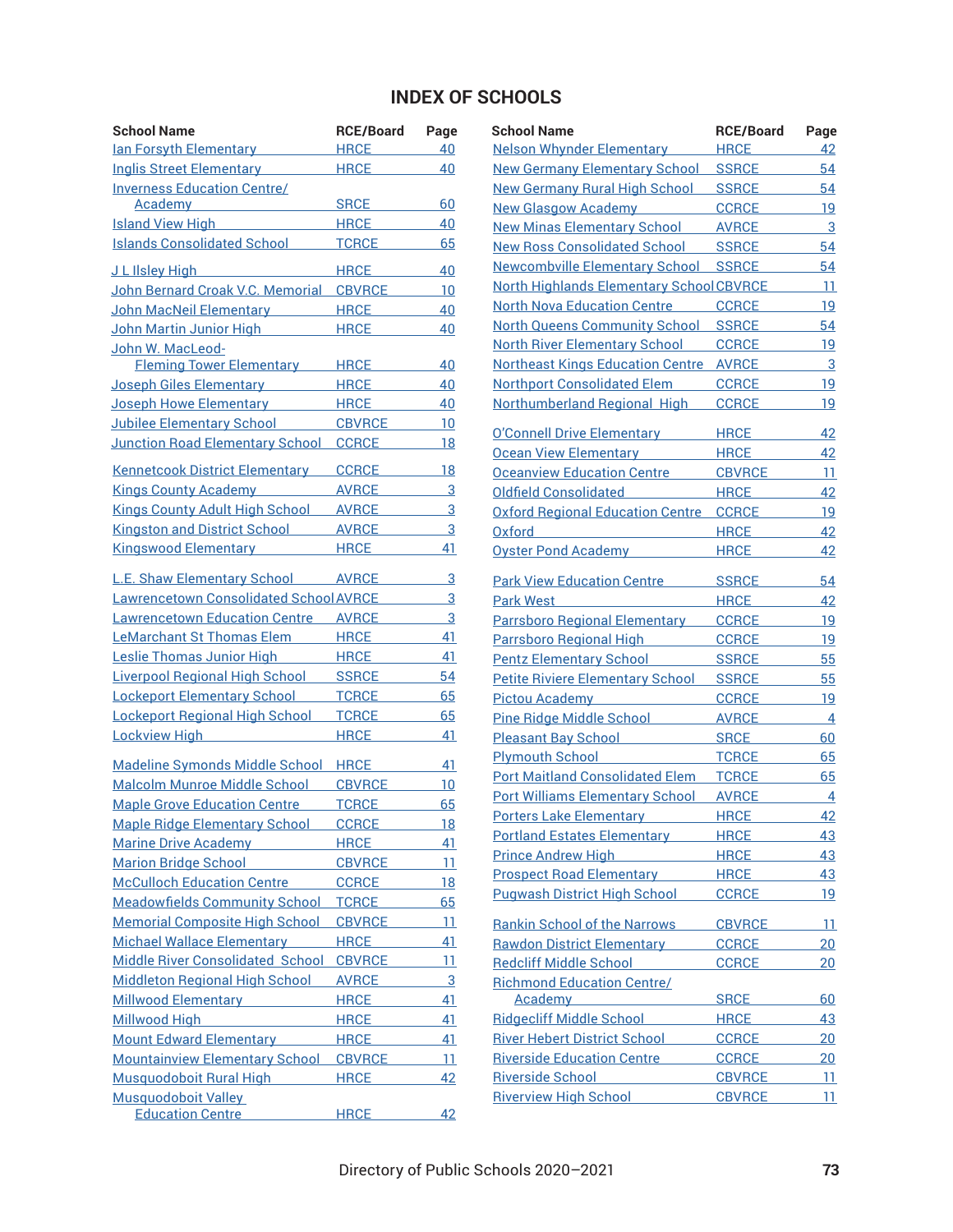| <b>School Name</b>                                           | <b>RCE/Board</b> | Page           |
|--------------------------------------------------------------|------------------|----------------|
| <b>Ian Forsyth Elementary</b>                                | <b>HRCE</b>      | 40             |
| <b>Inglis Street Elementary</b>                              | <b>HRCE</b>      | 40             |
| <b>Inverness Education Centre/</b><br><b>Academy Academy</b> | SRCE             | 60             |
| <b>Island View High</b>                                      | <b>HRCE</b>      | 40             |
| <b>Islands Consolidated School</b>                           | <b>TCRCE</b>     | 65             |
| <u>J L Ilsley High ______________</u>                        | HRCE             | 40             |
| John Bernard Croak V.C. Memorial                             | <b>CBVRCE</b>    | 10             |
| <b>John MacNeil Elementary</b>                               | HRCE             | 40             |
| John Martin Junior High                                      | <b>HRCE</b>      | 40             |
| John W. MacLeod-                                             |                  |                |
| <b>Fleming Tower Elementary</b>                              | <b>HRCE</b>      | 40             |
| Joseph Giles Elementary                                      | <b>HRCE</b>      | 40             |
| Joseph Howe Elementary                                       | <b>HRCE</b>      | 40             |
| Jubilee Elementary School                                    | <b>CBVRCE</b>    | 10             |
| <b>Junction Road Elementary School</b>                       | <b>CCRCE</b>     | <u>18</u>      |
| <b>Kennetcook District Elementary</b>                        | <b>CCRCE</b>     | 18             |
| <b>Kings County Academy</b>                                  | <b>AVRCE</b>     | $\overline{3}$ |
| <b>Kings County Adult High School</b>                        | <b>AVRCE</b>     | $\overline{3}$ |
| <b>Kingston and District School</b>                          | <b>AVRCE</b>     | 3              |
| Kingswood Elementary                                         | <b>HRCE</b>      | 41             |
| L.E. Shaw Elementary School AVRCE                            |                  | 3              |
| <b>Lawrencetown Consolidated School AVRCE</b>                |                  | 3              |
| <b>Lawrencetown Education Centre</b>                         | <b>AVRCE</b>     | 3              |
| <b>LeMarchant St Thomas Elem</b>                             | <b>HRCE</b>      | 41             |
| Leslie Thomas Junior High HRCE                               |                  | 41             |
| Liverpool Regional High School SSRCE                         |                  | 54             |
| <b>Lockeport Elementary School TCRCE</b>                     |                  | 65             |
| <b>Lockeport Regional High School TCRCE</b>                  |                  | 65             |
| Lockview High <b>Sandwin Marshall</b>                        | <b>HRCE</b>      | 41             |
| Madeline Symonds Middle School HRCE                          |                  | 41             |
| Malcolm Munroe Middle School CBVRCE                          |                  | 10             |
| <b>Maple Grove Education Centre</b>                          | <b>TCRCE</b>     | 65             |
| <b>Maple Ridge Elementary School</b>                         | <b>CCRCE</b>     | <u> 18</u>     |
| <b>Marine Drive Academy</b>                                  | <b>HRCE</b>      | 41             |
| <b>Marion Bridge School</b>                                  | <b>CBVRCE</b>    | 11             |
| <b>McCulloch Education Centre</b>                            | <b>CCRCE</b>     | <u>18</u>      |
| <b>Meadowfields Community School</b>                         | <b>TCRCE</b>     | 65             |
| <b>Memorial Composite High School</b>                        | <b>CBVRCE</b>    | 11             |
| <b>Michael Wallace Elementary</b>                            | <b>HRCE</b>      | 41             |
| <b>Middle River Consolidated School</b>                      | <b>CBVRCE</b>    | 11             |
| <b>Middleton Regional High School</b>                        | <b>AVRCE</b>     | $\overline{3}$ |
| Millwood Elementary                                          | <b>HRCE</b>      | 41             |
| Millwood High                                                | <b>HRCE</b>      | 41             |
| <b>Mount Edward Elementary</b>                               | <b>HRCE</b>      | 41             |
| <b>Mountainview Elementary School</b>                        | <b>CBVRCE</b>    | <u>11</u>      |
| <b>Musquodoboit Rural High</b>                               | <b>HRCE</b>      | 42             |
| <b>Musquodoboit Valley</b><br><b>Education Centre</b>        | <b>HRCE</b>      | 42             |
|                                                              |                  |                |

| <b>School Name</b>                      | <b>RCE/Board</b> | Page            | <b>School Name</b>                                                | <b>RCE/Board</b>           | Page            |
|-----------------------------------------|------------------|-----------------|-------------------------------------------------------------------|----------------------------|-----------------|
| <b>Ian Forsyth Elementary</b>           | <b>HRCE</b>      | 40              | <b>Nelson Whynder Elementary</b>                                  | <b>HRCE</b>                | 42              |
| <b>Inglis Street Elementary</b>         | <b>HRCE</b>      | 40              | <b>New Germany Elementary School</b>                              | <b>SSRCE</b>               | 54              |
| <b>Inverness Education Centre/</b>      |                  |                 | <b>New Germany Rural High School</b>                              | <b>SSRCE</b>               | 54              |
| <b>Academy</b>                          | <b>SRCE</b>      | 60              | <b>New Glasgow Academy</b>                                        | <b>CCRCE</b>               | <u>19</u>       |
| <b>Island View High</b>                 | <b>HRCE</b>      | 40              | <b>New Minas Elementary School</b>                                | <b>AVRCE</b>               | $\overline{3}$  |
| <b>Islands Consolidated School</b>      | <b>TCRCE</b>     | 65              | <b>New Ross Consolidated School</b>                               | <b>SSRCE</b>               | 54              |
| J L Ilsley High                         | <b>HRCE</b>      | 40              | <b>Newcombville Elementary School</b>                             | <b>SSRCE</b>               | 54              |
| John Bernard Croak V.C. Memorial CBVRCE |                  | 10              | <b>North Highlands Elementary School CBVRCE</b>                   |                            | <u>11</u>       |
| John MacNeil Elementary                 | <b>HRCE</b>      | 40              | <b>North Nova Education Centre</b>                                | <b>CCRCE</b>               | <u>19</u>       |
| John Martin Junior High                 | <b>HRCE</b>      | 40              | <b>North Queens Community School</b>                              | <b>SSRCE</b>               | 54              |
| John W. MacLeod-                        |                  |                 | <b>North River Elementary School</b>                              | <b>CCRCE</b>               | <u>19</u>       |
| <b>Fleming Tower Elementary</b>         | <b>HRCE</b>      | 40              | <b>Northeast Kings Education Centre AVRCE</b>                     |                            | $\overline{3}$  |
| Joseph Giles Elementary                 | <b>HRCE</b>      | 40              | <b>Northport Consolidated Elem</b>                                | <b>CCRCE</b>               | 19              |
| Joseph Howe Elementary                  | <b>HRCE</b>      | 40              | <b>Northumberland Regional High</b>                               | <b>CCRCE</b>               | 19              |
| <b>Jubilee Elementary School</b>        | <b>CBVRCE</b>    | 10              |                                                                   |                            | 42              |
| <b>Junction Road Elementary School</b>  | <b>CCRCE</b>     | <u>18</u>       | <b>O'Connell Drive Elementary</b>                                 | <b>HRCE</b><br><b>HRCE</b> |                 |
| <b>Kennetcook District Elementary</b>   | <b>CCRCE</b>     | <u>18</u>       | <b>Ocean View Elementary</b><br><b>Oceanview Education Centre</b> |                            | 42              |
| <b>Kings County Academy</b>             | <b>AVRCE</b>     | $\overline{3}$  | <b>Oldfield Consolidated</b>                                      | <b>CBVRCE</b>              | -11             |
| <b>Kings County Adult High School</b>   | <b>AVRCE</b>     | $\overline{3}$  |                                                                   | <b>HRCE</b>                | 42              |
| <b>Kingston and District School</b>     | <b>AVRCE</b>     | $\overline{3}$  | <b>Oxford Regional Education Centre</b>                           | <b>CCRCE</b>               | <u>19</u>       |
| <b>Kingswood Elementary</b>             | <b>HRCE</b>      | 41              | Oxford                                                            | <b>HRCE</b>                | 42              |
|                                         |                  |                 | <b>Oyster Pond Academy</b>                                        | <b>HRCE</b>                | 42              |
| <b>L.E. Shaw Elementary School</b>      | <b>AVRCE</b>     | $\overline{3}$  | <b>Park View Education Centre</b>                                 | <b>SSRCE</b>               | 54              |
| Lawrencetown Consolidated School AVRCE  |                  | $\overline{3}$  | <b>Park West</b>                                                  | <b>HRCE</b>                | 42              |
| <b>Lawrencetown Education Centre</b>    | <b>AVRCE</b>     | $\overline{3}$  | <b>Parrsboro Regional Elementary</b>                              | <b>CCRCE</b>               | <u>19</u>       |
| <b>LeMarchant St Thomas Elem</b>        | <b>HRCE</b>      | 41              | Parrsboro Regional High                                           | <b>CCRCE</b>               | 19              |
| Leslie Thomas Junior High               | <b>HRCE</b>      | 41              | <b>Pentz Elementary School</b>                                    | <b>SSRCE</b>               | 55              |
| Liverpool Regional High School          | <b>SSRCE</b>     | 54              | <b>Petite Riviere Elementary School</b>                           | <b>SSRCE</b>               | 55              |
| <b>Lockeport Elementary School</b>      | <b>TCRCE</b>     | 65              | <b>Pictou Academy</b>                                             | <b>CCRCE</b>               | 19              |
| Lockeport Regional High School          | <b>TCRCE</b>     | 65              | Pine Ridge Middle School                                          | <b>AVRCE</b>               | $\overline{4}$  |
| <b>Lockview High</b>                    | <b>HRCE</b>      | 41              | <b>Pleasant Bay School</b>                                        | <b>SRCE</b>                | 60              |
|                                         |                  |                 | <b>Plymouth School</b>                                            | <b>TCRCE</b>               | 65              |
| Madeline Symonds Middle School          | <b>HRCE</b>      | 41              | <b>Port Maitland Consolidated Elem</b>                            | <b>TCRCE</b>               | 65              |
| <b>Malcolm Munroe Middle School</b>     | <b>CBVRCE</b>    | 10              | <b>Port Williams Elementary School</b>                            | <b>AVRCE</b>               | $\overline{4}$  |
| <b>Maple Grove Education Centre</b>     | <b>TCRCE</b>     | 65              | <b>Porters Lake Elementary</b>                                    | <b>HRCE</b>                | 42              |
| Maple Ridge Elementary School           | <b>CCRCE</b>     | <u>18</u>       | <b>Portland Estates Elementary</b>                                | <b>HRCE</b>                | 43              |
| <b>Marine Drive Academy</b>             | <b>HRCE</b>      | 41              | <b>Prince Andrew High</b>                                         | <b>HRCE</b>                | 43              |
| <b>Marion Bridge School</b>             | <b>CBVRCE</b>    | <u>11</u>       | <b>Prospect Road Elementary</b>                                   | <b>HRCE</b>                | 43              |
| <b>McCulloch Education Centre</b>       | <b>CCRCE</b>     | <u> 18</u>      | <b>Pugwash District High School</b>                               | <b>CCRCE</b>               | 19              |
| <b>Meadowfields Community School</b>    | <b>TCRCE</b>     | 65              |                                                                   |                            |                 |
| <b>Memorial Composite High School</b>   | <b>CBVRCE</b>    | 11              | <b>Rankin School of the Narrows</b>                               | <b>CBVRCE</b>              | $\overline{11}$ |
| <b>Michael Wallace Elementary</b>       | <b>HRCE</b>      | 41              | <b>Rawdon District Elementary</b>                                 | <b>CCRCE</b>               | 20              |
| <b>Middle River Consolidated School</b> | <b>CBVRCE</b>    | <u>11</u>       | <b>Redcliff Middle School</b>                                     | <b>CCRCE</b>               | 20              |
| <b>Middleton Regional High School</b>   | <b>AVRCE</b>     | $\overline{3}$  | <b>Richmond Education Centre/</b>                                 |                            |                 |
| <b>Millwood Elementary</b>              | <b>HRCE</b>      | 41              | <b>Academy</b>                                                    | <b>SRCE</b>                | 60              |
| <b>Millwood High</b>                    | <b>HRCE</b>      | 41              | <b>Ridgecliff Middle School</b>                                   | <b>HRCE</b>                | 43              |
| <b>Mount Edward Elementary</b>          | <b>HRCE</b>      | 41              | <b>River Hebert District School</b>                               | <b>CCRCE</b>               | 20              |
| <b>Mountainview Elementary School</b>   | <b>CBVRCE</b>    | $\overline{11}$ | <b>Riverside Education Centre</b>                                 | <b>CCRCE</b>               | 20              |
| <b>Musquodoboit Rural High</b>          | <b>HRCE</b>      | 42              | <b>Riverside School</b>                                           | <b>CBVRCE</b>              | $\overline{11}$ |
| <b>Musquodoboit Valley</b>              | LIDOE            | $\Lambda$       | <b>Riverview High School</b>                                      | <b>CBVRCE</b>              | $\overline{11}$ |